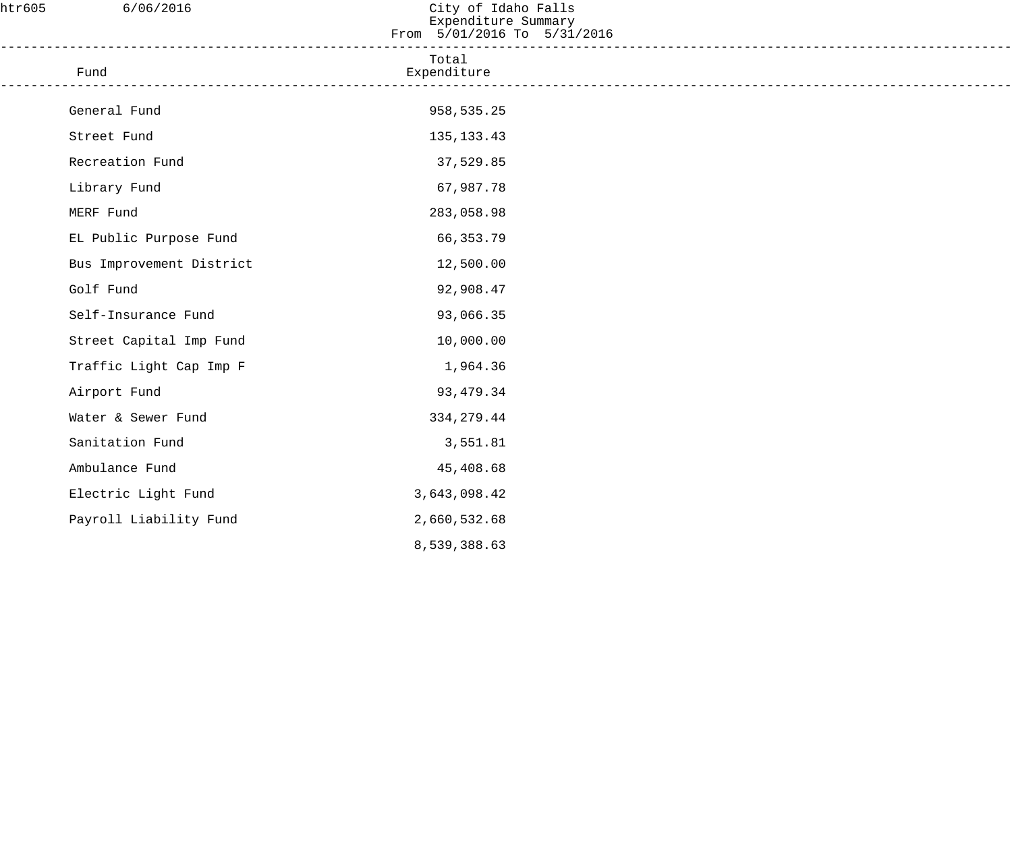| htr605 | 6/06/2016                                                                           | City of Idaho Falls<br>Expenditure Summary<br>From 5/01/2016 To 5/31/2016 |  |
|--------|-------------------------------------------------------------------------------------|---------------------------------------------------------------------------|--|
|        | ____________________________________<br>Fund<br>----------------------------------- | Total<br>Expenditure                                                      |  |
|        | General Fund                                                                        | 958,535.25                                                                |  |
|        | Street Fund                                                                         | 135, 133. 43                                                              |  |
|        | Recreation Fund                                                                     | 37,529.85                                                                 |  |
|        | Library Fund                                                                        | 67,987.78                                                                 |  |
|        | MERF Fund                                                                           | 283,058.98                                                                |  |
|        | EL Public Purpose Fund                                                              | 66,353.79                                                                 |  |
|        | Bus Improvement District                                                            | 12,500.00                                                                 |  |
|        | Golf Fund                                                                           | 92,908.47                                                                 |  |
|        | Self-Insurance Fund                                                                 | 93,066.35                                                                 |  |
|        | Street Capital Imp Fund                                                             | 10,000.00                                                                 |  |
|        | Traffic Light Cap Imp F                                                             | 1,964.36                                                                  |  |
|        | Airport Fund                                                                        | 93, 479. 34                                                               |  |
|        | Water & Sewer Fund                                                                  | 334, 279.44                                                               |  |
|        | Sanitation Fund                                                                     | 3,551.81                                                                  |  |
|        | Ambulance Fund                                                                      | 45,408.68                                                                 |  |
|        | Electric Light Fund                                                                 | 3,643,098.42                                                              |  |
|        | Payroll Liability Fund                                                              | 2,660,532.68                                                              |  |
|        |                                                                                     | 8,539,388.63                                                              |  |
|        |                                                                                     |                                                                           |  |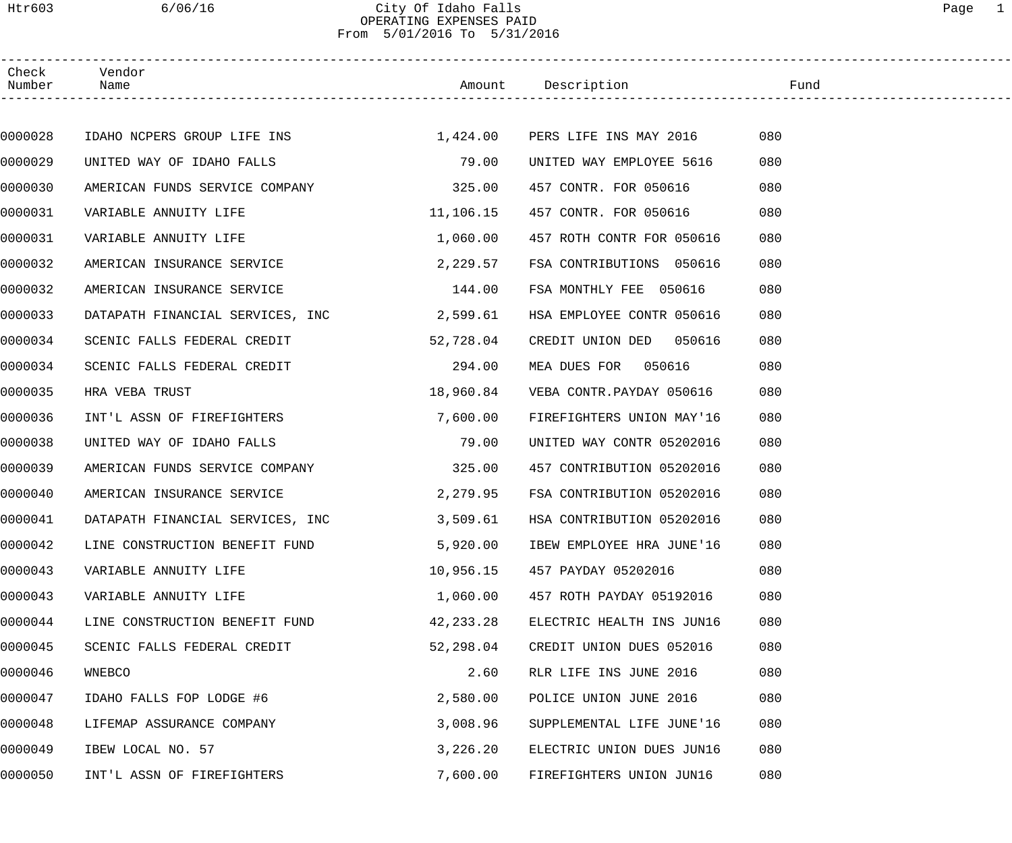## Htr603 6/06/16 City Of Idaho Falls Page 1 OPERATING EXPENSES PAID From 5/01/2016 To 5/31/2016

| Check<br>Number | Vendor<br>Name                                                  |           | Amount Description Fund   |     |  |
|-----------------|-----------------------------------------------------------------|-----------|---------------------------|-----|--|
|                 |                                                                 |           |                           |     |  |
| 0000028         | IDAHO NCPERS GROUP LIFE INS 1,424.00 PERS LIFE INS MAY 2016 080 |           |                           |     |  |
| 0000029         | UNITED WAY OF IDAHO FALLS                                       | 79.00     | UNITED WAY EMPLOYEE 5616  | 080 |  |
| 0000030         | AMERICAN FUNDS SERVICE COMPANY                                  | 325.00    | 457 CONTR. FOR 050616     | 080 |  |
| 0000031         | VARIABLE ANNUITY LIFE                                           | 11,106.15 | 457 CONTR. FOR 050616     | 080 |  |
| 0000031         | VARIABLE ANNUITY LIFE                                           | 1,060.00  | 457 ROTH CONTR FOR 050616 | 080 |  |
| 0000032         | AMERICAN INSURANCE SERVICE                                      | 2,229.57  | FSA CONTRIBUTIONS 050616  | 080 |  |
| 0000032         | AMERICAN INSURANCE SERVICE                                      | 144.00    | FSA MONTHLY FEE 050616    | 080 |  |
| 0000033         | DATAPATH FINANCIAL SERVICES, INC 2,599.61                       |           | HSA EMPLOYEE CONTR 050616 | 080 |  |
| 0000034         | SCENIC FALLS FEDERAL CREDIT                                     | 52,728.04 | CREDIT UNION DED 050616   | 080 |  |
| 0000034         | SCENIC FALLS FEDERAL CREDIT                                     | 294.00    | MEA DUES FOR 050616       | 080 |  |
| 0000035         | HRA VEBA TRUST                                                  | 18,960.84 | VEBA CONTR.PAYDAY 050616  | 080 |  |
| 0000036         | INT'L ASSN OF FIREFIGHTERS                                      | 7,600.00  | FIREFIGHTERS UNION MAY'16 | 080 |  |
| 0000038         | UNITED WAY OF IDAHO FALLS                                       | 79.00     | UNITED WAY CONTR 05202016 | 080 |  |
| 0000039         | AMERICAN FUNDS SERVICE COMPANY 325.00                           |           | 457 CONTRIBUTION 05202016 | 080 |  |
| 0000040         | AMERICAN INSURANCE SERVICE                                      | 2,279.95  | FSA CONTRIBUTION 05202016 | 080 |  |
| 0000041         | DATAPATH FINANCIAL SERVICES, INC                                | 3,509.61  | HSA CONTRIBUTION 05202016 | 080 |  |
| 0000042         | LINE CONSTRUCTION BENEFIT FUND                                  | 5,920.00  | IBEW EMPLOYEE HRA JUNE'16 | 080 |  |
| 0000043         | VARIABLE ANNUITY LIFE                                           | 10,956.15 | 457 PAYDAY 05202016       | 080 |  |
| 0000043         | VARIABLE ANNUITY LIFE                                           | 1,060.00  | 457 ROTH PAYDAY 05192016  | 080 |  |
| 0000044         | LINE CONSTRUCTION BENEFIT FUND                                  | 42,233.28 | ELECTRIC HEALTH INS JUN16 | 080 |  |
| 0000045         | SCENIC FALLS FEDERAL CREDIT                                     | 52,298.04 | CREDIT UNION DUES 052016  | 080 |  |
| 0000046         | WNEBCO                                                          | 2.60      | RLR LIFE INS JUNE 2016    | 080 |  |
| 0000047         | IDAHO FALLS FOP LODGE #6                                        | 2,580.00  | POLICE UNION JUNE 2016    | 080 |  |
| 0000048         | LIFEMAP ASSURANCE COMPANY                                       | 3,008.96  | SUPPLEMENTAL LIFE JUNE'16 | 080 |  |
| 0000049         | IBEW LOCAL NO. 57                                               | 3,226.20  | ELECTRIC UNION DUES JUN16 | 080 |  |
| 0000050         | INT'L ASSN OF FIREFIGHTERS                                      | 7,600.00  | FIREFIGHTERS UNION JUN16  | 080 |  |
|                 |                                                                 |           |                           |     |  |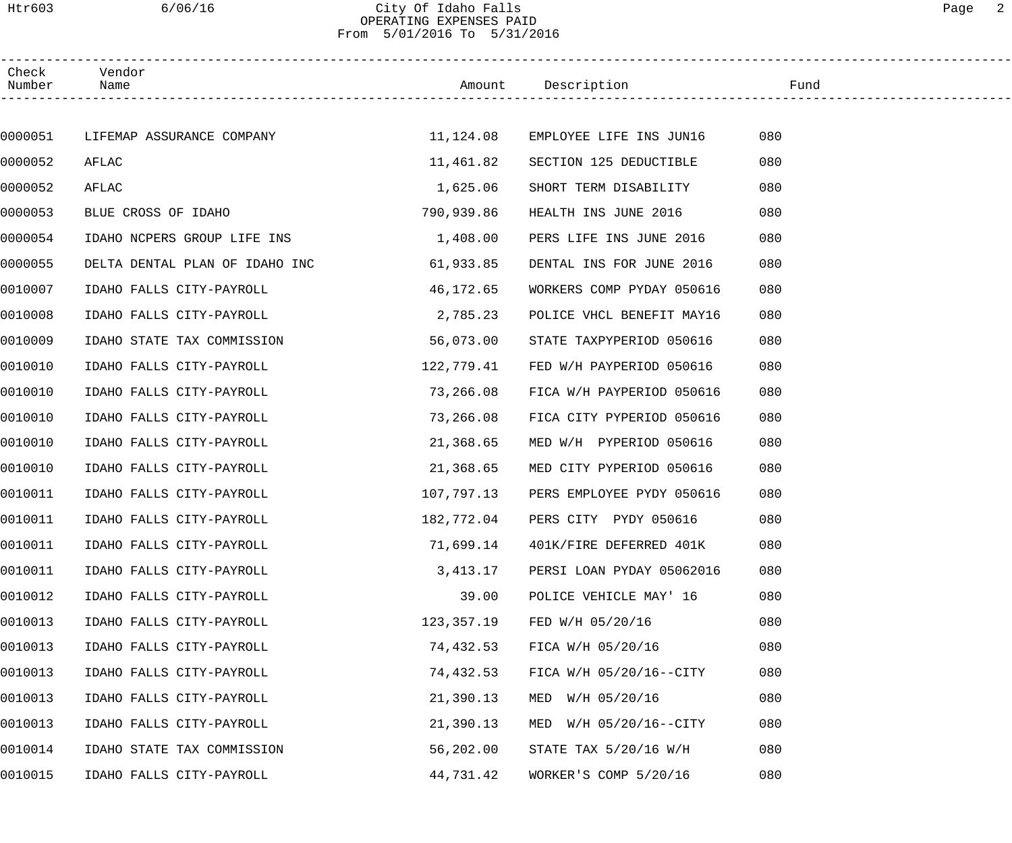#### Htr603 6/06/16 City Of Idaho Falls Page 2 OPERATING EXPENSES PAID From 5/01/2016 To 5/31/2016

| Check<br>Number | Vendor<br>Name                                                |            | Amount Description               | Fund |
|-----------------|---------------------------------------------------------------|------------|----------------------------------|------|
|                 |                                                               |            |                                  |      |
| 0000051         | LIFEMAP ASSURANCE COMPANY $11,124.08$ EMPLOYEE LIFE INS JUN16 |            |                                  | 080  |
| 0000052         | AFLAC                                                         | 11,461.82  | SECTION 125 DEDUCTIBLE           | 080  |
| 0000052         | AFLAC                                                         | 1,625.06   | SHORT TERM DISABILITY            | 080  |
| 0000053         | BLUE CROSS OF IDAHO                                           | 790,939.86 | HEALTH INS JUNE 2016             | 080  |
| 0000054         | IDAHO NCPERS GROUP LIFE INS                                   | 1,408.00   | PERS LIFE INS JUNE 2016          | 080  |
| 0000055         | DELTA DENTAL PLAN OF IDAHO INC                                | 61,933.85  | DENTAL INS FOR JUNE 2016         | 080  |
| 0010007         | IDAHO FALLS CITY-PAYROLL                                      | 46,172.65  | WORKERS COMP PYDAY 050616        | 080  |
| 0010008         | IDAHO FALLS CITY-PAYROLL                                      | 2,785.23   | POLICE VHCL BENEFIT MAY16        | 080  |
| 0010009         | IDAHO STATE TAX COMMISSION                                    | 56,073.00  | STATE TAXPYPERIOD 050616         | 080  |
| 0010010         | IDAHO FALLS CITY-PAYROLL                                      | 122,779.41 | FED W/H PAYPERIOD 050616         | 080  |
| 0010010         | IDAHO FALLS CITY-PAYROLL                                      | 73,266.08  | FICA W/H PAYPERIOD 050616        | 080  |
| 0010010         | IDAHO FALLS CITY-PAYROLL                                      | 73,266.08  | FICA CITY PYPERIOD 050616        | 080  |
| 0010010         | IDAHO FALLS CITY-PAYROLL                                      | 21,368.65  | MED W/H PYPERIOD 050616          | 080  |
| 0010010         | IDAHO FALLS CITY-PAYROLL                                      | 21,368.65  | MED CITY PYPERIOD 050616         | 080  |
| 0010011         | IDAHO FALLS CITY-PAYROLL                                      | 107,797.13 | PERS EMPLOYEE PYDY 050616        | 080  |
| 0010011         | IDAHO FALLS CITY-PAYROLL                                      |            | 182,772.04 PERS CITY PYDY 050616 | 080  |
| 0010011         | IDAHO FALLS CITY-PAYROLL                                      | 71,699.14  | 401K/FIRE DEFERRED 401K          | 080  |
| 0010011         | IDAHO FALLS CITY-PAYROLL                                      | 3,413.17   | PERSI LOAN PYDAY 05062016        | 080  |
| 0010012         | IDAHO FALLS CITY-PAYROLL                                      | 39.00      | POLICE VEHICLE MAY' 16           | 080  |
| 0010013         | IDAHO FALLS CITY-PAYROLL                                      | 123,357.19 | FED W/H 05/20/16                 | 080  |
| 0010013         | IDAHO FALLS CITY-PAYROLL                                      | 74,432.53  | FICA W/H 05/20/16                | 080  |
| 0010013         | IDAHO FALLS CITY-PAYROLL                                      | 74,432.53  | FICA W/H 05/20/16--CITY          | 080  |
| 0010013         | IDAHO FALLS CITY-PAYROLL                                      | 21,390.13  | MED W/H 05/20/16                 | 080  |
| 0010013         | IDAHO FALLS CITY-PAYROLL                                      | 21,390.13  | MED W/H 05/20/16--CITY           | 080  |
| 0010014         | IDAHO STATE TAX COMMISSION                                    | 56,202.00  | STATE TAX 5/20/16 W/H            | 080  |
| 0010015         | IDAHO FALLS CITY-PAYROLL                                      | 44,731.42  | WORKER'S COMP 5/20/16            | 080  |
|                 |                                                               |            |                                  |      |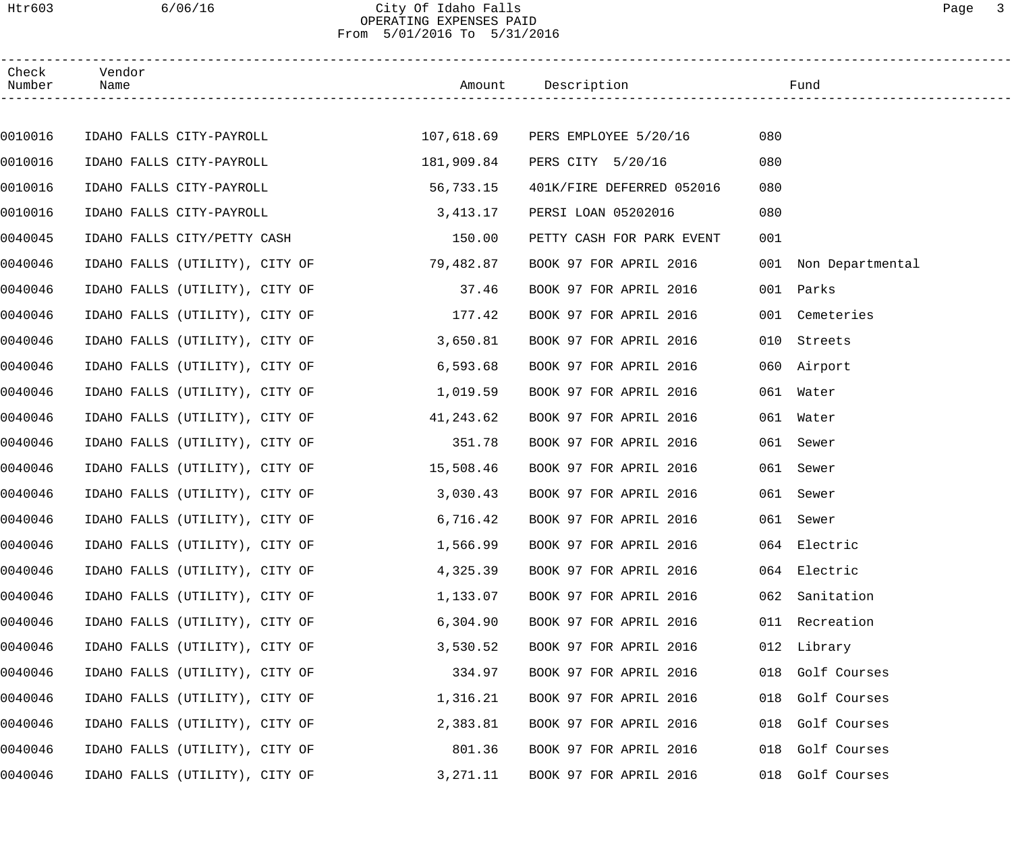#### Htr603 6/06/16 City Of Idaho Falls Page 3 OPERATING EXPENSES PAID From 5/01/2016 To 5/31/2016

| Check<br>Number | Vendor<br>Name                 |            | Amount Description               |     | Fund                 |
|-----------------|--------------------------------|------------|----------------------------------|-----|----------------------|
|                 |                                |            |                                  |     |                      |
| 0010016         | IDAHO FALLS CITY-PAYROLL       |            | 107,618.69 PERS EMPLOYEE 5/20/16 | 080 |                      |
| 0010016         | IDAHO FALLS CITY-PAYROLL       | 181,909.84 | PERS CITY 5/20/16                | 080 |                      |
| 0010016         | IDAHO FALLS CITY-PAYROLL       | 56,733.15  | 401K/FIRE DEFERRED 052016        | 080 |                      |
| 0010016         | IDAHO FALLS CITY-PAYROLL       | 3,413.17   | PERSI LOAN 05202016              | 080 |                      |
| 0040045         | IDAHO FALLS CITY/PETTY CASH    | 150.00     | PETTY CASH FOR PARK EVENT        | 001 |                      |
| 0040046         | IDAHO FALLS (UTILITY), CITY OF | 79,482.87  | BOOK 97 FOR APRIL 2016           |     | 001 Non Departmental |
| 0040046         | IDAHO FALLS (UTILITY), CITY OF | 37.46      | BOOK 97 FOR APRIL 2016           |     | 001 Parks            |
| 0040046         | IDAHO FALLS (UTILITY), CITY OF | 177.42     | BOOK 97 FOR APRIL 2016           | 001 | Cemeteries           |
| 0040046         | IDAHO FALLS (UTILITY), CITY OF | 3,650.81   | BOOK 97 FOR APRIL 2016           | 010 | Streets              |
| 0040046         | IDAHO FALLS (UTILITY), CITY OF | 6,593.68   | BOOK 97 FOR APRIL 2016           |     | 060 Airport          |
| 0040046         | IDAHO FALLS (UTILITY), CITY OF | 1,019.59   | BOOK 97 FOR APRIL 2016           |     | 061 Water            |
| 0040046         | IDAHO FALLS (UTILITY), CITY OF | 41,243.62  | BOOK 97 FOR APRIL 2016           | 061 | Water                |
| 0040046         | IDAHO FALLS (UTILITY), CITY OF | 351.78     | BOOK 97 FOR APRIL 2016           | 061 | Sewer                |
| 0040046         | IDAHO FALLS (UTILITY), CITY OF | 15,508.46  | BOOK 97 FOR APRIL 2016           | 061 | Sewer                |
| 0040046         | IDAHO FALLS (UTILITY), CITY OF | 3,030.43   | BOOK 97 FOR APRIL 2016           | 061 | Sewer                |
| 0040046         | IDAHO FALLS (UTILITY), CITY OF | 6,716.42   | BOOK 97 FOR APRIL 2016           |     | 061 Sewer            |
| 0040046         | IDAHO FALLS (UTILITY), CITY OF | 1,566.99   | BOOK 97 FOR APRIL 2016           |     | 064 Electric         |
| 0040046         | IDAHO FALLS (UTILITY), CITY OF | 4,325.39   | BOOK 97 FOR APRIL 2016           |     | 064 Electric         |
| 0040046         | IDAHO FALLS (UTILITY), CITY OF | 1,133.07   | BOOK 97 FOR APRIL 2016           | 062 | Sanitation           |
| 0040046         | IDAHO FALLS (UTILITY), CITY OF | 6,304.90   | BOOK 97 FOR APRIL 2016           |     | 011 Recreation       |
| 0040046         | IDAHO FALLS (UTILITY), CITY OF | 3,530.52   | BOOK 97 FOR APRIL 2016           |     | 012 Library          |
| 0040046         | IDAHO FALLS (UTILITY), CITY OF | 334.97     | BOOK 97 FOR APRIL 2016           |     | 018 Golf Courses     |
| 0040046         | IDAHO FALLS (UTILITY), CITY OF | 1,316.21   | BOOK 97 FOR APRIL 2016           |     | 018 Golf Courses     |
| 0040046         | IDAHO FALLS (UTILITY), CITY OF | 2,383.81   | BOOK 97 FOR APRIL 2016           |     | 018 Golf Courses     |
| 0040046         | IDAHO FALLS (UTILITY), CITY OF | 801.36     | BOOK 97 FOR APRIL 2016           |     | 018 Golf Courses     |
| 0040046         | IDAHO FALLS (UTILITY), CITY OF | 3,271.11   | BOOK 97 FOR APRIL 2016           |     | 018 Golf Courses     |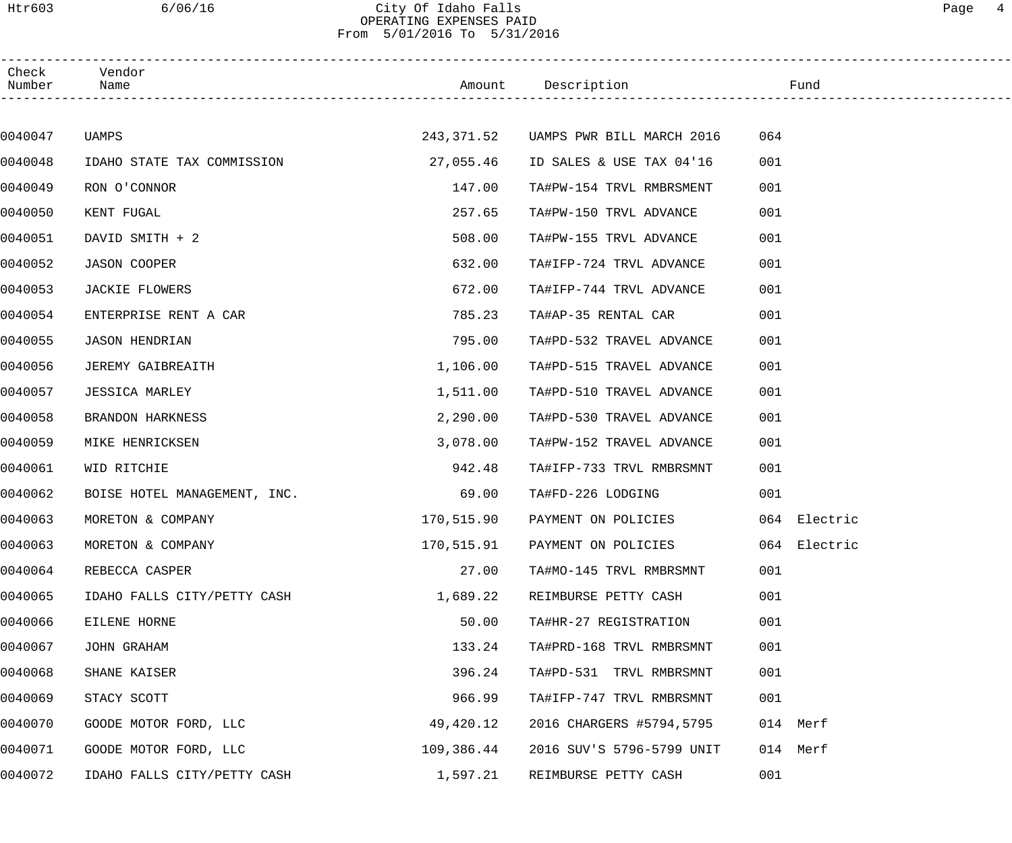### Htr603 6/06/16 City Of Idaho Falls Page 4 OPERATING EXPENSES PAID From 5/01/2016 To 5/31/2016

| Check<br>Number | Vendor<br>Name               |            | Amount Description                   | Fund         |  |
|-----------------|------------------------------|------------|--------------------------------------|--------------|--|
|                 |                              |            |                                      |              |  |
| 0040047         | UAMPS                        |            | 243,371.52 UAMPS PWR BILL MARCH 2016 | 064          |  |
| 0040048         | IDAHO STATE TAX COMMISSION   | 27,055.46  | ID SALES & USE TAX 04'16             | 001          |  |
| 0040049         | RON O'CONNOR                 | 147.00     | TA#PW-154 TRVL RMBRSMENT             | 001          |  |
| 0040050         | KENT FUGAL                   | 257.65     | TA#PW-150 TRVL ADVANCE               | 001          |  |
| 0040051         | DAVID SMITH + 2              | 508.00     | TA#PW-155 TRVL ADVANCE               | 001          |  |
| 0040052         | JASON COOPER                 | 632.00     | TA#IFP-724 TRVL ADVANCE              | 001          |  |
| 0040053         | JACKIE FLOWERS               | 672.00     | TA#IFP-744 TRVL ADVANCE              | 001          |  |
| 0040054         | ENTERPRISE RENT A CAR        | 785.23     | TA#AP-35 RENTAL CAR                  | 001          |  |
| 0040055         | <b>JASON HENDRIAN</b>        | 795.00     | TA#PD-532 TRAVEL ADVANCE             | 001          |  |
| 0040056         | JEREMY GAIBREAITH            | 1,106.00   | TA#PD-515 TRAVEL ADVANCE             | 001          |  |
| 0040057         | JESSICA MARLEY               | 1,511.00   | TA#PD-510 TRAVEL ADVANCE             | 001          |  |
| 0040058         | BRANDON HARKNESS             | 2,290.00   | TA#PD-530 TRAVEL ADVANCE             | 001          |  |
| 0040059         | MIKE HENRICKSEN              | 3,078.00   | TA#PW-152 TRAVEL ADVANCE             | 001          |  |
| 0040061         | WID RITCHIE                  | 942.48     | TA#IFP-733 TRVL RMBRSMNT             | 001          |  |
| 0040062         | BOISE HOTEL MANAGEMENT, INC. | 69.00      | TA#FD-226 LODGING                    | 001          |  |
| 0040063         | MORETON & COMPANY            | 170,515.90 | PAYMENT ON POLICIES                  | 064 Electric |  |
| 0040063         | MORETON & COMPANY            | 170,515.91 | PAYMENT ON POLICIES                  | 064 Electric |  |
| 0040064         | REBECCA CASPER               | 27.00      | TA#MO-145 TRVL RMBRSMNT              | 001          |  |
| 0040065         | IDAHO FALLS CITY/PETTY CASH  | 1,689.22   | REIMBURSE PETTY CASH                 | 001          |  |
| 0040066         | EILENE HORNE                 | 50.00      | TA#HR-27 REGISTRATION                | 001          |  |
| 0040067         | JOHN GRAHAM                  | 133.24     | TA#PRD-168 TRVL RMBRSMNT             | 001          |  |
| 0040068         | SHANE KAISER                 | 396.24     | TA#PD-531 TRVL RMBRSMNT              | 001          |  |
| 0040069         | STACY SCOTT                  | 966.99     | TA#IFP-747 TRVL RMBRSMNT             | 001          |  |
| 0040070         | GOODE MOTOR FORD, LLC        | 49,420.12  | 2016 CHARGERS #5794,5795             | 014 Merf     |  |
| 0040071         | GOODE MOTOR FORD, LLC        | 109,386.44 | 2016 SUV'S 5796-5799 UNIT            | 014 Merf     |  |
| 0040072         | IDAHO FALLS CITY/PETTY CASH  | 1,597.21   | REIMBURSE PETTY CASH                 | 001          |  |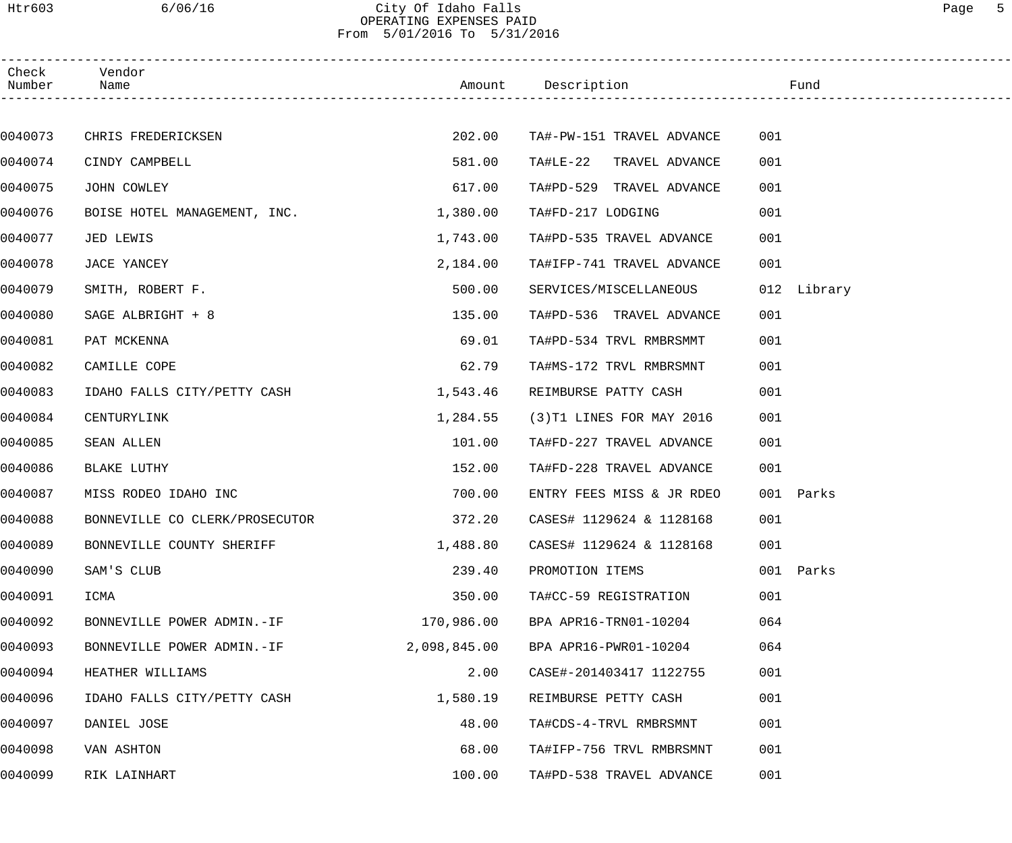#### Htr603 6/06/16 City Of Idaho Falls Page 5 OPERATING EXPENSES PAID From 5/01/2016 To 5/31/2016

| Check<br>Number | Vendor<br>Name                 |              | Amount Description          | Fund        |  |
|-----------------|--------------------------------|--------------|-----------------------------|-------------|--|
|                 |                                |              |                             |             |  |
| 0040073         | CHRIS FREDERICKSEN             | 202.00       | TA#-PW-151 TRAVEL ADVANCE   | 001         |  |
| 0040074         | CINDY CAMPBELL                 | 581.00       | TA#LE-22 TRAVEL ADVANCE     | 001         |  |
| 0040075         | JOHN COWLEY                    | 617.00       | TA#PD-529 TRAVEL ADVANCE    | 001         |  |
| 0040076         | BOISE HOTEL MANAGEMENT, INC.   | 1,380.00     | TA#FD-217 LODGING           | 001         |  |
| 0040077         | JED LEWIS                      | 1,743.00     | TA#PD-535 TRAVEL ADVANCE    | 001         |  |
| 0040078         | JACE YANCEY                    | 2,184.00     | TA#IFP-741 TRAVEL ADVANCE   | 001         |  |
| 0040079         | SMITH, ROBERT F.               | 500.00       | SERVICES/MISCELLANEOUS      | 012 Library |  |
| 0040080         | SAGE ALBRIGHT + 8              | 135.00       | TA#PD-536 TRAVEL ADVANCE    | 001         |  |
| 0040081         | PAT MCKENNA                    | 69.01        | TA#PD-534 TRVL RMBRSMMT     | 001         |  |
| 0040082         | CAMILLE COPE                   | 62.79        | TA#MS-172 TRVL RMBRSMNT     | 001         |  |
| 0040083         | IDAHO FALLS CITY/PETTY CASH    | 1,543.46     | REIMBURSE PATTY CASH        | 001         |  |
| 0040084         | CENTURYLINK                    | 1,284.55     | $(3)$ T1 LINES FOR MAY 2016 | 001         |  |
| 0040085         | SEAN ALLEN                     | 101.00       | TA#FD-227 TRAVEL ADVANCE    | 001         |  |
| 0040086         | BLAKE LUTHY                    | 152.00       | TA#FD-228 TRAVEL ADVANCE    | 001         |  |
| 0040087         | MISS RODEO IDAHO INC           | 700.00       | ENTRY FEES MISS & JR RDEO   | 001 Parks   |  |
| 0040088         | BONNEVILLE CO CLERK/PROSECUTOR | 372.20       | CASES# 1129624 & 1128168    | 001         |  |
| 0040089         | BONNEVILLE COUNTY SHERIFF      | 1,488.80     | CASES# 1129624 & 1128168    | 001         |  |
| 0040090         | SAM'S CLUB                     | 239.40       | PROMOTION ITEMS             | 001 Parks   |  |
| 0040091         | ICMA                           | 350.00       | TA#CC-59 REGISTRATION       | 001         |  |
| 0040092         | BONNEVILLE POWER ADMIN.-IF     | 170,986.00   | BPA APR16-TRN01-10204       | 064         |  |
| 0040093         | BONNEVILLE POWER ADMIN.-IF     | 2,098,845.00 | BPA APR16-PWR01-10204       | 064         |  |
| 0040094         | HEATHER WILLIAMS               | 2.00         | CASE#-201403417 1122755     | 001         |  |
| 0040096         | IDAHO FALLS CITY/PETTY CASH    | 1,580.19     | REIMBURSE PETTY CASH        | 001         |  |
| 0040097         | DANIEL JOSE                    | 48.00        | TA#CDS-4-TRVL RMBRSMNT      | 001         |  |
| 0040098         | VAN ASHTON                     | 68.00        | TA#IFP-756 TRVL RMBRSMNT    | 001         |  |
| 0040099         | RIK LAINHART                   | 100.00       | TA#PD-538 TRAVEL ADVANCE    | 001         |  |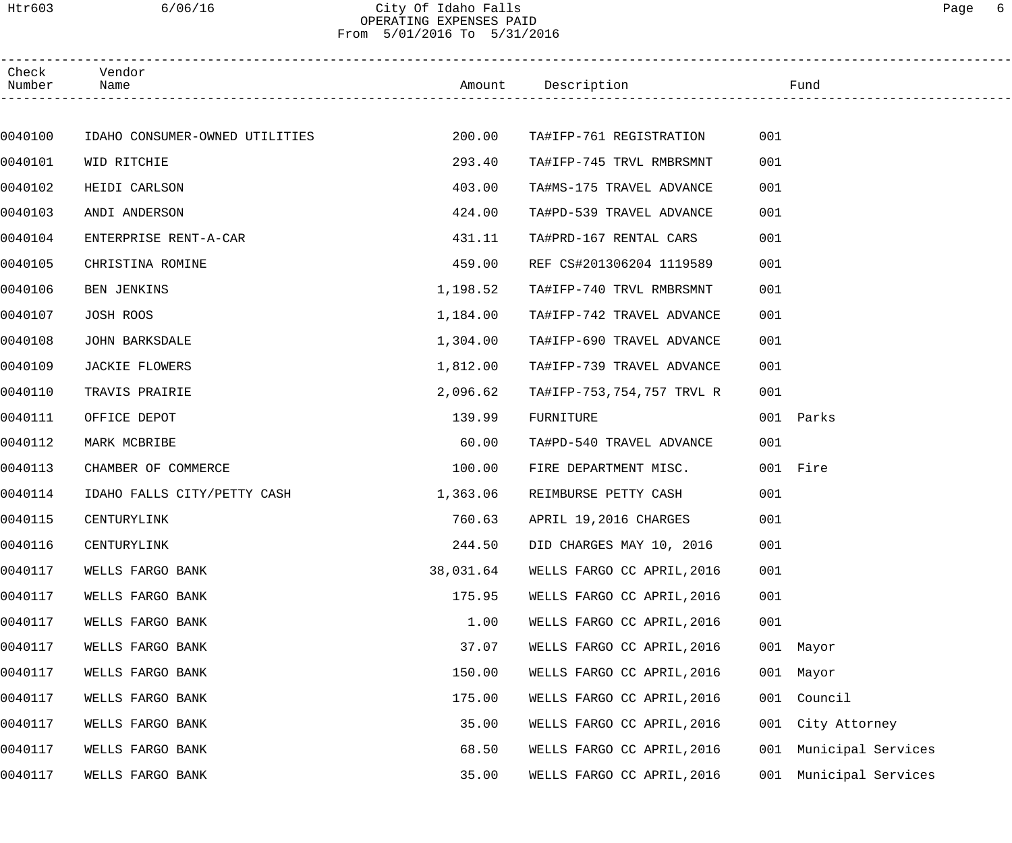#### Htr603 6/06/16 City Of Idaho Falls Page 6 OPERATING EXPENSES PAID From 5/01/2016 To 5/31/2016

| Check<br>Number | Vendor<br>Name                 |           | Amount Description         |     | Fund               |  |
|-----------------|--------------------------------|-----------|----------------------------|-----|--------------------|--|
|                 |                                |           |                            |     |                    |  |
| 0040100         | IDAHO CONSUMER-OWNED UTILITIES | 200.00    | TA#IFP-761 REGISTRATION    | 001 |                    |  |
| 0040101         | WID RITCHIE                    | 293.40    | TA#IFP-745 TRVL RMBRSMNT   | 001 |                    |  |
| 0040102         | HEIDI CARLSON                  | 403.00    | TA#MS-175 TRAVEL ADVANCE   | 001 |                    |  |
| 0040103         | ANDI ANDERSON                  | 424.00    | TA#PD-539 TRAVEL ADVANCE   | 001 |                    |  |
| 0040104         | ENTERPRISE RENT-A-CAR          | 431.11    | TA#PRD-167 RENTAL CARS     | 001 |                    |  |
| 0040105         | CHRISTINA ROMINE               | 459.00    | REF CS#201306204 1119589   | 001 |                    |  |
| 0040106         | BEN JENKINS                    | 1,198.52  | TA#IFP-740 TRVL RMBRSMNT   | 001 |                    |  |
| 0040107         | JOSH ROOS                      | 1,184.00  | TA#IFP-742 TRAVEL ADVANCE  | 001 |                    |  |
| 0040108         | <b>JOHN BARKSDALE</b>          | 1,304.00  | TA#IFP-690 TRAVEL ADVANCE  | 001 |                    |  |
| 0040109         | <b>JACKIE FLOWERS</b>          | 1,812.00  | TA#IFP-739 TRAVEL ADVANCE  | 001 |                    |  |
| 0040110         | TRAVIS PRAIRIE                 | 2,096.62  | TA#IFP-753,754,757 TRVL R  | 001 |                    |  |
| 0040111         | OFFICE DEPOT                   | 139.99    | FURNITURE                  |     | 001 Parks          |  |
| 0040112         | MARK MCBRIBE                   | 60.00     | TA#PD-540 TRAVEL ADVANCE   | 001 |                    |  |
| 0040113         | CHAMBER OF COMMERCE            | 100.00    | FIRE DEPARTMENT MISC.      |     | 001 Fire           |  |
| 0040114         | IDAHO FALLS CITY/PETTY CASH    | 1,363.06  | REIMBURSE PETTY CASH       | 001 |                    |  |
| 0040115         | CENTURYLINK                    | 760.63    | APRIL 19,2016 CHARGES      | 001 |                    |  |
| 0040116         | CENTURYLINK                    | 244.50    | DID CHARGES MAY 10, 2016   | 001 |                    |  |
| 0040117         | WELLS FARGO BANK               | 38,031.64 | WELLS FARGO CC APRIL, 2016 | 001 |                    |  |
| 0040117         | WELLS FARGO BANK               | 175.95    | WELLS FARGO CC APRIL, 2016 | 001 |                    |  |
| 0040117         | WELLS FARGO BANK               | 1.00      | WELLS FARGO CC APRIL, 2016 | 001 |                    |  |
| 0040117         | WELLS FARGO BANK               | 37.07     | WELLS FARGO CC APRIL, 2016 |     | 001 Mayor          |  |
| 0040117         | WELLS FARGO BANK               | 150.00    | WELLS FARGO CC APRIL, 2016 |     | 001 Mayor          |  |
| 0040117         | WELLS FARGO BANK               | 175.00    | WELLS FARGO CC APRIL, 2016 | 001 | Council            |  |
| 0040117         | WELLS FARGO BANK               | 35.00     | WELLS FARGO CC APRIL, 2016 | 001 | City Attorney      |  |
| 0040117         | WELLS FARGO BANK               | 68.50     | WELLS FARGO CC APRIL, 2016 | 001 | Municipal Services |  |
| 0040117         | WELLS FARGO BANK               | 35.00     | WELLS FARGO CC APRIL, 2016 | 001 | Municipal Services |  |
|                 |                                |           |                            |     |                    |  |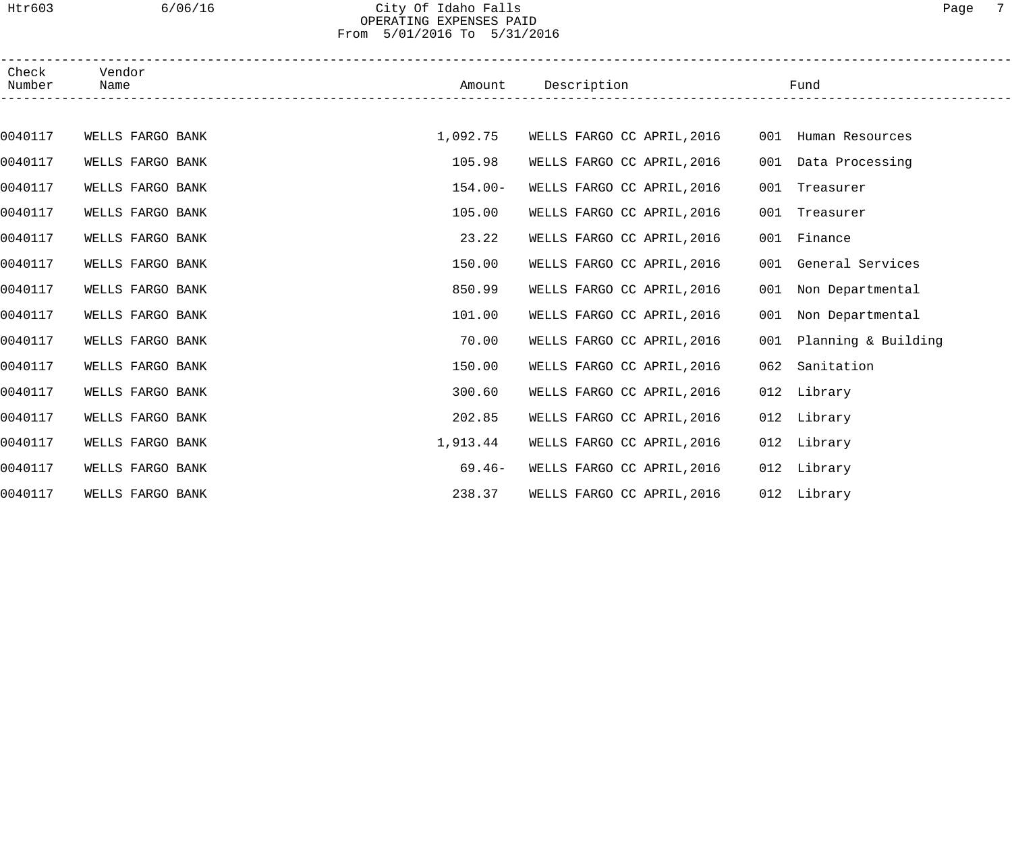#### Htr603 6/06/16 City Of Idaho Falls Page 7 OPERATING EXPENSES PAID From 5/01/2016 To 5/31/2016

| Check<br>Number | Vendor<br>Name   |            | Amount Description         |     | Fund                 |  |
|-----------------|------------------|------------|----------------------------|-----|----------------------|--|
|                 |                  |            |                            |     |                      |  |
| 0040117         | WELLS FARGO BANK | 1,092.75   | WELLS FARGO CC APRIL, 2016 |     | 001 Human Resources  |  |
| 0040117         | WELLS FARGO BANK | 105.98     | WELLS FARGO CC APRIL, 2016 |     | 001 Data Processing  |  |
| 0040117         | WELLS FARGO BANK | $154.00 -$ | WELLS FARGO CC APRIL, 2016 |     | 001 Treasurer        |  |
| 0040117         | WELLS FARGO BANK | 105.00     | WELLS FARGO CC APRIL, 2016 |     | 001 Treasurer        |  |
| 0040117         | WELLS FARGO BANK | 23.22      | WELLS FARGO CC APRIL, 2016 |     | 001 Finance          |  |
| 0040117         | WELLS FARGO BANK | 150.00     | WELLS FARGO CC APRIL, 2016 |     | 001 General Services |  |
| 0040117         | WELLS FARGO BANK | 850.99     | WELLS FARGO CC APRIL, 2016 | 001 | Non Departmental     |  |
| 0040117         | WELLS FARGO BANK | 101.00     | WELLS FARGO CC APRIL, 2016 | 001 | Non Departmental     |  |
| 0040117         | WELLS FARGO BANK | 70.00      | WELLS FARGO CC APRIL, 2016 | 001 | Planning & Building  |  |
| 0040117         | WELLS FARGO BANK | 150.00     | WELLS FARGO CC APRIL, 2016 | 062 | Sanitation           |  |
| 0040117         | WELLS FARGO BANK | 300.60     | WELLS FARGO CC APRIL, 2016 |     | 012 Library          |  |
| 0040117         | WELLS FARGO BANK | 202.85     | WELLS FARGO CC APRIL, 2016 |     | 012 Library          |  |
| 0040117         | WELLS FARGO BANK | 1,913.44   | WELLS FARGO CC APRIL, 2016 |     | 012 Library          |  |
| 0040117         | WELLS FARGO BANK | $69.46-$   | WELLS FARGO CC APRIL, 2016 |     | 012 Library          |  |
| 0040117         | WELLS FARGO BANK | 238.37     | WELLS FARGO CC APRIL, 2016 |     | 012 Library          |  |
|                 |                  |            |                            |     |                      |  |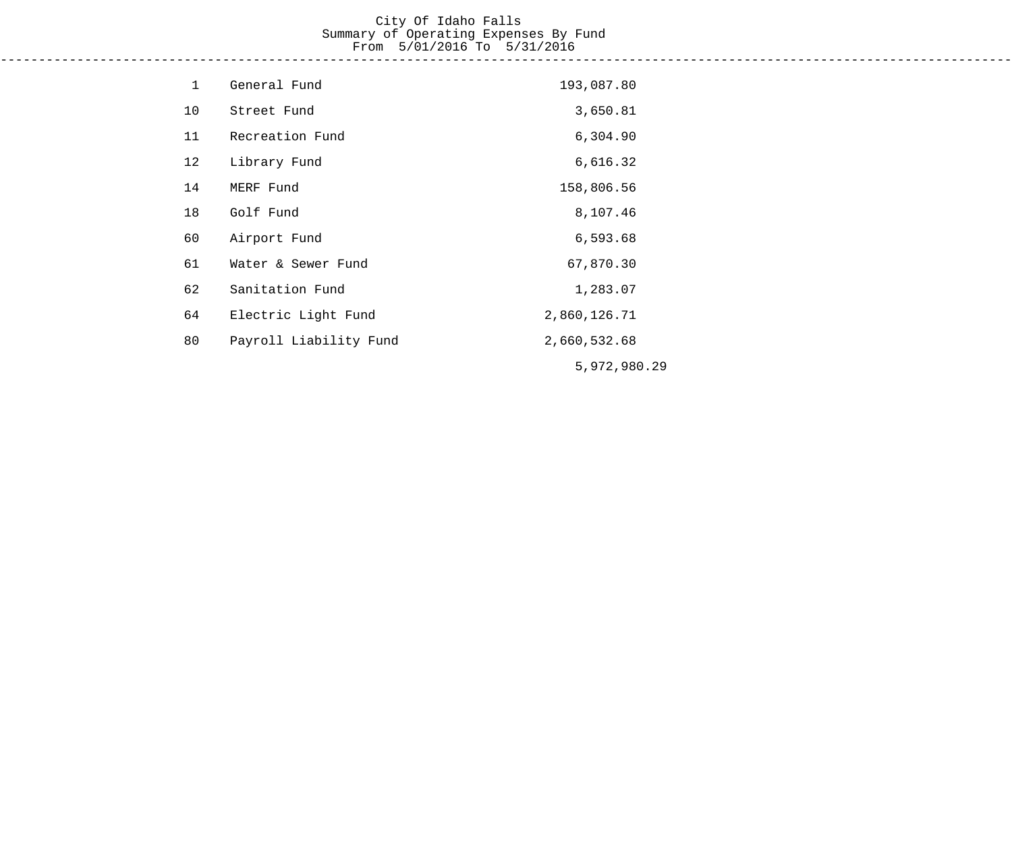#### City Of Idaho Falls Summary of Operating Expenses By Fund From 5/01/2016 To 5/31/2016 ------------------------------------------------------------------------------------------------------------------------------------

| $\mathbf 1$ | General Fund           | 193,087.80   |
|-------------|------------------------|--------------|
| 10          | Street Fund            | 3,650.81     |
| 11          | Recreation Fund        | 6,304.90     |
| 12          | Library Fund           | 6,616.32     |
| 14          | MERF Fund              | 158,806.56   |
| 18          | Golf Fund              | 8,107.46     |
| 60          | Airport Fund           | 6,593.68     |
| 61          | Water & Sewer Fund     | 67,870.30    |
| 62          | Sanitation Fund        | 1,283.07     |
| 64          | Electric Light Fund    | 2,860,126.71 |
| 80          | Payroll Liability Fund | 2,660,532.68 |
|             |                        | 5,972,980.29 |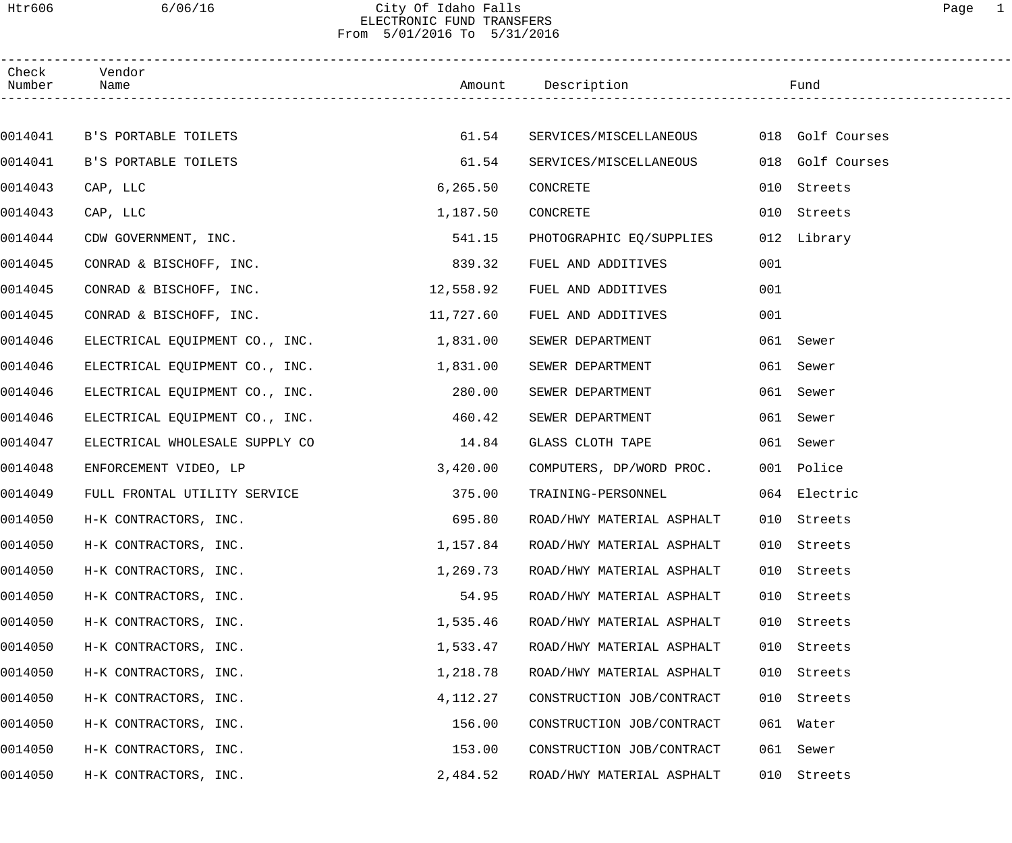#### Htr606 6/06/16 City Of Idaho Falls Page 1 ELECTRONIC FUND TRANSFERS From 5/01/2016 To 5/31/2016

| Check<br>Number | Vendor<br>Name                 |           | Amount Description        |     | Fund             |  |
|-----------------|--------------------------------|-----------|---------------------------|-----|------------------|--|
|                 |                                |           |                           |     |                  |  |
| 0014041         | B'S PORTABLE TOILETS           | 61.54     | SERVICES/MISCELLANEOUS    |     | 018 Golf Courses |  |
| 0014041         | B'S PORTABLE TOILETS           | 61.54     | SERVICES/MISCELLANEOUS    | 018 | Golf Courses     |  |
| 0014043         | CAP, LLC                       | 6, 265.50 | CONCRETE                  | 010 | Streets          |  |
| 0014043         | CAP, LLC                       | 1,187.50  | CONCRETE                  |     | 010 Streets      |  |
| 0014044         | CDW GOVERNMENT, INC.           | 541.15    | PHOTOGRAPHIC EQ/SUPPLIES  |     | 012 Library      |  |
| 0014045         | CONRAD & BISCHOFF, INC.        | 839.32    | FUEL AND ADDITIVES        | 001 |                  |  |
| 0014045         | CONRAD & BISCHOFF, INC.        | 12,558.92 | FUEL AND ADDITIVES        | 001 |                  |  |
| 0014045         | CONRAD & BISCHOFF, INC.        | 11,727.60 | FUEL AND ADDITIVES        | 001 |                  |  |
| 0014046         | ELECTRICAL EQUIPMENT CO., INC. | 1,831.00  | SEWER DEPARTMENT          |     | 061 Sewer        |  |
| 0014046         | ELECTRICAL EQUIPMENT CO., INC. | 1,831.00  | SEWER DEPARTMENT          | 061 | Sewer            |  |
| 0014046         | ELECTRICAL EQUIPMENT CO., INC. | 280.00    | SEWER DEPARTMENT          |     | 061 Sewer        |  |
| 0014046         | ELECTRICAL EQUIPMENT CO., INC. | 460.42    | SEWER DEPARTMENT          |     | 061 Sewer        |  |
| 0014047         | ELECTRICAL WHOLESALE SUPPLY CO | 14.84     | GLASS CLOTH TAPE          |     | 061 Sewer        |  |
| 0014048         | ENFORCEMENT VIDEO, LP          | 3,420.00  | COMPUTERS, DP/WORD PROC.  |     | 001 Police       |  |
| 0014049         | FULL FRONTAL UTILITY SERVICE   | 375.00    | TRAINING-PERSONNEL        |     | 064 Electric     |  |
| 0014050         | H-K CONTRACTORS, INC.          | 695.80    | ROAD/HWY MATERIAL ASPHALT |     | 010 Streets      |  |
| 0014050         | H-K CONTRACTORS, INC.          | 1,157.84  | ROAD/HWY MATERIAL ASPHALT |     | 010 Streets      |  |
| 0014050         | H-K CONTRACTORS, INC.          | 1,269.73  | ROAD/HWY MATERIAL ASPHALT | 010 | Streets          |  |
| 0014050         | H-K CONTRACTORS, INC.          | 54.95     | ROAD/HWY MATERIAL ASPHALT | 010 | Streets          |  |
| 0014050         | H-K CONTRACTORS, INC.          | 1,535.46  | ROAD/HWY MATERIAL ASPHALT | 010 | Streets          |  |
| 0014050         | H-K CONTRACTORS, INC.          | 1,533.47  | ROAD/HWY MATERIAL ASPHALT | 010 | Streets          |  |
| 0014050         | H-K CONTRACTORS, INC.          | 1,218.78  | ROAD/HWY MATERIAL ASPHALT | 010 | Streets          |  |
| 0014050         | H-K CONTRACTORS, INC.          | 4,112.27  | CONSTRUCTION JOB/CONTRACT | 010 | Streets          |  |
| 0014050         | H-K CONTRACTORS, INC.          | 156.00    | CONSTRUCTION JOB/CONTRACT |     | 061 Water        |  |
| 0014050         | H-K CONTRACTORS, INC.          | 153.00    | CONSTRUCTION JOB/CONTRACT | 061 | Sewer            |  |
| 0014050         | H-K CONTRACTORS, INC.          | 2,484.52  | ROAD/HWY MATERIAL ASPHALT | 010 | Streets          |  |
|                 |                                |           |                           |     |                  |  |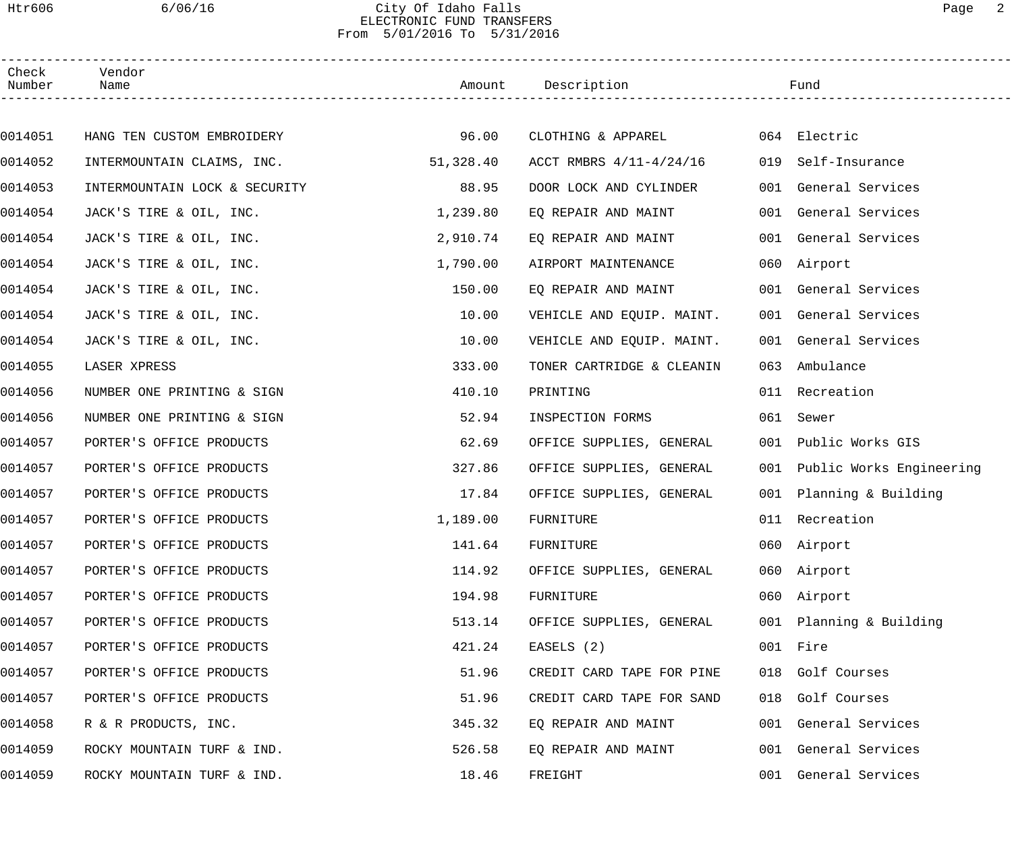#### Htr606 6/06/16 City Of Idaho Falls Page 2 ELECTRONIC FUND TRANSFERS From 5/01/2016 To 5/31/2016

| Check<br>Number | Vendor<br>Name                |           | Amount Description        |     | Fund                         |
|-----------------|-------------------------------|-----------|---------------------------|-----|------------------------------|
|                 |                               |           |                           |     |                              |
| 0014051         | HANG TEN CUSTOM EMBROIDERY    | 96.00     | CLOTHING & APPAREL        |     | 064 Electric                 |
| 0014052         | INTERMOUNTAIN CLAIMS, INC.    | 51,328.40 | ACCT RMBRS 4/11-4/24/16   | 019 | Self-Insurance               |
| 0014053         | INTERMOUNTAIN LOCK & SECURITY | 88.95     | DOOR LOCK AND CYLINDER    |     | 001 General Services         |
| 0014054         | JACK'S TIRE & OIL, INC.       | 1,239.80  | EQ REPAIR AND MAINT       |     | 001 General Services         |
| 0014054         | JACK'S TIRE & OIL, INC.       | 2,910.74  | EQ REPAIR AND MAINT       |     | 001 General Services         |
| 0014054         | JACK'S TIRE & OIL, INC.       | 1,790.00  | AIRPORT MAINTENANCE       |     | 060 Airport                  |
| 0014054         | JACK'S TIRE & OIL, INC.       | 150.00    | EQ REPAIR AND MAINT       |     | 001 General Services         |
| 0014054         | JACK'S TIRE & OIL, INC.       | 10.00     | VEHICLE AND EQUIP. MAINT. |     | 001 General Services         |
| 0014054         | JACK'S TIRE & OIL, INC.       | 10.00     | VEHICLE AND EQUIP. MAINT. |     | 001 General Services         |
| 0014055         | LASER XPRESS                  | 333.00    | TONER CARTRIDGE & CLEANIN | 063 | Ambulance                    |
| 0014056         | NUMBER ONE PRINTING & SIGN    | 410.10    | PRINTING                  |     | 011 Recreation               |
| 0014056         | NUMBER ONE PRINTING & SIGN    | 52.94     | INSPECTION FORMS          | 061 | Sewer                        |
| 0014057         | PORTER'S OFFICE PRODUCTS      | 62.69     | OFFICE SUPPLIES, GENERAL  | 001 | Public Works GIS             |
| 0014057         | PORTER'S OFFICE PRODUCTS      | 327.86    | OFFICE SUPPLIES, GENERAL  |     | 001 Public Works Engineering |
| 0014057         | PORTER'S OFFICE PRODUCTS      | 17.84     | OFFICE SUPPLIES, GENERAL  |     | 001 Planning & Building      |
| 0014057         | PORTER'S OFFICE PRODUCTS      | 1,189.00  | FURNITURE                 |     | 011 Recreation               |
| 0014057         | PORTER'S OFFICE PRODUCTS      | 141.64    | FURNITURE                 |     | 060 Airport                  |
| 0014057         | PORTER'S OFFICE PRODUCTS      | 114.92    | OFFICE SUPPLIES, GENERAL  |     | 060 Airport                  |
| 0014057         | PORTER'S OFFICE PRODUCTS      | 194.98    | FURNITURE                 |     | 060 Airport                  |
| 0014057         | PORTER'S OFFICE PRODUCTS      | 513.14    | OFFICE SUPPLIES, GENERAL  |     | 001 Planning & Building      |
| 0014057         | PORTER'S OFFICE PRODUCTS      | 421.24    | EASELS (2)                |     | 001 Fire                     |
| 0014057         | PORTER'S OFFICE PRODUCTS      | 51.96     | CREDIT CARD TAPE FOR PINE |     | 018 Golf Courses             |
| 0014057         | PORTER'S OFFICE PRODUCTS      | 51.96     | CREDIT CARD TAPE FOR SAND |     | 018 Golf Courses             |
| 0014058         | R & R PRODUCTS, INC.          | 345.32    | EQ REPAIR AND MAINT       |     | 001 General Services         |
| 0014059         | ROCKY MOUNTAIN TURF & IND.    | 526.58    | EQ REPAIR AND MAINT       |     | 001 General Services         |
| 0014059         | ROCKY MOUNTAIN TURF & IND.    | 18.46     | FREIGHT                   |     | 001 General Services         |
|                 |                               |           |                           |     |                              |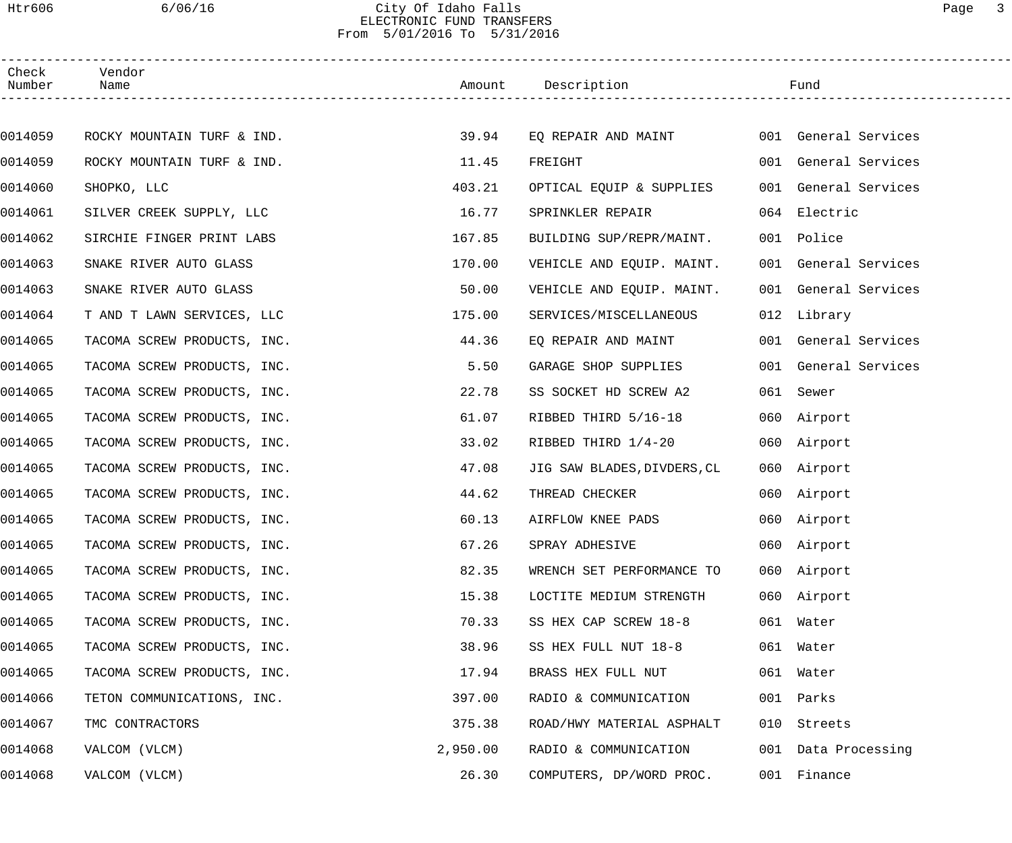#### Htr606 6/06/16 City Of Idaho Falls Page 3 ELECTRONIC FUND TRANSFERS From 5/01/2016 To 5/31/2016

| Check<br>Number | Vendor<br>Name              |          | Amount Description          |     | Fund                 |  |
|-----------------|-----------------------------|----------|-----------------------------|-----|----------------------|--|
|                 |                             |          |                             |     |                      |  |
| 0014059         | ROCKY MOUNTAIN TURF & IND.  | 39.94    | EQ REPAIR AND MAINT         |     | 001 General Services |  |
| 0014059         | ROCKY MOUNTAIN TURF & IND.  | 11.45    | FREIGHT                     |     | 001 General Services |  |
| 0014060         | SHOPKO, LLC                 | 403.21   | OPTICAL EQUIP & SUPPLIES    |     | 001 General Services |  |
| 0014061         | SILVER CREEK SUPPLY, LLC    | 16.77    | SPRINKLER REPAIR            |     | 064 Electric         |  |
| 0014062         | SIRCHIE FINGER PRINT LABS   | 167.85   | BUILDING SUP/REPR/MAINT.    |     | 001 Police           |  |
| 0014063         | SNAKE RIVER AUTO GLASS      | 170.00   | VEHICLE AND EQUIP. MAINT.   |     | 001 General Services |  |
| 0014063         | SNAKE RIVER AUTO GLASS      | 50.00    | VEHICLE AND EQUIP. MAINT.   |     | 001 General Services |  |
| 0014064         | T AND T LAWN SERVICES, LLC  | 175.00   | SERVICES/MISCELLANEOUS      |     | 012 Library          |  |
| 0014065         | TACOMA SCREW PRODUCTS, INC. | 44.36    | EQ REPAIR AND MAINT         |     | 001 General Services |  |
| 0014065         | TACOMA SCREW PRODUCTS, INC. | 5.50     | GARAGE SHOP SUPPLIES        | 001 | General Services     |  |
| 0014065         | TACOMA SCREW PRODUCTS, INC. | 22.78    | SS SOCKET HD SCREW A2       | 061 | Sewer                |  |
| 0014065         | TACOMA SCREW PRODUCTS, INC. | 61.07    | RIBBED THIRD 5/16-18        |     | 060 Airport          |  |
| 0014065         | TACOMA SCREW PRODUCTS, INC. | 33.02    | RIBBED THIRD 1/4-20         |     | 060 Airport          |  |
| 0014065         | TACOMA SCREW PRODUCTS, INC. | 47.08    | JIG SAW BLADES, DIVDERS, CL |     | 060 Airport          |  |
| 0014065         | TACOMA SCREW PRODUCTS, INC. | 44.62    | THREAD CHECKER              |     | 060 Airport          |  |
| 0014065         | TACOMA SCREW PRODUCTS, INC. | 60.13    | AIRFLOW KNEE PADS           |     | 060 Airport          |  |
| 0014065         | TACOMA SCREW PRODUCTS, INC. | 67.26    | SPRAY ADHESIVE              |     | 060 Airport          |  |
| 0014065         | TACOMA SCREW PRODUCTS, INC. | 82.35    | WRENCH SET PERFORMANCE TO   |     | 060 Airport          |  |
| 0014065         | TACOMA SCREW PRODUCTS, INC. | 15.38    | LOCTITE MEDIUM STRENGTH     |     | 060 Airport          |  |
| 0014065         | TACOMA SCREW PRODUCTS, INC. | 70.33    | SS HEX CAP SCREW 18-8       |     | 061 Water            |  |
| 0014065         | TACOMA SCREW PRODUCTS, INC. | 38.96    | SS HEX FULL NUT 18-8        |     | 061 Water            |  |
| 0014065         | TACOMA SCREW PRODUCTS, INC. | 17.94    | BRASS HEX FULL NUT          |     | 061 Water            |  |
| 0014066         | TETON COMMUNICATIONS, INC.  | 397.00   | RADIO & COMMUNICATION       |     | 001 Parks            |  |
| 0014067         | TMC CONTRACTORS             | 375.38   | ROAD/HWY MATERIAL ASPHALT   | 010 | Streets              |  |
| 0014068         | VALCOM (VLCM)               | 2,950.00 | RADIO & COMMUNICATION       |     | 001 Data Processing  |  |
| 0014068         | VALCOM (VLCM)               | 26.30    | COMPUTERS, DP/WORD PROC.    |     | 001 Finance          |  |
|                 |                             |          |                             |     |                      |  |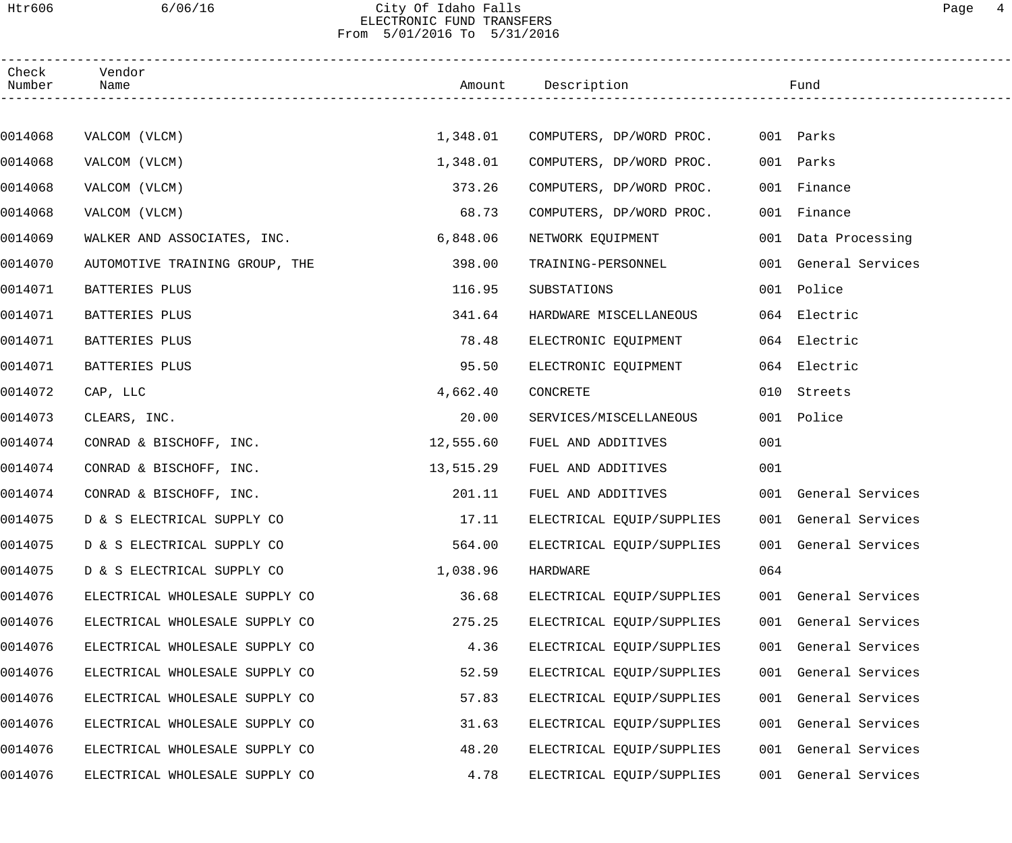#### Htr606 6/06/16 City Of Idaho Falls Page 4 ELECTRONIC FUND TRANSFERS From 5/01/2016 To 5/31/2016

| Check<br>Number | Vendor<br>Name                 |           | Amount Description        |     | Fund                 |  |
|-----------------|--------------------------------|-----------|---------------------------|-----|----------------------|--|
|                 |                                |           |                           |     |                      |  |
| 0014068         | VALCOM (VLCM)                  | 1,348.01  | COMPUTERS, DP/WORD PROC.  |     | 001 Parks            |  |
| 0014068         | VALCOM (VLCM)                  | 1,348.01  | COMPUTERS, DP/WORD PROC.  |     | 001 Parks            |  |
| 0014068         | VALCOM (VLCM)                  | 373.26    | COMPUTERS, DP/WORD PROC.  |     | 001 Finance          |  |
| 0014068         | VALCOM (VLCM)                  | 68.73     | COMPUTERS, DP/WORD PROC.  |     | 001 Finance          |  |
| 0014069         | WALKER AND ASSOCIATES, INC.    | 6,848.06  | NETWORK EQUIPMENT         |     | 001 Data Processing  |  |
| 0014070         | AUTOMOTIVE TRAINING GROUP, THE | 398.00    | TRAINING-PERSONNEL        |     | 001 General Services |  |
| 0014071         | BATTERIES PLUS                 | 116.95    | SUBSTATIONS               |     | 001 Police           |  |
| 0014071         | BATTERIES PLUS                 | 341.64    | HARDWARE MISCELLANEOUS    |     | 064 Electric         |  |
| 0014071         | BATTERIES PLUS                 | 78.48     | ELECTRONIC EQUIPMENT      |     | 064 Electric         |  |
| 0014071         | BATTERIES PLUS                 | 95.50     | ELECTRONIC EQUIPMENT      |     | 064 Electric         |  |
| 0014072         | CAP, LLC                       | 4,662.40  | CONCRETE                  |     | 010 Streets          |  |
| 0014073         | CLEARS, INC.                   | 20.00     | SERVICES/MISCELLANEOUS    |     | 001 Police           |  |
| 0014074         | CONRAD & BISCHOFF, INC.        | 12,555.60 | FUEL AND ADDITIVES        | 001 |                      |  |
| 0014074         | CONRAD & BISCHOFF, INC.        | 13,515.29 | FUEL AND ADDITIVES        | 001 |                      |  |
| 0014074         | CONRAD & BISCHOFF, INC.        | 201.11    | FUEL AND ADDITIVES        |     | 001 General Services |  |
| 0014075         | D & S ELECTRICAL SUPPLY CO     | 17.11     | ELECTRICAL EQUIP/SUPPLIES |     | 001 General Services |  |
| 0014075         | D & S ELECTRICAL SUPPLY CO     | 564.00    | ELECTRICAL EQUIP/SUPPLIES |     | 001 General Services |  |
| 0014075         | D & S ELECTRICAL SUPPLY CO     | 1,038.96  | HARDWARE                  | 064 |                      |  |
| 0014076         | ELECTRICAL WHOLESALE SUPPLY CO | 36.68     | ELECTRICAL EQUIP/SUPPLIES |     | 001 General Services |  |
| 0014076         | ELECTRICAL WHOLESALE SUPPLY CO | 275.25    | ELECTRICAL EQUIP/SUPPLIES |     | 001 General Services |  |
| 0014076         | ELECTRICAL WHOLESALE SUPPLY CO | 4.36      | ELECTRICAL EQUIP/SUPPLIES |     | 001 General Services |  |
| 0014076         | ELECTRICAL WHOLESALE SUPPLY CO | 52.59     | ELECTRICAL EQUIP/SUPPLIES |     | 001 General Services |  |
| 0014076         | ELECTRICAL WHOLESALE SUPPLY CO | 57.83     | ELECTRICAL EQUIP/SUPPLIES |     | 001 General Services |  |
| 0014076         | ELECTRICAL WHOLESALE SUPPLY CO | 31.63     | ELECTRICAL EQUIP/SUPPLIES |     | 001 General Services |  |
| 0014076         | ELECTRICAL WHOLESALE SUPPLY CO | 48.20     | ELECTRICAL EQUIP/SUPPLIES |     | 001 General Services |  |
| 0014076         | ELECTRICAL WHOLESALE SUPPLY CO | 4.78      | ELECTRICAL EQUIP/SUPPLIES |     | 001 General Services |  |
|                 |                                |           |                           |     |                      |  |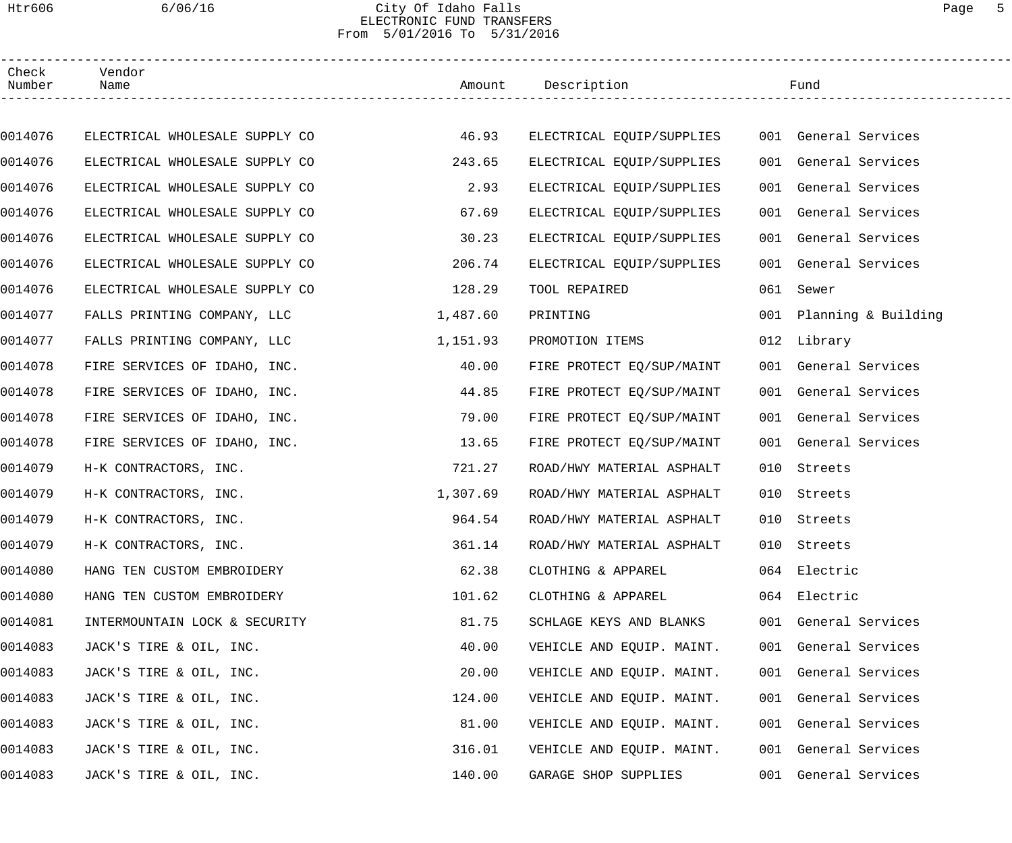#### Htr606 6/06/16 City Of Idaho Falls Page 5 ELECTRONIC FUND TRANSFERS From 5/01/2016 To 5/31/2016

| Check<br>Number | Vendor<br>Name                 |          | Amount Description        |     | Fund                    |  |
|-----------------|--------------------------------|----------|---------------------------|-----|-------------------------|--|
|                 |                                |          |                           |     |                         |  |
| 0014076         | ELECTRICAL WHOLESALE SUPPLY CO | 46.93    | ELECTRICAL EQUIP/SUPPLIES |     | 001 General Services    |  |
| 0014076         | ELECTRICAL WHOLESALE SUPPLY CO | 243.65   | ELECTRICAL EQUIP/SUPPLIES |     | 001 General Services    |  |
| 0014076         | ELECTRICAL WHOLESALE SUPPLY CO | 2.93     | ELECTRICAL EQUIP/SUPPLIES |     | 001 General Services    |  |
| 0014076         | ELECTRICAL WHOLESALE SUPPLY CO | 67.69    | ELECTRICAL EQUIP/SUPPLIES |     | 001 General Services    |  |
| 0014076         | ELECTRICAL WHOLESALE SUPPLY CO | 30.23    | ELECTRICAL EQUIP/SUPPLIES |     | 001 General Services    |  |
| 0014076         | ELECTRICAL WHOLESALE SUPPLY CO | 206.74   | ELECTRICAL EQUIP/SUPPLIES |     | 001 General Services    |  |
| 0014076         | ELECTRICAL WHOLESALE SUPPLY CO | 128.29   | TOOL REPAIRED             | 061 | Sewer                   |  |
| 0014077         | FALLS PRINTING COMPANY, LLC    | 1,487.60 | PRINTING                  |     | 001 Planning & Building |  |
| 0014077         | FALLS PRINTING COMPANY, LLC    | 1,151.93 | PROMOTION ITEMS           |     | 012 Library             |  |
| 0014078         | FIRE SERVICES OF IDAHO, INC.   | 40.00    | FIRE PROTECT EQ/SUP/MAINT |     | 001 General Services    |  |
| 0014078         | FIRE SERVICES OF IDAHO, INC.   | 44.85    | FIRE PROTECT EQ/SUP/MAINT |     | 001 General Services    |  |
| 0014078         | FIRE SERVICES OF IDAHO, INC.   | 79.00    | FIRE PROTECT EQ/SUP/MAINT |     | 001 General Services    |  |
| 0014078         | FIRE SERVICES OF IDAHO, INC.   | 13.65    | FIRE PROTECT EQ/SUP/MAINT |     | 001 General Services    |  |
| 0014079         | H-K CONTRACTORS, INC.          | 721.27   | ROAD/HWY MATERIAL ASPHALT | 010 | Streets                 |  |
| 0014079         | H-K CONTRACTORS, INC.          | 1,307.69 | ROAD/HWY MATERIAL ASPHALT | 010 | Streets                 |  |
| 0014079         | H-K CONTRACTORS, INC.          | 964.54   | ROAD/HWY MATERIAL ASPHALT |     | 010 Streets             |  |
| 0014079         | H-K CONTRACTORS, INC.          | 361.14   | ROAD/HWY MATERIAL ASPHALT |     | 010 Streets             |  |
| 0014080         | HANG TEN CUSTOM EMBROIDERY     | 62.38    | CLOTHING & APPAREL        |     | 064 Electric            |  |
| 0014080         | HANG TEN CUSTOM EMBROIDERY     | 101.62   | CLOTHING & APPAREL        |     | 064 Electric            |  |
| 0014081         | INTERMOUNTAIN LOCK & SECURITY  | 81.75    | SCHLAGE KEYS AND BLANKS   |     | 001 General Services    |  |
| 0014083         | JACK'S TIRE & OIL, INC.        | 40.00    | VEHICLE AND EQUIP. MAINT. |     | 001 General Services    |  |
| 0014083         | JACK'S TIRE & OIL, INC.        | 20.00    | VEHICLE AND EQUIP. MAINT. |     | 001 General Services    |  |
| 0014083         | JACK'S TIRE & OIL, INC.        | 124.00   | VEHICLE AND EQUIP. MAINT. |     | 001 General Services    |  |
| 0014083         | JACK'S TIRE & OIL, INC.        | 81.00    | VEHICLE AND EQUIP. MAINT. |     | 001 General Services    |  |
| 0014083         | JACK'S TIRE & OIL, INC.        | 316.01   | VEHICLE AND EQUIP. MAINT. |     | 001 General Services    |  |
| 0014083         | JACK'S TIRE & OIL, INC.        | 140.00   | GARAGE SHOP SUPPLIES      |     | 001 General Services    |  |
|                 |                                |          |                           |     |                         |  |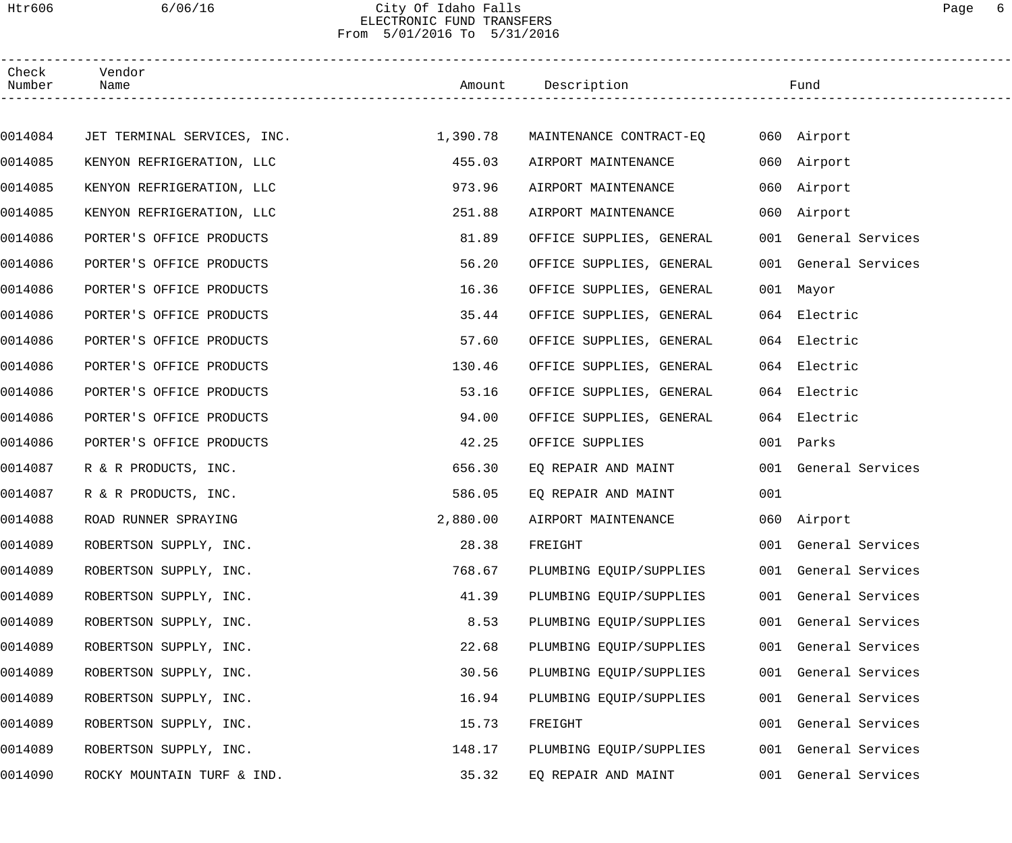#### Htr606 6/06/16 City Of Idaho Falls Page 6 ELECTRONIC FUND TRANSFERS From 5/01/2016 To 5/31/2016

| Check<br>Number | Vendor<br>Name              |          | Amount Description       |     | Fund                 |
|-----------------|-----------------------------|----------|--------------------------|-----|----------------------|
|                 |                             |          |                          |     |                      |
| 0014084         | JET TERMINAL SERVICES, INC. | 1,390.78 | MAINTENANCE CONTRACT-EQ  |     | 060 Airport          |
| 0014085         | KENYON REFRIGERATION, LLC   | 455.03   | AIRPORT MAINTENANCE      |     | 060 Airport          |
| 0014085         | KENYON REFRIGERATION, LLC   | 973.96   | AIRPORT MAINTENANCE      |     | 060 Airport          |
| 0014085         | KENYON REFRIGERATION, LLC   | 251.88   | AIRPORT MAINTENANCE      |     | 060 Airport          |
| 0014086         | PORTER'S OFFICE PRODUCTS    | 81.89    | OFFICE SUPPLIES, GENERAL |     | 001 General Services |
| 0014086         | PORTER'S OFFICE PRODUCTS    | 56.20    | OFFICE SUPPLIES, GENERAL |     | 001 General Services |
| 0014086         | PORTER'S OFFICE PRODUCTS    | 16.36    | OFFICE SUPPLIES, GENERAL |     | 001 Mayor            |
| 0014086         | PORTER'S OFFICE PRODUCTS    | 35.44    | OFFICE SUPPLIES, GENERAL |     | 064 Electric         |
| 0014086         | PORTER'S OFFICE PRODUCTS    | 57.60    | OFFICE SUPPLIES, GENERAL |     | 064 Electric         |
| 0014086         | PORTER'S OFFICE PRODUCTS    | 130.46   | OFFICE SUPPLIES, GENERAL |     | 064 Electric         |
| 0014086         | PORTER'S OFFICE PRODUCTS    | 53.16    | OFFICE SUPPLIES, GENERAL |     | 064 Electric         |
| 0014086         | PORTER'S OFFICE PRODUCTS    | 94.00    | OFFICE SUPPLIES, GENERAL |     | 064 Electric         |
| 0014086         | PORTER'S OFFICE PRODUCTS    | 42.25    | OFFICE SUPPLIES          |     | 001 Parks            |
| 0014087         | R & R PRODUCTS, INC.        | 656.30   | EQ REPAIR AND MAINT      |     | 001 General Services |
| 0014087         | R & R PRODUCTS, INC.        | 586.05   | EQ REPAIR AND MAINT      | 001 |                      |
| 0014088         | ROAD RUNNER SPRAYING        | 2,880.00 | AIRPORT MAINTENANCE      |     | 060 Airport          |
| 0014089         | ROBERTSON SUPPLY, INC.      | 28.38    | FREIGHT                  |     | 001 General Services |
| 0014089         | ROBERTSON SUPPLY, INC.      | 768.67   | PLUMBING EQUIP/SUPPLIES  |     | 001 General Services |
| 0014089         | ROBERTSON SUPPLY, INC.      | 41.39    | PLUMBING EQUIP/SUPPLIES  |     | 001 General Services |
| 0014089         | ROBERTSON SUPPLY, INC.      | 8.53     | PLUMBING EQUIP/SUPPLIES  |     | 001 General Services |
| 0014089         | ROBERTSON SUPPLY, INC.      | 22.68    | PLUMBING EQUIP/SUPPLIES  |     | 001 General Services |
| 0014089         | ROBERTSON SUPPLY, INC.      | 30.56    | PLUMBING EQUIP/SUPPLIES  |     | 001 General Services |
| 0014089         | ROBERTSON SUPPLY, INC.      | 16.94    | PLUMBING EQUIP/SUPPLIES  |     | 001 General Services |
| 0014089         | ROBERTSON SUPPLY, INC.      | 15.73    | FREIGHT                  |     | 001 General Services |
| 0014089         | ROBERTSON SUPPLY, INC.      | 148.17   | PLUMBING EQUIP/SUPPLIES  |     | 001 General Services |
| 0014090         | ROCKY MOUNTAIN TURF & IND.  | 35.32    | EQ REPAIR AND MAINT      |     | 001 General Services |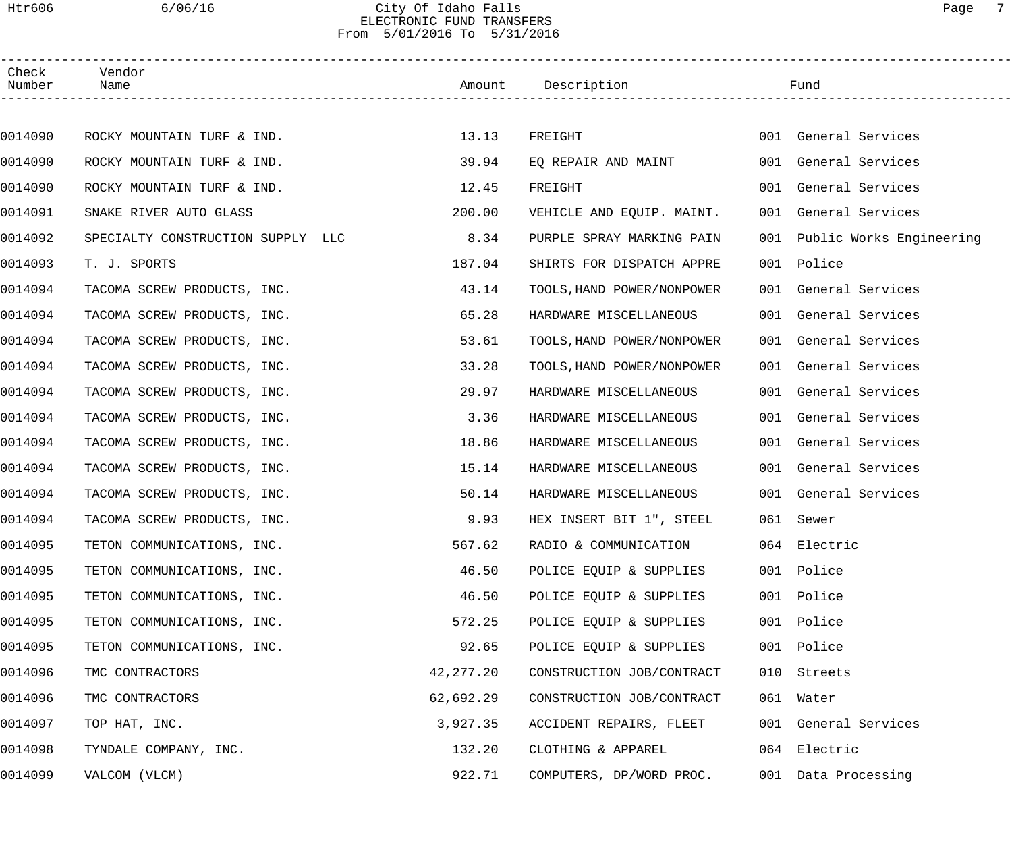#### Htr606 6/06/16 City Of Idaho Falls Page 7 ELECTRONIC FUND TRANSFERS From 5/01/2016 To 5/31/2016

| Check<br>Number | Vendor<br>Name                    |           | Amount Description         |     | Fund                         |  |
|-----------------|-----------------------------------|-----------|----------------------------|-----|------------------------------|--|
|                 |                                   |           |                            |     |                              |  |
| 0014090         | ROCKY MOUNTAIN TURF & IND.        | 13.13     | FREIGHT                    |     | 001 General Services         |  |
| 0014090         | ROCKY MOUNTAIN TURF & IND.        | 39.94     | EQ REPAIR AND MAINT        |     | 001 General Services         |  |
| 0014090         | ROCKY MOUNTAIN TURF & IND.        | 12.45     | FREIGHT                    |     | 001 General Services         |  |
| 0014091         | SNAKE RIVER AUTO GLASS            | 200.00    | VEHICLE AND EQUIP. MAINT.  |     | 001 General Services         |  |
| 0014092         | SPECIALTY CONSTRUCTION SUPPLY LLC | 8.34      | PURPLE SPRAY MARKING PAIN  |     | 001 Public Works Engineering |  |
| 0014093         | T. J. SPORTS                      | 187.04    | SHIRTS FOR DISPATCH APPRE  |     | 001 Police                   |  |
| 0014094         | TACOMA SCREW PRODUCTS, INC.       | 43.14     | TOOLS, HAND POWER/NONPOWER |     | 001 General Services         |  |
| 0014094         | TACOMA SCREW PRODUCTS, INC.       | 65.28     | HARDWARE MISCELLANEOUS     |     | 001 General Services         |  |
| 0014094         | TACOMA SCREW PRODUCTS, INC.       | 53.61     | TOOLS, HAND POWER/NONPOWER |     | 001 General Services         |  |
| 0014094         | TACOMA SCREW PRODUCTS, INC.       | 33.28     | TOOLS, HAND POWER/NONPOWER |     | 001 General Services         |  |
| 0014094         | TACOMA SCREW PRODUCTS, INC.       | 29.97     | HARDWARE MISCELLANEOUS     |     | 001 General Services         |  |
| 0014094         | TACOMA SCREW PRODUCTS, INC.       | 3.36      | HARDWARE MISCELLANEOUS     |     | 001 General Services         |  |
| 0014094         | TACOMA SCREW PRODUCTS, INC.       | 18.86     | HARDWARE MISCELLANEOUS     |     | 001 General Services         |  |
| 0014094         | TACOMA SCREW PRODUCTS, INC.       | 15.14     | HARDWARE MISCELLANEOUS     |     | 001 General Services         |  |
| 0014094         | TACOMA SCREW PRODUCTS, INC.       | 50.14     | HARDWARE MISCELLANEOUS     |     | 001 General Services         |  |
| 0014094         | TACOMA SCREW PRODUCTS, INC.       | 9.93      | HEX INSERT BIT 1", STEEL   |     | 061 Sewer                    |  |
| 0014095         | TETON COMMUNICATIONS, INC.        | 567.62    | RADIO & COMMUNICATION      |     | 064 Electric                 |  |
| 0014095         | TETON COMMUNICATIONS, INC.        | 46.50     | POLICE EQUIP & SUPPLIES    |     | 001 Police                   |  |
| 0014095         | TETON COMMUNICATIONS, INC.        | 46.50     | POLICE EQUIP & SUPPLIES    | 001 | Police                       |  |
| 0014095         | TETON COMMUNICATIONS, INC.        | 572.25    | POLICE EQUIP & SUPPLIES    | 001 | Police                       |  |
| 0014095         | TETON COMMUNICATIONS, INC.        | 92.65     | POLICE EQUIP & SUPPLIES    |     | 001 Police                   |  |
| 0014096         | TMC CONTRACTORS                   | 42,277.20 | CONSTRUCTION JOB/CONTRACT  |     | 010 Streets                  |  |
| 0014096         | TMC CONTRACTORS                   | 62,692.29 | CONSTRUCTION JOB/CONTRACT  |     | 061 Water                    |  |
| 0014097         | TOP HAT, INC.                     | 3,927.35  | ACCIDENT REPAIRS, FLEET    |     | 001 General Services         |  |
| 0014098         | TYNDALE COMPANY, INC.             | 132.20    | CLOTHING & APPAREL         |     | 064 Electric                 |  |
| 0014099         | VALCOM (VLCM)                     | 922.71    | COMPUTERS, DP/WORD PROC.   |     | 001 Data Processing          |  |
|                 |                                   |           |                            |     |                              |  |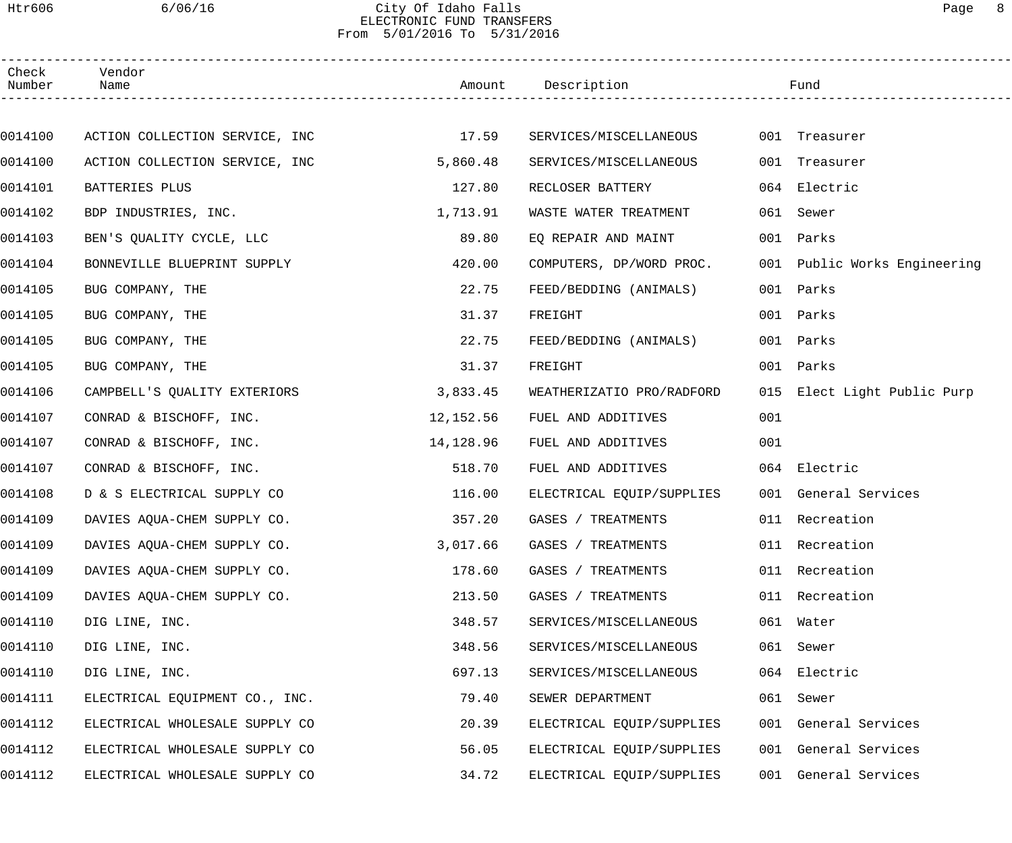#### Htr606 6/06/16 City Of Idaho Falls Page 8 ELECTRONIC FUND TRANSFERS From 5/01/2016 To 5/31/2016

| Check<br>Number | Vendor<br>Name                 |           | Amount Description        |     | Fund                         |  |
|-----------------|--------------------------------|-----------|---------------------------|-----|------------------------------|--|
|                 |                                |           |                           |     |                              |  |
| 0014100         | ACTION COLLECTION SERVICE, INC | 17.59     | SERVICES/MISCELLANEOUS    |     | 001 Treasurer                |  |
| 0014100         | ACTION COLLECTION SERVICE, INC | 5,860.48  | SERVICES/MISCELLANEOUS    | 001 | Treasurer                    |  |
| 0014101         | BATTERIES PLUS                 | 127.80    | RECLOSER BATTERY          | 064 | Electric                     |  |
| 0014102         | BDP INDUSTRIES, INC.           | 1,713.91  | WASTE WATER TREATMENT     | 061 | Sewer                        |  |
| 0014103         | BEN'S QUALITY CYCLE, LLC       | 89.80     | EQ REPAIR AND MAINT       | 001 | Parks                        |  |
| 0014104         | BONNEVILLE BLUEPRINT SUPPLY    | 420.00    | COMPUTERS, DP/WORD PROC.  |     | 001 Public Works Engineering |  |
| 0014105         | BUG COMPANY, THE               | 22.75     | FEED/BEDDING (ANIMALS)    | 001 | Parks                        |  |
| 0014105         | BUG COMPANY, THE               | 31.37     | FREIGHT                   | 001 | Parks                        |  |
| 0014105         | BUG COMPANY, THE               | 22.75     | FEED/BEDDING (ANIMALS)    | 001 | Parks                        |  |
| 0014105         | BUG COMPANY, THE               | 31.37     | FREIGHT                   | 001 | Parks                        |  |
| 0014106         | CAMPBELL'S QUALITY EXTERIORS   | 3,833.45  | WEATHERIZATIO PRO/RADFORD |     | 015 Elect Light Public Purp  |  |
| 0014107         | CONRAD & BISCHOFF, INC.        | 12,152.56 | FUEL AND ADDITIVES        | 001 |                              |  |
| 0014107         | CONRAD & BISCHOFF, INC.        | 14,128.96 | FUEL AND ADDITIVES        | 001 |                              |  |
| 0014107         | CONRAD & BISCHOFF, INC.        | 518.70    | FUEL AND ADDITIVES        |     | 064 Electric                 |  |
| 0014108         | D & S ELECTRICAL SUPPLY CO     | 116.00    | ELECTRICAL EQUIP/SUPPLIES |     | 001 General Services         |  |
| 0014109         | DAVIES AQUA-CHEM SUPPLY CO.    | 357.20    | GASES / TREATMENTS        |     | 011 Recreation               |  |
| 0014109         | DAVIES AQUA-CHEM SUPPLY CO.    | 3,017.66  | GASES / TREATMENTS        |     | 011 Recreation               |  |
| 0014109         | DAVIES AQUA-CHEM SUPPLY CO.    | 178.60    | GASES / TREATMENTS        |     | 011 Recreation               |  |
| 0014109         | DAVIES AQUA-CHEM SUPPLY CO.    | 213.50    | GASES / TREATMENTS        | 011 | Recreation                   |  |
| 0014110         | DIG LINE, INC.                 | 348.57    | SERVICES/MISCELLANEOUS    |     | 061 Water                    |  |
| 0014110         | DIG LINE, INC.                 | 348.56    | SERVICES/MISCELLANEOUS    |     | 061 Sewer                    |  |
| 0014110         | DIG LINE, INC.                 | 697.13    | SERVICES/MISCELLANEOUS    | 064 | Electric                     |  |
| 0014111         | ELECTRICAL EQUIPMENT CO., INC. | 79.40     | SEWER DEPARTMENT          |     | 061 Sewer                    |  |
| 0014112         | ELECTRICAL WHOLESALE SUPPLY CO | 20.39     | ELECTRICAL EQUIP/SUPPLIES |     | 001 General Services         |  |
| 0014112         | ELECTRICAL WHOLESALE SUPPLY CO | 56.05     | ELECTRICAL EQUIP/SUPPLIES |     | 001 General Services         |  |
| 0014112         | ELECTRICAL WHOLESALE SUPPLY CO | 34.72     | ELECTRICAL EQUIP/SUPPLIES | 001 | General Services             |  |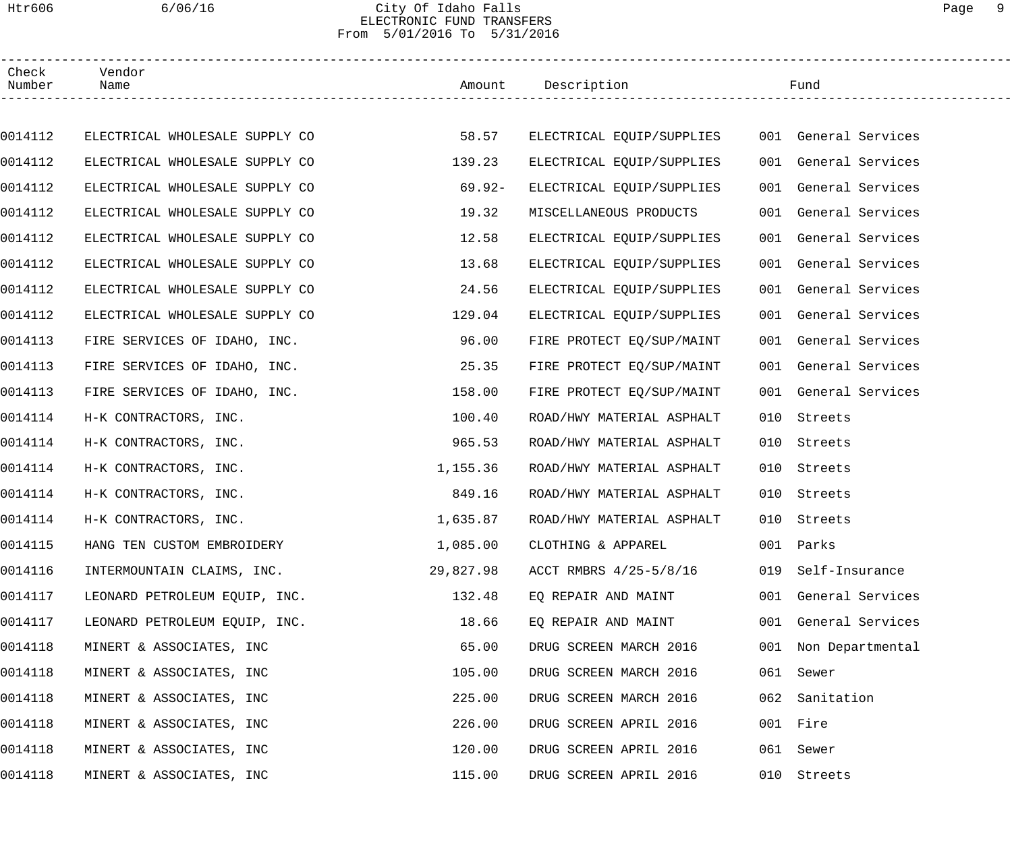#### Htr606 6/06/16 City Of Idaho Falls Page 9 ELECTRONIC FUND TRANSFERS From 5/01/2016 To 5/31/2016

| Check<br>Number | Vendor<br>Name                 |           | Amount Description                             |     | Fund                 |
|-----------------|--------------------------------|-----------|------------------------------------------------|-----|----------------------|
|                 |                                |           |                                                |     |                      |
| 0014112         | ELECTRICAL WHOLESALE SUPPLY CO | 58.57     | ELECTRICAL EQUIP/SUPPLIES 001 General Services |     |                      |
| 0014112         | ELECTRICAL WHOLESALE SUPPLY CO | 139.23    | ELECTRICAL EQUIP/SUPPLIES                      |     | 001 General Services |
| 0014112         | ELECTRICAL WHOLESALE SUPPLY CO | $69.92 -$ | ELECTRICAL EQUIP/SUPPLIES                      |     | 001 General Services |
| 0014112         | ELECTRICAL WHOLESALE SUPPLY CO | 19.32     | MISCELLANEOUS PRODUCTS                         |     | 001 General Services |
| 0014112         | ELECTRICAL WHOLESALE SUPPLY CO | 12.58     | ELECTRICAL EQUIP/SUPPLIES                      |     | 001 General Services |
| 0014112         | ELECTRICAL WHOLESALE SUPPLY CO | 13.68     | ELECTRICAL EQUIP/SUPPLIES                      |     | 001 General Services |
| 0014112         | ELECTRICAL WHOLESALE SUPPLY CO | 24.56     | ELECTRICAL EQUIP/SUPPLIES                      |     | 001 General Services |
| 0014112         | ELECTRICAL WHOLESALE SUPPLY CO | 129.04    | ELECTRICAL EQUIP/SUPPLIES                      |     | 001 General Services |
| 0014113         | FIRE SERVICES OF IDAHO, INC.   | 96.00     | FIRE PROTECT EQ/SUP/MAINT                      |     | 001 General Services |
| 0014113         | FIRE SERVICES OF IDAHO, INC.   | 25.35     | FIRE PROTECT EQ/SUP/MAINT                      |     | 001 General Services |
| 0014113         | FIRE SERVICES OF IDAHO, INC.   | 158.00    | FIRE PROTECT EQ/SUP/MAINT                      |     | 001 General Services |
| 0014114         | H-K CONTRACTORS, INC.          | 100.40    | ROAD/HWY MATERIAL ASPHALT                      | 010 | Streets              |
| 0014114         | H-K CONTRACTORS, INC.          | 965.53    | ROAD/HWY MATERIAL ASPHALT                      | 010 | Streets              |
| 0014114         | H-K CONTRACTORS, INC.          | 1,155.36  | ROAD/HWY MATERIAL ASPHALT                      | 010 | Streets              |
| 0014114         | H-K CONTRACTORS, INC.          | 849.16    | ROAD/HWY MATERIAL ASPHALT                      | 010 | Streets              |
| 0014114         | H-K CONTRACTORS, INC.          | 1,635.87  | ROAD/HWY MATERIAL ASPHALT                      |     | 010 Streets          |
| 0014115         | HANG TEN CUSTOM EMBROIDERY     | 1,085.00  | CLOTHING & APPAREL                             |     | 001 Parks            |
| 0014116         | INTERMOUNTAIN CLAIMS, INC.     | 29,827.98 | ACCT RMBRS 4/25-5/8/16                         | 019 | Self-Insurance       |
| 0014117         | LEONARD PETROLEUM EQUIP, INC.  | 132.48    | EQ REPAIR AND MAINT                            |     | 001 General Services |
| 0014117         | LEONARD PETROLEUM EQUIP, INC.  | 18.66     | EQ REPAIR AND MAINT                            |     | 001 General Services |
| 0014118         | MINERT & ASSOCIATES, INC       | 65.00     | DRUG SCREEN MARCH 2016                         |     | 001 Non Departmental |
| 0014118         | MINERT & ASSOCIATES, INC       | 105.00    | DRUG SCREEN MARCH 2016                         |     | 061 Sewer            |
| 0014118         | MINERT & ASSOCIATES, INC       | 225.00    | DRUG SCREEN MARCH 2016                         | 062 | Sanitation           |
| 0014118         | MINERT & ASSOCIATES, INC       | 226.00    | DRUG SCREEN APRIL 2016                         |     | 001 Fire             |
| 0014118         | MINERT & ASSOCIATES, INC       | 120.00    | DRUG SCREEN APRIL 2016                         | 061 | Sewer                |
| 0014118         | MINERT & ASSOCIATES, INC       | 115.00    | DRUG SCREEN APRIL 2016                         |     | 010 Streets          |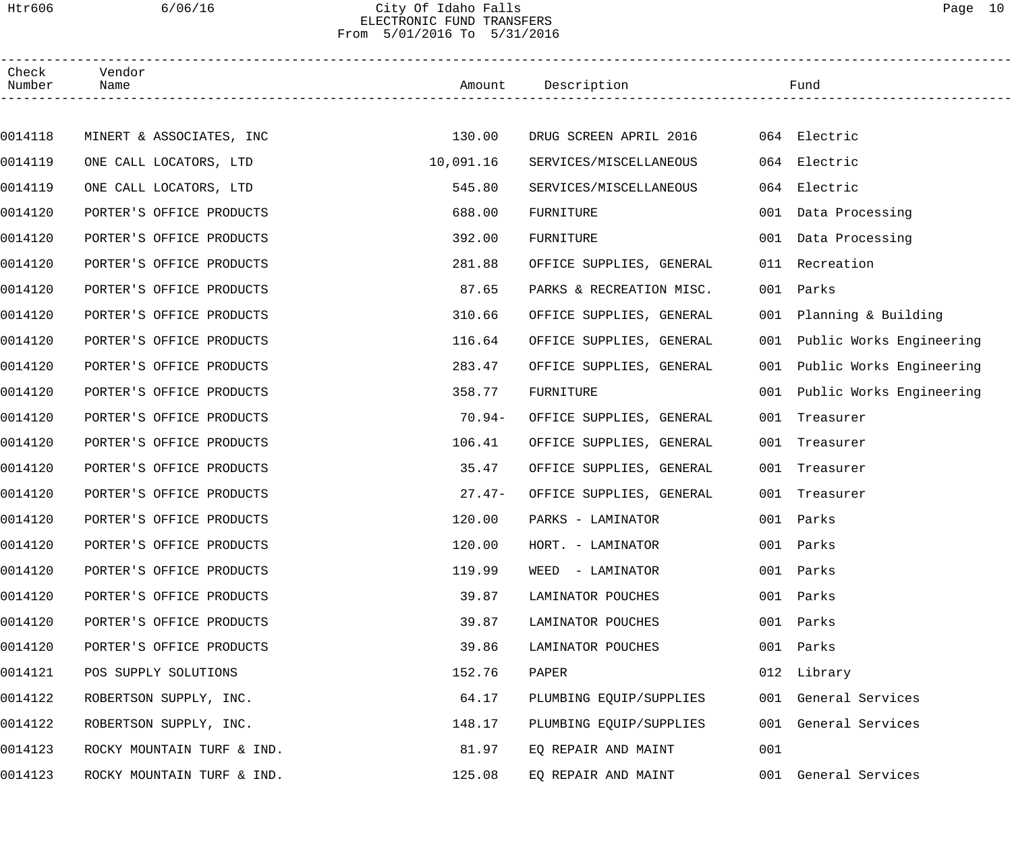#### Htr606 6/06/16 City Of Idaho Falls Page 10 ELECTRONIC FUND TRANSFERS From 5/01/2016 To 5/31/2016

| Check<br>Number | Vendor<br>Name             |           | Amount Description       |     | Fund                         |  |
|-----------------|----------------------------|-----------|--------------------------|-----|------------------------------|--|
|                 |                            |           |                          |     |                              |  |
| 0014118         | MINERT & ASSOCIATES, INC   | 130.00    | DRUG SCREEN APRIL 2016   |     | 064 Electric                 |  |
| 0014119         | ONE CALL LOCATORS, LTD     | 10,091.16 | SERVICES/MISCELLANEOUS   |     | 064 Electric                 |  |
| 0014119         | ONE CALL LOCATORS, LTD     | 545.80    | SERVICES/MISCELLANEOUS   | 064 | Electric                     |  |
| 0014120         | PORTER'S OFFICE PRODUCTS   | 688.00    | FURNITURE                |     | 001 Data Processing          |  |
| 0014120         | PORTER'S OFFICE PRODUCTS   | 392.00    | FURNITURE                |     | 001 Data Processing          |  |
| 0014120         | PORTER'S OFFICE PRODUCTS   | 281.88    | OFFICE SUPPLIES, GENERAL | 011 | Recreation                   |  |
| 0014120         | PORTER'S OFFICE PRODUCTS   | 87.65     | PARKS & RECREATION MISC. | 001 | Parks                        |  |
| 0014120         | PORTER'S OFFICE PRODUCTS   | 310.66    | OFFICE SUPPLIES, GENERAL |     | 001 Planning & Building      |  |
| 0014120         | PORTER'S OFFICE PRODUCTS   | 116.64    | OFFICE SUPPLIES, GENERAL | 001 | Public Works Engineering     |  |
| 0014120         | PORTER'S OFFICE PRODUCTS   | 283.47    | OFFICE SUPPLIES, GENERAL |     | 001 Public Works Engineering |  |
| 0014120         | PORTER'S OFFICE PRODUCTS   | 358.77    | FURNITURE                |     | 001 Public Works Engineering |  |
| 0014120         | PORTER'S OFFICE PRODUCTS   | $70.94-$  | OFFICE SUPPLIES, GENERAL | 001 | Treasurer                    |  |
| 0014120         | PORTER'S OFFICE PRODUCTS   | 106.41    | OFFICE SUPPLIES, GENERAL | 001 | Treasurer                    |  |
| 0014120         | PORTER'S OFFICE PRODUCTS   | 35.47     | OFFICE SUPPLIES, GENERAL | 001 | Treasurer                    |  |
| 0014120         | PORTER'S OFFICE PRODUCTS   | $27.47-$  | OFFICE SUPPLIES, GENERAL | 001 | Treasurer                    |  |
| 0014120         | PORTER'S OFFICE PRODUCTS   | 120.00    | PARKS - LAMINATOR        |     | 001 Parks                    |  |
| 0014120         | PORTER'S OFFICE PRODUCTS   | 120.00    | HORT. - LAMINATOR        |     | 001 Parks                    |  |
| 0014120         | PORTER'S OFFICE PRODUCTS   | 119.99    | WEED - LAMINATOR         |     | 001 Parks                    |  |
| 0014120         | PORTER'S OFFICE PRODUCTS   | 39.87     | LAMINATOR POUCHES        | 001 | Parks                        |  |
| 0014120         | PORTER'S OFFICE PRODUCTS   | 39.87     | LAMINATOR POUCHES        | 001 | Parks                        |  |
| 0014120         | PORTER'S OFFICE PRODUCTS   | 39.86     | LAMINATOR POUCHES        | 001 | Parks                        |  |
| 0014121         | POS SUPPLY SOLUTIONS       | 152.76    | PAPER                    |     | 012 Library                  |  |
| 0014122         | ROBERTSON SUPPLY, INC.     | 64.17     | PLUMBING EQUIP/SUPPLIES  |     | 001 General Services         |  |
| 0014122         | ROBERTSON SUPPLY, INC.     | 148.17    | PLUMBING EQUIP/SUPPLIES  |     | 001 General Services         |  |
| 0014123         | ROCKY MOUNTAIN TURF & IND. | 81.97     | EQ REPAIR AND MAINT      | 001 |                              |  |
| 0014123         | ROCKY MOUNTAIN TURF & IND. | 125.08    | EQ REPAIR AND MAINT      |     | 001 General Services         |  |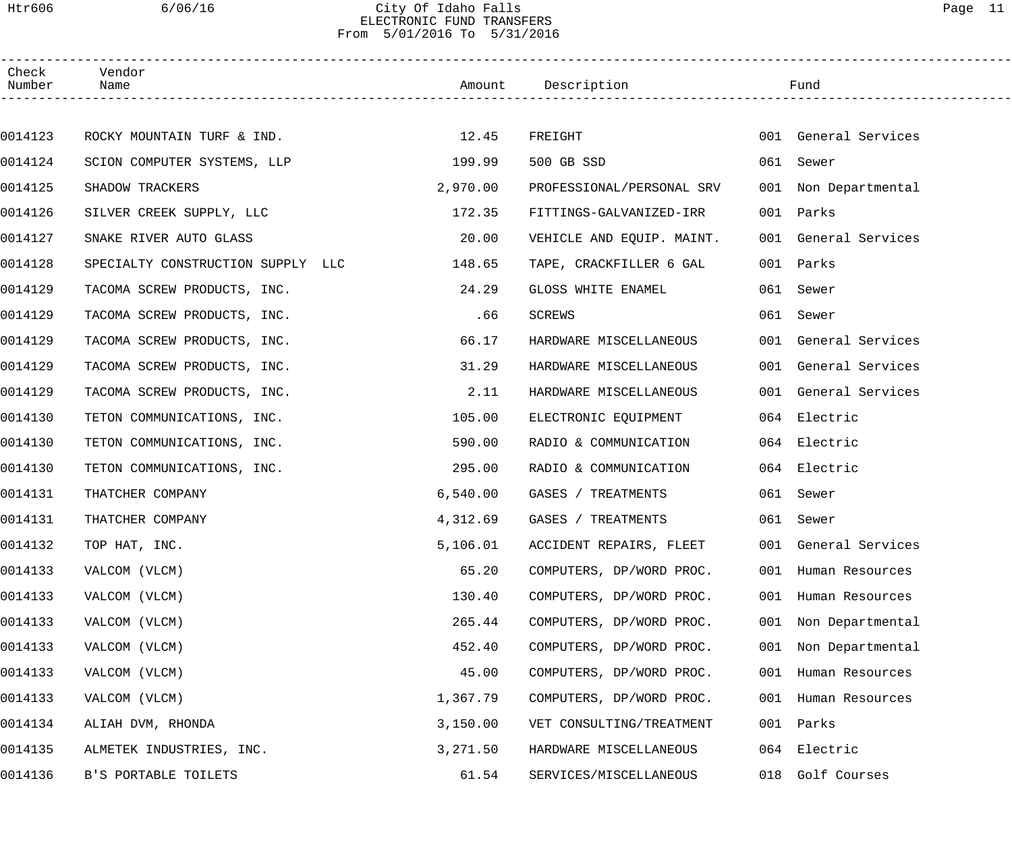#### Htr606 6/06/16 City Of Idaho Falls Page 11 ELECTRONIC FUND TRANSFERS From 5/01/2016 To 5/31/2016

| Check<br>Number | Vendor<br>Name                    |          | Amount Description        |     | Fund                 |
|-----------------|-----------------------------------|----------|---------------------------|-----|----------------------|
|                 |                                   |          |                           |     |                      |
| 0014123         | ROCKY MOUNTAIN TURF & IND.        | 12.45    | FREIGHT                   |     | 001 General Services |
| 0014124         | SCION COMPUTER SYSTEMS, LLP       | 199.99   | 500 GB SSD                |     | 061 Sewer            |
| 0014125         | SHADOW TRACKERS                   | 2,970.00 | PROFESSIONAL/PERSONAL SRV |     | 001 Non Departmental |
| 0014126         | SILVER CREEK SUPPLY, LLC          | 172.35   | FITTINGS-GALVANIZED-IRR   |     | 001 Parks            |
| 0014127         | SNAKE RIVER AUTO GLASS            | 20.00    | VEHICLE AND EQUIP. MAINT. |     | 001 General Services |
| 0014128         | SPECIALTY CONSTRUCTION SUPPLY LLC | 148.65   | TAPE, CRACKFILLER 6 GAL   |     | 001 Parks            |
| 0014129         | TACOMA SCREW PRODUCTS, INC.       | 24.29    | GLOSS WHITE ENAMEL        |     | 061 Sewer            |
| 0014129         | TACOMA SCREW PRODUCTS, INC.       | .66      | SCREWS                    |     | 061 Sewer            |
| 0014129         | TACOMA SCREW PRODUCTS, INC.       | 66.17    | HARDWARE MISCELLANEOUS    |     | 001 General Services |
| 0014129         | TACOMA SCREW PRODUCTS, INC.       | 31.29    | HARDWARE MISCELLANEOUS    |     | 001 General Services |
| 0014129         | TACOMA SCREW PRODUCTS, INC.       | 2.11     | HARDWARE MISCELLANEOUS    |     | 001 General Services |
| 0014130         | TETON COMMUNICATIONS, INC.        | 105.00   | ELECTRONIC EQUIPMENT      |     | 064 Electric         |
| 0014130         | TETON COMMUNICATIONS, INC.        | 590.00   | RADIO & COMMUNICATION     |     | 064 Electric         |
| 0014130         | TETON COMMUNICATIONS, INC.        | 295.00   | RADIO & COMMUNICATION     |     | 064 Electric         |
| 0014131         | THATCHER COMPANY                  | 6,540.00 | GASES / TREATMENTS        |     | 061 Sewer            |
| 0014131         | THATCHER COMPANY                  | 4,312.69 | GASES / TREATMENTS        |     | 061 Sewer            |
| 0014132         | TOP HAT, INC.                     | 5,106.01 | ACCIDENT REPAIRS, FLEET   |     | 001 General Services |
| 0014133         | VALCOM (VLCM)                     | 65.20    | COMPUTERS, DP/WORD PROC.  |     | 001 Human Resources  |
| 0014133         | VALCOM (VLCM)                     | 130.40   | COMPUTERS, DP/WORD PROC.  |     | 001 Human Resources  |
| 0014133         | VALCOM (VLCM)                     | 265.44   | COMPUTERS, DP/WORD PROC.  | 001 | Non Departmental     |
| 0014133         | VALCOM (VLCM)                     | 452.40   | COMPUTERS, DP/WORD PROC.  | 001 | Non Departmental     |
| 0014133         | VALCOM (VLCM)                     | 45.00    | COMPUTERS, DP/WORD PROC.  |     | 001 Human Resources  |
| 0014133         | VALCOM (VLCM)                     | 1,367.79 | COMPUTERS, DP/WORD PROC.  |     | 001 Human Resources  |
| 0014134         | ALIAH DVM, RHONDA                 | 3,150.00 | VET CONSULTING/TREATMENT  | 001 | Parks                |
| 0014135         | ALMETEK INDUSTRIES, INC.          | 3,271.50 | HARDWARE MISCELLANEOUS    | 064 | Electric             |
| 0014136         | B'S PORTABLE TOILETS              | 61.54    | SERVICES/MISCELLANEOUS    | 018 | Golf Courses         |
|                 |                                   |          |                           |     |                      |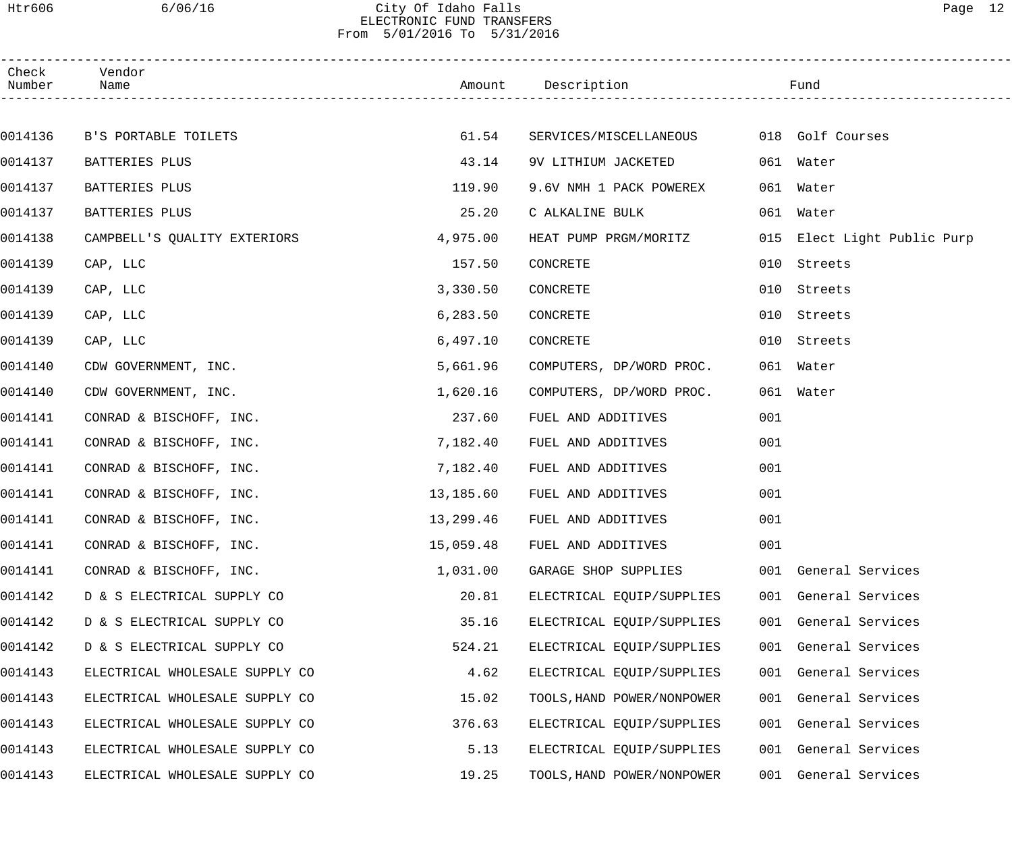#### Htr606 6/06/16 City Of Idaho Falls Page 12 ELECTRONIC FUND TRANSFERS From 5/01/2016 To 5/31/2016

| Check<br>Number | Vendor<br>Name                 |           | Amount Description           |     | Fund                        |  |
|-----------------|--------------------------------|-----------|------------------------------|-----|-----------------------------|--|
|                 |                                |           |                              |     |                             |  |
| 0014136         | B'S PORTABLE TOILETS           | 61.54     | SERVICES/MISCELLANEOUS       |     | 018 Golf Courses            |  |
| 0014137         | BATTERIES PLUS                 | 43.14     | 9V LITHIUM JACKETED          |     | 061 Water                   |  |
| 0014137         | BATTERIES PLUS                 | 119.90    | 9.6V NMH 1 PACK POWEREX      |     | 061 Water                   |  |
| 0014137         | BATTERIES PLUS                 | 25.20     | C ALKALINE BULK              |     | 061 Water                   |  |
| 0014138         | CAMPBELL'S QUALITY EXTERIORS   | 4,975.00  | HEAT PUMP PRGM/MORITZ        |     | 015 Elect Light Public Purp |  |
| 0014139         | CAP, LLC                       | 157.50    | CONCRETE                     | 010 | Streets                     |  |
| 0014139         | CAP, LLC                       | 3,330.50  | CONCRETE                     | 010 | Streets                     |  |
| 0014139         | CAP, LLC                       | 6,283.50  | CONCRETE                     | 010 | Streets                     |  |
| 0014139         | CAP, LLC                       | 6,497.10  | CONCRETE                     | 010 | Streets                     |  |
| 0014140         | CDW GOVERNMENT, INC.           | 5,661.96  | COMPUTERS, DP/WORD PROC.     |     | 061 Water                   |  |
| 0014140         | CDW GOVERNMENT, INC.           | 1,620.16  | COMPUTERS, DP/WORD PROC.     |     | 061 Water                   |  |
| 0014141         | CONRAD & BISCHOFF, INC.        | 237.60    | FUEL AND ADDITIVES           | 001 |                             |  |
| 0014141         | CONRAD & BISCHOFF, INC.        | 7,182.40  | FUEL AND ADDITIVES           | 001 |                             |  |
| 0014141         | CONRAD & BISCHOFF, INC.        | 7,182.40  | FUEL AND ADDITIVES           | 001 |                             |  |
| 0014141         | CONRAD & BISCHOFF, INC.        | 13,185.60 | FUEL AND ADDITIVES           | 001 |                             |  |
| 0014141         | CONRAD & BISCHOFF, INC.        |           | 13,299.46 FUEL AND ADDITIVES | 001 |                             |  |
| 0014141         | CONRAD & BISCHOFF, INC.        | 15,059.48 | FUEL AND ADDITIVES           | 001 |                             |  |
| 0014141         | CONRAD & BISCHOFF, INC.        | 1,031.00  | GARAGE SHOP SUPPLIES         |     | 001 General Services        |  |
| 0014142         | D & S ELECTRICAL SUPPLY CO     | 20.81     | ELECTRICAL EQUIP/SUPPLIES    |     | 001 General Services        |  |
| 0014142         | D & S ELECTRICAL SUPPLY CO     | 35.16     | ELECTRICAL EQUIP/SUPPLIES    |     | 001 General Services        |  |
| 0014142         | D & S ELECTRICAL SUPPLY CO     | 524.21    | ELECTRICAL EQUIP/SUPPLIES    |     | 001 General Services        |  |
| 0014143         | ELECTRICAL WHOLESALE SUPPLY CO | 4.62      | ELECTRICAL EQUIP/SUPPLIES    |     | 001 General Services        |  |
| 0014143         | ELECTRICAL WHOLESALE SUPPLY CO | 15.02     | TOOLS, HAND POWER/NONPOWER   |     | 001 General Services        |  |
| 0014143         | ELECTRICAL WHOLESALE SUPPLY CO | 376.63    | ELECTRICAL EQUIP/SUPPLIES    |     | 001 General Services        |  |
| 0014143         | ELECTRICAL WHOLESALE SUPPLY CO | 5.13      | ELECTRICAL EQUIP/SUPPLIES    |     | 001 General Services        |  |
| 0014143         | ELECTRICAL WHOLESALE SUPPLY CO | 19.25     | TOOLS, HAND POWER/NONPOWER   | 001 | General Services            |  |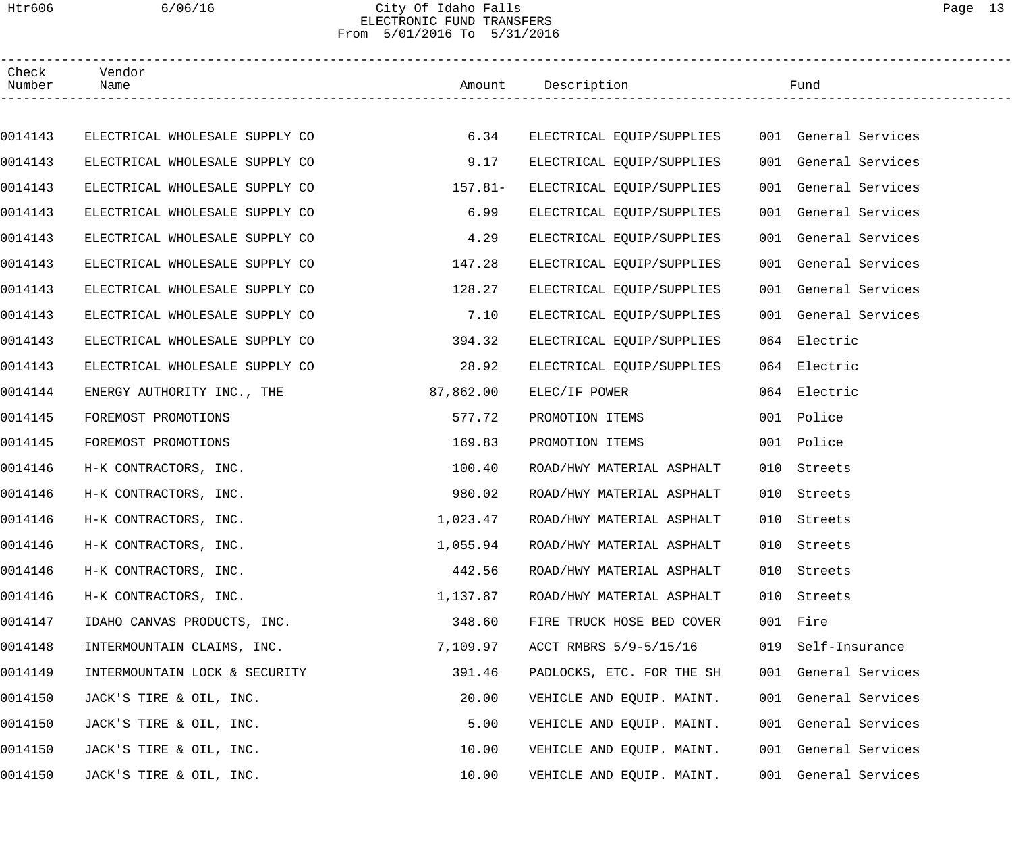# Htr606 6/06/16 City Of Idaho Falls Page 13 ELECTRONIC FUND TRANSFERS From 5/01/2016 To 5/31/2016

| Check<br>Number | Vendor<br>Name                 |           | Amount Description        |     | Fund                 |  |
|-----------------|--------------------------------|-----------|---------------------------|-----|----------------------|--|
|                 |                                |           |                           |     |                      |  |
| 0014143         | ELECTRICAL WHOLESALE SUPPLY CO | 6.34      | ELECTRICAL EQUIP/SUPPLIES |     | 001 General Services |  |
| 0014143         | ELECTRICAL WHOLESALE SUPPLY CO | 9.17      | ELECTRICAL EQUIP/SUPPLIES |     | 001 General Services |  |
| 0014143         | ELECTRICAL WHOLESALE SUPPLY CO | $157.81-$ | ELECTRICAL EQUIP/SUPPLIES |     | 001 General Services |  |
| 0014143         | ELECTRICAL WHOLESALE SUPPLY CO | 6.99      | ELECTRICAL EQUIP/SUPPLIES |     | 001 General Services |  |
| 0014143         | ELECTRICAL WHOLESALE SUPPLY CO | 4.29      | ELECTRICAL EQUIP/SUPPLIES |     | 001 General Services |  |
| 0014143         | ELECTRICAL WHOLESALE SUPPLY CO | 147.28    | ELECTRICAL EQUIP/SUPPLIES |     | 001 General Services |  |
| 0014143         | ELECTRICAL WHOLESALE SUPPLY CO | 128.27    | ELECTRICAL EQUIP/SUPPLIES |     | 001 General Services |  |
| 0014143         | ELECTRICAL WHOLESALE SUPPLY CO | 7.10      | ELECTRICAL EQUIP/SUPPLIES |     | 001 General Services |  |
| 0014143         | ELECTRICAL WHOLESALE SUPPLY CO | 394.32    | ELECTRICAL EQUIP/SUPPLIES |     | 064 Electric         |  |
| 0014143         | ELECTRICAL WHOLESALE SUPPLY CO | 28.92     | ELECTRICAL EQUIP/SUPPLIES |     | 064 Electric         |  |
| 0014144         | ENERGY AUTHORITY INC., THE     | 87,862.00 | ELEC/IF POWER             |     | 064 Electric         |  |
| 0014145         | FOREMOST PROMOTIONS            | 577.72    | PROMOTION ITEMS           |     | 001 Police           |  |
| 0014145         | FOREMOST PROMOTIONS            | 169.83    | PROMOTION ITEMS           |     | 001 Police           |  |
| 0014146         | H-K CONTRACTORS, INC.          | 100.40    | ROAD/HWY MATERIAL ASPHALT | 010 | Streets              |  |
| 0014146         | H-K CONTRACTORS, INC.          | 980.02    | ROAD/HWY MATERIAL ASPHALT | 010 | Streets              |  |
| 0014146         | H-K CONTRACTORS, INC.          | 1,023.47  | ROAD/HWY MATERIAL ASPHALT |     | 010 Streets          |  |
| 0014146         | H-K CONTRACTORS, INC.          | 1,055.94  | ROAD/HWY MATERIAL ASPHALT |     | 010 Streets          |  |
| 0014146         | H-K CONTRACTORS, INC.          | 442.56    | ROAD/HWY MATERIAL ASPHALT |     | 010 Streets          |  |
| 0014146         | H-K CONTRACTORS, INC.          | 1,137.87  | ROAD/HWY MATERIAL ASPHALT |     | 010 Streets          |  |
| 0014147         | IDAHO CANVAS PRODUCTS, INC.    | 348.60    | FIRE TRUCK HOSE BED COVER |     | 001 Fire             |  |
| 0014148         | INTERMOUNTAIN CLAIMS, INC.     | 7,109.97  | ACCT RMBRS 5/9-5/15/16    |     | 019 Self-Insurance   |  |
| 0014149         | INTERMOUNTAIN LOCK & SECURITY  | 391.46    | PADLOCKS, ETC. FOR THE SH |     | 001 General Services |  |
| 0014150         | JACK'S TIRE & OIL, INC.        | 20.00     | VEHICLE AND EQUIP. MAINT. |     | 001 General Services |  |
| 0014150         | JACK'S TIRE & OIL, INC.        | 5.00      | VEHICLE AND EQUIP. MAINT. |     | 001 General Services |  |
| 0014150         | JACK'S TIRE & OIL, INC.        | 10.00     | VEHICLE AND EQUIP. MAINT. |     | 001 General Services |  |
| 0014150         | JACK'S TIRE & OIL, INC.        | 10.00     | VEHICLE AND EQUIP. MAINT. |     | 001 General Services |  |
|                 |                                |           |                           |     |                      |  |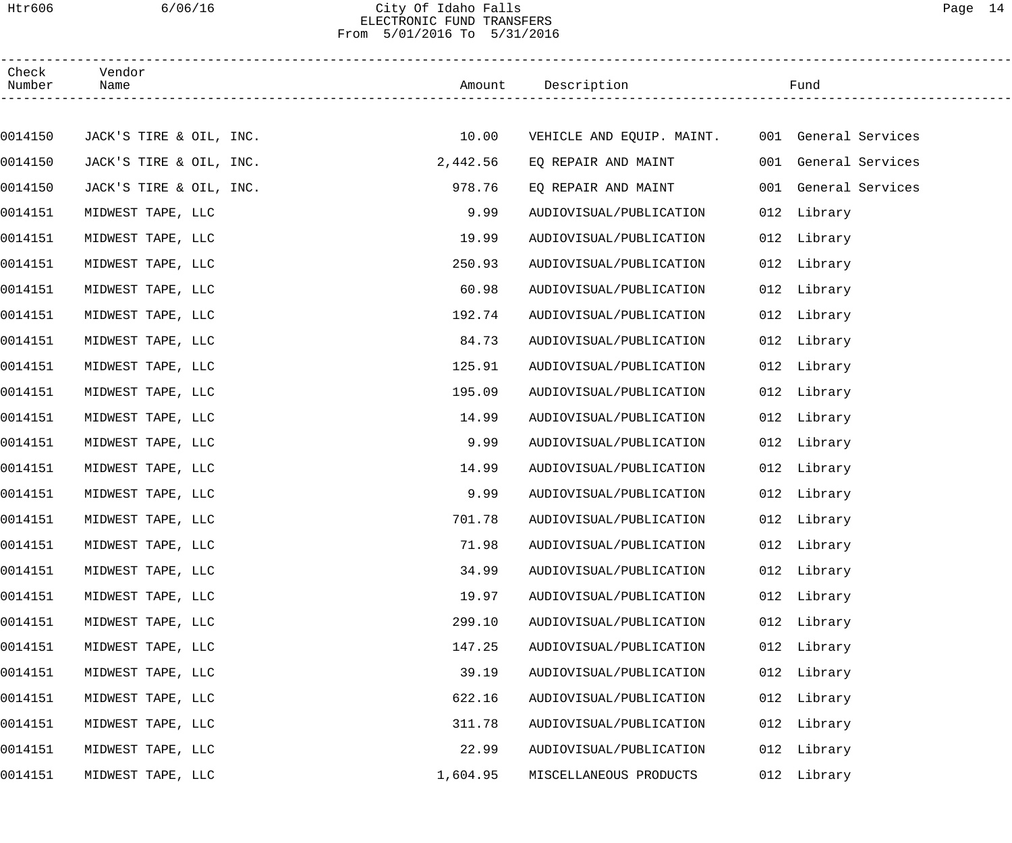### Htr606 6/06/16 City Of Idaho Falls Page 14 ELECTRONIC FUND TRANSFERS From 5/01/2016 To 5/31/2016

| Check<br>Number | Vendor                  |          |                                                |     |                      |  |
|-----------------|-------------------------|----------|------------------------------------------------|-----|----------------------|--|
|                 |                         |          |                                                |     |                      |  |
| 0014150         | JACK'S TIRE & OIL, INC. | 10.00    | VEHICLE AND EQUIP. MAINT. 001 General Services |     |                      |  |
| 0014150         | JACK'S TIRE & OIL, INC. | 2,442.56 | EQ REPAIR AND MAINT                            |     | 001 General Services |  |
| 0014150         | JACK'S TIRE & OIL, INC. | 978.76   | EQ REPAIR AND MAINT                            |     | 001 General Services |  |
| 0014151         | MIDWEST TAPE, LLC       | 9.99     | AUDIOVISUAL/PUBLICATION                        |     | 012 Library          |  |
| 0014151         | MIDWEST TAPE, LLC       | 19.99    | AUDIOVISUAL/PUBLICATION                        |     | 012 Library          |  |
| 0014151         | MIDWEST TAPE, LLC       | 250.93   | AUDIOVISUAL/PUBLICATION                        |     | 012 Library          |  |
| 0014151         | MIDWEST TAPE, LLC       | 60.98    | AUDIOVISUAL/PUBLICATION                        |     | 012 Library          |  |
| 0014151         | MIDWEST TAPE, LLC       | 192.74   | AUDIOVISUAL/PUBLICATION                        |     | 012 Library          |  |
| 0014151         | MIDWEST TAPE, LLC       | 84.73    | AUDIOVISUAL/PUBLICATION                        |     | 012 Library          |  |
| 0014151         | MIDWEST TAPE, LLC       | 125.91   | AUDIOVISUAL/PUBLICATION                        |     | 012 Library          |  |
| 0014151         | MIDWEST TAPE, LLC       | 195.09   | AUDIOVISUAL/PUBLICATION                        |     | 012 Library          |  |
| 0014151         | MIDWEST TAPE, LLC       | 14.99    | AUDIOVISUAL/PUBLICATION                        |     | 012 Library          |  |
| 0014151         | MIDWEST TAPE, LLC       | 9.99     | AUDIOVISUAL/PUBLICATION                        |     | 012 Library          |  |
| 0014151         | MIDWEST TAPE, LLC       | 14.99    | AUDIOVISUAL/PUBLICATION                        |     | 012 Library          |  |
| 0014151         | MIDWEST TAPE, LLC       | 9.99     | AUDIOVISUAL/PUBLICATION                        |     | 012 Library          |  |
| 0014151         | MIDWEST TAPE, LLC       | 701.78   | AUDIOVISUAL/PUBLICATION                        |     | 012 Library          |  |
| 0014151         | MIDWEST TAPE, LLC       | 71.98    | AUDIOVISUAL/PUBLICATION                        |     | 012 Library          |  |
| 0014151         | MIDWEST TAPE, LLC       | 34.99    | AUDIOVISUAL/PUBLICATION                        |     | 012 Library          |  |
| 0014151         | MIDWEST TAPE, LLC       | 19.97    | AUDIOVISUAL/PUBLICATION                        |     | 012 Library          |  |
| 0014151         | MIDWEST TAPE, LLC       | 299.10   | AUDIOVISUAL/PUBLICATION                        |     | 012 Library          |  |
| 0014151         | MIDWEST TAPE, LLC       | 147.25   | AUDIOVISUAL/PUBLICATION                        |     | 012 Library          |  |
| 0014151         | MIDWEST TAPE, LLC       | 39.19    | AUDIOVISUAL/PUBLICATION                        |     | 012 Library          |  |
| 0014151         | MIDWEST TAPE, LLC       | 622.16   | AUDIOVISUAL/PUBLICATION                        |     | 012 Library          |  |
| 0014151         | MIDWEST TAPE, LLC       | 311.78   | AUDIOVISUAL/PUBLICATION                        |     | 012 Library          |  |
| 0014151         | MIDWEST TAPE, LLC       | 22.99    | AUDIOVISUAL/PUBLICATION                        | 012 | Library              |  |
| 0014151         | MIDWEST TAPE, LLC       | 1,604.95 | MISCELLANEOUS PRODUCTS                         |     | 012 Library          |  |
|                 |                         |          |                                                |     |                      |  |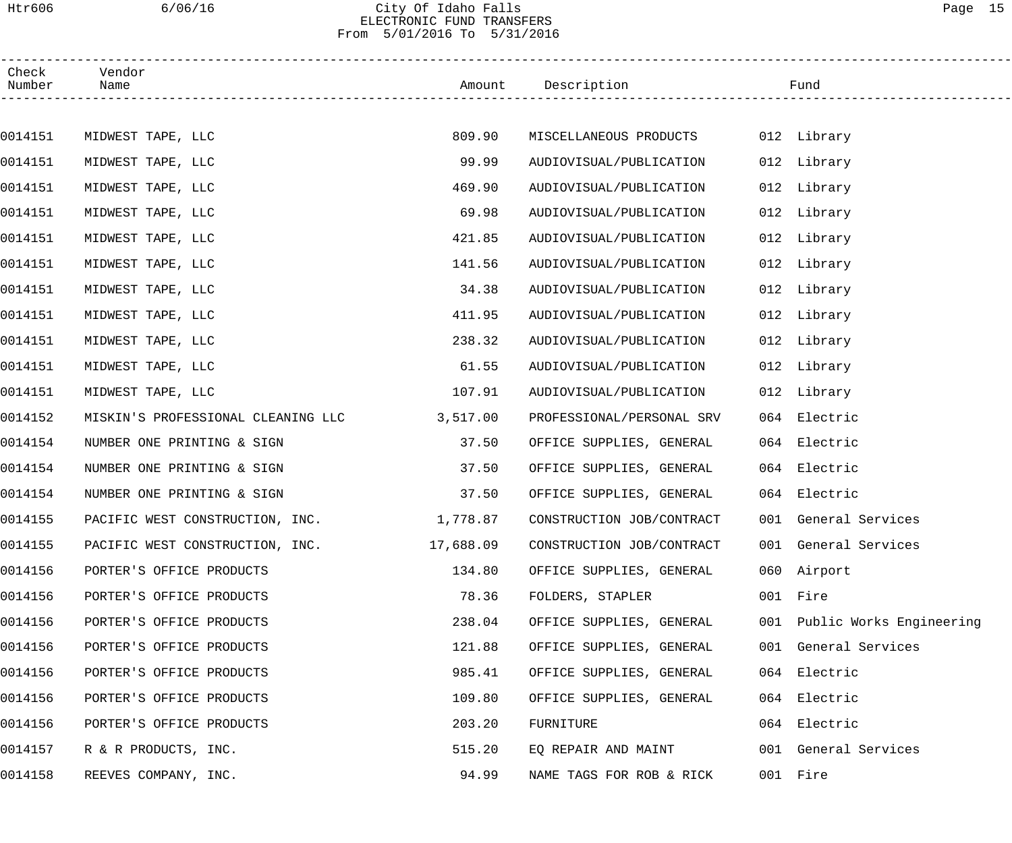## Htr606 6/06/16 City Of Idaho Falls Page 15 ELECTRONIC FUND TRANSFERS From 5/01/2016 To 5/31/2016

| Check<br>Number | Vendor<br>Name                           |           | Amount Description                 | Fund                         |
|-----------------|------------------------------------------|-----------|------------------------------------|------------------------------|
|                 |                                          |           |                                    |                              |
| 0014151         | MIDWEST TAPE, LLC                        | 809.90    | MISCELLANEOUS PRODUCTS 012 Library |                              |
| 0014151         | MIDWEST TAPE, LLC                        | 99.99     | AUDIOVISUAL/PUBLICATION            | 012 Library                  |
| 0014151         | MIDWEST TAPE, LLC                        | 469.90    | AUDIOVISUAL/PUBLICATION            | 012 Library                  |
| 0014151         | MIDWEST TAPE, LLC                        | 69.98     | AUDIOVISUAL/PUBLICATION            | 012 Library                  |
| 0014151         | MIDWEST TAPE, LLC                        | 421.85    | AUDIOVISUAL/PUBLICATION            | 012 Library                  |
| 0014151         | MIDWEST TAPE, LLC                        | 141.56    | AUDIOVISUAL/PUBLICATION            | 012 Library                  |
| 0014151         | MIDWEST TAPE, LLC                        | 34.38     | AUDIOVISUAL/PUBLICATION            | 012 Library                  |
| 0014151         | MIDWEST TAPE, LLC                        | 411.95    | AUDIOVISUAL/PUBLICATION            | 012 Library                  |
| 0014151         | MIDWEST TAPE, LLC                        | 238.32    | AUDIOVISUAL/PUBLICATION            | 012 Library                  |
| 0014151         | MIDWEST TAPE, LLC                        | 61.55     | AUDIOVISUAL/PUBLICATION            | 012 Library                  |
| 0014151         | MIDWEST TAPE, LLC                        | 107.91    | AUDIOVISUAL/PUBLICATION            | 012 Library                  |
| 0014152         | MISKIN'S PROFESSIONAL CLEANING LLC       | 3,517.00  | PROFESSIONAL/PERSONAL SRV          | 064 Electric                 |
| 0014154         | NUMBER ONE PRINTING & SIGN               | 37.50     | OFFICE SUPPLIES, GENERAL           | 064 Electric                 |
| 0014154         | NUMBER ONE PRINTING & SIGN               | 37.50     | OFFICE SUPPLIES, GENERAL           | 064 Electric                 |
| 0014154         | NUMBER ONE PRINTING & SIGN               | 37.50     | OFFICE SUPPLIES, GENERAL           | 064 Electric                 |
| 0014155         | PACIFIC WEST CONSTRUCTION, INC. 1,778.87 |           | CONSTRUCTION JOB/CONTRACT          | 001 General Services         |
| 0014155         | PACIFIC WEST CONSTRUCTION, INC.          | 17,688.09 | CONSTRUCTION JOB/CONTRACT          | 001 General Services         |
| 0014156         | PORTER'S OFFICE PRODUCTS                 | 134.80    | OFFICE SUPPLIES, GENERAL           | 060 Airport                  |
| 0014156         | PORTER'S OFFICE PRODUCTS                 | 78.36     | FOLDERS, STAPLER                   | 001 Fire                     |
| 0014156         | PORTER'S OFFICE PRODUCTS                 | 238.04    | OFFICE SUPPLIES, GENERAL           | 001 Public Works Engineering |
| 0014156         | PORTER'S OFFICE PRODUCTS                 | 121.88    | OFFICE SUPPLIES, GENERAL           | 001 General Services         |
| 0014156         | PORTER'S OFFICE PRODUCTS                 | 985.41    | OFFICE SUPPLIES, GENERAL           | 064 Electric                 |
| 0014156         | PORTER'S OFFICE PRODUCTS                 | 109.80    | OFFICE SUPPLIES, GENERAL           | 064 Electric                 |
| 0014156         | PORTER'S OFFICE PRODUCTS                 | 203.20    | FURNITURE                          | 064 Electric                 |
| 0014157         | R & R PRODUCTS, INC.                     | 515.20    | EQ REPAIR AND MAINT                | 001 General Services         |
| 0014158         | REEVES COMPANY, INC.                     | 94.99     | NAME TAGS FOR ROB & RICK           | 001 Fire                     |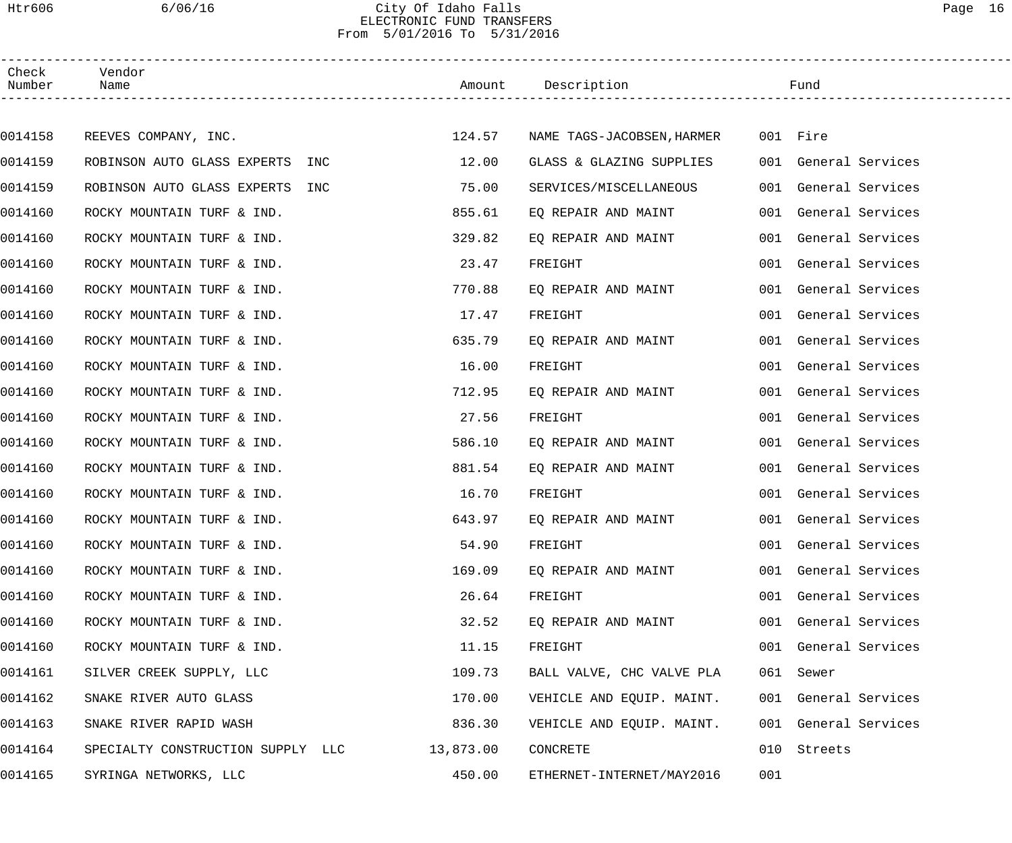### Htr606 6/06/16 City Of Idaho Falls Page 16 ELECTRONIC FUND TRANSFERS From 5/01/2016 To 5/31/2016

| Check<br>Number | Vendor<br>Name                    |           | Amount Description         |     | Fund                 |
|-----------------|-----------------------------------|-----------|----------------------------|-----|----------------------|
|                 |                                   |           |                            |     |                      |
| 0014158         | REEVES COMPANY, INC.              | 124.57    | NAME TAGS-JACOBSEN, HARMER |     | 001 Fire             |
| 0014159         | ROBINSON AUTO GLASS EXPERTS INC   | 12.00     | GLASS & GLAZING SUPPLIES   |     | 001 General Services |
| 0014159         | ROBINSON AUTO GLASS EXPERTS INC   | 75.00     | SERVICES/MISCELLANEOUS     |     | 001 General Services |
| 0014160         | ROCKY MOUNTAIN TURF & IND.        | 855.61    | EQ REPAIR AND MAINT        |     | 001 General Services |
| 0014160         | ROCKY MOUNTAIN TURF & IND.        | 329.82    | EQ REPAIR AND MAINT        |     | 001 General Services |
| 0014160         | ROCKY MOUNTAIN TURF & IND.        | 23.47     | FREIGHT                    |     | 001 General Services |
| 0014160         | ROCKY MOUNTAIN TURF & IND.        | 770.88    | EO REPAIR AND MAINT        |     | 001 General Services |
| 0014160         | ROCKY MOUNTAIN TURF & IND.        | 17.47     | FREIGHT                    |     | 001 General Services |
| 0014160         | ROCKY MOUNTAIN TURF & IND.        | 635.79    | EQ REPAIR AND MAINT        |     | 001 General Services |
| 0014160         | ROCKY MOUNTAIN TURF & IND.        | 16.00     | FREIGHT                    |     | 001 General Services |
| 0014160         | ROCKY MOUNTAIN TURF & IND.        | 712.95    | EQ REPAIR AND MAINT        |     | 001 General Services |
| 0014160         | ROCKY MOUNTAIN TURF & IND.        | 27.56     | FREIGHT                    |     | 001 General Services |
| 0014160         | ROCKY MOUNTAIN TURF & IND.        | 586.10    | EQ REPAIR AND MAINT        |     | 001 General Services |
| 0014160         | ROCKY MOUNTAIN TURF & IND.        | 881.54    | EQ REPAIR AND MAINT        |     | 001 General Services |
| 0014160         | ROCKY MOUNTAIN TURF & IND.        | 16.70     | FREIGHT                    |     | 001 General Services |
| 0014160         | ROCKY MOUNTAIN TURF & IND.        | 643.97    | EQ REPAIR AND MAINT        |     | 001 General Services |
| 0014160         | ROCKY MOUNTAIN TURF & IND.        | 54.90     | FREIGHT                    |     | 001 General Services |
| 0014160         | ROCKY MOUNTAIN TURF & IND.        | 169.09    | EQ REPAIR AND MAINT        |     | 001 General Services |
| 0014160         | ROCKY MOUNTAIN TURF & IND.        | 26.64     | FREIGHT                    |     | 001 General Services |
| 0014160         | ROCKY MOUNTAIN TURF & IND.        | 32.52     | EQ REPAIR AND MAINT        |     | 001 General Services |
| 0014160         | ROCKY MOUNTAIN TURF & IND.        | 11.15     | FREIGHT                    |     | 001 General Services |
| 0014161         | SILVER CREEK SUPPLY, LLC          | 109.73    | BALL VALVE, CHC VALVE PLA  |     | 061 Sewer            |
| 0014162         | SNAKE RIVER AUTO GLASS            | 170.00    | VEHICLE AND EQUIP. MAINT.  |     | 001 General Services |
| 0014163         | SNAKE RIVER RAPID WASH            | 836.30    | VEHICLE AND EQUIP. MAINT.  |     | 001 General Services |
| 0014164         | SPECIALTY CONSTRUCTION SUPPLY LLC | 13,873.00 | CONCRETE                   | 010 | Streets              |
| 0014165         | SYRINGA NETWORKS, LLC             | 450.00    | ETHERNET-INTERNET/MAY2016  | 001 |                      |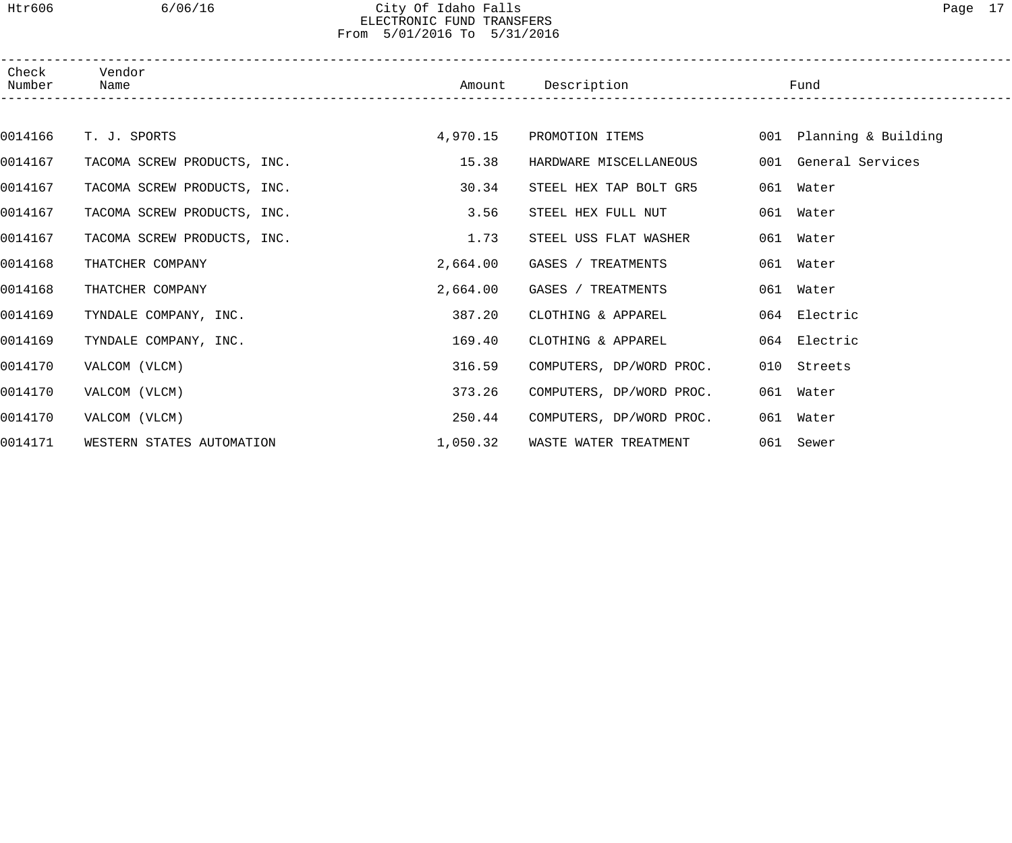#### Htr606 6/06/16 City Of Idaho Falls Page 17 ELECTRONIC FUND TRANSFERS From 5/01/2016 To 5/31/2016

| Check<br>Number | Vendor<br>Name              | Amount   | Description<br>----------------------------- | Fund                    |
|-----------------|-----------------------------|----------|----------------------------------------------|-------------------------|
|                 |                             |          |                                              |                         |
| 0014166         | T. J. SPORTS                | 4,970.15 | PROMOTION ITEMS                              | 001 Planning & Building |
| 0014167         | TACOMA SCREW PRODUCTS, INC. | 15.38    | HARDWARE MISCELLANEOUS                       | 001 General Services    |
| 0014167         | TACOMA SCREW PRODUCTS, INC. | 30.34    | STEEL HEX TAP BOLT GR5                       | 061 Water               |
| 0014167         | TACOMA SCREW PRODUCTS, INC. | 3.56     | STEEL HEX FULL NUT                           | 061 Water               |
| 0014167         | TACOMA SCREW PRODUCTS, INC. | 1.73     | STEEL USS FLAT WASHER                        | 061 Water               |
| 0014168         | THATCHER COMPANY            | 2,664.00 | GASES / TREATMENTS                           | 061 Water               |
| 0014168         | THATCHER COMPANY            | 2,664.00 | GASES / TREATMENTS                           | 061 Water               |
| 0014169         | TYNDALE COMPANY, INC.       | 387.20   | CLOTHING & APPAREL                           | 064 Electric            |
| 0014169         | TYNDALE COMPANY, INC.       | 169.40   | CLOTHING & APPAREL                           | 064 Electric            |
| 0014170         | VALCOM (VLCM)               | 316.59   | COMPUTERS, DP/WORD PROC.                     | 010 Streets             |
| 0014170         | VALCOM (VLCM)               | 373.26   | COMPUTERS, DP/WORD PROC.                     | 061 Water               |
| 0014170         | VALCOM (VLCM)               | 250.44   | COMPUTERS, DP/WORD PROC.                     | 061 Water               |
| 0014171         | WESTERN STATES AUTOMATION   | 1,050.32 | WASTE WATER TREATMENT                        | 061 Sewer               |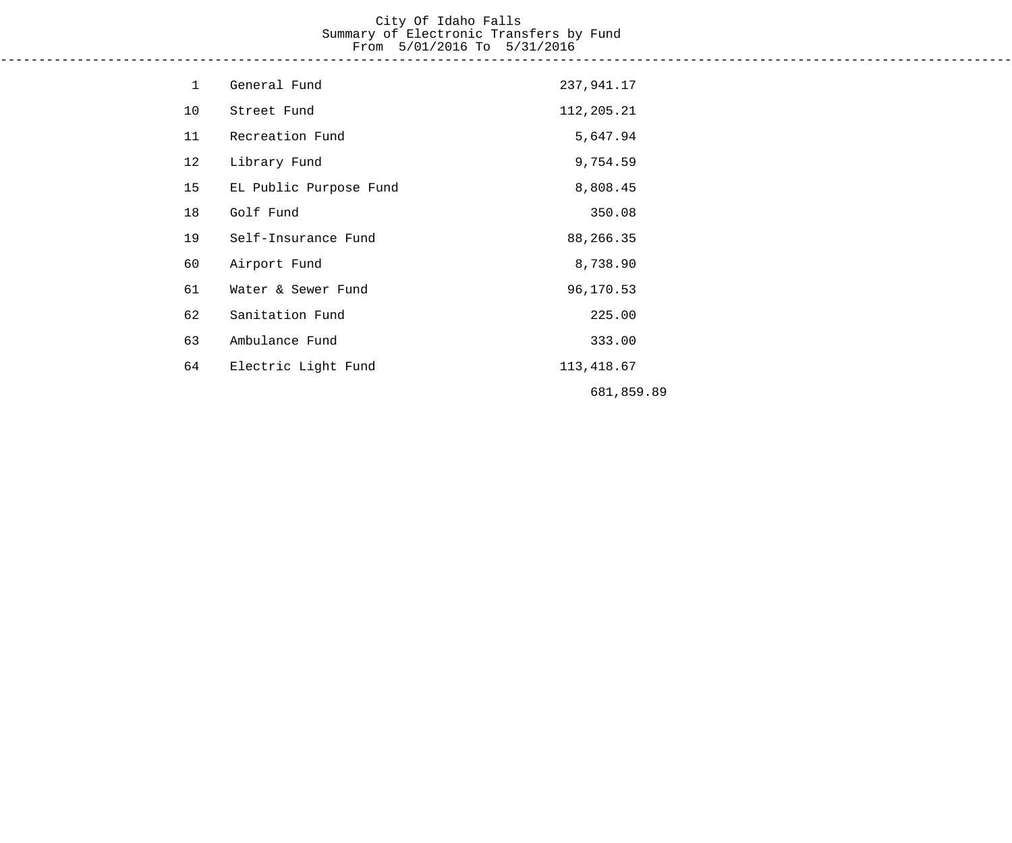# City Of Idaho Falls Summary of Electronic Transfers by Fund From 5/01/2016 To 5/31/2016

------------------------------------------------------------------------------------------------------------------------------------

| $\mathbf 1$ | General Fund           | 237,941.17  |
|-------------|------------------------|-------------|
| 10          | Street Fund            | 112,205.21  |
| 11          | Recreation Fund        | 5,647.94    |
| 12          | Library Fund           | 9,754.59    |
| 15          | EL Public Purpose Fund | 8,808.45    |
| 18          | Golf Fund              | 350.08      |
| 19          | Self-Insurance Fund    | 88,266.35   |
| 60          | Airport Fund           | 8,738.90    |
| 61          | Water & Sewer Fund     | 96,170.53   |
| 62          | Sanitation Fund        | 225.00      |
| 63          | Ambulance Fund         | 333.00      |
| 64          | Electric Light Fund    | 113, 418.67 |
|             |                        | 681,859.89  |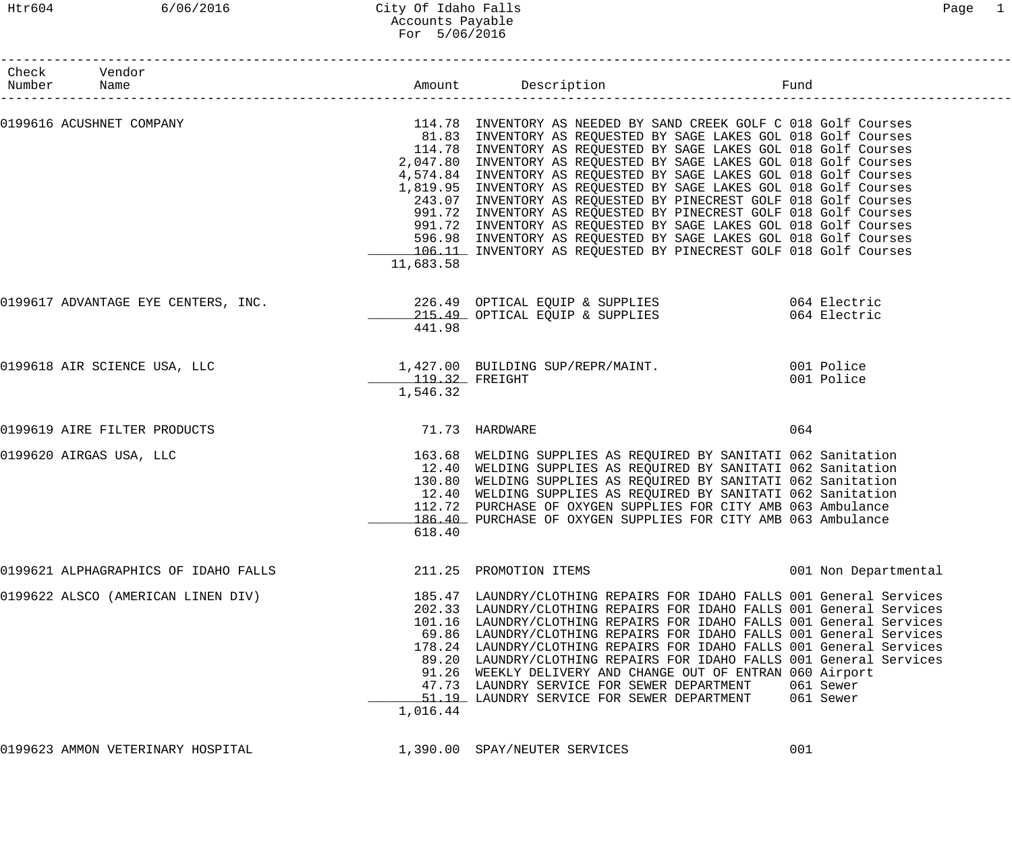| Check Vendor<br>Number Name |                                      |                            |                                                                                                                                                                                                                                                                                                                                                                                                                                                                                                                                                                                                                                                                                                                                                                                                                                           |                        |
|-----------------------------|--------------------------------------|----------------------------|-------------------------------------------------------------------------------------------------------------------------------------------------------------------------------------------------------------------------------------------------------------------------------------------------------------------------------------------------------------------------------------------------------------------------------------------------------------------------------------------------------------------------------------------------------------------------------------------------------------------------------------------------------------------------------------------------------------------------------------------------------------------------------------------------------------------------------------------|------------------------|
|                             |                                      | 11,683.58                  | 0199616 ACUSHNET COMPANY COMPANY COMPANY SUMMAN TELLER SUMMAN TELLER SUMMANY AS NEEDED BY SAND CREEK GOLF C 018 Golf Courses<br>81.83 INVENTORY AS REQUESTED BY SAGE LAKES GOL 018 Golf Courses<br>114.78 INVENTORY AS REQUESTED BY SAGE LAKES GOL 018 Golf Courses<br>2,047.80 INVENTORY AS REQUESTED BY SAGE LAKES GOL 018 Golf Courses<br>4,574.84 INVENTORY AS REQUESTED BY SAGE LAKES GOL 018 Golf Courses<br>1,819.95 INVENTORY AS REQUESTED BY SAGE LAKES GOL 018 Golf Courses<br>243.07 INVENTORY AS REQUESTED BY PINECREST GOLF 018 Golf Courses<br>991.72 INVENTORY AS REQUESTED BY PINECREST GOLF 018 Golf Courses<br>991.72 INVENTORY AS REQUESTED BY SAGE LAKES GOL 018 Golf Courses<br>596.98 INVENTORY AS REQUESTED BY SAGE LAKES GOL 018 Golf Courses<br>106.11 INVENTORY AS REQUESTED BY PINECREST GOLF 018 Golf Courses |                        |
|                             | 0199617 ADVANTAGE EYE CENTERS, INC.  | 441.98                     | 226.49 OPTICAL EQUIP & SUPPLIES 6064 Electric<br>215.49 OPTICAL EQUIP & SUPPLIES                                                                                                                                                                                                                                                                                                                                                                                                                                                                                                                                                                                                                                                                                                                                                          | 064 Electric           |
|                             | 0199618 AIR SCIENCE USA, LLC         | 119.32 FREIGHT<br>1,546.32 | 1,427.00 BUILDING SUP/REPR/MAINT. 001 Police                                                                                                                                                                                                                                                                                                                                                                                                                                                                                                                                                                                                                                                                                                                                                                                              | 001 Police             |
|                             | 0199619 AIRE FILTER PRODUCTS         | 71.73 HARDWARE             |                                                                                                                                                                                                                                                                                                                                                                                                                                                                                                                                                                                                                                                                                                                                                                                                                                           | 064                    |
| 0199620 AIRGAS USA, LLC     |                                      | 618.40                     | 163.68 WELDING SUPPLIES AS REQUIRED BY SANITATI 062 Sanitation<br>12.40 WELDING SUPPLIES AS REQUIRED BY SANITATI 062 Sanitation<br>130.80 WELDING SUPPLIES AS REQUIRED BY SANITATI 062 Sanitation<br>12.40 WELDING SUPPLIES AS REQUIRED BY SANITATI 062 Sanitation<br>112.72 PURCHASE OF OXYGEN SUPPLIES FOR CITY AMB 063 Ambulance<br>186.40 PURCHASE OF OXYGEN SUPPLIES FOR CITY AMB 063 Ambulance                                                                                                                                                                                                                                                                                                                                                                                                                                      |                        |
|                             | 0199621 ALPHAGRAPHICS OF IDAHO FALLS |                            | 211.25 PROMOTION ITEMS                                                                                                                                                                                                                                                                                                                                                                                                                                                                                                                                                                                                                                                                                                                                                                                                                    | 001 Non Departmental   |
|                             | 0199622 ALSCO (AMERICAN LINEN DIV)   | 1,016.44                   | 185.47 LAUNDRY/CLOTHING REPAIRS FOR IDAHO FALLS 001 General Services<br>202.33 LAUNDRY/CLOTHING REPAIRS FOR IDAHO FALLS 001 General Services<br>101.16 LAUNDRY/CLOTHING REPAIRS FOR IDAHO FALLS 001 General Services<br>69.86 LAUNDRY/CLOTHING REPAIRS FOR IDAHO FALLS 001 General Services<br>178.24 LAUNDRY/CLOTHING REPAIRS FOR IDAHO FALLS 001 General Services<br>89.20 LAUNDRY/CLOTHING REPAIRS FOR IDAHO FALLS 001 General Services<br>91.26 WEEKLY DELIVERY AND CHANGE OUT OF ENTRAN 060 Airport<br>47.73 LAUNDRY SERVICE FOR SEWER DEPARTMENT<br>51.19 LAUNDRY SERVICE FOR SEWER DEPARTMENT                                                                                                                                                                                                                                      | 061 Sewer<br>061 Sewer |
|                             | 0199623 AMMON VETERINARY HOSPITAL    |                            | 1,390.00 SPAY/NEUTER SERVICES                                                                                                                                                                                                                                                                                                                                                                                                                                                                                                                                                                                                                                                                                                                                                                                                             | 001                    |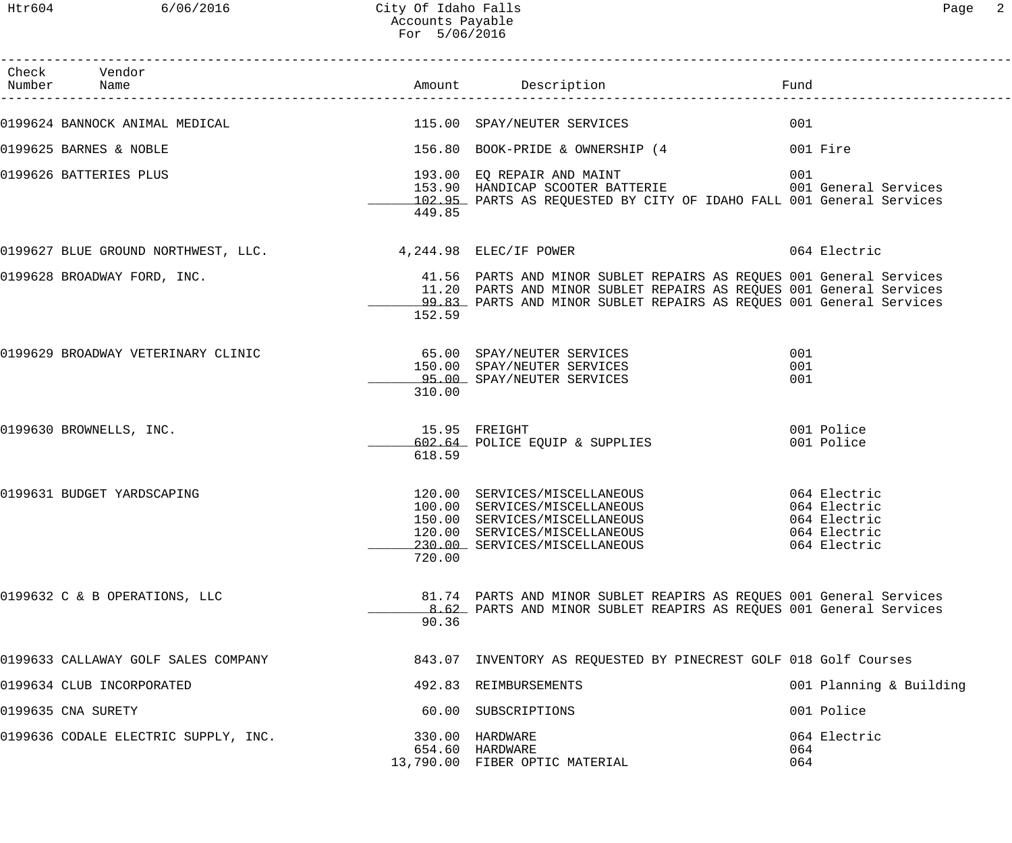------------------------------------------------------------------------------------------------------------------------------------

| аα<br>⊂ |  |
|---------|--|
|         |  |

| Check | Vendor<br>Number Name                                      |        |                                                                                                                                                                                                                   | Fund                                                         |
|-------|------------------------------------------------------------|--------|-------------------------------------------------------------------------------------------------------------------------------------------------------------------------------------------------------------------|--------------------------------------------------------------|
|       | 0199624 BANNOCK ANIMAL MEDICAL 115.00 SPAY/NEUTER SERVICES |        |                                                                                                                                                                                                                   | 001                                                          |
|       | 0199625 BARNES & NOBLE                                     |        | 156.80 BOOK-PRIDE & OWNERSHIP (4                                                                                                                                                                                  | 001 Fire                                                     |
|       | 0199626 BATTERIES PLUS                                     | 449.85 | 102.95 PARTS AS REQUESTED BY CITY OF IDAHO FALL 001 General Services                                                                                                                                              |                                                              |
|       | 0199627 BLUE GROUND NORTHWEST, LLC. 4,244.98 ELEC/IF POWER |        |                                                                                                                                                                                                                   | 064 Electric                                                 |
|       | 0199628 BROADWAY FORD, INC.                                | 152.59 | 41.56 PARTS AND MINOR SUBLET REPAIRS AS REQUES 001 General Services<br>11.20 PARTS AND MINOR SUBLET REPAIRS AS REQUES 001 General Services<br>99.83 PARTS AND MINOR SUBLET REPAIRS AS REQUES 001 General Services |                                                              |
|       | 0199629 BROADWAY VETERINARY CLINIC                         | 310.00 | 65.00 SPAY/NEUTER SERVICES<br>150.00 SPAY/NEUTER SERVICES<br>95.00 SPAY/NEUTER SERVICES                                                                                                                           | 001<br>001<br>001                                            |
|       | 0199630 BROWNELLS, INC.                                    | 618.59 | 15.95 FREIGHT<br>602.64 POLICE EQUIP & SUPPLIES                                                                                                                                                                   | 001 Police<br>001 Police                                     |
|       | 0199631 BUDGET YARDSCAPING                                 | 720.00 | 120.00 SERVICES/MISCELLANEOUS 064 Electric<br>100.00 SERVICES/MISCELLANEOUS<br>150.00 SERVICES/MISCELLANEOUS<br>120.00 SERVICES/MISCELLANEOUS<br>230.00 SERVICES/MISCELLANEOUS                                    | 064 Electric<br>064 Electric<br>064 Electric<br>064 Electric |
|       | 0199632 C & B OPERATIONS, LLC                              | 90.36  | 81.74 PARTS AND MINOR SUBLET REAPIRS AS REQUES 001 General Services<br>8.62 PARTS AND MINOR SUBLET REAPIRS AS REOUES 001 General Services                                                                         |                                                              |
|       | 0199633 CALLAWAY GOLF SALES COMPANY                        |        | 843.07 INVENTORY AS REQUESTED BY PINECREST GOLF 018 Golf Courses                                                                                                                                                  |                                                              |
|       | 0199634 CLUB INCORPORATED                                  |        | 492.83 REIMBURSEMENTS                                                                                                                                                                                             | 001 Planning & Building                                      |
|       | 0199635 CNA SURETY                                         |        | 60.00 SUBSCRIPTIONS                                                                                                                                                                                               | 001 Police                                                   |
|       | 0199636 CODALE ELECTRIC SUPPLY, INC.                       |        | 330.00 HARDWARE<br>654.60 HARDWARE<br>13,790.00 FIBER OPTIC MATERIAL                                                                                                                                              | 064 Electric<br>064<br>064                                   |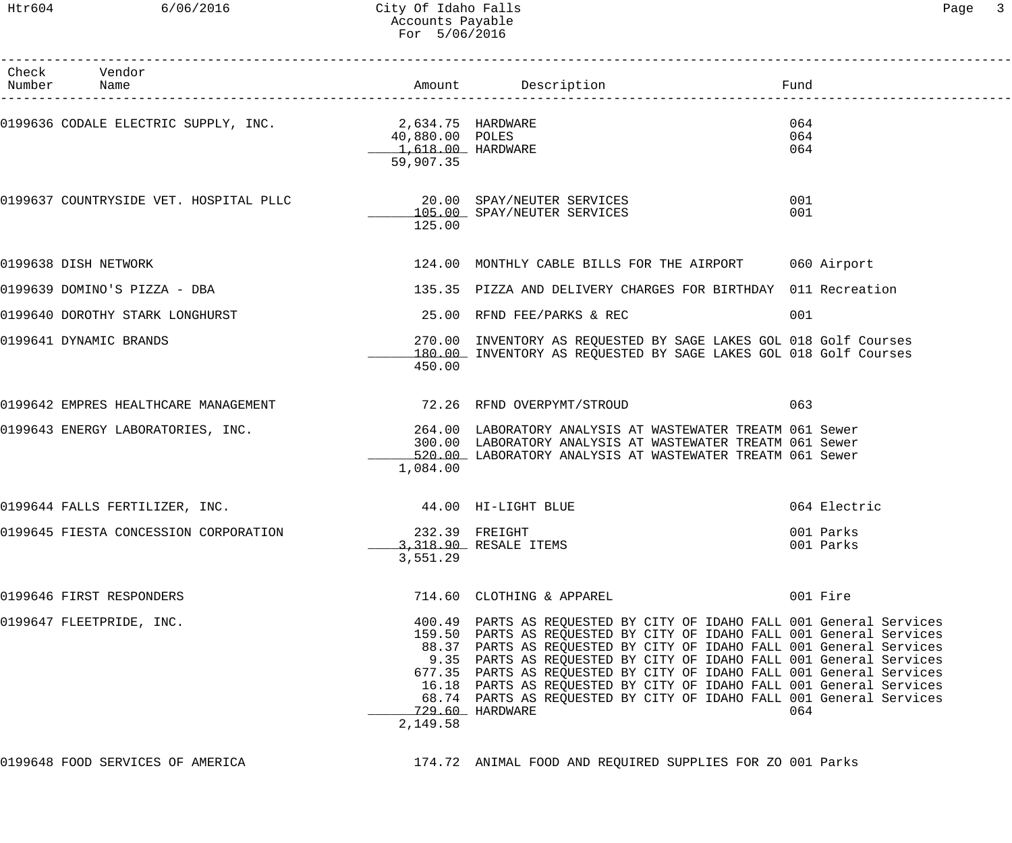# Htr604 6/06/2016 City Of Idaho Falls Companies of the Page 3 Accounts Payable For 5/06/2016

| Check Vendor<br>Number Name                            |                                                   | Amount Description                                                                                                                                                                                                                                                                                                                                                                                                                                                                                                                 | Fund                   |
|--------------------------------------------------------|---------------------------------------------------|------------------------------------------------------------------------------------------------------------------------------------------------------------------------------------------------------------------------------------------------------------------------------------------------------------------------------------------------------------------------------------------------------------------------------------------------------------------------------------------------------------------------------------|------------------------|
| 0199636 CODALE ELECTRIC SUPPLY, INC. 2,634.75 HARDWARE | 40,880.00 POLES<br>1,618.00 HARDWARE<br>59,907.35 |                                                                                                                                                                                                                                                                                                                                                                                                                                                                                                                                    | 064<br>064<br>064      |
|                                                        | 125.00                                            | 105.00 SPAY/NEUTER SERVICES                                                                                                                                                                                                                                                                                                                                                                                                                                                                                                        | 001<br>001             |
| 0199638 DISH NETWORK                                   |                                                   | 124.00 MONTHLY CABLE BILLS FOR THE AIRPORT 060 Airport                                                                                                                                                                                                                                                                                                                                                                                                                                                                             |                        |
| 0199639 DOMINO'S PIZZA - DBA                           |                                                   | 135.35 PIZZA AND DELIVERY CHARGES FOR BIRTHDAY 011 Recreation                                                                                                                                                                                                                                                                                                                                                                                                                                                                      |                        |
| 0199640 DOROTHY STARK LONGHURST                        |                                                   | 25.00 RFND FEE/PARKS & REC                                                                                                                                                                                                                                                                                                                                                                                                                                                                                                         | 001                    |
| 0199641 DYNAMIC BRANDS                                 | 450.00                                            | 270.00 INVENTORY AS REQUESTED BY SAGE LAKES GOL 018 Golf Courses<br>180.00 INVENTORY AS REQUESTED BY SAGE LAKES GOL 018 Golf Courses                                                                                                                                                                                                                                                                                                                                                                                               |                        |
| 0199642 EMPRES HEALTHCARE MANAGEMENT                   |                                                   | 72.26 RFND OVERPYMT/STROUD                                                                                                                                                                                                                                                                                                                                                                                                                                                                                                         | 063                    |
| 0199643 ENERGY LABORATORIES, INC.                      | 1,084.00                                          | 264.00 LABORATORY ANALYSIS AT WASTEWATER TREATM 061 Sewer<br>300.00 LABORATORY ANALYSIS AT WASTEWATER TREATM 061 Sewer<br>520.00 LABORATORY ANALYSIS AT WASTEWATER TREATM 061 Sewer                                                                                                                                                                                                                                                                                                                                                |                        |
| 0199644 FALLS FERTILIZER, INC.                         | 44.00 HI-LIGHT BLUE                               |                                                                                                                                                                                                                                                                                                                                                                                                                                                                                                                                    | 064 Electric           |
|                                                        | 3,551.29                                          | 3,318.90 RESALE ITEMS                                                                                                                                                                                                                                                                                                                                                                                                                                                                                                              | 001 Parks<br>001 Parks |
| 0199646 FIRST RESPONDERS                               |                                                   | 714.60 CLOTHING & APPAREL                                                                                                                                                                                                                                                                                                                                                                                                                                                                                                          | 001 Fire               |
| 0199647 FLEETPRIDE, INC.                               | 2,149.58                                          | 400.49 PARTS AS REQUESTED BY CITY OF IDAHO FALL 001 General Services<br>159.50 PARTS AS REQUESTED BY CITY OF IDAHO FALL 001 General Services<br>88.37 PARTS AS REQUESTED BY CITY OF IDAHO FALL 001 General Services<br>9.35 PARTS AS REQUESTED BY CITY OF IDAHO FALL 001 General Services<br>677.35 PARTS AS REQUESTED BY CITY OF IDAHO FALL 001 General Services<br>16.18 PARTS AS REQUESTED BY CITY OF IDAHO FALL 001 General Services<br>68.74 PARTS AS REQUESTED BY CITY OF IDAHO FALL 001 General Services<br>729.60 HARDWARE | 064                    |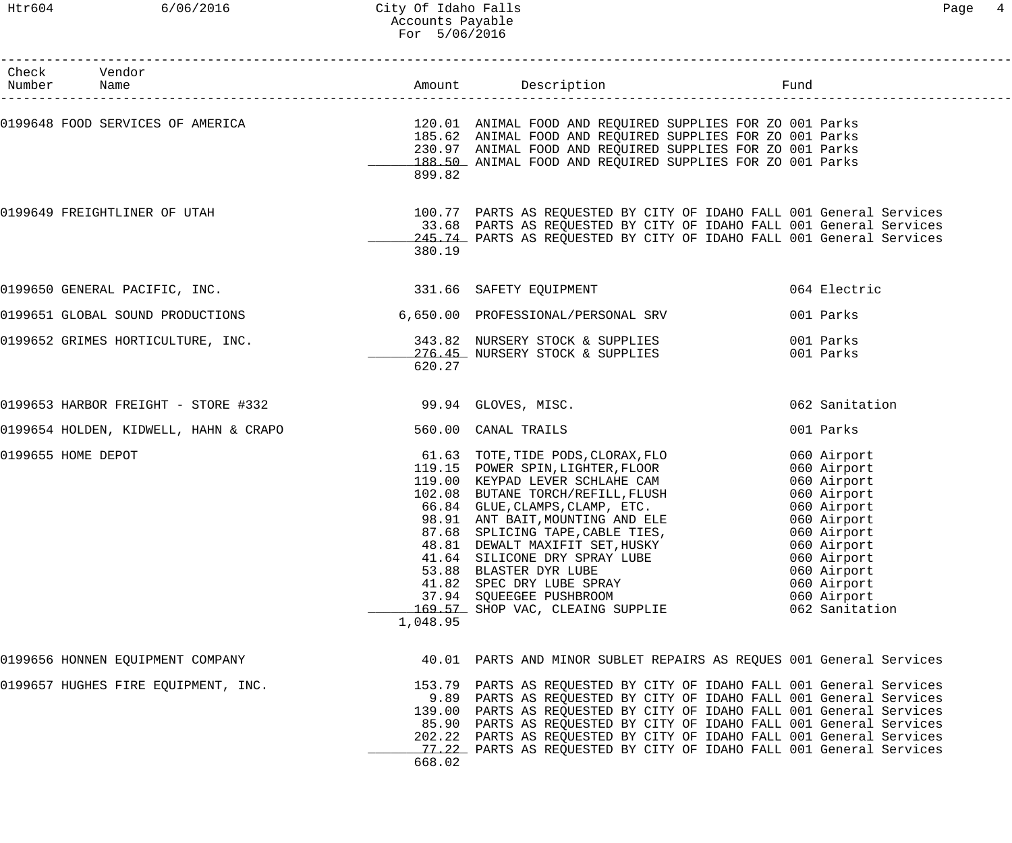#### Htr604 6/06/2016 City Of Idaho Falls Page 4 Accounts Payable For 5/06/2016

| Check Vendor<br>Number Name                             |          |                                                                                                                                                                                                                                                                                                                                                                                                                                                                                    |                                                                                                                                                                                                    |
|---------------------------------------------------------|----------|------------------------------------------------------------------------------------------------------------------------------------------------------------------------------------------------------------------------------------------------------------------------------------------------------------------------------------------------------------------------------------------------------------------------------------------------------------------------------------|----------------------------------------------------------------------------------------------------------------------------------------------------------------------------------------------------|
|                                                         | 899.82   | 0199648 FOOD SERVICES OF AMERICA THE SERVICE SUPPLIES OF ANIMAL FOOD AND REQUIRED SUPPLIES FOR ZO 001 Parks<br>185.62 ANIMAL FOOD AND REQUIRED SUPPLIES FOR ZO 001 Parks<br>230.97 ANIMAL FOOD AND REQUIRED SUPPLIES FOR ZO 001 Parks<br>188.50 ANIMAL FOOD AND REQUIRED SUPPLIES FOR ZO 001 Parks                                                                                                                                                                                 |                                                                                                                                                                                                    |
| 0199649 FREIGHTLINER OF UTAH                            | 380.19   | 100.77 PARTS AS REQUESTED BY CITY OF IDAHO FALL 001 General Services<br>33.68 PARTS AS REQUESTED BY CITY OF IDAHO FALL 001 General Services<br>245.74 PARTS AS REQUESTED BY CITY OF IDAHO FALL 001 General Services                                                                                                                                                                                                                                                                |                                                                                                                                                                                                    |
| 0199650 GENERAL PACIFIC, INC. 2331.66 SAFETY EQUIPMENT  |          |                                                                                                                                                                                                                                                                                                                                                                                                                                                                                    | 064 Electric                                                                                                                                                                                       |
| 0199651 GLOBAL SOUND PRODUCTIONS                        |          | 6,650.00 PROFESSIONAL/PERSONAL SRV                                                                                                                                                                                                                                                                                                                                                                                                                                                 | 001 Parks                                                                                                                                                                                          |
| 0199652 GRIMES HORTICULTURE, INC.                       | 620.27   | 343.82 NURSERY STOCK & SUPPLIES<br>276.45 NURSERY STOCK & SUPPLIES                                                                                                                                                                                                                                                                                                                                                                                                                 | 001 Parks<br>001 Parks                                                                                                                                                                             |
| 0199653 HARBOR FREIGHT - STORE #332 39.94 GLOVES, MISC. |          |                                                                                                                                                                                                                                                                                                                                                                                                                                                                                    | 062 Sanitation                                                                                                                                                                                     |
| 0199654 HOLDEN, KIDWELL, HAHN & CRAPO                   |          | 560.00 CANAL TRAILS                                                                                                                                                                                                                                                                                                                                                                                                                                                                | 001 Parks                                                                                                                                                                                          |
| 0199655 HOME DEPOT                                      | 1,048.95 | 61.63 TOTE,TIDE PODS,CLORAX,FLO<br>119.15 POWER SPIN,LIGHTER,FLOOR<br>119.00 KEYPAD LEVER SCHLAHE CAM<br>102.08 BUTANE TORCH/REFILL, FLUSH<br>66.84 GLUE, CLAMPS, CLAMP, ETC.<br>98.91 ANT BAIT, MOUNTING AND ELE<br>87.68 SPLICING TADE GABLE TIES<br>87.68 SPLICING TAPE, CABLE TIES,<br>48.81 DEWALT MAXIFIT SET, HUSKY<br>41.64 SILICONE DRY SPRAY LUBE<br>53.88 BLASTER DYR LUBE<br>41.82 SPEC DRY LUBE SPRAY<br>37.94 SQUEEGEE PUSHBROOM<br>169.57 SHOP VAC, CLEAING SUPPLIE | 060 Airport<br>060 Airport<br>060 Airport<br>060 Airport<br>060 Airport<br>060 Airport<br>060 Airport<br>060 Airport<br>060 Airport<br>060 Airport<br>060 Airport<br>060 Airport<br>062 Sanitation |
| 0199656 HONNEN EQUIPMENT COMPANY                        |          | 40.01 PARTS AND MINOR SUBLET REPAIRS AS REQUES 001 General Services                                                                                                                                                                                                                                                                                                                                                                                                                |                                                                                                                                                                                                    |
| 0199657 HUGHES FIRE EQUIPMENT, INC.                     | 668.02   | 153.79 PARTS AS REQUESTED BY CITY OF IDAHO FALL 001 General Services<br>9.89 PARTS AS REQUESTED BY CITY OF IDAHO FALL 001 General Services<br>139.00 PARTS AS REQUESTED BY CITY OF IDAHO FALL 001 General Services<br>85.90 PARTS AS REQUESTED BY CITY OF IDAHO FALL 001 General Services<br>202.22 PARTS AS REQUESTED BY CITY OF IDAHO FALL 001 General Services<br>77.22 PARTS AS REQUESTED BY CITY OF IDAHO FALL 001 General Services                                           |                                                                                                                                                                                                    |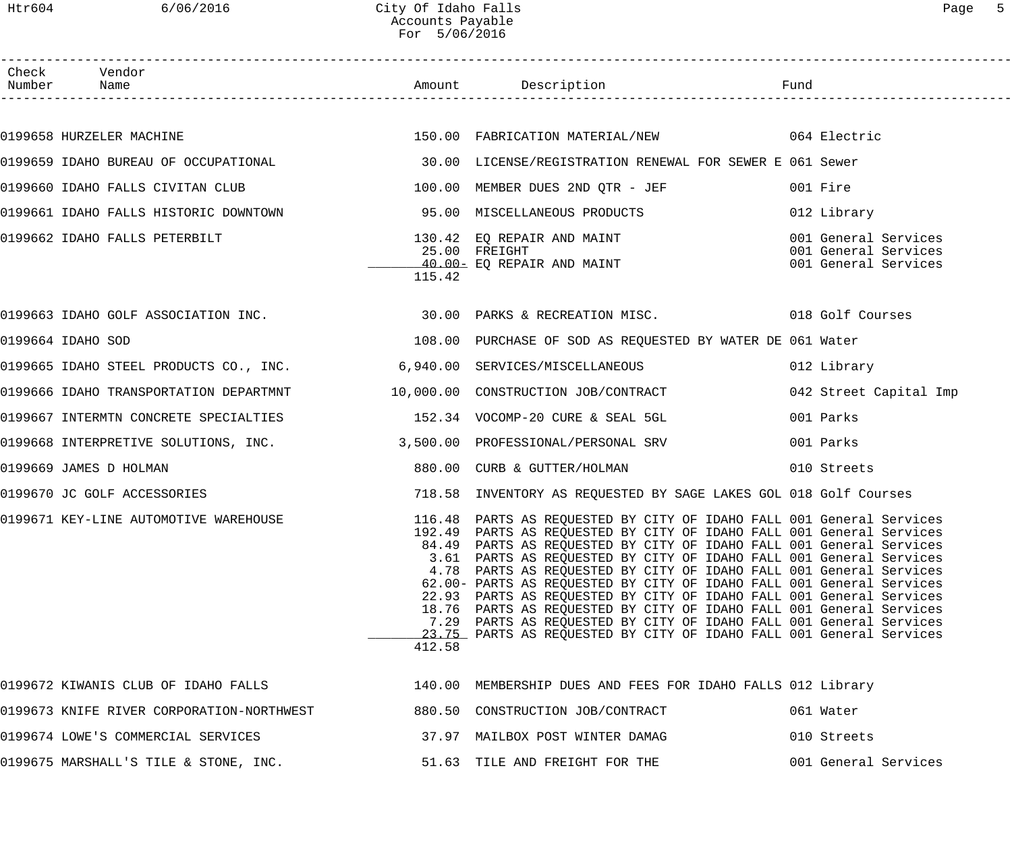| Check Vendor<br>Number Name                                                |        |                                                                                                                                                                                                                                                                                                                                                                                                                                                                                                                                                                                                                                                                                                                                    |                                                                      |
|----------------------------------------------------------------------------|--------|------------------------------------------------------------------------------------------------------------------------------------------------------------------------------------------------------------------------------------------------------------------------------------------------------------------------------------------------------------------------------------------------------------------------------------------------------------------------------------------------------------------------------------------------------------------------------------------------------------------------------------------------------------------------------------------------------------------------------------|----------------------------------------------------------------------|
|                                                                            |        |                                                                                                                                                                                                                                                                                                                                                                                                                                                                                                                                                                                                                                                                                                                                    |                                                                      |
|                                                                            |        |                                                                                                                                                                                                                                                                                                                                                                                                                                                                                                                                                                                                                                                                                                                                    |                                                                      |
|                                                                            |        |                                                                                                                                                                                                                                                                                                                                                                                                                                                                                                                                                                                                                                                                                                                                    |                                                                      |
| 0199660 IDAHO FALLS CIVITAN CLUB                                           |        | 100.00 MEMBER DUES 2ND QTR - JEF                                                                                                                                                                                                                                                                                                                                                                                                                                                                                                                                                                                                                                                                                                   | 001 Fire                                                             |
|                                                                            |        |                                                                                                                                                                                                                                                                                                                                                                                                                                                                                                                                                                                                                                                                                                                                    | 012 Library                                                          |
| 0199662 IDAHO FALLS PETERBILT                                              | 115.42 | 130.42 EQ REPAIR AND MAINT<br>25.00 FREIGHT<br>40.00- EO REPAIR AND MAINT<br>40.00- EQ REPAIR AND MAINT                                                                                                                                                                                                                                                                                                                                                                                                                                                                                                                                                                                                                            | 001 General Services<br>001 General Services<br>001 General Services |
|                                                                            |        | 0199663 IDAHO GOLF ASSOCIATION INC. 20.00 PARKS & RECREATION MISC. 2018 Golf Courses                                                                                                                                                                                                                                                                                                                                                                                                                                                                                                                                                                                                                                               |                                                                      |
| 0199664 IDAHO SOD                                                          |        | 108.00 PURCHASE OF SOD AS REQUESTED BY WATER DE 061 Water                                                                                                                                                                                                                                                                                                                                                                                                                                                                                                                                                                                                                                                                          |                                                                      |
| 0199665 IDAHO STEEL PRODUCTS CO., INC. 6,940.00 SERVICES/MISCELLANEOUS     |        |                                                                                                                                                                                                                                                                                                                                                                                                                                                                                                                                                                                                                                                                                                                                    | 012 Library                                                          |
| 0199666 IDAHO TRANSPORTATION DEPARTMNT 10,000.00 CONSTRUCTION JOB/CONTRACT |        |                                                                                                                                                                                                                                                                                                                                                                                                                                                                                                                                                                                                                                                                                                                                    | 042 Street Capital Imp                                               |
|                                                                            |        |                                                                                                                                                                                                                                                                                                                                                                                                                                                                                                                                                                                                                                                                                                                                    | 001 Parks                                                            |
| 0199668 INTERPRETIVE SOLUTIONS, INC.                                       |        | 3,500.00 PROFESSIONAL/PERSONAL SRV                                                                                                                                                                                                                                                                                                                                                                                                                                                                                                                                                                                                                                                                                                 | 001 Parks                                                            |
| 0199669 JAMES D HOLMAN                                                     |        | 880.00 CURB & GUTTER/HOLMAN                                                                                                                                                                                                                                                                                                                                                                                                                                                                                                                                                                                                                                                                                                        | 010 Streets                                                          |
| 0199670 JC GOLF ACCESSORIES                                                |        | 718.58 INVENTORY AS REQUESTED BY SAGE LAKES GOL 018 Golf Courses                                                                                                                                                                                                                                                                                                                                                                                                                                                                                                                                                                                                                                                                   |                                                                      |
| 0199671 KEY-LINE AUTOMOTIVE WAREHOUSE                                      | 412.58 | 116.48 PARTS AS REQUESTED BY CITY OF IDAHO FALL 001 General Services<br>192.49 PARTS AS REQUESTED BY CITY OF IDAHO FALL 001 General Services<br>84.49 PARTS AS REQUESTED BY CITY OF IDAHO FALL 001 General Services<br>3.61 PARTS AS REQUESTED BY CITY OF IDAHO FALL 001 General Services<br>4.78 PARTS AS REQUESTED BY CITY OF IDAHO FALL 001 General Services<br>62.00- PARTS AS REQUESTED BY CITY OF IDAHO FALL 001 General Services<br>22.93 PARTS AS REQUESTED BY CITY OF IDAHO FALL 001 General Services<br>18.76 PARTS AS REQUESTED BY CITY OF IDAHO FALL 001 General Services<br>7.29 PARTS AS REQUESTED BY CITY OF IDAHO FALL 001 General Services<br>23.75 PARTS AS REQUESTED BY CITY OF IDAHO FALL 001 General Services |                                                                      |
| 0199672 KIWANIS CLUB OF IDAHO FALLS                                        |        | 140.00 MEMBERSHIP DUES AND FEES FOR IDAHO FALLS 012 Library                                                                                                                                                                                                                                                                                                                                                                                                                                                                                                                                                                                                                                                                        |                                                                      |
| 0199673 KNIFE RIVER CORPORATION-NORTHWEST                                  |        | 880.50 CONSTRUCTION JOB/CONTRACT                                                                                                                                                                                                                                                                                                                                                                                                                                                                                                                                                                                                                                                                                                   | 061 Water                                                            |
| 0199674 LOWE'S COMMERCIAL SERVICES                                         |        | 37.97 MAILBOX POST WINTER DAMAG                                                                                                                                                                                                                                                                                                                                                                                                                                                                                                                                                                                                                                                                                                    | 010 Streets                                                          |
| 0199675 MARSHALL'S TILE & STONE, INC.                                      |        | 51.63 TILE AND FREIGHT FOR THE                                                                                                                                                                                                                                                                                                                                                                                                                                                                                                                                                                                                                                                                                                     | 001 General Services                                                 |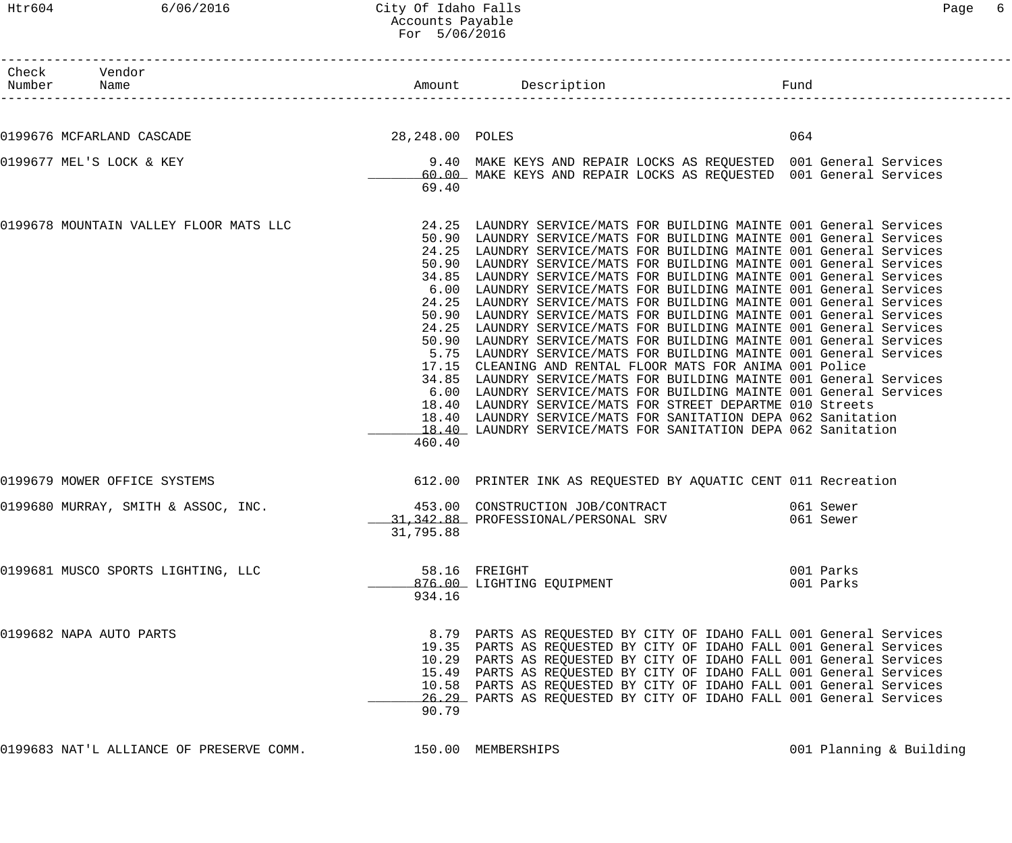# Htr604 6/06/2016 City Of Idaho Falls Content of Content of Page 6 Accounts Payable For 5/06/2016

| <sup>n</sup> herk<br>imber" | Name | חנור | $\sim$ | Tunc |
|-----------------------------|------|------|--------|------|

------------------------------------------------------------------------------------------------------------------------------------

| 0199676 MCFARLAND CASCADE              | 28,248.00 POLES         |                                                                                                                                                                                                                                                                                                                                                                                                                                                                                                                                                                                                                                                                                                                                                                                                                                                                                                                                                                                                                                                                                                                                                                                                                   | 064                    |
|----------------------------------------|-------------------------|-------------------------------------------------------------------------------------------------------------------------------------------------------------------------------------------------------------------------------------------------------------------------------------------------------------------------------------------------------------------------------------------------------------------------------------------------------------------------------------------------------------------------------------------------------------------------------------------------------------------------------------------------------------------------------------------------------------------------------------------------------------------------------------------------------------------------------------------------------------------------------------------------------------------------------------------------------------------------------------------------------------------------------------------------------------------------------------------------------------------------------------------------------------------------------------------------------------------|------------------------|
| 0199677 MEL'S LOCK & KEY               | 69.40                   | 9.40 MAKE KEYS AND REPAIR LOCKS AS REQUESTED 001 General Services<br>60.00 MAKE KEYS AND REPAIR LOCKS AS REQUESTED 001 General Services                                                                                                                                                                                                                                                                                                                                                                                                                                                                                                                                                                                                                                                                                                                                                                                                                                                                                                                                                                                                                                                                           |                        |
| 0199678 MOUNTAIN VALLEY FLOOR MATS LLC | 460.40                  | 24.25 LAUNDRY SERVICE/MATS FOR BUILDING MAINTE 001 General Services<br>50.90 LAUNDRY SERVICE/MATS FOR BUILDING MAINTE 001 General Services<br>24.25 LAUNDRY SERVICE/MATS FOR BUILDING MAINTE 001 General Services<br>50.90 LAUNDRY SERVICE/MATS FOR BUILDING MAINTE 001 General Services<br>34.85 LAUNDRY SERVICE/MATS FOR BUILDING MAINTE 001 General Services<br>6.00 LAUNDRY SERVICE/MATS FOR BUILDING MAINTE 001 General Services<br>24.25 LAUNDRY SERVICE/MATS FOR BUILDING MAINTE 001 General Services<br>50.90 LAUNDRY SERVICE/MATS FOR BUILDING MAINTE 001 General Services<br>24.25 LAUNDRY SERVICE/MATS FOR BUILDING MAINTE 001 General Services<br>50.90 LAUNDRY SERVICE/MATS FOR BUILDING MAINTE 001 General Services<br>5.75 LAUNDRY SERVICE/MATS FOR BUILDING MAINTE 001 General Services<br>17.15 CLEANING AND RENTAL FLOOR MATS FOR ANIMA 001 Police<br>34.85 LAUNDRY SERVICE/MATS FOR BUILDING MAINTE 001 General Services<br>6.00 LAUNDRY SERVICE/MATS FOR BUILDING MAINTE 001 General Services<br>18.40 LAUNDRY SERVICE/MATS FOR STREET DEPARTME 010 Streets<br>18.40 LAUNDRY SERVICE/MATS FOR SANITATION DEPA 062 Sanitation<br>18.40 LAUNDRY SERVICE/MATS FOR SANITATION DEPA 062 Sanitation |                        |
| 0199679 MOWER OFFICE SYSTEMS           |                         | 612.00 PRINTER INK AS REQUESTED BY AQUATIC CENT 011 Recreation                                                                                                                                                                                                                                                                                                                                                                                                                                                                                                                                                                                                                                                                                                                                                                                                                                                                                                                                                                                                                                                                                                                                                    |                        |
| 0199680 MURRAY, SMITH & ASSOC, INC.    | 31,795.88               | 453.00 CONSTRUCTION JOB/CONTRACT<br>31, 342.88 PROFESSIONAL/PERSONAL SRV                                                                                                                                                                                                                                                                                                                                                                                                                                                                                                                                                                                                                                                                                                                                                                                                                                                                                                                                                                                                                                                                                                                                          | 061 Sewer<br>061 Sewer |
| 0199681 MUSCO SPORTS LIGHTING, LLC     | 58.16 FREIGHT<br>934.16 | 876.00 LIGHTING EQUIPMENT                                                                                                                                                                                                                                                                                                                                                                                                                                                                                                                                                                                                                                                                                                                                                                                                                                                                                                                                                                                                                                                                                                                                                                                         | 001 Parks<br>001 Parks |
| 0199682 NAPA AUTO PARTS                | 90.79                   | 8.79 PARTS AS REQUESTED BY CITY OF IDAHO FALL 001 General Services<br>19.35 PARTS AS REQUESTED BY CITY OF IDAHO FALL 001 General Services<br>10.29 PARTS AS REQUESTED BY CITY OF IDAHO FALL 001 General Services<br>15.49 PARTS AS REQUESTED BY CITY OF IDAHO FALL 001 General Services<br>10.58 PARTS AS REQUESTED BY CITY OF IDAHO FALL 001 General Services<br>26.29 PARTS AS REQUESTED BY CITY OF IDAHO FALL 001 General Services                                                                                                                                                                                                                                                                                                                                                                                                                                                                                                                                                                                                                                                                                                                                                                             |                        |

0199683 NAT'L ALLIANCE OF PRESERVE COMM. 150.00 MEMBERSHIPS 6 001 Planning & Building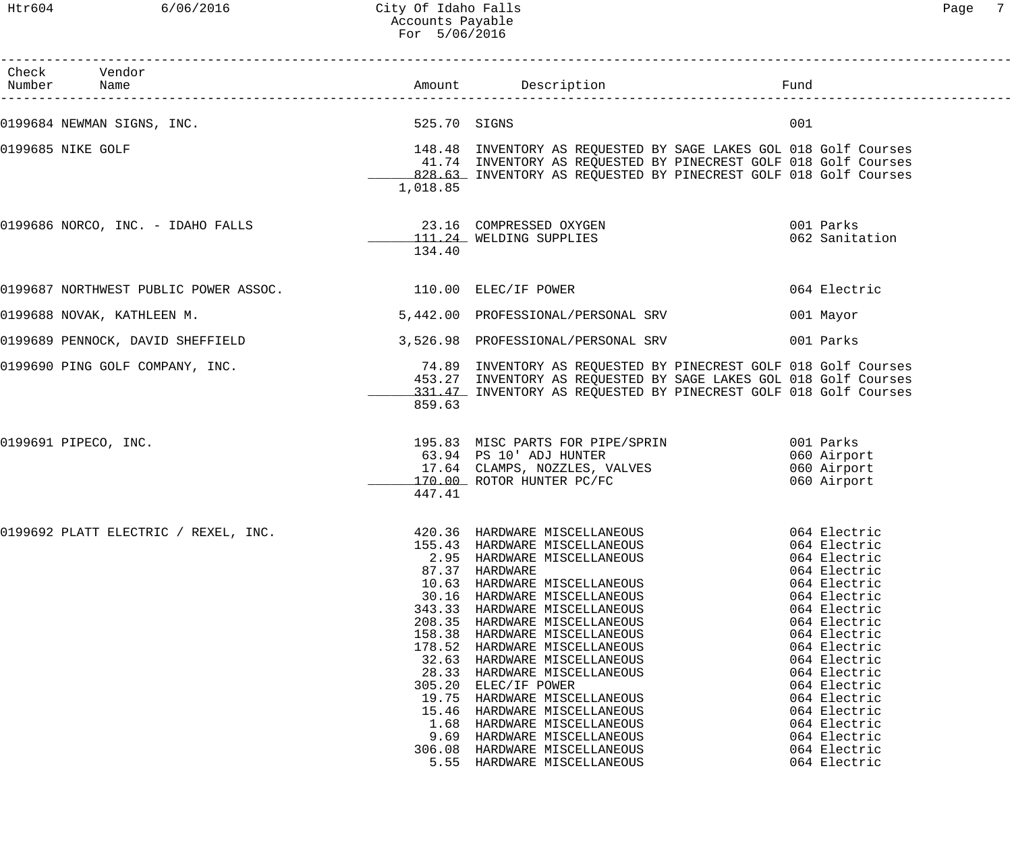Htr604 6/06/2016 City Of Idaho Falls Page 7 Accounts Payable For 5/06/2016

| Check Vendor<br>Number Name                                  |                                                                                                                                                           |                                                                                                                                                                                                                                                                                                                                                                                                                                                                                                 | Fund | -----------------------------                                                                                                                                                                                                                                                                                |
|--------------------------------------------------------------|-----------------------------------------------------------------------------------------------------------------------------------------------------------|-------------------------------------------------------------------------------------------------------------------------------------------------------------------------------------------------------------------------------------------------------------------------------------------------------------------------------------------------------------------------------------------------------------------------------------------------------------------------------------------------|------|--------------------------------------------------------------------------------------------------------------------------------------------------------------------------------------------------------------------------------------------------------------------------------------------------------------|
| 0199684 NEWMAN SIGNS, INC.                                   | 525.70 SIGNS                                                                                                                                              |                                                                                                                                                                                                                                                                                                                                                                                                                                                                                                 | 001  |                                                                                                                                                                                                                                                                                                              |
| 0199685 NIKE GOLF                                            | 1,018.85                                                                                                                                                  | 148.48 INVENTORY AS REQUESTED BY SAGE LAKES GOL 018 Golf Courses<br>41.74 INVENTORY AS REQUESTED BY PINECREST GOLF 018 Golf Courses<br>828.63 INVENTORY AS REQUESTED BY PINECREST GOLF 018 Golf Courses                                                                                                                                                                                                                                                                                         |      |                                                                                                                                                                                                                                                                                                              |
| 0199686 NORCO, INC. - IDAHO FALLS 23.16 COMPRESSED OXYGEN    | 134.40                                                                                                                                                    | 111.24 WELDING SUPPLIES                                                                                                                                                                                                                                                                                                                                                                                                                                                                         |      | 001 Parks<br>062 Sanitation                                                                                                                                                                                                                                                                                  |
| 0199687 NORTHWEST PUBLIC POWER ASSOC. 4 110.00 ELEC/IF POWER |                                                                                                                                                           |                                                                                                                                                                                                                                                                                                                                                                                                                                                                                                 |      | 064 Electric                                                                                                                                                                                                                                                                                                 |
| 0199688 NOVAK, KATHLEEN M.                                   |                                                                                                                                                           | 5,442.00 PROFESSIONAL/PERSONAL SRV                                                                                                                                                                                                                                                                                                                                                                                                                                                              |      | 001 Mayor                                                                                                                                                                                                                                                                                                    |
| 0199689 PENNOCK, DAVID SHEFFIELD                             |                                                                                                                                                           | 3,526.98 PROFESSIONAL/PERSONAL SRV                                                                                                                                                                                                                                                                                                                                                                                                                                                              |      | 001 Parks                                                                                                                                                                                                                                                                                                    |
| 0199690 PING GOLF COMPANY, INC.                              | 859.63                                                                                                                                                    | 74.89 INVENTORY AS REQUESTED BY PINECREST GOLF 018 Golf Courses<br>453.27 INVENTORY AS REQUESTED BY SAGE LAKES GOL 018 Golf Courses<br>331.47 INVENTORY AS REQUESTED BY PINECREST GOLF 018 Golf Courses                                                                                                                                                                                                                                                                                         |      |                                                                                                                                                                                                                                                                                                              |
| 0199691 PIPECO, INC.                                         | 447.41                                                                                                                                                    | 195.83 MISC PARTS FOR PIPE/SPRIN 6001 Parks<br>63.94 PS 10' ADJ HUNTER<br>17.64 CLAMPS, NOZZLES, VALVES<br>170.00 ROTOR HUNTER PC/FC                                                                                                                                                                                                                                                                                                                                                            |      | 060 Airport<br>060 Airport<br>060 Airport                                                                                                                                                                                                                                                                    |
| 0199692 PLATT ELECTRIC / REXEL, INC.                         | 155.43<br>87.37<br>10.63<br>30.16<br>343.33<br>208.35<br>158.38<br>178.52<br>32.63<br>28.33<br>305.20<br>19.75<br>15.46<br>1.68<br>9.69<br>306.08<br>5.55 | 420.36 HARDWARE MISCELLANEOUS<br>HARDWARE MISCELLANEOUS<br>2.95 HARDWARE MISCELLANEOUS<br>HARDWARE<br>HARDWARE MISCELLANEOUS<br>HARDWARE MISCELLANEOUS<br>HARDWARE MISCELLANEOUS<br>HARDWARE MISCELLANEOUS<br>HARDWARE MISCELLANEOUS<br>HARDWARE MISCELLANEOUS<br>HARDWARE MISCELLANEOUS<br>HARDWARE MISCELLANEOUS<br>ELEC/IF POWER<br>HARDWARE MISCELLANEOUS<br>HARDWARE MISCELLANEOUS<br>HARDWARE MISCELLANEOUS<br>HARDWARE MISCELLANEOUS<br>HARDWARE MISCELLANEOUS<br>HARDWARE MISCELLANEOUS |      | 064 Electric<br>064 Electric<br>064 Electric<br>064 Electric<br>064 Electric<br>064 Electric<br>064 Electric<br>064 Electric<br>064 Electric<br>064 Electric<br>064 Electric<br>064 Electric<br>064 Electric<br>064 Electric<br>064 Electric<br>064 Electric<br>064 Electric<br>064 Electric<br>064 Electric |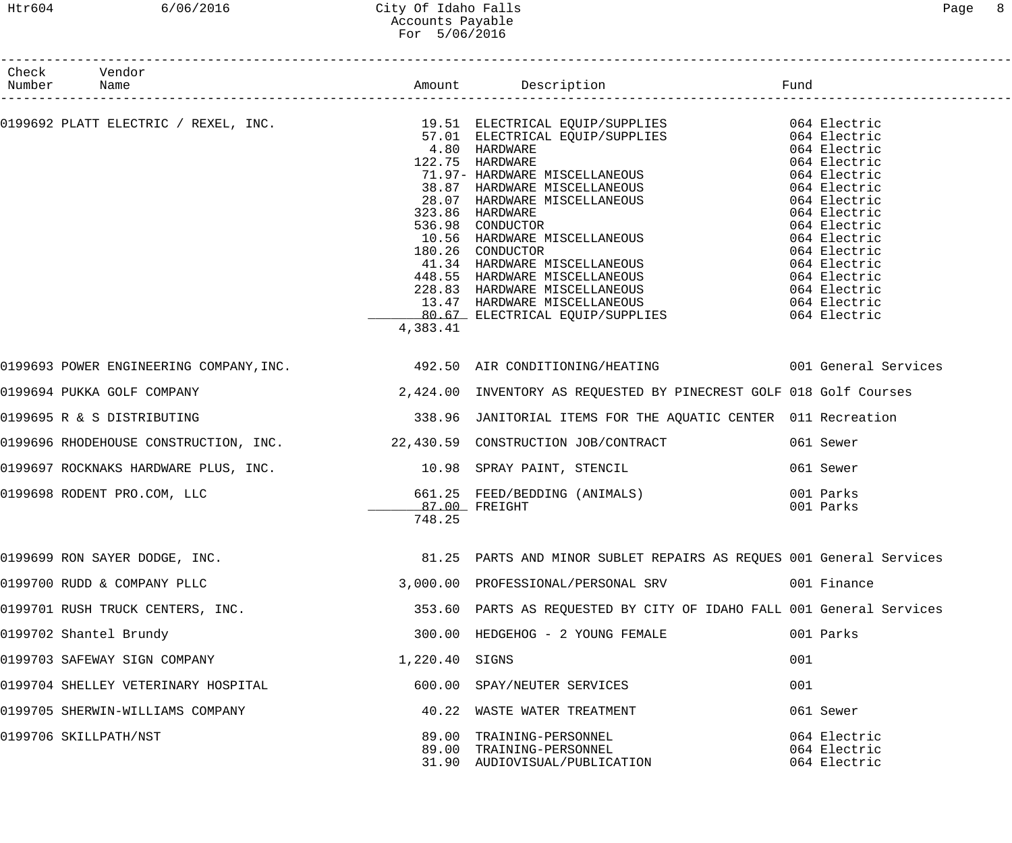#### Htr604 6/06/2016 City Of Idaho Falls Page 8 Accounts Payable For 5/06/2016

| Check Vendor<br>Number Name                                                                  |                         |                                                                                       |                                              |
|----------------------------------------------------------------------------------------------|-------------------------|---------------------------------------------------------------------------------------|----------------------------------------------|
|                                                                                              |                         |                                                                                       |                                              |
|                                                                                              | 4,383.41                |                                                                                       |                                              |
| 0199693 POWER ENGINEERING COMPANY,INC. 492.50 AIR CONDITIONING/HEATING 6001 General Services |                         |                                                                                       |                                              |
| 0199694 PUKKA GOLF COMPANY                                                                   |                         | 2,424.00 INVENTORY AS REQUESTED BY PINECREST GOLF 018 Golf Courses                    |                                              |
| 0199695 R & S DISTRIBUTING                                                                   |                         | 338.96 JANITORIAL ITEMS FOR THE AQUATIC CENTER 011 Recreation                         |                                              |
| 0199696 RHODEHOUSE CONSTRUCTION, INC. 22,430.59 CONSTRUCTION JOB/CONTRACT                    |                         |                                                                                       | 061 Sewer                                    |
| 0199697 ROCKNAKS HARDWARE PLUS, INC. 10.98 SPRAY PAINT, STENCIL                              |                         |                                                                                       | 061 Sewer                                    |
| 0199698 RODENT PRO.COM, LLC                                                                  | 87.00 FREIGHT<br>748.25 | 661.25 FEED/BEDDING (ANIMALS) 001 Parks                                               | 001 Parks                                    |
| 0199699 RON SAYER DODGE, INC.                                                                |                         | 81.25 PARTS AND MINOR SUBLET REPAIRS AS REQUES 001 General Services                   |                                              |
| 0199700 RUDD & COMPANY PLLC                                                                  |                         | 3,000.00 PROFESSIONAL/PERSONAL SRV                                                    | 001 Finance                                  |
| 0199701 RUSH TRUCK CENTERS, INC.                                                             |                         | 353.60 PARTS AS REQUESTED BY CITY OF IDAHO FALL 001 General Services                  |                                              |
| 0199702 Shantel Brundy                                                                       |                         | 300.00 HEDGEHOG - 2 YOUNG FEMALE                                                      | 001 Parks                                    |
| 0199703 SAFEWAY SIGN COMPANY                                                                 | 1,220.40 SIGNS          |                                                                                       | 001                                          |
| 0199704 SHELLEY VETERINARY HOSPITAL                                                          |                         | 600.00 SPAY/NEUTER SERVICES                                                           | 001                                          |
| 0199705 SHERWIN-WILLIAMS COMPANY                                                             |                         | 40.22 WASTE WATER TREATMENT                                                           | 061 Sewer                                    |
| 0199706 SKILLPATH/NST                                                                        |                         | 89.00 TRAINING-PERSONNEL<br>89.00 TRAINING-PERSONNEL<br>31.90 AUDIOVISUAL/PUBLICATION | 064 Electric<br>064 Electric<br>064 Electric |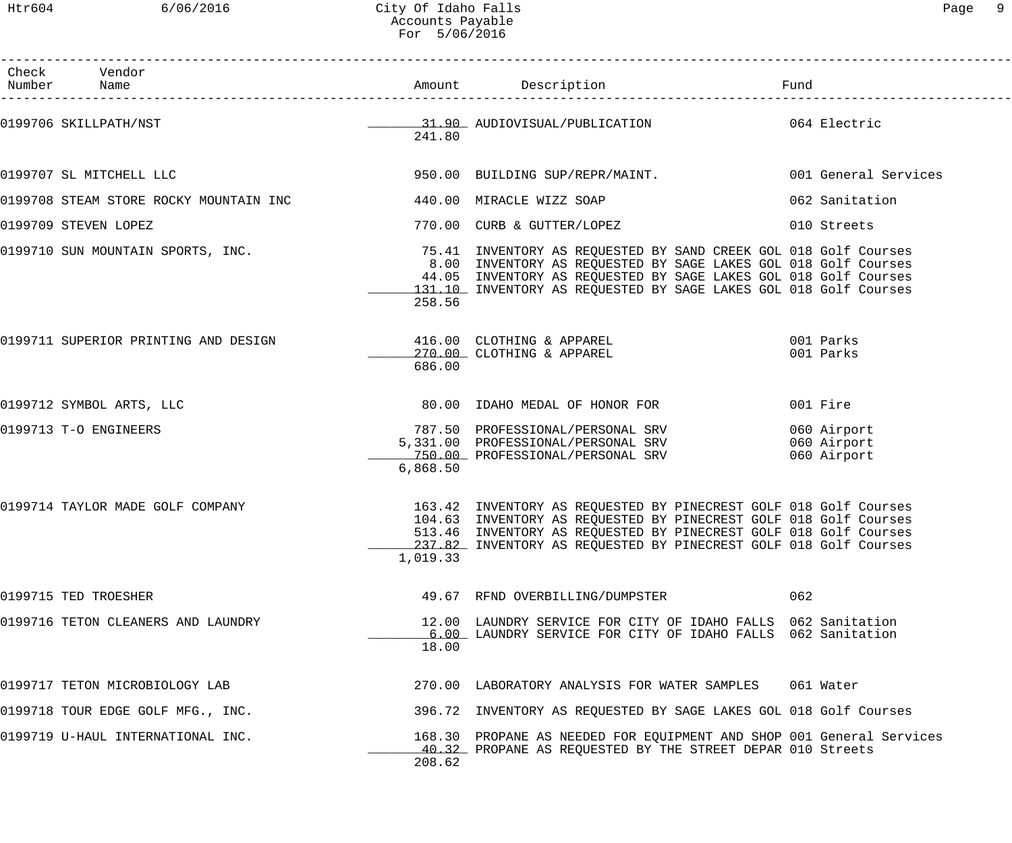------------------------------------------------------------------------------------------------------------------------------------

| Check<br>Number          | Vendor                             |          |                                                                                                                                                                                                                                                                              | Fund      |                            |
|--------------------------|------------------------------------|----------|------------------------------------------------------------------------------------------------------------------------------------------------------------------------------------------------------------------------------------------------------------------------------|-----------|----------------------------|
|                          |                                    | 241.80   | 0199706 SKILLPATH/NST 1064 Electric                                                                                                                                                                                                                                          |           |                            |
|                          |                                    |          | 0199707 SL MITCHELL LLC <b>CONTROL CONTROLS SUBBER AVERE</b> PROTECT 950.00 BUILDING SUP/REPR/MAINT. THE SUPPOSE ON General Services                                                                                                                                         |           |                            |
|                          |                                    |          |                                                                                                                                                                                                                                                                              |           | 062 Sanitation             |
| 0199709 STEVEN LOPEZ     |                                    |          | 770.00 CURB & GUTTER/LOPEZ                                                                                                                                                                                                                                                   |           | 010 Streets                |
|                          | 0199710 SUN MOUNTAIN SPORTS, INC.  | 258.56   | 75.41 INVENTORY AS REQUESTED BY SAND CREEK GOL 018 Golf Courses<br>8.00 INVENTORY AS REQUESTED BY SAGE LAKES GOL 018 Golf Courses<br>44.05 INVENTORY AS REQUESTED BY SAGE LAKES GOL 018 Golf Courses<br>131.10 INVENTORY AS REQUESTED BY SAGE LAKES GOL 018 Golf Courses     |           |                            |
|                          |                                    | 686.00   | 0199711 SUPERIOR PRINTING AND DESIGN 116.00 CLOTHING & APPAREL 199711 SUPERIOR PARKS<br>270.00 CLOTHING & APPAREL                                                                                                                                                            | 001 Parks |                            |
| 0199712 SYMBOL ARTS, LLC |                                    |          | 80.00 IDAHO MEDAL OF HONOR FOR                                                                                                                                                                                                                                               |           | 001 Fire                   |
| 0199713 T-O ENGINEERS    |                                    | 6,868.50 | 787.50 PROFESSIONAL/PERSONAL SRV<br>5,331.00 PROFESSIONAL/PERSONAL SRV 060 Airport<br>750.00 PROFESSIONAL/PERSONAL SRV                                                                                                                                                       |           | 060 Airport<br>060 Airport |
|                          | 0199714 TAYLOR MADE GOLF COMPANY   | 1,019.33 | 163.42 INVENTORY AS REQUESTED BY PINECREST GOLF 018 Golf Courses<br>104.63 INVENTORY AS REQUESTED BY PINECREST GOLF 018 Golf Courses<br>513.46 INVENTORY AS REQUESTED BY PINECREST GOLF 018 Golf Courses<br>237.82 INVENTORY AS REQUESTED BY PINECREST GOLF 018 Golf Courses |           |                            |
| 0199715 TED TROESHER     |                                    |          | 49.67 RFND OVERBILLING/DUMPSTER                                                                                                                                                                                                                                              | 062       |                            |
|                          | 0199716 TETON CLEANERS AND LAUNDRY | 18.00    | 12.00 LAUNDRY SERVICE FOR CITY OF IDAHO FALLS 062 Sanitation<br>6.00 LAUNDRY SERVICE FOR CITY OF IDAHO FALLS 062 Sanitation                                                                                                                                                  |           |                            |
|                          | 0199717 TETON MICROBIOLOGY LAB     |          | 270.00 LABORATORY ANALYSIS FOR WATER SAMPLES                                                                                                                                                                                                                                 |           | 061 Water                  |
|                          | 0199718 TOUR EDGE GOLF MFG., INC.  |          | 396.72 INVENTORY AS REQUESTED BY SAGE LAKES GOL 018 Golf Courses                                                                                                                                                                                                             |           |                            |
|                          | 0199719 U-HAUL INTERNATIONAL INC.  | 208.62   | 168.30 PROPANE AS NEEDED FOR EQUIPMENT AND SHOP 001 General Services<br>40.32 PROPANE AS REQUESTED BY THE STREET DEPAR 010 Streets                                                                                                                                           |           |                            |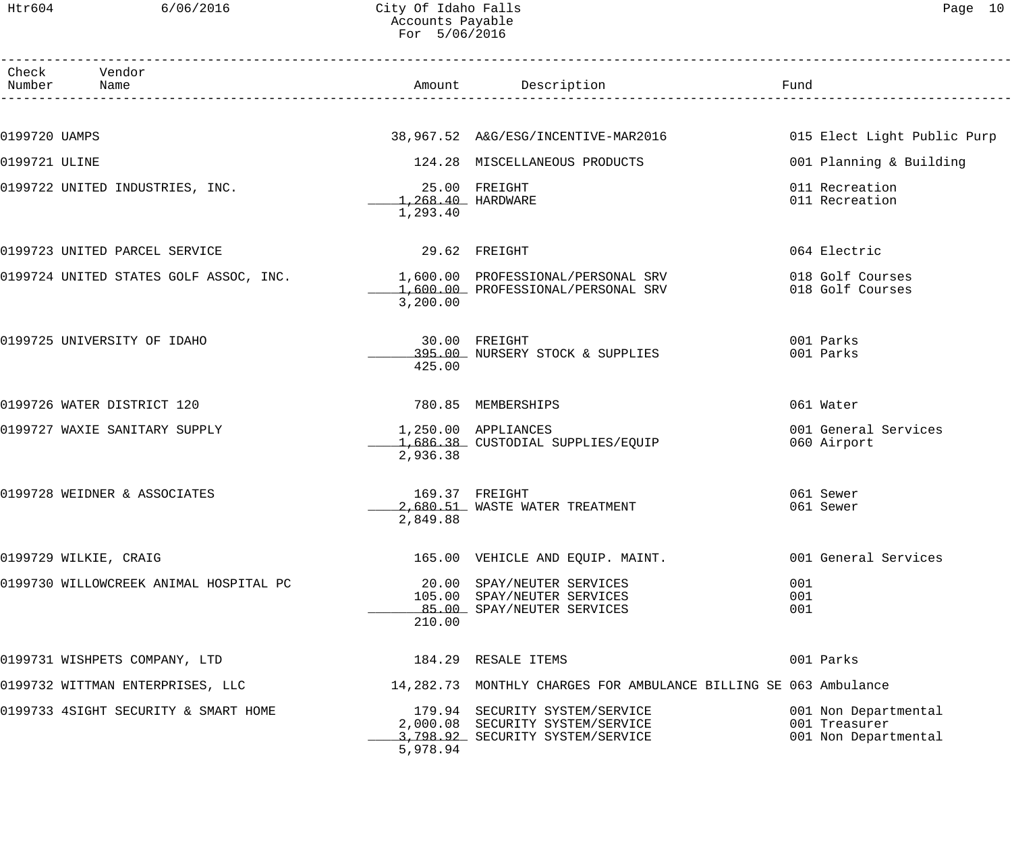Htr604 6/06/2016 City Of Idaho Falls Page 10 Accounts Payable For 5/06/2016

|               | Check Vendor<br>Number Name                                                 |                                                | Amount Description                                                                                     | Fund                                                          |
|---------------|-----------------------------------------------------------------------------|------------------------------------------------|--------------------------------------------------------------------------------------------------------|---------------------------------------------------------------|
|               |                                                                             |                                                |                                                                                                        |                                                               |
| 0199720 UAMPS |                                                                             |                                                | 38,967.52 A&G/ESG/INCENTIVE-MAR2016 015 Elect Light Public Purp                                        |                                                               |
| 0199721 ULINE |                                                                             |                                                | 124.28 MISCELLANEOUS PRODUCTS                                                                          | 001 Planning & Building                                       |
|               | 0199722 UNITED INDUSTRIES, INC.                                             | 25.00 FREIGHT<br>1,268.40 HARDWARE<br>1,293.40 |                                                                                                        | 011 Recreation<br>011 Recreation                              |
|               | 0199723 UNITED PARCEL SERVICE                                               | 29.62 FREIGHT                                  |                                                                                                        | 064 Electric                                                  |
|               | 0199724 UNITED STATES GOLF ASSOC, INC. $1,600.00$ PROFESSIONAL/PERSONAL SRV | 3,200.00                                       | 1,600.00 PROFESSIONAL/PERSONAL SRV                                                                     | 018 Golf Courses<br>018 Golf Courses                          |
|               | 0199725 UNIVERSITY OF IDAHO                                                 | 425.00                                         | 30.00 FREIGHT<br>395.00 NURSERY STOCK & SUPPLIES                                                       | 001 Parks<br>001 Parks                                        |
|               | 0199726 WATER DISTRICT 120                                                  |                                                | 780.85 MEMBERSHIPS                                                                                     | 061 Water                                                     |
|               | 0199727 WAXIE SANITARY SUPPLY                                               | 1,250.00 APPLIANCES<br>2,936.38                | 1,686.38 CUSTODIAL SUPPLIES/EQUIP                                                                      | 001 General Services<br>060 Airport                           |
|               | 0199728 WEIDNER & ASSOCIATES                                                | 169.37 FREIGHT<br>2,849.88                     | 2,680.51 WASTE WATER TREATMENT                                                                         | 061 Sewer<br>061 Sewer                                        |
|               | 0199729 WILKIE, CRAIG                                                       |                                                | 165.00 VEHICLE AND EQUIP. MAINT.                                                                       | 001 General Services                                          |
|               | 0199730 WILLOWCREEK ANIMAL HOSPITAL PC                                      | 210.00                                         | 20.00 SPAY/NEUTER SERVICES<br>105.00 SPAY/NEUTER SERVICES<br>85.00 SPAY/NEUTER SERVICES                | 001<br>001<br>001                                             |
|               | 0199731 WISHPETS COMPANY, LTD                                               |                                                | 184.29 RESALE ITEMS                                                                                    | 001 Parks                                                     |
|               | 0199732 WITTMAN ENTERPRISES, LLC                                            |                                                | 14,282.73 MONTHLY CHARGES FOR AMBULANCE BILLING SE 063 Ambulance                                       |                                                               |
|               | 0199733 4SIGHT SECURITY & SMART HOME                                        | 5,978.94                                       | 179.94 SECURITY SYSTEM/SERVICE<br>2,000.08 SECURITY SYSTEM/SERVICE<br>3,798.92 SECURITY SYSTEM/SERVICE | 001 Non Departmental<br>001 Treasurer<br>001 Non Departmental |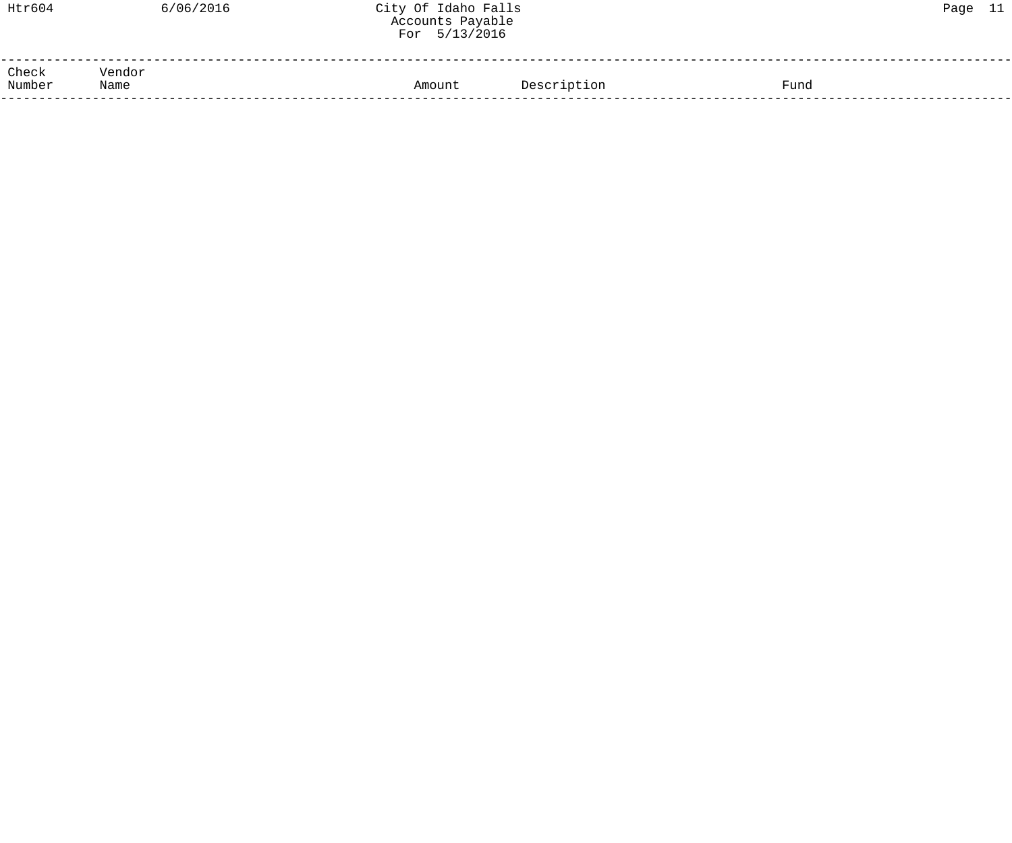| Htr604          |                | 6/06/2016 | City Of Idaho Falls<br>Accounts Payable<br>For 5/13/2016 |             |      | Page 11 |  |
|-----------------|----------------|-----------|----------------------------------------------------------|-------------|------|---------|--|
| Check<br>Number | Vendor<br>Name |           | Amount                                                   | Description | Fund |         |  |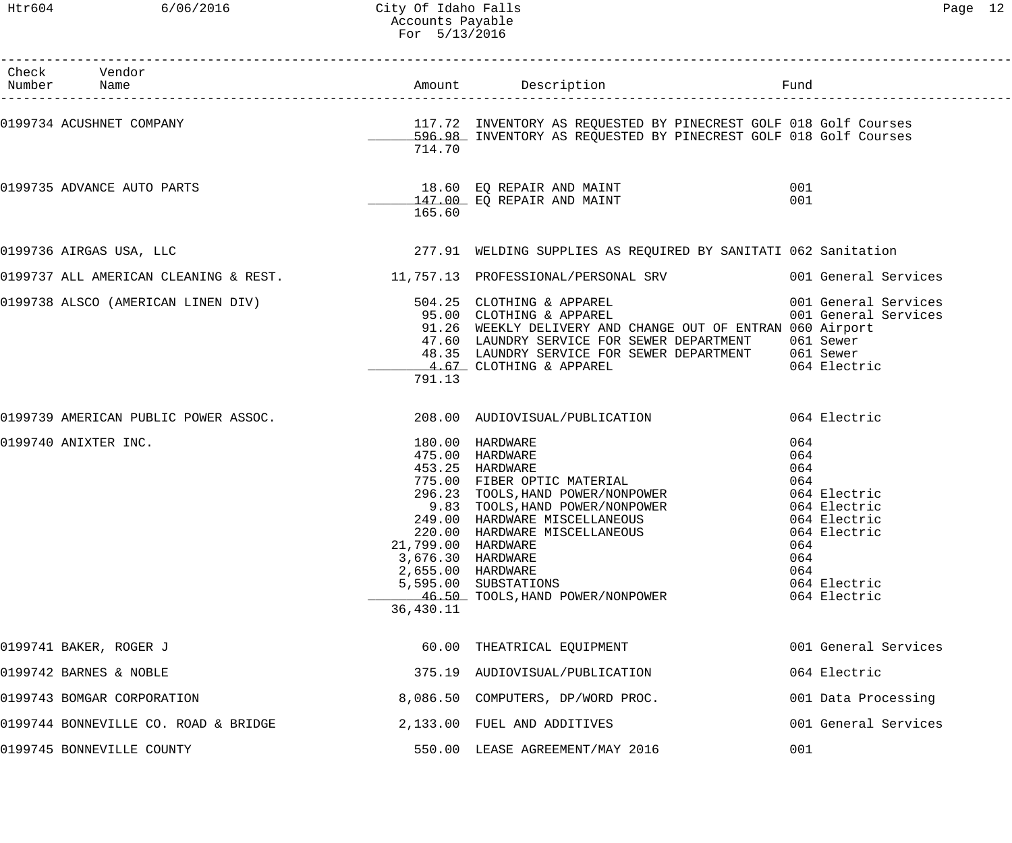# Htr604 6/06/2016 City Of Idaho Falls Page 12 Accounts Payable For 5/13/2016

| Check Vendor<br>Number Name                                         |                                                                           |                                                                                                                                                                                                                                                                                                                                                                    |                                                                                                                                               |
|---------------------------------------------------------------------|---------------------------------------------------------------------------|--------------------------------------------------------------------------------------------------------------------------------------------------------------------------------------------------------------------------------------------------------------------------------------------------------------------------------------------------------------------|-----------------------------------------------------------------------------------------------------------------------------------------------|
|                                                                     | 714.70                                                                    | 0199734 ACUSHNET COMPANY COMPANY COMPANY COMES SUBSERVERT AS REQUESTED BY PINECREST GOLF 018 Golf Courses<br>596.98 INVENTORY AS REQUESTED BY PINECREST GOLF 018 Golf Courses                                                                                                                                                                                      |                                                                                                                                               |
| 0199735 ADVANCE AUTO PARTS                                          | 165.60                                                                    | 18.60 EQ REPAIR AND MAINT<br>147.00 EQ REPAIR AND MAINT                                                                                                                                                                                                                                                                                                            | 001<br>001                                                                                                                                    |
| 0199736 AIRGAS USA, LLC                                             |                                                                           | 277.91 WELDING SUPPLIES AS REQUIRED BY SANITATI 062 Sanitation                                                                                                                                                                                                                                                                                                     |                                                                                                                                               |
|                                                                     |                                                                           | 0199737 ALL AMERICAN CLEANING & REST. 11,757.13 PROFESSIONAL/PERSONAL SRV 001 General Services                                                                                                                                                                                                                                                                     |                                                                                                                                               |
|                                                                     | 791.13                                                                    | 0199738 ALSCO (AMERICAN LINEN DIV)            504.25 CLOTHING & APPAREL             001 General Services<br>95.00 CLOTHING & APPAREL                95.00<br>91.26 WEEKLY DELIVERY AND CHANGE OUT OF ENTRAN 060 Airport<br>47.60 LAUNDRY SERVICE FOR SEWER DEPARTMENT 061 Sewer<br>48.35 LAUNDRY SERVICE FOR SEWER DEPARTMENT 061 Sewer<br>4.67 CLOTHING & APPAREL | 064 Electric                                                                                                                                  |
| 0199739 AMERICAN PUBLIC POWER ASSOC. 208.00 AUDIOVISUAL/PUBLICATION |                                                                           |                                                                                                                                                                                                                                                                                                                                                                    | 064 Electric                                                                                                                                  |
| 0199740 ANIXTER INC.                                                | 21,799.00 HARDWARE<br>3,676.30 HARDWARE<br>2,655.00 HARDWARE<br>36,430.11 | 180.00 HARDWARE<br>475.00 HARDWARE<br>453.25 HARDWARE<br>775.00 FIBER OPTIC MATERIAL<br>296.23 TOOLS, HAND POWER/NONPOWER<br>9.83 TOOLS, HAND POWER/NONPOWER<br>249.00 HARDWARE MISCELLANEOUS<br>220.00 HARDWARE MISCELLANEOUS<br>5,595.00 SUBSTATIONS<br>46.50 TOOLS, HAND POWER/NONPOWER                                                                         | 064<br>064<br>064<br>064<br>064 Electric<br>064 Electric<br>064 Electric<br>064 Electric<br>064<br>064<br>064<br>064 Electric<br>064 Electric |
| 0199741 BAKER, ROGER J                                              |                                                                           | 60.00 THEATRICAL EQUIPMENT                                                                                                                                                                                                                                                                                                                                         | 001 General Services                                                                                                                          |
| 0199742 BARNES & NOBLE                                              |                                                                           | 375.19 AUDIOVISUAL/PUBLICATION                                                                                                                                                                                                                                                                                                                                     | 064 Electric                                                                                                                                  |
| 0199743 BOMGAR CORPORATION                                          |                                                                           | 8,086.50 COMPUTERS, DP/WORD PROC.                                                                                                                                                                                                                                                                                                                                  | 001 Data Processing                                                                                                                           |
| 0199744 BONNEVILLE CO. ROAD & BRIDGE                                |                                                                           | 2,133.00 FUEL AND ADDITIVES                                                                                                                                                                                                                                                                                                                                        | 001 General Services                                                                                                                          |
| 0199745 BONNEVILLE COUNTY                                           |                                                                           | 550.00 LEASE AGREEMENT/MAY 2016                                                                                                                                                                                                                                                                                                                                    | 001                                                                                                                                           |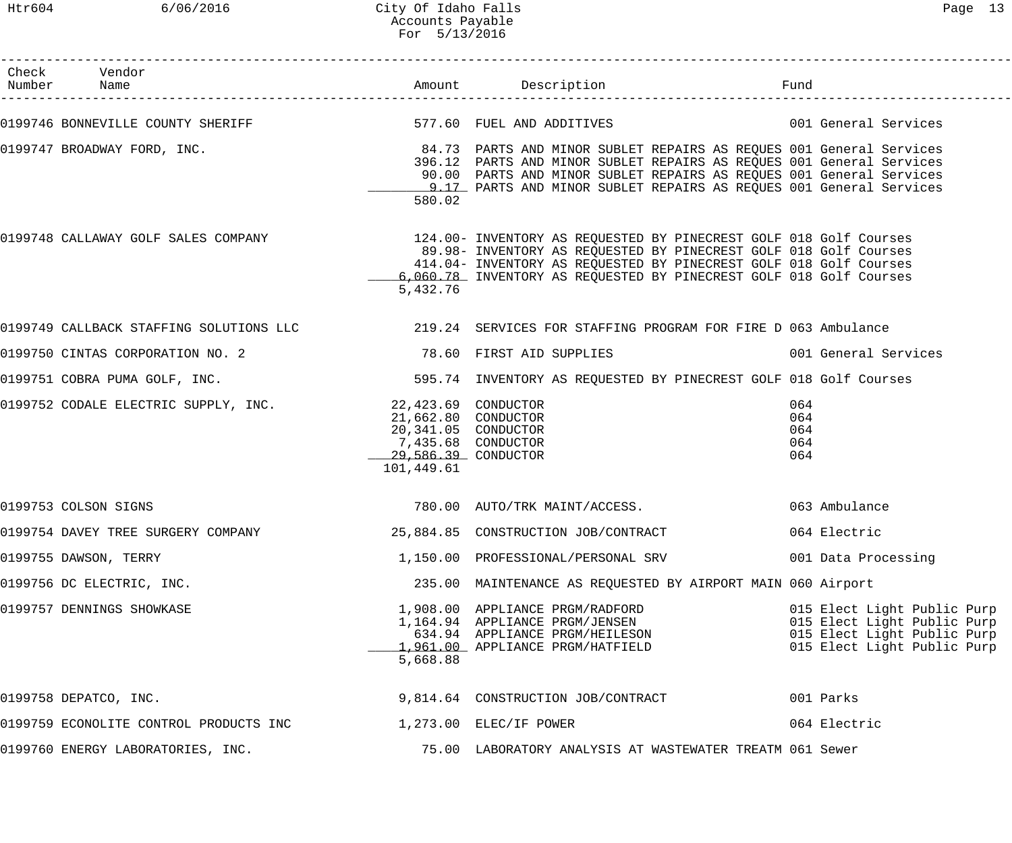Htr604 6/06/2016 City Of Idaho Falls Page 13 Accounts Payable For 5/13/2016

| Check Vendor<br>Number Name                                            |                                                                                                         |                                                                                                                                                                                                                                                                                                                      | Fund                                                                                                                     |
|------------------------------------------------------------------------|---------------------------------------------------------------------------------------------------------|----------------------------------------------------------------------------------------------------------------------------------------------------------------------------------------------------------------------------------------------------------------------------------------------------------------------|--------------------------------------------------------------------------------------------------------------------------|
|                                                                        |                                                                                                         | 0199746 BONNEVILLE COUNTY SHERIFF TERREST STRING STRING TO FUEL AND ADDITIVES THE STRING ON General Services                                                                                                                                                                                                         |                                                                                                                          |
| 0199747 BROADWAY FORD, INC.                                            | 580.02                                                                                                  | 84.73 PARTS AND MINOR SUBLET REPAIRS AS REQUES 001 General Services<br>396.12 PARTS AND MINOR SUBLET REPAIRS AS REQUES 001 General Services<br>90.00 PARTS AND MINOR SUBLET REPAIRS AS REQUES 001 General Services<br>9.17 PARTS AND MINOR SUBLET REPAIRS AS REQUES 001 General Services                             |                                                                                                                          |
|                                                                        | 5,432.76                                                                                                | 0199748 CALLAWAY GOLF SALES COMPANY 124.00- INVENTORY AS REQUESTED BY PINECREST GOLF 018 Golf Courses<br>89.98- INVENTORY AS REQUESTED BY PINECREST GOLF 018 Golf Courses<br>414.04- INVENTORY AS REQUESTED BY PINECREST GOLF 018 Golf Courses<br>6,060.78 INVENTORY AS REQUESTED BY PINECREST GOLF 018 Golf Courses |                                                                                                                          |
|                                                                        |                                                                                                         | 0199749 CALLBACK STAFFING SOLUTIONS LLC 219.24 SERVICES FOR STAFFING PROGRAM FOR FIRE D 063 Ambulance                                                                                                                                                                                                                |                                                                                                                          |
|                                                                        |                                                                                                         |                                                                                                                                                                                                                                                                                                                      | 001 General Services                                                                                                     |
| 0199751 COBRA PUMA GOLF, INC.                                          |                                                                                                         | 595.74 INVENTORY AS REQUESTED BY PINECREST GOLF 018 Golf Courses                                                                                                                                                                                                                                                     |                                                                                                                          |
| 0199752 CODALE ELECTRIC SUPPLY, INC. 22,423.69 CONDUCTOR               | 21,662.80 CONDUCTOR<br>20,341.05 CONDUCTOR<br>7,435.68 CONDUCTOR<br>$29,586.39$ CONDUCTOR<br>101,449.61 |                                                                                                                                                                                                                                                                                                                      | 064<br>064<br>064<br>064<br>064                                                                                          |
| 0199753 COLSON SIGNS                                                   |                                                                                                         | 780.00 AUTO/TRK MAINT/ACCESS.                                                                                                                                                                                                                                                                                        | 063 Ambulance                                                                                                            |
| 0199754 DAVEY TREE SURGERY COMPANY 25,884.85 CONSTRUCTION JOB/CONTRACT |                                                                                                         |                                                                                                                                                                                                                                                                                                                      | 064 Electric                                                                                                             |
| 0199755 DAWSON, TERRY                                                  |                                                                                                         | 1,150.00 PROFESSIONAL/PERSONAL SRV                                                                                                                                                                                                                                                                                   | 001 Data Processing                                                                                                      |
| 0199756 DC ELECTRIC, INC.                                              |                                                                                                         | 235.00 MAINTENANCE AS REQUESTED BY AIRPORT MAIN 060 Airport                                                                                                                                                                                                                                                          |                                                                                                                          |
| 0199757 DENNINGS SHOWKASE                                              | 5,668.88                                                                                                | 1,908.00 APPLIANCE PRGM/RADFORD<br>1,164.94 APPLIANCE PRGM/JENSEN<br>634.94 APPLIANCE PRGM/HEILESON<br>1,961.00 APPLIANCE PRGM/HATFIELD                                                                                                                                                                              | 015 Elect Light Public Purp<br>015 Elect Light Public Purp<br>015 Elect Light Public Purp<br>015 Elect Light Public Purp |
| 0199758 DEPATCO, INC.                                                  |                                                                                                         | 9,814.64 CONSTRUCTION JOB/CONTRACT                                                                                                                                                                                                                                                                                   | 001 Parks                                                                                                                |
| 0199759 ECONOLITE CONTROL PRODUCTS INC                                 |                                                                                                         | $1,273.00$ ELEC/IF POWER                                                                                                                                                                                                                                                                                             | 064 Electric                                                                                                             |
| 0199760 ENERGY LABORATORIES, INC.                                      |                                                                                                         | 75.00 LABORATORY ANALYSIS AT WASTEWATER TREATM 061 Sewer                                                                                                                                                                                                                                                             |                                                                                                                          |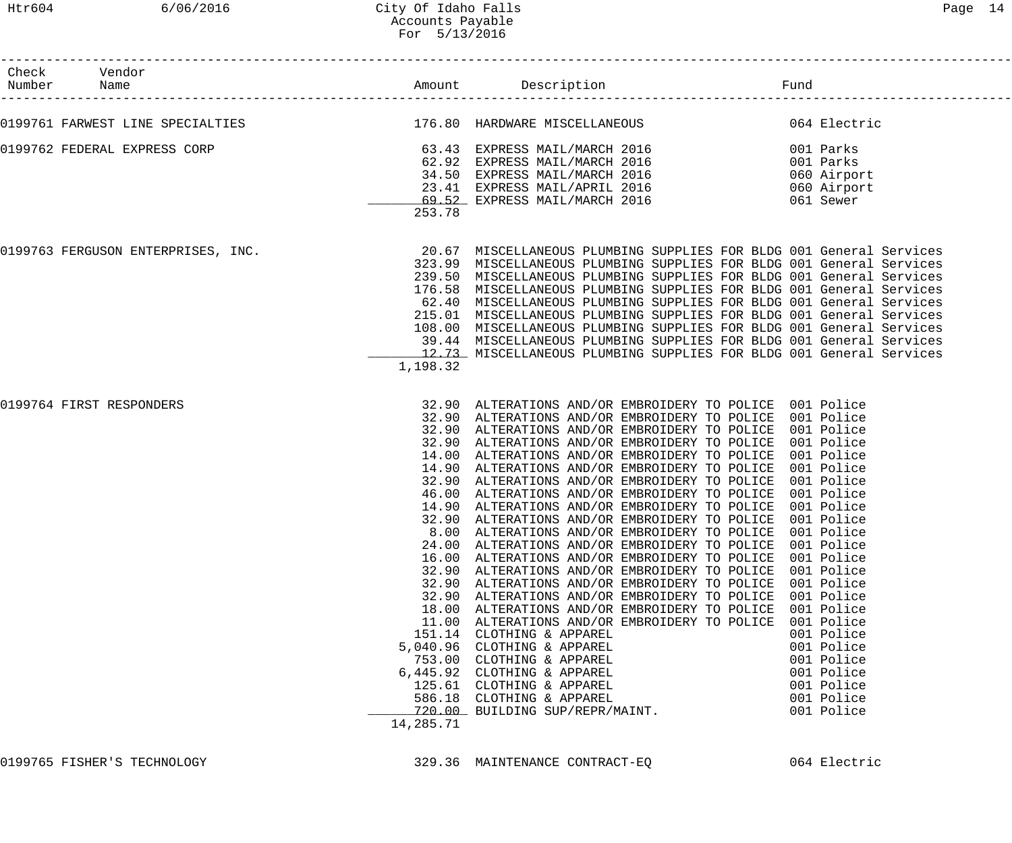| Check Vendor<br>Number Name<br>-------------------- |                    | Amount Description                                                                                                                                                                                                                                                                                                                                                                                                                                                                                                                                                                                                                                                                                                                                                                                                                                                                                                                                                                                                                                                                                                                                                                                                                                                                                                      | Fund |                                                                                                              |
|-----------------------------------------------------|--------------------|-------------------------------------------------------------------------------------------------------------------------------------------------------------------------------------------------------------------------------------------------------------------------------------------------------------------------------------------------------------------------------------------------------------------------------------------------------------------------------------------------------------------------------------------------------------------------------------------------------------------------------------------------------------------------------------------------------------------------------------------------------------------------------------------------------------------------------------------------------------------------------------------------------------------------------------------------------------------------------------------------------------------------------------------------------------------------------------------------------------------------------------------------------------------------------------------------------------------------------------------------------------------------------------------------------------------------|------|--------------------------------------------------------------------------------------------------------------|
|                                                     |                    | 0199761 FARWEST LINE SPECIALTIES                               176.80 HARDWARE MISCELLANEOUS                               064 Electric                                                                                                                                                                                                                                                                                                                                                                                                                                                                                                                                                                                                                                                                                                                                                                                                                                                                                                                                                                                                                                                                                                                                                                                 |      |                                                                                                              |
| 0199762 FEDERAL EXPRESS CORP                        | 253.78             | 63.43 EXPRESS MAIL/MARCH 2016<br>62.92 EXPRESS MAIL/MARCH 2016<br>$001$ 1.<br>060 Airport<br>060 Airport<br>061 Sewer<br>34.50 EXPRESS MAIL/MARCH 2016<br>23.41 EXPRESS MAIL/APRIL 2016<br>69.52 EXPRESS MAIL/MARCH 2016                                                                                                                                                                                                                                                                                                                                                                                                                                                                                                                                                                                                                                                                                                                                                                                                                                                                                                                                                                                                                                                                                                |      |                                                                                                              |
| 0199763 FERGUSON ENTERPRISES, INC.                  | 1,198.32           | 20.67 MISCELLANEOUS PLUMBING SUPPLIES FOR BLDG 001 General Services<br>323.99 MISCELLANEOUS PLUMBING SUPPLIES FOR BLDG 001 General Services<br>239.50 MISCELLANEOUS PLUMBING SUPPLIES FOR BLDG 001 General Services<br>176.58 MISCELLANEOUS PLUMBING SUPPLIES FOR BLDG 001 General Services<br>62.40 MISCELLANEOUS PLUMBING SUPPLIES FOR BLDG 001 General Services<br>215.01 MISCELLANEOUS PLUMBING SUPPLIES FOR BLDG 001 General Services<br>108.00 MISCELLANEOUS PLUMBING SUPPLIES FOR BLDG 001 General Services<br>39.44 MISCELLANEOUS PLUMBING SUPPLIES FOR BLDG 001 General Services<br>12.73 MISCELLANEOUS PLUMBING SUPPLIES FOR BLDG 001 General Services                                                                                                                                                                                                                                                                                                                                                                                                                                                                                                                                                                                                                                                        |      |                                                                                                              |
| 0199764 FIRST RESPONDERS                            | 24.00<br>14,285.71 | 32.90 ALTERATIONS AND/OR EMBROIDERY TO POLICE 001 Police<br>32.90 ALTERATIONS AND/OR EMBROIDERY TO POLICE 001 Police<br>32.90 ALTERATIONS AND/OR EMBROIDERY TO POLICE 001 Police<br>32.90 ALTERATIONS AND/OR EMBROIDERY TO POLICE 001 Police<br>14.00 ALTERATIONS AND/OR EMBROIDERY TO POLICE 001 Police<br>14.90 ALTERATIONS AND/OR EMBROIDERY TO POLICE 001 Police<br>32.90 ALTERATIONS AND/OR EMBROIDERY TO POLICE 001 Police<br>46.00 ALTERATIONS AND/OR EMBROIDERY TO POLICE 001 Police<br>14.90 ALTERATIONS AND/OR EMBROIDERY TO POLICE 001 Police<br>32.90 ALTERATIONS AND/OR EMBROIDERY TO POLICE 001 Police<br>8.00 ALTERATIONS AND/OR EMBROIDERY TO POLICE 001 Police<br>ALTERATIONS AND/OR EMBROIDERY TO POLICE 001 Police<br>16.00 ALTERATIONS AND/OR EMBROIDERY TO POLICE 001 Police<br>32.90 ALTERATIONS AND/OR EMBROIDERY TO POLICE 001 Police<br>32.90 ALTERATIONS AND/OR EMBROIDERY TO POLICE 001 Police<br>32.90 ALTERATIONS AND/OR EMBROIDERY TO POLICE 001 Police<br>18.00 ALTERATIONS AND/OR EMBROIDERY TO POLICE 001 Police<br>11.00 ALTERATIONS AND/OR EMBROIDERY TO POLICE<br>151.14 CLOTHING & APPAREL<br>5,040.96 CLOTHING & APPAREL<br>753.00 CLOTHING & APPAREL<br>6,445.92 CLOTHING & APPAREL<br>125.61 CLOTHING & APPAREL<br>586.18 CLOTHING & APPAREL<br>720.00 BUILDING SUP/REPR/MAINT. |      | 001 Police<br>001 Police<br>001 Police<br>001 Police<br>001 Police<br>001 Police<br>001 Police<br>001 Police |

0199765 FISHER'S TECHNOLOGY 329.36 MAINTENANCE CONTRACT-EQ 064 Electric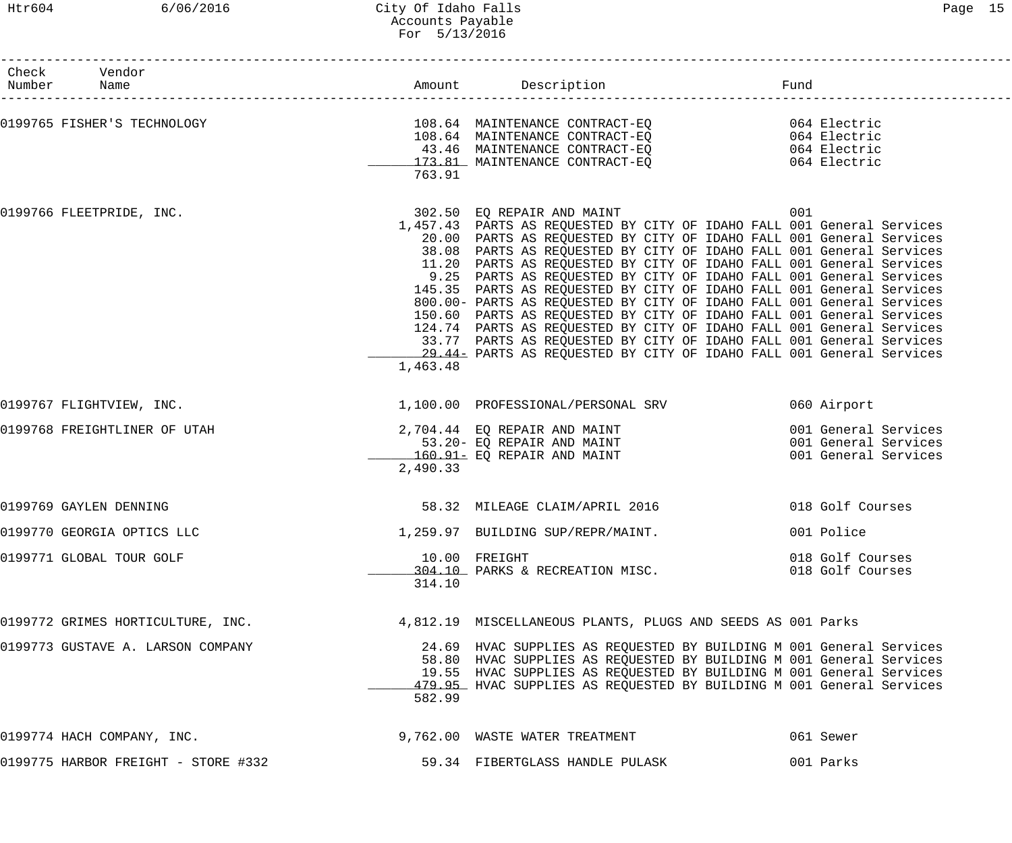------------------------------------------------------------------------------------------------------------------------------------

| Check<br>Number | Vendor<br>Name                      |          | Amount Description                                                                                                                                                                                                                                                                                                                                                                                                                                                                                                                                                                                                                                                                                                                                                                                                                              | Fund                                                                 |
|-----------------|-------------------------------------|----------|-------------------------------------------------------------------------------------------------------------------------------------------------------------------------------------------------------------------------------------------------------------------------------------------------------------------------------------------------------------------------------------------------------------------------------------------------------------------------------------------------------------------------------------------------------------------------------------------------------------------------------------------------------------------------------------------------------------------------------------------------------------------------------------------------------------------------------------------------|----------------------------------------------------------------------|
|                 | 0199765 FISHER'S TECHNOLOGY         | 763.91   | 43.46 MAINTENANCE CONTRACT-EQ<br>173.81 MAINTENANCE CONTRACT-EQ 064 Electric                                                                                                                                                                                                                                                                                                                                                                                                                                                                                                                                                                                                                                                                                                                                                                    | 064 Electric                                                         |
|                 | 0199766 FLEETPRIDE, INC.            | 1,463.48 | 302.50 EQ REPAIR AND MAINT<br>1,457.43 PARTS AS REQUESTED BY CITY OF IDAHO FALL 001 General Services<br>20.00 PARTS AS REQUESTED BY CITY OF IDAHO FALL 001 General Services<br>38.08 PARTS AS REQUESTED BY CITY OF IDAHO FALL 001 General Services<br>11.20 PARTS AS REQUESTED BY CITY OF IDAHO FALL 001 General Services<br>9.25 PARTS AS REQUESTED BY CITY OF IDAHO FALL 001 General Services<br>145.35 PARTS AS REQUESTED BY CITY OF IDAHO FALL 001 General Services<br>800.00- PARTS AS REQUESTED BY CITY OF IDAHO FALL 001 General Services<br>150.60 PARTS AS REQUESTED BY CITY OF IDAHO FALL 001 General Services<br>124.74 PARTS AS REQUESTED BY CITY OF IDAHO FALL 001 General Services<br>33.77 PARTS AS REQUESTED BY CITY OF IDAHO FALL 001 General Services<br>29.44- PARTS AS REQUESTED BY CITY OF IDAHO FALL 001 General Services | 001                                                                  |
|                 | 0199767 FLIGHTVIEW, INC.            |          | 1,100.00 PROFESSIONAL/PERSONAL SRV                                                                                                                                                                                                                                                                                                                                                                                                                                                                                                                                                                                                                                                                                                                                                                                                              | 060 Airport                                                          |
|                 | 0199768 FREIGHTLINER OF UTAH        | 2,490.33 | 2,704.44 EQ REPAIR AND MAINT<br>53.20- EQ REPAIR AND MAINT<br>160.91- EQ REPAIR AND MAINT                                                                                                                                                                                                                                                                                                                                                                                                                                                                                                                                                                                                                                                                                                                                                       | 001 General Services<br>001 General Services<br>001 General Services |
|                 | 0199769 GAYLEN DENNING              |          | 58.32 MILEAGE CLAIM/APRIL 2016                                                                                                                                                                                                                                                                                                                                                                                                                                                                                                                                                                                                                                                                                                                                                                                                                  | 018 Golf Courses                                                     |
|                 | 0199770 GEORGIA OPTICS LLC          |          | 1,259.97 BUILDING SUP/REPR/MAINT.                                                                                                                                                                                                                                                                                                                                                                                                                                                                                                                                                                                                                                                                                                                                                                                                               | 001 Police                                                           |
|                 | 0199771 GLOBAL TOUR GOLF            | 314.10   | 10.00 FREIGHT<br>10.00 PARKS & RECREATION MISC.                                                                                                                                                                                                                                                                                                                                                                                                                                                                                                                                                                                                                                                                                                                                                                                                 | 018 Golf Courses<br>018 Golf Courses                                 |
|                 | 0199772 GRIMES HORTICULTURE, INC.   |          | 4,812.19 MISCELLANEOUS PLANTS, PLUGS AND SEEDS AS 001 Parks                                                                                                                                                                                                                                                                                                                                                                                                                                                                                                                                                                                                                                                                                                                                                                                     |                                                                      |
|                 | 0199773 GUSTAVE A. LARSON COMPANY   | 582.99   | 24.69 HVAC SUPPLIES AS REQUESTED BY BUILDING M 001 General Services<br>58.80 HVAC SUPPLIES AS REQUESTED BY BUILDING M 001 General Services<br>19.55 HVAC SUPPLIES AS REQUESTED BY BUILDING M 001 General Services<br>479.95 HVAC SUPPLIES AS REQUESTED BY BUILDING M 001 General Services                                                                                                                                                                                                                                                                                                                                                                                                                                                                                                                                                       |                                                                      |
|                 | 0199774 HACH COMPANY, INC.          |          | 9,762.00 WASTE WATER TREATMENT                                                                                                                                                                                                                                                                                                                                                                                                                                                                                                                                                                                                                                                                                                                                                                                                                  | 061 Sewer                                                            |
|                 | 0199775 HARBOR FREIGHT - STORE #332 |          | 59.34 FIBERTGLASS HANDLE PULASK                                                                                                                                                                                                                                                                                                                                                                                                                                                                                                                                                                                                                                                                                                                                                                                                                 | 001 Parks                                                            |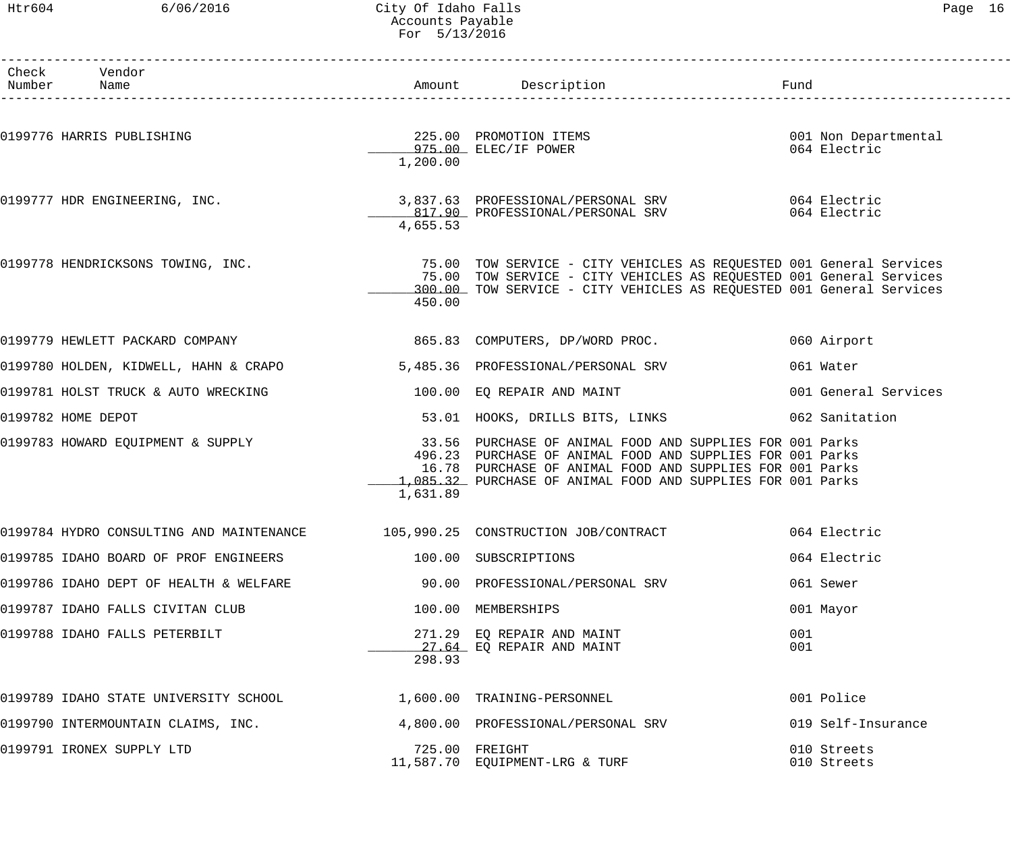### Htr604 6/06/2016 City Of Idaho Falls Page 16 Accounts Payable For 5/13/2016

| ∍aαe |  | 6 |
|------|--|---|
|      |  |   |

| Check Vendor<br>Number Name            |          | Amount Description                                                                                                                                                                                                                                           | Fund                                 |
|----------------------------------------|----------|--------------------------------------------------------------------------------------------------------------------------------------------------------------------------------------------------------------------------------------------------------------|--------------------------------------|
| 0199776 HARRIS PUBLISHING              | 1,200.00 | 225.00 PROMOTION ITEMS<br>975.00 ELEC/IF POWER                                                                                                                                                                                                               | 001 Non Departmental<br>064 Electric |
|                                        | 4,655.53 | 0199777 HDR ENGINEERING, INC. 2010 1997.63 PROFESSIONAL/PERSONAL SRV 3064 Electric<br>817.90 PROFESSIONAL/PERSONAL SRV                                                                                                                                       | 064 Electric                         |
|                                        | 450.00   | 0199778 HENDRICKSONS TOWING, INC. THE READ MALL TOW SERVICE - CITY VEHICLES AS REQUESTED 001 General Services<br>75.00 TOW SERVICE - CITY VEHICLES AS REQUESTED 001 General Services<br>300.00 TOW SERVICE - CITY VEHICLES AS REQUESTED 001 General Services |                                      |
| 0199779 HEWLETT PACKARD COMPANY        |          | 865.83 COMPUTERS, DP/WORD PROC.                                                                                                                                                                                                                              | 060 Airport                          |
| 0199780 HOLDEN, KIDWELL, HAHN & CRAPO  |          | 5,485.36 PROFESSIONAL/PERSONAL SRV                                                                                                                                                                                                                           | 061 Water                            |
| 0199781 HOLST TRUCK & AUTO WRECKING    |          | 100.00 EQ REPAIR AND MAINT                                                                                                                                                                                                                                   | 001 General Services                 |
| 0199782 HOME DEPOT                     |          | 53.01 HOOKS, DRILLS BITS, LINKS                                                                                                                                                                                                                              | 062 Sanitation                       |
| 0199783 HOWARD EQUIPMENT & SUPPLY      | 1,631.89 | 33.56 PURCHASE OF ANIMAL FOOD AND SUPPLIES FOR 001 Parks<br>496.23 PURCHASE OF ANIMAL FOOD AND SUPPLIES FOR 001 Parks<br>16.78 PURCHASE OF ANIMAL FOOD AND SUPPLIES FOR 001 Parks<br>1.085.32 PURCHASE OF ANIMAL FOOD AND SUPPLIES FOR 001 Parks             |                                      |
|                                        |          | 0199784 HYDRO CONSULTING AND MAINTENANCE 105,990.25 CONSTRUCTION JOB/CONTRACT 664 Electric                                                                                                                                                                   |                                      |
| 0199785 IDAHO BOARD OF PROF ENGINEERS  |          | 100.00 SUBSCRIPTIONS                                                                                                                                                                                                                                         | 064 Electric                         |
| 0199786 IDAHO DEPT OF HEALTH & WELFARE |          | 90.00 PROFESSIONAL/PERSONAL SRV                                                                                                                                                                                                                              | 061 Sewer                            |
| 0199787 IDAHO FALLS CIVITAN CLUB       |          | 100.00 MEMBERSHIPS                                                                                                                                                                                                                                           | 001 Mayor                            |
| 0199788 IDAHO FALLS PETERBILT          | 298.93   | 271.29 EQ REPAIR AND MAINT<br>27.64 EQ REPAIR AND MAINT                                                                                                                                                                                                      | 001<br>001                           |
| 0199789 IDAHO STATE UNIVERSITY SCHOOL  |          | 1,600.00 TRAINING-PERSONNEL                                                                                                                                                                                                                                  | 001 Police                           |
| 0199790 INTERMOUNTAIN CLAIMS, INC.     |          | 4,800.00 PROFESSIONAL/PERSONAL SRV                                                                                                                                                                                                                           | 019 Self-Insurance                   |
| 0199791 IRONEX SUPPLY LTD              |          | 725.00 FREIGHT<br>11,587.70 EQUIPMENT-LRG & TURF                                                                                                                                                                                                             | 010 Streets<br>010 Streets           |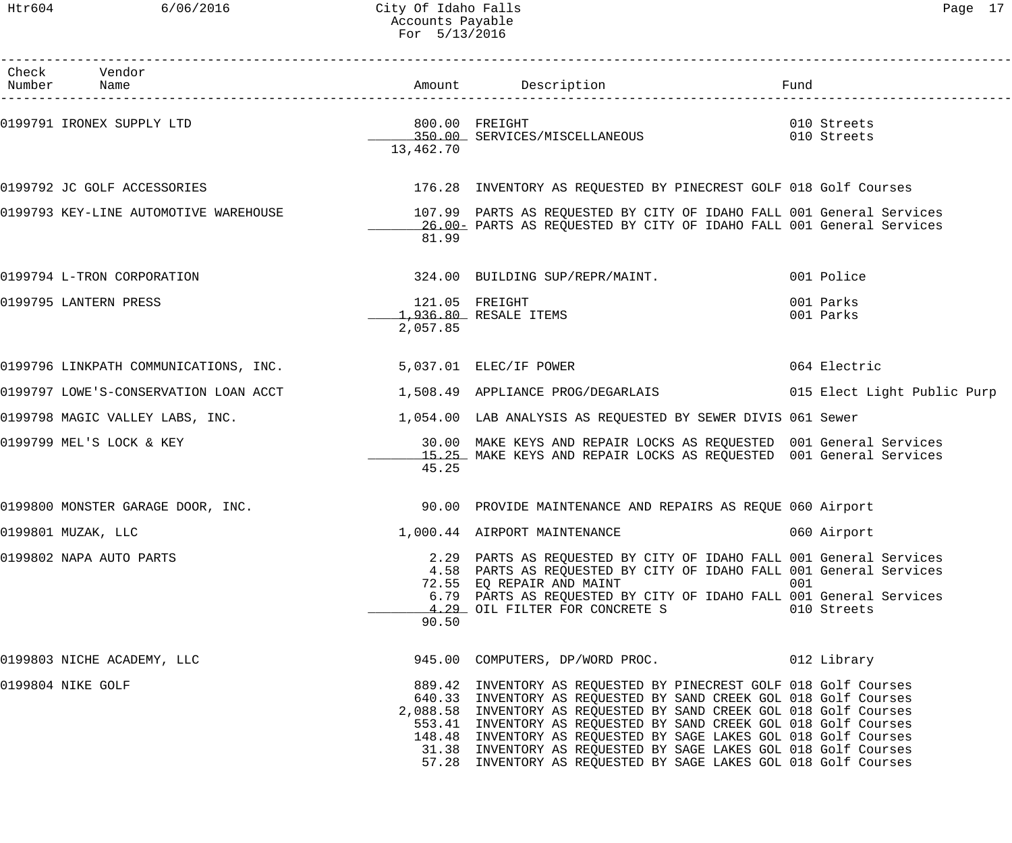# Htr604 6/06/2016 City Of Idaho Falls Page 17 Accounts Payable For 5/13/2016

| Check Vendor<br>Number Name           |           |                                                                                                                                                                                                                                                                                                                                                                                                                                                                                          |                            |
|---------------------------------------|-----------|------------------------------------------------------------------------------------------------------------------------------------------------------------------------------------------------------------------------------------------------------------------------------------------------------------------------------------------------------------------------------------------------------------------------------------------------------------------------------------------|----------------------------|
| 0199791 IRONEX SUPPLY LTD             | 13,462.70 | 800.00 FREIGHT<br>350.00 SERVICES/MISCELLANEOUS                                                                                                                                                                                                                                                                                                                                                                                                                                          | 010 Streets<br>010 Streets |
| 0199792 JC GOLF ACCESSORIES           |           | 176.28 INVENTORY AS REQUESTED BY PINECREST GOLF 018 Golf Courses                                                                                                                                                                                                                                                                                                                                                                                                                         |                            |
|                                       | 81.99     | 16.00 PARTS AS REQUESTED BY CITY OF IDAHO FALL 001 General Services                                                                                                                                                                                                                                                                                                                                                                                                                      |                            |
| 0199794 L-TRON CORPORATION            |           | 324.00 BUILDING SUP/REPR/MAINT.                                                                                                                                                                                                                                                                                                                                                                                                                                                          | 001 Police                 |
| 0199795 LANTERN PRESS                 | 2,057.85  | 121.05 FREIGHT<br>1,936.80 RESALE ITEMS                                                                                                                                                                                                                                                                                                                                                                                                                                                  | 001 Parks<br>001 Parks     |
| 0199796 LINKPATH COMMUNICATIONS, INC. |           | 5,037.01 ELEC/IF POWER                                                                                                                                                                                                                                                                                                                                                                                                                                                                   | 064 Electric               |
|                                       |           |                                                                                                                                                                                                                                                                                                                                                                                                                                                                                          |                            |
| 0199798 MAGIC VALLEY LABS, INC.       |           | 1,054.00 LAB ANALYSIS AS REQUESTED BY SEWER DIVIS 061 Sewer                                                                                                                                                                                                                                                                                                                                                                                                                              |                            |
| 0199799 MEL'S LOCK & KEY              | 45.25     | 30.00 MAKE KEYS AND REPAIR LOCKS AS REQUESTED 001 General Services<br>15.25 MAKE KEYS AND REPAIR LOCKS AS REQUESTED 001 General Services                                                                                                                                                                                                                                                                                                                                                 |                            |
| 0199800 MONSTER GARAGE DOOR, INC.     |           | 90.00 PROVIDE MAINTENANCE AND REPAIRS AS REQUE 060 Airport                                                                                                                                                                                                                                                                                                                                                                                                                               |                            |
| 0199801 MUZAK, LLC                    |           | 1,000.44 AIRPORT MAINTENANCE                                                                                                                                                                                                                                                                                                                                                                                                                                                             | 060 Airport                |
| 0199802 NAPA AUTO PARTS               | 90.50     | 2.29 PARTS AS REQUESTED BY CITY OF IDAHO FALL 001 General Services<br>4.58 PARTS AS REQUESTED BY CITY OF IDAHO FALL 001 General Services<br>72.55 EQ REPAIR AND MAINT<br>6.79 PARTS AS REQUESTED BY CITY OF IDAHO FALL 001 General Services<br>4.29 OIL FILTER FOR CONCRETE S                                                                                                                                                                                                            | 001<br>010 Streets         |
| 0199803 NICHE ACADEMY, LLC            |           | 945.00 COMPUTERS, DP/WORD PROC. 012 Library                                                                                                                                                                                                                                                                                                                                                                                                                                              |                            |
| 0199804 NIKE GOLF                     |           | 889.42 INVENTORY AS REQUESTED BY PINECREST GOLF 018 Golf Courses<br>640.33 INVENTORY AS REQUESTED BY SAND CREEK GOL 018 Golf Courses<br>2,088.58 INVENTORY AS REQUESTED BY SAND CREEK GOL 018 Golf Courses<br>553.41 INVENTORY AS REQUESTED BY SAND CREEK GOL 018 Golf Courses<br>148.48 INVENTORY AS REQUESTED BY SAGE LAKES GOL 018 Golf Courses<br>31.38 INVENTORY AS REQUESTED BY SAGE LAKES GOL 018 Golf Courses<br>57.28 INVENTORY AS REQUESTED BY SAGE LAKES GOL 018 Golf Courses |                            |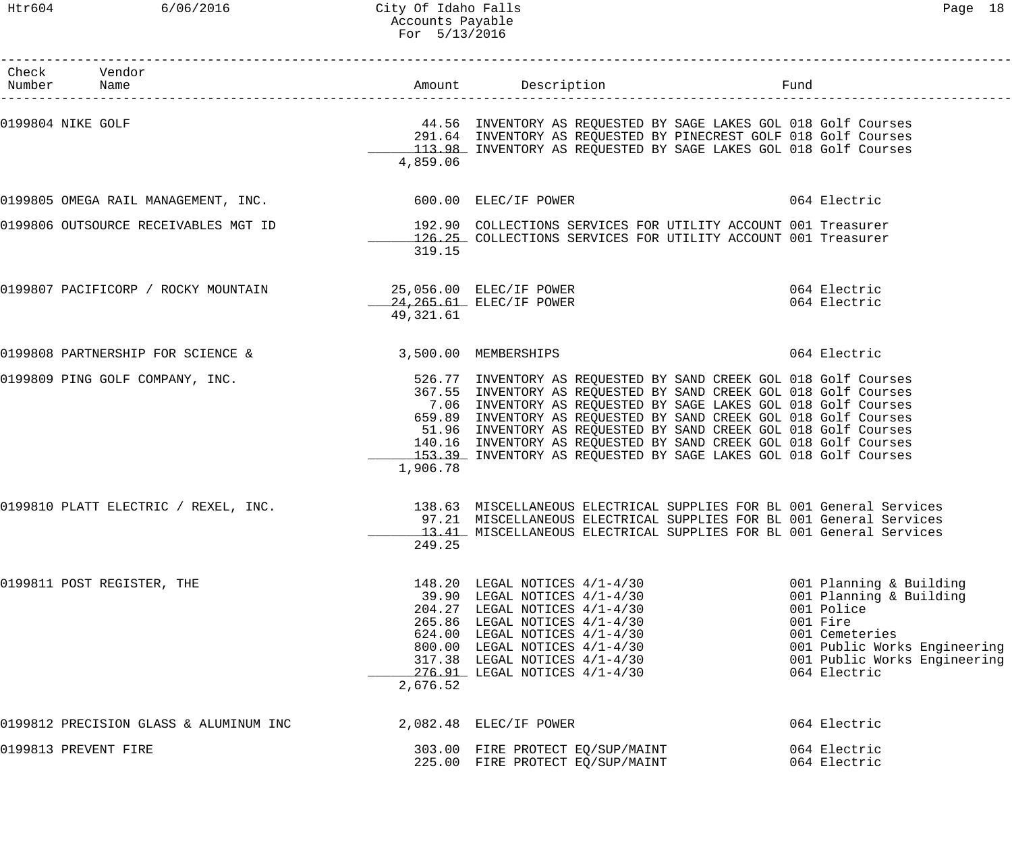# Htr604 6/06/2016 City Of Idaho Falls Page 18 Accounts Payable For 5/13/2016

| Check Vendor<br>Number Name                                                                                      |           |                                                                                                                                                                                                                                                                                                                                                                                                                                                                                       |                                                                                                                                                                                |
|------------------------------------------------------------------------------------------------------------------|-----------|---------------------------------------------------------------------------------------------------------------------------------------------------------------------------------------------------------------------------------------------------------------------------------------------------------------------------------------------------------------------------------------------------------------------------------------------------------------------------------------|--------------------------------------------------------------------------------------------------------------------------------------------------------------------------------|
| 0199804 NIKE GOLF                                                                                                | 4,859.06  | 44.56 INVENTORY AS REQUESTED BY SAGE LAKES GOL 018 Golf Courses<br>291.64 INVENTORY AS REQUESTED BY PINECREST GOLF 018 Golf Courses<br>113.98 INVENTORY AS REQUESTED BY SAGE LAKES GOL 018 Golf Courses                                                                                                                                                                                                                                                                               |                                                                                                                                                                                |
| 0199805 OMEGA RAIL MANAGEMENT, INC. 600.00 ELEC/IF POWER                                                         |           |                                                                                                                                                                                                                                                                                                                                                                                                                                                                                       | 064 Electric                                                                                                                                                                   |
|                                                                                                                  | 319.15    | 0199806 OUTSOURCE RECEIVABLES MGT ID <a>&gt;&gt;&gt;&gt;&gt;&gt; <a>&gt; <a><a>192.90</a></a></a>COLLECTIONS SERVICES FOR UTILITY ACCOUNT 001 Treasurer</a><br>126.25 COLLECTIONS SERVICES FOR UTILITY ACCOUNT 001 Treasurer                                                                                                                                                                                                                                                          |                                                                                                                                                                                |
| 0199807 PACIFICORP / ROCKY MOUNTAIN                           25,056.00 ELEC/IF POWER<br>24.265.61 ELEC/IF POWER | 49,321.61 |                                                                                                                                                                                                                                                                                                                                                                                                                                                                                       | 064 Electric<br>064 Electric                                                                                                                                                   |
| 0199808 PARTNERSHIP FOR SCIENCE & 3,500.00 MEMBERSHIPS                                                           |           |                                                                                                                                                                                                                                                                                                                                                                                                                                                                                       | 064 Electric                                                                                                                                                                   |
| 0199809 PING GOLF COMPANY, INC.                                                                                  | 1,906.78  | 526.77 INVENTORY AS REQUESTED BY SAND CREEK GOL 018 Golf Courses<br>367.55 INVENTORY AS REQUESTED BY SAND CREEK GOL 018 Golf Courses<br>7.06 INVENTORY AS REQUESTED BY SAGE LAKES GOL 018 Golf Courses<br>659.89 INVENTORY AS REQUESTED BY SAND CREEK GOL 018 Golf Courses<br>51.96 INVENTORY AS REQUESTED BY SAND CREEK GOL 018 Golf Courses<br>140.16 INVENTORY AS REQUESTED BY SAND CREEK GOL 018 Golf Courses<br>153.39 INVENTORY AS REQUESTED BY SAGE LAKES GOL 018 Golf Courses |                                                                                                                                                                                |
| 0199810 PLATT ELECTRIC / REXEL, INC.                                                                             | 249.25    | 138.63 MISCELLANEOUS ELECTRICAL SUPPLIES FOR BL 001 General Services<br>97.21 MISCELLANEOUS ELECTRICAL SUPPLIES FOR BL 001 General Services<br>13.41 MISCELLANEOUS ELECTRICAL SUPPLIES FOR BL 001 General Services                                                                                                                                                                                                                                                                    |                                                                                                                                                                                |
| 0199811 POST REGISTER, THE                                                                                       | 2,676.52  | 148.20 LEGAL NOTICES 4/1-4/30<br>$39.90$ LEGAL NOTICES $4/1-4/30$<br>204.27 LEGAL NOTICES 4/1-4/30<br>265.86 LEGAL NOTICES 4/1-4/30<br>$624.00$ LEGAL NOTICES $4/1-4/30$<br>800.00 LEGAL NOTICES $4/1-4/30$<br>$317.38$ LEGAL NOTICES $4/1-4/30$<br>276.91 LEGAL NOTICES 4/1-4/30                                                                                                                                                                                                     | 001 Planning & Building<br>001 Planning & Building<br>001 Police<br>001 Fire<br>001 Cemeteries<br>001 Public Works Engineering<br>001 Public Works Engineering<br>064 Electric |
| 0199812 PRECISION GLASS & ALUMINUM INC                                                                           |           | 2,082.48 ELEC/IF POWER                                                                                                                                                                                                                                                                                                                                                                                                                                                                | 064 Electric                                                                                                                                                                   |
| 0199813 PREVENT FIRE                                                                                             |           | 303.00 FIRE PROTECT EQ/SUP/MAINT<br>225.00 FIRE PROTECT EQ/SUP/MAINT                                                                                                                                                                                                                                                                                                                                                                                                                  | 064 Electric<br>064 Electric                                                                                                                                                   |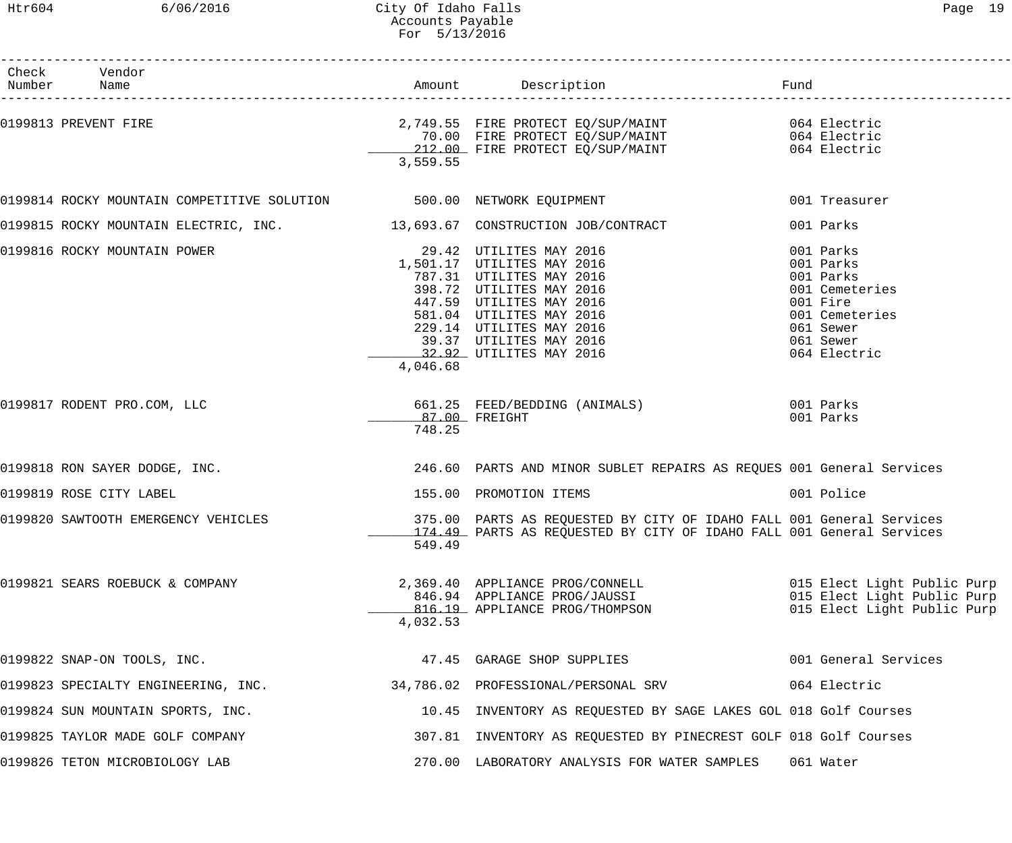# Htr604 6/06/2016 City Of Idaho Falls Page 19 Accounts Payable For 5/13/2016

| Check Vendor<br>Number Name                                               |               |                                                                                                                                                  | Fund                                                       |
|---------------------------------------------------------------------------|---------------|--------------------------------------------------------------------------------------------------------------------------------------------------|------------------------------------------------------------|
| 0199813 PREVENT FIRE                                                      |               |                                                                                                                                                  |                                                            |
|                                                                           |               |                                                                                                                                                  |                                                            |
|                                                                           |               | 2,749.55 FIRE PROTECT EQ/SUP/MAINT 064 Electric<br>70.00 FIRE PROTECT EQ/SUP/MAINT 064 Electric<br>212.00 FIRE PROTECT EQ/SUP/MAINT 064 Electric |                                                            |
|                                                                           | 3,559.55      |                                                                                                                                                  |                                                            |
| 0199814 ROCKY MOUNTAIN COMPETITIVE SOLUTION 500.00 NETWORK EQUIPMENT      |               |                                                                                                                                                  | 001 Treasurer                                              |
| 0199815 ROCKY MOUNTAIN ELECTRIC, INC. 13,693.67 CONSTRUCTION JOB/CONTRACT |               |                                                                                                                                                  | 001 Parks                                                  |
| 0199816 ROCKY MOUNTAIN POWER                                              |               | 29.42 UTILITES MAY 2016                                                                                                                          | 001 Parks                                                  |
|                                                                           |               | 1,501.17 UTILITES MAY 2016                                                                                                                       | 001 Parks                                                  |
|                                                                           |               | 787.31 UTILITES MAY 2016                                                                                                                         | 001 Parks                                                  |
|                                                                           |               | 398.72 UTILITES MAY 2016                                                                                                                         | 001 Cemeteries                                             |
|                                                                           |               | 447.59 UTILITES MAY 2016                                                                                                                         | 001 Fire                                                   |
|                                                                           |               | 581.04 UTILITES MAY 2016                                                                                                                         | 001 Cemeteries                                             |
|                                                                           |               | 229.14 UTILITES MAY 2016                                                                                                                         | 061 Sewer                                                  |
|                                                                           |               | 39.37 UTILITES MAY 2016                                                                                                                          | 061 Sewer                                                  |
|                                                                           | 4,046.68      | 32.92 UTILITES MAY 2016                                                                                                                          | 064 Electric                                               |
| 0199817 RODENT PRO.COM, LLC                                               |               | 661.25 FEED/BEDDING (ANIMALS) 001 Parks                                                                                                          |                                                            |
|                                                                           | 87.00 FREIGHT |                                                                                                                                                  | 001 Parks                                                  |
|                                                                           | 748.25        |                                                                                                                                                  |                                                            |
| 0199818 RON SAYER DODGE, INC.                                             |               | 246.60 PARTS AND MINOR SUBLET REPAIRS AS REQUES 001 General Services                                                                             |                                                            |
| 0199819 ROSE CITY LABEL                                                   |               | 155.00 PROMOTION ITEMS                                                                                                                           | 001 Police                                                 |
| 0199820 SAWTOOTH EMERGENCY VEHICLES                                       |               | 375.00 PARTS AS REQUESTED BY CITY OF IDAHO FALL 001 General Services                                                                             |                                                            |
|                                                                           | 549.49        | 174.49 PARTS AS REQUESTED BY CITY OF IDAHO FALL 001 General Services                                                                             |                                                            |
|                                                                           |               |                                                                                                                                                  |                                                            |
| 0199821 SEARS ROEBUCK & COMPANY                                           |               | 2,369.40 APPLIANCE PROG/CONNELL<br>846.94 APPLIANCE PROG/JAUSSI                                                                                  | 015 Elect Light Public Purp                                |
|                                                                           |               | 816.19 APPLIANCE PROG/THOMPSON                                                                                                                   | 015 Elect Light Public Purp<br>015 Elect Light Public Purp |
|                                                                           | 4,032.53      |                                                                                                                                                  |                                                            |
| 0199822 SNAP-ON TOOLS, INC.                                               |               | 47.45 GARAGE SHOP SUPPLIES                                                                                                                       | 001 General Services                                       |
| 0199823 SPECIALTY ENGINEERING, INC.                                       |               | 34,786.02 PROFESSIONAL/PERSONAL SRV                                                                                                              | 064 Electric                                               |
| 0199824 SUN MOUNTAIN SPORTS, INC.                                         |               | 10.45 INVENTORY AS REQUESTED BY SAGE LAKES GOL 018 Golf Courses                                                                                  |                                                            |
| 0199825 TAYLOR MADE GOLF COMPANY                                          |               | 307.81 INVENTORY AS REQUESTED BY PINECREST GOLF 018 Golf Courses                                                                                 |                                                            |
| 0199826 TETON MICROBIOLOGY LAB                                            |               | 270.00 LABORATORY ANALYSIS FOR WATER SAMPLES                                                                                                     | 061 Water                                                  |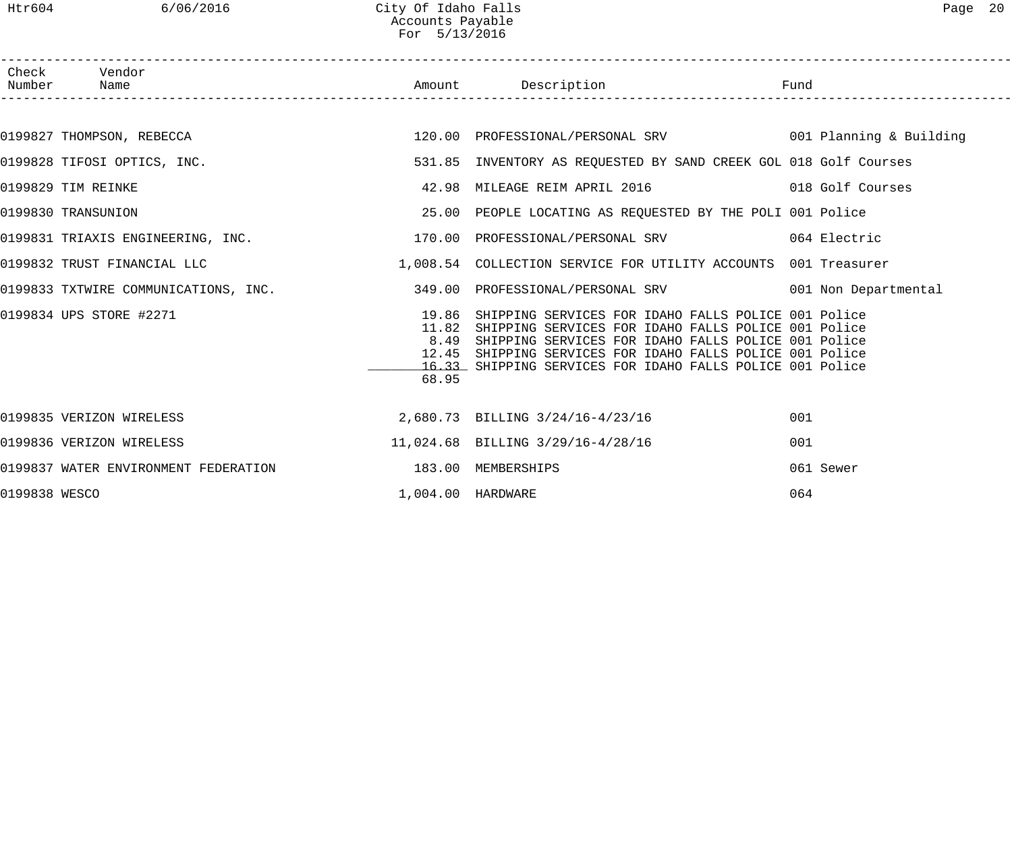Htr604 6/06/2016 City Of Idaho Falls Page 20 Accounts Payable For 5/13/2016

|               | Check Vendor<br>Number Name                                                                |                   |                                                                                                                                                                                                                                                                                                        |           |
|---------------|--------------------------------------------------------------------------------------------|-------------------|--------------------------------------------------------------------------------------------------------------------------------------------------------------------------------------------------------------------------------------------------------------------------------------------------------|-----------|
|               |                                                                                            |                   |                                                                                                                                                                                                                                                                                                        |           |
|               | 0199827 THOMPSON, REBECCA                                                                  |                   | 120.00 PROFESSIONAL/PERSONAL SRV 601 Planning & Building                                                                                                                                                                                                                                               |           |
|               | 0199828 TIFOSI OPTICS, INC.                                                                |                   | 531.85 INVENTORY AS REQUESTED BY SAND CREEK GOL 018 Golf Courses                                                                                                                                                                                                                                       |           |
|               | 0199829 TIM REINKE                                                                         |                   |                                                                                                                                                                                                                                                                                                        |           |
|               | 0199830 TRANSUNION                                                                         |                   | 25.00 PEOPLE LOCATING AS REQUESTED BY THE POLI 001 Police                                                                                                                                                                                                                                              |           |
|               | 0199831 TRIAXIS ENGINEERING, INC. 170.00 PROFESSIONAL/PERSONAL SRV 064 Electric            |                   |                                                                                                                                                                                                                                                                                                        |           |
|               | 0199832 TRUST FINANCIAL LLC (CONSERVICE FOR UTILITY ACCOUNTS 001 Treasurer                 |                   |                                                                                                                                                                                                                                                                                                        |           |
|               | 0199833 TXTWIRE COMMUNICATIONS, INC. 349.00 PROFESSIONAL/PERSONAL SRV 001 Non Departmental |                   |                                                                                                                                                                                                                                                                                                        |           |
|               | 0199834 UPS STORE #2271                                                                    | 12.45<br>68.95    | 19.86 SHIPPING SERVICES FOR IDAHO FALLS POLICE 001 Police<br>11.82 SHIPPING SERVICES FOR IDAHO FALLS POLICE 001 Police<br>8.49 SHIPPING SERVICES FOR IDAHO FALLS POLICE 001 Police<br>SHIPPING SERVICES FOR IDAHO FALLS POLICE 001 Police<br>16.33 SHIPPING SERVICES FOR IDAHO FALLS POLICE 001 Police |           |
|               | 0199835 VERIZON WIRELESS                                                                   |                   | 2,680.73 BILLING 3/24/16-4/23/16                                                                                                                                                                                                                                                                       | 001       |
|               | 0199836 VERIZON WIRELESS                                                                   |                   | 11,024.68 BILLING 3/29/16-4/28/16                                                                                                                                                                                                                                                                      | 001       |
|               | 0199837 WATER ENVIRONMENT FEDERATION 183.00 MEMBERSHIPS                                    |                   |                                                                                                                                                                                                                                                                                                        | 061 Sewer |
| 0199838 WESCO |                                                                                            | 1,004.00 HARDWARE |                                                                                                                                                                                                                                                                                                        | 064       |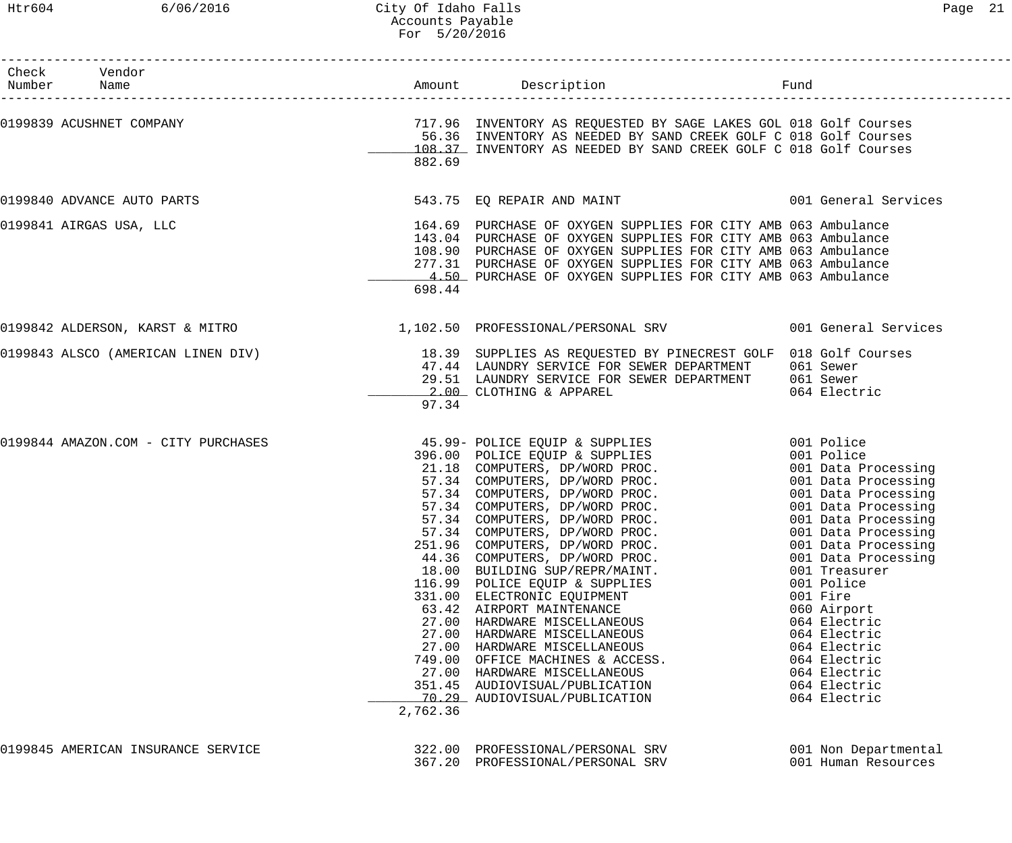# Htr604 6/06/2016 City Of Idaho Falls Page 21 Accounts Payable For 5/20/2016

| Check Vendor<br>Number Name<br>--------------------- |          |                                                                                                                                                                                                                                                                                                                                                                                                                                                                                                                                                                                                                                                                                                                                                                                         | Fund                                                                                                                                                                                                                                                                    |
|------------------------------------------------------|----------|-----------------------------------------------------------------------------------------------------------------------------------------------------------------------------------------------------------------------------------------------------------------------------------------------------------------------------------------------------------------------------------------------------------------------------------------------------------------------------------------------------------------------------------------------------------------------------------------------------------------------------------------------------------------------------------------------------------------------------------------------------------------------------------------|-------------------------------------------------------------------------------------------------------------------------------------------------------------------------------------------------------------------------------------------------------------------------|
| 0199839 ACUSHNET COMPANY                             | 882.69   | 717.96 INVENTORY AS REQUESTED BY SAGE LAKES GOL 018 Golf Courses<br>56.36 INVENTORY AS NEEDED BY SAND CREEK GOLF C 018 Golf Courses<br>108.37 INVENTORY AS NEEDED BY SAND CREEK GOLF C 018 Golf Courses                                                                                                                                                                                                                                                                                                                                                                                                                                                                                                                                                                                 |                                                                                                                                                                                                                                                                         |
| 0199840 ADVANCE AUTO PARTS                           |          | 543.75 EQ REPAIR AND MAINT 6001 General Services                                                                                                                                                                                                                                                                                                                                                                                                                                                                                                                                                                                                                                                                                                                                        |                                                                                                                                                                                                                                                                         |
| 0199841 AIRGAS USA, LLC                              | 698.44   | 164.69 PURCHASE OF OXYGEN SUPPLIES FOR CITY AMB 063 Ambulance<br>143.04 PURCHASE OF OXYGEN SUPPLIES FOR CITY AMB 063 Ambulance<br>108.90 PURCHASE OF OXYGEN SUPPLIES FOR CITY AMB 063 Ambulance<br>277.31 PURCHASE OF OXYGEN SUPPLIES FOR CITY AMB 063 Ambulance<br>4.50 PURCHASE OF OXYGEN SUPPLIES FOR CITY AMB 063 Ambulance                                                                                                                                                                                                                                                                                                                                                                                                                                                         |                                                                                                                                                                                                                                                                         |
|                                                      |          | 0199842 ALDERSON, KARST & MITRO 1,102.50 PROFESSIONAL/PERSONAL SRV 001 General Services                                                                                                                                                                                                                                                                                                                                                                                                                                                                                                                                                                                                                                                                                                 |                                                                                                                                                                                                                                                                         |
|                                                      | 97.34    | 0199843 ALSCO (AMERICAN LINEN DIV) 18.39 SUPPLIES AS REQUESTED BY PINECREST GOLF 018 Golf Courses<br>47.44 LAUNDRY SERVICE FOR SEWER DEPARTMENT 061 Sewer<br>29.51 LAUNDRY SERVICE FOR SEWER DEPARTMENT 061 Sewer<br>2.00 CLOTHING & APPAREL                                                                                                                                                                                                                                                                                                                                                                                                                                                                                                                                            | 064 Electric                                                                                                                                                                                                                                                            |
| 0199844 AMAZON.COM - CITY PURCHASES                  | 2,762.36 | 45.99- POLICE EQUIP & SUPPLIES<br>396.00 POLICE EQUIP & SUPPLIES<br>330.00 PULLE EQUIP & SUPPLIES<br>21.18 COMPUTERS, DP/WORD PROC. 001 Data Processing<br>57.34 COMPUTERS, DP/WORD PROC. 001 Data Processing<br>57.34 COMPUTERS, DP/WORD PROC. 001 Data Processing<br>57.34 COMPUTERS, DP/WORD PROC. 001<br>57.34 COMPUTERS, DP/WORD PROC.<br>251.96 COMPUTERS, DP/WORD PROC.<br>44.36 COMPUTERS, DP/WORD PROC.<br>18.00 BUILDING SUP/REPR/MAINT.<br>116.99 POLICE EQUIP & SUPPLIES<br>331.00 ELECTRONIC EQUIPMENT<br>63.42 AIRPORT MAINTENANCE<br>27.00 HARDWARE MISCELLANEOUS<br>27.00 HARDWARE MISCELLANEOUS<br>27.00 HARDWARE MISCELLANEOUS<br>749.00 OFFICE MACHINES & ACCESS.<br>27.00 HARDWARE MISCELLANEOUS<br>351.45 AUDIOVISUAL/PUBLICATION<br>70.29 AUDIOVISUAL/PUBLICATION | 001 Police<br>001 Police<br>001 Data Processing<br>001 Data Processing<br>001 Data Processing<br>001 Treasurer<br>001 Police<br>001 Fire<br>060 Airport<br>064 Electric<br>064 Electric<br>064 Electric<br>064 Electric<br>064 Electric<br>064 Electric<br>064 Electric |
| 0199845 AMERICAN INSURANCE SERVICE                   |          | 322.00 PROFESSIONAL/PERSONAL SRV<br>367.20 PROFESSIONAL/PERSONAL SRV                                                                                                                                                                                                                                                                                                                                                                                                                                                                                                                                                                                                                                                                                                                    | 001 Non Departmental<br>001 Human Resources                                                                                                                                                                                                                             |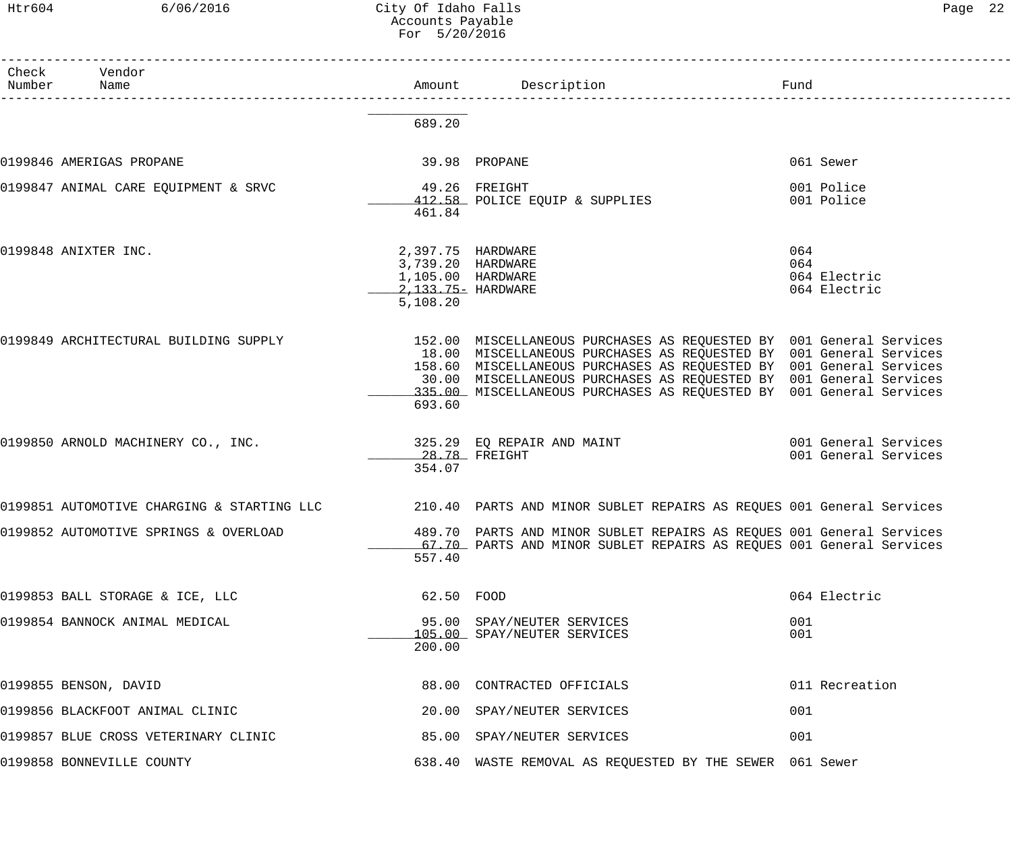| Раае | ╱ |
|------|---|
|------|---|

| Htr604          | 6/06/2016                             | City Of Idaho Falls<br>Accounts Payable<br>For 5/20/2016                                      |                                                                                                                                                                                                                                                                                                                                                               | Page 22                                      |  |
|-----------------|---------------------------------------|-----------------------------------------------------------------------------------------------|---------------------------------------------------------------------------------------------------------------------------------------------------------------------------------------------------------------------------------------------------------------------------------------------------------------------------------------------------------------|----------------------------------------------|--|
| Check<br>Number | Vendor<br>Name                        |                                                                                               | Amount Description                                                                                                                                                                                                                                                                                                                                            | Fund                                         |  |
|                 |                                       | 689.20                                                                                        |                                                                                                                                                                                                                                                                                                                                                               |                                              |  |
|                 | 0199846 AMERIGAS PROPANE              |                                                                                               | 39.98 PROPANE                                                                                                                                                                                                                                                                                                                                                 | 061 Sewer                                    |  |
|                 | 0199847 ANIMAL CARE EQUIPMENT & SRVC  | 461.84                                                                                        | 49.26 FREIGHT<br>412.58 POLICE EQUIP & SUPPLIES                                                                                                                                                                                                                                                                                                               | 001 Police<br>001 Police                     |  |
|                 | 0199848 ANIXTER INC.                  | 2,397.75 HARDWARE<br>3,739.20 HARDWARE<br>1,105.00 HARDWARE<br>2,133.75- HARDWARE<br>5,108.20 |                                                                                                                                                                                                                                                                                                                                                               | 064<br>064<br>064 Electric<br>064 Electric   |  |
|                 | 0199849 ARCHITECTURAL BUILDING SUPPLY | 693.60                                                                                        | 152.00 MISCELLANEOUS PURCHASES AS REQUESTED BY 001 General Services<br>18.00 MISCELLANEOUS PURCHASES AS REQUESTED BY 001 General Services<br>158.60 MISCELLANEOUS PURCHASES AS REQUESTED BY 001 General Services<br>30.00 MISCELLANEOUS PURCHASES AS REQUESTED BY 001 General Services<br>335.00 MISCELLANEOUS PURCHASES AS REQUESTED BY 001 General Services |                                              |  |
|                 | 0199850 ARNOLD MACHINERY CO., INC.    | 354.07                                                                                        | 325.29 EQ REPAIR AND MAINT<br>28.78 FREIGHT                                                                                                                                                                                                                                                                                                                   | 001 General Services<br>001 General Services |  |
|                 |                                       |                                                                                               | 0199851 AUTOMOTIVE CHARGING & STARTING LLC 210.40 PARTS AND MINOR SUBLET REPAIRS AS REQUES 001 General Services                                                                                                                                                                                                                                               |                                              |  |
|                 | 0199852 AUTOMOTIVE SPRINGS & OVERLOAD | 557.40                                                                                        | 489.70 PARTS AND MINOR SUBLET REPAIRS AS REQUES 001 General Services<br>67.70 PARTS AND MINOR SUBLET REPAIRS AS REQUES 001 General Services                                                                                                                                                                                                                   |                                              |  |
|                 | 0199853 BALL STORAGE & ICE, LLC       | 62.50 FOOD                                                                                    |                                                                                                                                                                                                                                                                                                                                                               | 064 Electric                                 |  |
|                 | 0199854 BANNOCK ANIMAL MEDICAL        | 200.00                                                                                        | 95.00 SPAY/NEUTER SERVICES<br>105.00 SPAY/NEUTER SERVICES                                                                                                                                                                                                                                                                                                     | 001<br>001                                   |  |
|                 | 0199855 BENSON, DAVID                 |                                                                                               | 88.00 CONTRACTED OFFICIALS                                                                                                                                                                                                                                                                                                                                    | 011 Recreation                               |  |
|                 | 0199856 BLACKFOOT ANIMAL CLINIC       |                                                                                               | 20.00 SPAY/NEUTER SERVICES                                                                                                                                                                                                                                                                                                                                    | 001                                          |  |

0199857 BLUE CROSS VETERINARY CLINIC  $\qquad 85.00$  SPAY/NEUTER SERVICES 001

0199858 BONNEVILLE COUNTY 638.40 WASTE REMOVAL AS REQUESTED BY THE SEWER 061 Sewer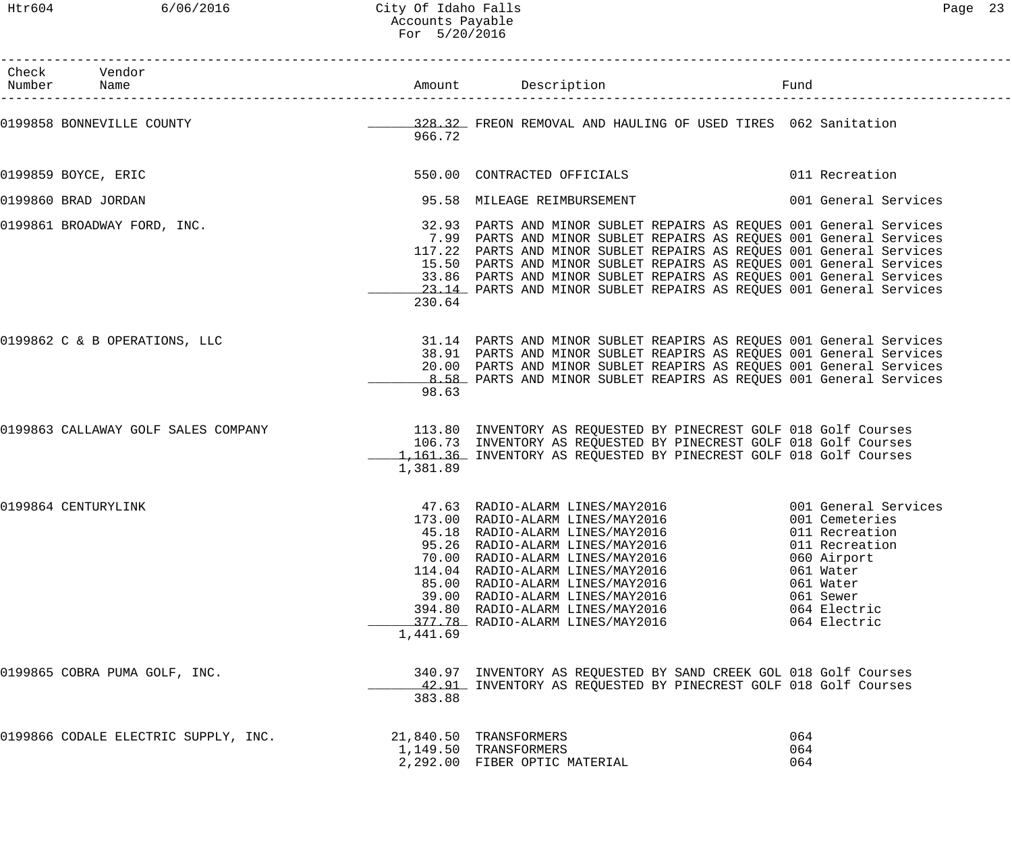Htr604 6/06/2016 City Of Idaho Falls Page 23 Accounts Payable For 5/20/2016

| Check Vendor<br>Number Name          |          |                                                                                                                                                                                                                                                                                                                                                                                                                                        | Fund                                                                                                                   |
|--------------------------------------|----------|----------------------------------------------------------------------------------------------------------------------------------------------------------------------------------------------------------------------------------------------------------------------------------------------------------------------------------------------------------------------------------------------------------------------------------------|------------------------------------------------------------------------------------------------------------------------|
| 0199858 BONNEVILLE COUNTY            | 966.72   | 128.32 FREON REMOVAL AND HAULING OF USED TIRES 062 Sanitation                                                                                                                                                                                                                                                                                                                                                                          |                                                                                                                        |
| 0199859 BOYCE, ERIC                  |          | 550.00 CONTRACTED OFFICIALS                                                                                                                                                                                                                                                                                                                                                                                                            | 011 Recreation                                                                                                         |
| 0199860 BRAD JORDAN                  |          | 95.58 MILEAGE REIMBURSEMENT                                                                                                                                                                                                                                                                                                                                                                                                            | 001 General Services                                                                                                   |
| 0199861 BROADWAY FORD, INC.          | 230.64   | 32.93 PARTS AND MINOR SUBLET REPAIRS AS REQUES 001 General Services<br>7.99 PARTS AND MINOR SUBLET REPAIRS AS REQUES 001 General Services<br>117.22 PARTS AND MINOR SUBLET REPAIRS AS REQUES 001 General Services<br>15.50 PARTS AND MINOR SUBLET REPAIRS AS REQUES 001 General Services<br>33.86 PARTS AND MINOR SUBLET REPAIRS AS REQUES 001 General Services<br>23.14 PARTS AND MINOR SUBLET REPAIRS AS REOUES 001 General Services |                                                                                                                        |
| 0199862 C & B OPERATIONS, LLC        | 98.63    | 31.14 PARTS AND MINOR SUBLET REAPIRS AS REQUES 001 General Services<br>38.91 PARTS AND MINOR SUBLET REAPIRS AS REQUES 001 General Services<br>20.00 PARTS AND MINOR SUBLET REAPIRS AS REQUES 001 General Services<br>8.58 PARTS AND MINOR SUBLET REAPIRS AS REQUES 001 General Services                                                                                                                                                |                                                                                                                        |
| 0199863 CALLAWAY GOLF SALES COMPANY  | 1,381.89 | 113.80 INVENTORY AS REQUESTED BY PINECREST GOLF 018 Golf Courses<br>106.73 INVENTORY AS REQUESTED BY PINECREST GOLF 018 Golf Courses<br>1,161.36 INVENTORY AS REQUESTED BY PINECREST GOLF 018 Golf Courses                                                                                                                                                                                                                             |                                                                                                                        |
| 0199864 CENTURYLINK                  | 1,441.69 | 45.18 RADIO-ALARM LINES/MAY2016<br>95.26 RADIO-ALARM LINES/MAY2016<br>70.00 RADIO-ALARM LINES/MAY2016<br>114.04 RADIO-ALARM LINES/MAY2016<br>85.00 RADIO-ALARM LINES/MAY2016<br>39.00 RADIO-ALARM LINES/MAY2016<br>394.80 RADIO-ALARM LINES/MAY2016<br>377.78 RADIO-ALARM LINES/MAY2016                                                                                                                                                | 011 Recreation<br>011 Recreation<br>060 Airport<br>061 Water<br>061 Water<br>061 Sewer<br>064 Electric<br>064 Electric |
| 0199865 COBRA PUMA GOLF, INC.        | 383.88   | 340.97 INVENTORY AS REQUESTED BY SAND CREEK GOL 018 Golf Courses<br>42.91 INVENTORY AS REQUESTED BY PINECREST GOLF 018 Golf Courses                                                                                                                                                                                                                                                                                                    |                                                                                                                        |
| 0199866 CODALE ELECTRIC SUPPLY, INC. |          | 21,840.50 TRANSFORMERS<br>1,149.50 TRANSFORMERS<br>2,292.00 FIBER OPTIC MATERIAL                                                                                                                                                                                                                                                                                                                                                       | 064<br>064<br>064                                                                                                      |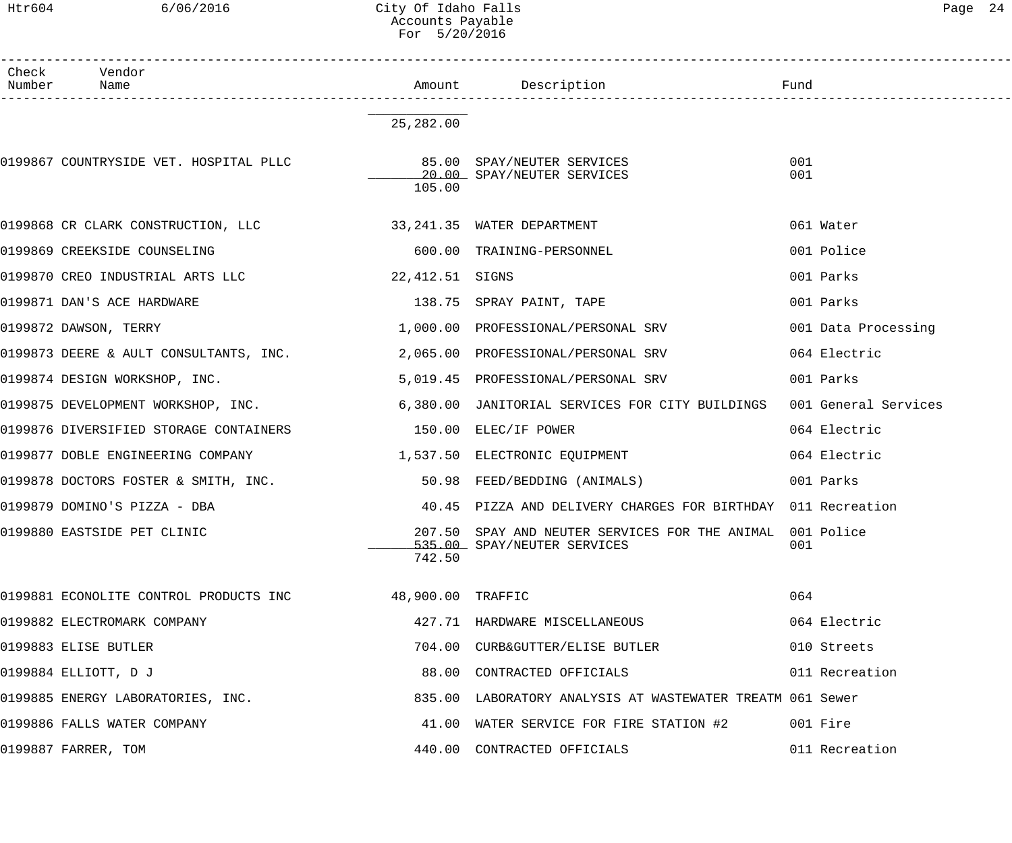# Htr604 6/06/2016 City Of Idaho Falls Page 24 Accounts Payable For 5/20/2016

| Check<br>Number | Vendor<br>Name                                                            |                 |                                                                                          |                      |
|-----------------|---------------------------------------------------------------------------|-----------------|------------------------------------------------------------------------------------------|----------------------|
|                 |                                                                           | 25,282.00       |                                                                                          |                      |
|                 | 0199867 COUNTRYSIDE VET. HOSPITAL PLLC 6 85.00 SPAY/NEUTER SERVICES       | 105.00          | 20.00 SPAY/NEUTER SERVICES                                                               | 001<br>001           |
|                 | 0199868 CR CLARK CONSTRUCTION, LLC 33,241.35 WATER DEPARTMENT             |                 |                                                                                          | 061 Water            |
|                 | 0199869 CREEKSIDE COUNSELING                                              |                 | 600.00 TRAINING-PERSONNEL                                                                | 001 Police           |
|                 | 0199870 CREO INDUSTRIAL ARTS LLC                                          | 22,412.51 SIGNS |                                                                                          | 001 Parks            |
|                 | 0199871 DAN'S ACE HARDWARE                                                |                 | 138.75 SPRAY PAINT, TAPE                                                                 | 001 Parks            |
|                 | 0199872 DAWSON, TERRY                                                     |                 | 1,000.00 PROFESSIONAL/PERSONAL SRV                                                       | 001 Data Processing  |
|                 | 0199873 DEERE & AULT CONSULTANTS, INC. 2,065.00 PROFESSIONAL/PERSONAL SRV |                 |                                                                                          | 064 Electric         |
|                 | 0199874 DESIGN WORKSHOP, INC.                                             |                 | 5,019.45 PROFESSIONAL/PERSONAL SRV                                                       | 001 Parks            |
|                 | 0199875 DEVELOPMENT WORKSHOP, INC.                                        |                 | 6,380.00 JANITORIAL SERVICES FOR CITY BUILDINGS                                          | 001 General Services |
|                 | 0199876 DIVERSIFIED STORAGE CONTAINERS 6 150.00 ELEC/IF POWER             |                 |                                                                                          | 064 Electric         |
|                 |                                                                           |                 |                                                                                          | 064 Electric         |
|                 | 0199878 DOCTORS FOSTER & SMITH, INC.                                      |                 | 50.98 FEED/BEDDING (ANIMALS)                                                             | 001 Parks            |
|                 | 0199879 DOMINO'S PIZZA - DBA                                              |                 | 40.45 PIZZA AND DELIVERY CHARGES FOR BIRTHDAY 011 Recreation                             |                      |
|                 | 0199880 EASTSIDE PET CLINIC                                               | 742.50          | 207.50 SPAY AND NEUTER SERVICES FOR THE ANIMAL 001 Police<br>535.00 SPAY/NEUTER SERVICES | 001                  |
|                 | 0199881 ECONOLITE CONTROL PRODUCTS INC 48,900.00 TRAFFIC                  |                 |                                                                                          | 064                  |
|                 | 0199882 ELECTROMARK COMPANY                                               |                 | 427.71 HARDWARE MISCELLANEOUS                                                            | 064 Electric         |
|                 | 0199883 ELISE BUTLER                                                      |                 | 704.00 CURB&GUTTER/ELISE BUTLER                                                          | 010 Streets          |
|                 | 0199884 ELLIOTT, DJ                                                       |                 | 88.00 CONTRACTED OFFICIALS                                                               | 011 Recreation       |
|                 | 0199885 ENERGY LABORATORIES, INC.                                         |                 | 835.00 LABORATORY ANALYSIS AT WASTEWATER TREATM 061 Sewer                                |                      |
|                 | 0199886 FALLS WATER COMPANY                                               |                 | 41.00 WATER SERVICE FOR FIRE STATION #2                                                  | 001 Fire             |
|                 | 0199887 FARRER, TOM                                                       |                 | 440.00 CONTRACTED OFFICIALS                                                              | 011 Recreation       |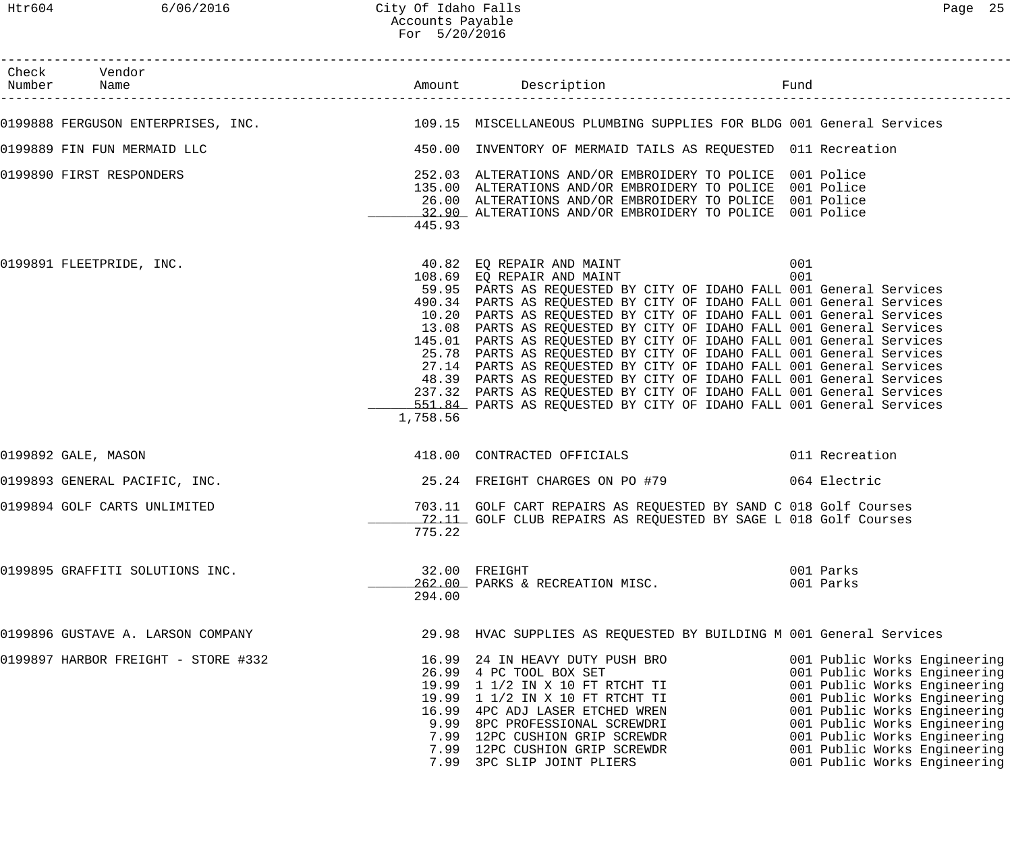# Htr604 6/06/2016 City Of Idaho Falls Page 25 Accounts Payable For 5/20/2016

| Check Vendor<br>Number Name                                                                                |          |                                                                                                                                                                                                                                                                                                                                                                                                                                                                                                                                                                                                                                                                                                                                                                                                            |                                                                                                                                                                                                                                                                                              |
|------------------------------------------------------------------------------------------------------------|----------|------------------------------------------------------------------------------------------------------------------------------------------------------------------------------------------------------------------------------------------------------------------------------------------------------------------------------------------------------------------------------------------------------------------------------------------------------------------------------------------------------------------------------------------------------------------------------------------------------------------------------------------------------------------------------------------------------------------------------------------------------------------------------------------------------------|----------------------------------------------------------------------------------------------------------------------------------------------------------------------------------------------------------------------------------------------------------------------------------------------|
| 0199888 FERGUSON ENTERPRISES, INC. 40 109.15 MISCELLANEOUS PLUMBING SUPPLIES FOR BLDG 001 General Services |          |                                                                                                                                                                                                                                                                                                                                                                                                                                                                                                                                                                                                                                                                                                                                                                                                            |                                                                                                                                                                                                                                                                                              |
| 0199889 FIN FUN MERMAID LLC                                                                                |          | 450.00 INVENTORY OF MERMAID TAILS AS REQUESTED 011 Recreation                                                                                                                                                                                                                                                                                                                                                                                                                                                                                                                                                                                                                                                                                                                                              |                                                                                                                                                                                                                                                                                              |
| 0199890 FIRST RESPONDERS                                                                                   | 445.93   | 252.03 ALTERATIONS AND/OR EMBROIDERY TO POLICE 001 Police<br>135.00 ALTERATIONS AND/OR EMBROIDERY TO POLICE 001 Police<br>26.00 ALTERATIONS AND/OR EMBROIDERY TO POLICE 001 Police<br>32.90 ALTERATIONS AND/OR EMBROIDERY TO POLICE 001 Police                                                                                                                                                                                                                                                                                                                                                                                                                                                                                                                                                             |                                                                                                                                                                                                                                                                                              |
| 0199891 FLEETPRIDE, INC.                                                                                   | 1,758.56 | 40.82 EQ REPAIR AND MAINT 001<br>108.69 EQ REPAIR AND MAINT 6001<br>59.95 PARTS AS REQUESTED BY CITY OF IDAHO FALL 001 General Services<br>490.34 PARTS AS REQUESTED BY CITY OF IDAHO FALL 001 General Services<br>10.20 PARTS AS REQUESTED BY CITY OF IDAHO FALL 001 General Services<br>13.08 PARTS AS REQUESTED BY CITY OF IDAHO FALL 001 General Services<br>145.01 PARTS AS REQUESTED BY CITY OF IDAHO FALL 001 General Services<br>25.78 PARTS AS REQUESTED BY CITY OF IDAHO FALL 001 General Services<br>27.14 PARTS AS REQUESTED BY CITY OF IDAHO FALL 001 General Services<br>48.39 PARTS AS REQUESTED BY CITY OF IDAHO FALL 001 General Services<br>237.32 PARTS AS REQUESTED BY CITY OF IDAHO FALL 001 General Services<br>551.84 PARTS AS REQUESTED BY CITY OF IDAHO FALL 001 General Services |                                                                                                                                                                                                                                                                                              |
| 0199892 GALE, MASON                                                                                        |          | 418.00 CONTRACTED OFFICIALS 6011 Recreation                                                                                                                                                                                                                                                                                                                                                                                                                                                                                                                                                                                                                                                                                                                                                                |                                                                                                                                                                                                                                                                                              |
| 0199893 GENERAL PACIFIC, INC.                                                                              |          | 25.24 FREIGHT CHARGES ON PO #79 664 Electric                                                                                                                                                                                                                                                                                                                                                                                                                                                                                                                                                                                                                                                                                                                                                               |                                                                                                                                                                                                                                                                                              |
| 0199894 GOLF CARTS UNLIMITED                                                                               | 775.22   | 703.11 GOLF CART REPAIRS AS REQUESTED BY SAND C 018 Golf Courses<br>72.11 GOLF CLUB REPAIRS AS REQUESTED BY SAGE L 018 Golf Courses                                                                                                                                                                                                                                                                                                                                                                                                                                                                                                                                                                                                                                                                        |                                                                                                                                                                                                                                                                                              |
| 0199895 GRAFFITI SOLUTIONS INC.                                                                            | 294.00   | 32.00 FREIGHT<br>262.00 PARKS & RECREATION MISC.                                                                                                                                                                                                                                                                                                                                                                                                                                                                                                                                                                                                                                                                                                                                                           | 001 Parks<br>001 Parks                                                                                                                                                                                                                                                                       |
| 0199896 GUSTAVE A. LARSON COMPANY                                                                          |          | 29.98 HVAC SUPPLIES AS REQUESTED BY BUILDING M 001 General Services                                                                                                                                                                                                                                                                                                                                                                                                                                                                                                                                                                                                                                                                                                                                        |                                                                                                                                                                                                                                                                                              |
| 0199897 HARBOR FREIGHT - STORE #332                                                                        |          | 16.99 24 IN HEAVY DUTY PUSH BRO<br>26.99 4 PC TOOL BOX SET<br>19.99 1 1/2 IN X 10 FT RTCHT TI<br>19.99 1 1/2 IN X 10 FT RTCHT TI<br>16.99 4PC ADJ LASER ETCHED WREN<br>9.99 8PC PROFESSIONAL SCREWDRI<br>7.99 12PC CUSHION GRIP SCREWDR<br>7.99 12PC CUSHION GRIP SCREWDR<br>7.99 12PC CUSHION GRIP SCREWDR<br>7.99 3PC SLIP JOINT PLIERS                                                                                                                                                                                                                                                                                                                                                                                                                                                                  | 001 Public Works Engineering<br>001 Public Works Engineering<br>001 Public Works Engineering<br>001 Public Works Engineering<br>001 Public Works Engineering<br>001 Public Works Engineering<br>001 Public Works Engineering<br>001 Public Works Engineering<br>001 Public Works Engineering |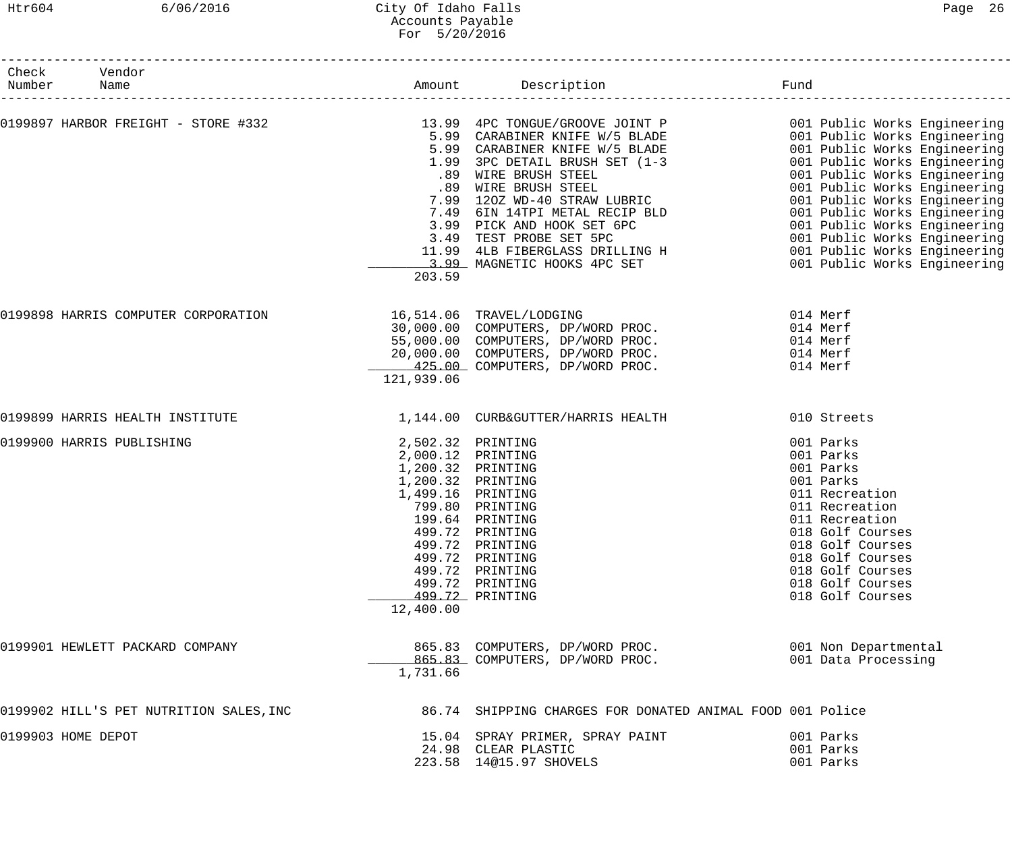## Htr604 6/06/2016 City Of Idaho Falls Page 26 Accounts Payable For 5/20/2016

| Check Vendor<br>Number Name<br>------------------- |                                                                          |                                                                                                                                                                                                                                                                                                                                                                                                     |                                                                                                                                                                                                                                |
|----------------------------------------------------|--------------------------------------------------------------------------|-----------------------------------------------------------------------------------------------------------------------------------------------------------------------------------------------------------------------------------------------------------------------------------------------------------------------------------------------------------------------------------------------------|--------------------------------------------------------------------------------------------------------------------------------------------------------------------------------------------------------------------------------|
|                                                    | 203.59                                                                   |                                                                                                                                                                                                                                                                                                                                                                                                     |                                                                                                                                                                                                                                |
|                                                    | 121,939.06                                                               | 0199898 HARRIS COMPUTER CORPORATION $\begin{array}{r} 16,514.06 \quad \text{TRAVEL/LOOGING} \ 30,000.00 \quad \text{COMPUTERS}, \text{ DP/WORD PROC.} \ 014 \quad \text{Merf} \ 55,000.00 \quad \text{COMPUTERS}, \text{ DP/WORD PROC.} \ 014 \quad \text{Merf} \ 20,000.00 \quad \text{COMPUTERS}, \text{DP/WORD PROC.} \ 014 \quad \text{Merf} \ 20,000.00 \quad \text{COMPUTERS}, \text{DP/WORD$ |                                                                                                                                                                                                                                |
| 0199899 HARRIS HEALTH INSTITUTE                    |                                                                          | 1,144.00 CURB&GUTTER/HARRIS HEALTH                                                                                                                                                                                                                                                                                                                                                                  | 010 Streets                                                                                                                                                                                                                    |
| 0199900 HARRIS PUBLISHING                          | 2,000.12 PRINTING<br>1,200.32 PRINTING<br>1,200.32 PRINTING<br>12,400.00 | 2,502.32 PRINTING<br>1,499.16 PRINTING<br>799.80 PRINTING<br>199.64 PRINTING<br>499.72 PRINTING<br>499.72 PRINTING<br>499.72 PRINTING<br>499.72 PRINTING<br>499.72 PRINTING<br>499.72 PRINTING                                                                                                                                                                                                      | 001 Parks<br>001 Parks<br>001 Parks<br>001 Parks<br>011 Recreation<br>011 Recreation<br>011 Recreation<br>018 Golf Courses<br>018 Golf Courses<br>018 Golf Courses<br>018 Golf Courses<br>018 Golf Courses<br>018 Golf Courses |
| 0199901 HEWLETT PACKARD COMPANY                    | 1,731.66                                                                 | 865.83 COMPUTERS, DP/WORD PROC.<br>865.83 COMPUTERS, DP/WORD PROC.                                                                                                                                                                                                                                                                                                                                  | 001 Non Departmental<br>001 Data Processing                                                                                                                                                                                    |
| 0199902 HILL'S PET NUTRITION SALES, INC            |                                                                          | 86.74 SHIPPING CHARGES FOR DONATED ANIMAL FOOD 001 Police                                                                                                                                                                                                                                                                                                                                           |                                                                                                                                                                                                                                |
| 0199903 HOME DEPOT                                 |                                                                          | 15.04 SPRAY PRIMER, SPRAY PAINT<br>24.98 CLEAR PLASTIC<br>223.58 14@15.97 SHOVELS                                                                                                                                                                                                                                                                                                                   | 001 Parks<br>001 Parks<br>001 Parks                                                                                                                                                                                            |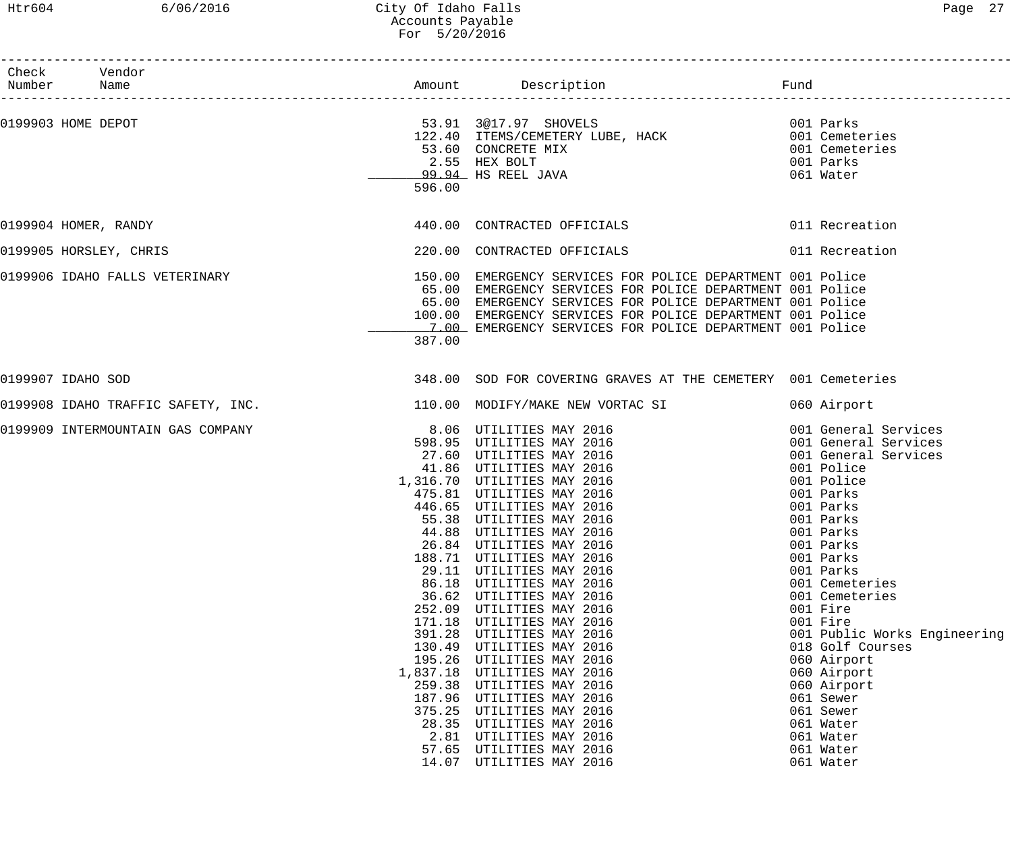### Htr604 6/06/2016 City Of Idaho Falls Page 27 Accounts Payable For 5/20/2016

| ., |  |
|----|--|
|----|--|

| Check Vendor<br>Number Name        |        |                                                                                                                        |                              |
|------------------------------------|--------|------------------------------------------------------------------------------------------------------------------------|------------------------------|
| 0199903 HOME DEPOT                 |        |                                                                                                                        |                              |
|                                    |        |                                                                                                                        |                              |
|                                    |        | 53.91 3@17.97 SHOVELS (1998) 001 Parks<br>122.40 ITEMS/CEMETERY LUBE, HACK (1998) 001 Cemeteries<br>53.60 CONCRETE MIX |                              |
|                                    |        | 53.60 CONCRETE MIX<br>2.55 HEX BOLT                                                                                    | 001 Cemeteries               |
|                                    |        |                                                                                                                        | 001 Parks                    |
|                                    |        | 99.94 HS REEL JAVA                                                                                                     | 061 Water                    |
|                                    | 596.00 |                                                                                                                        |                              |
| 0199904 HOMER, RANDY               |        | 440.00 CONTRACTED OFFICIALS                                                                                            | 011 Recreation               |
| 0199905 HORSLEY, CHRIS             |        | 220.00 CONTRACTED OFFICIALS                                                                                            | 011 Recreation               |
| 0199906 IDAHO FALLS VETERINARY     |        | 150.00 EMERGENCY SERVICES FOR POLICE DEPARTMENT 001 Police                                                             |                              |
|                                    |        | 65.00 EMERGENCY SERVICES FOR POLICE DEPARTMENT 001 Police                                                              |                              |
|                                    |        | 65.00 EMERGENCY SERVICES FOR POLICE DEPARTMENT 001 Police                                                              |                              |
|                                    |        | 100.00 EMERGENCY SERVICES FOR POLICE DEPARTMENT 001 Police                                                             |                              |
|                                    |        | 7.00 EMERGENCY SERVICES FOR POLICE DEPARTMENT 001 Police                                                               |                              |
|                                    | 387.00 |                                                                                                                        |                              |
| 0199907 IDAHO SOD                  |        | 348.00 SOD FOR COVERING GRAVES AT THE CEMETERY 001 Cemeteries                                                          |                              |
| 0199908 IDAHO TRAFFIC SAFETY, INC. |        | 110.00 MODIFY/MAKE NEW VORTAC SI                                                                                       | 060 Airport                  |
| 0199909 INTERMOUNTAIN GAS COMPANY  |        | 8.06 UTILITIES MAY 2016                                                                                                | 001 General Services         |
|                                    |        |                                                                                                                        | 001 General Services         |
|                                    |        |                                                                                                                        | 001 General Services         |
|                                    |        | 598.95 UTILITIES MAY 2016<br>27.60 UTILITIES MAY 2016<br>41.86 UTILITIES MAY 2016                                      | 001 Police                   |
|                                    |        | $1,316.70$ UTILITIES MAY 2016                                                                                          | 001 Police                   |
|                                    |        | 475.81 UTILITIES MAY 2016                                                                                              | 001 Parks                    |
|                                    |        | 446.65 UTILITIES MAY 2016                                                                                              | 001 Parks                    |
|                                    |        | 55.38 UTILITIES MAY 2016                                                                                               | 001 Parks                    |
|                                    |        | 44.88 UTILITIES MAY 2016                                                                                               | 001 Parks                    |
|                                    | 26.84  | UTILITIES MAY 2016                                                                                                     | 001 Parks                    |
|                                    |        | 188.71 UTILITIES MAY 2016                                                                                              | 001 Parks                    |
|                                    |        | 29.11 UTILITIES MAY 2016                                                                                               | 001 Parks                    |
|                                    | 86.18  | UTILITIES MAY 2016                                                                                                     | 001 Cemeteries               |
|                                    |        | 36.62 UTILITIES MAY 2016                                                                                               | 001 Cemeteries               |
|                                    | 252.09 | UTILITIES MAY 2016                                                                                                     | 001 Fire                     |
|                                    | 171.18 | UTILITIES MAY 2016                                                                                                     | 001 Fire                     |
|                                    | 391.28 | UTILITIES MAY 2016                                                                                                     | 001 Public Works Engineering |
|                                    | 130.49 | UTILITIES MAY 2016                                                                                                     | 018 Golf Courses             |
|                                    |        | 195.26 UTILITIES MAY 2016                                                                                              | 060 Airport                  |
|                                    |        | 1,837.18 UTILITIES MAY 2016                                                                                            | 060 Airport                  |
|                                    |        | 259.38 UTILITIES MAY 2016                                                                                              | 060 Airport                  |
|                                    |        | 187.96 UTILITIES MAY 2016                                                                                              |                              |
|                                    | 375.25 |                                                                                                                        | 061 Sewer                    |
|                                    |        | UTILITIES MAY 2016                                                                                                     | 061 Sewer                    |
|                                    |        | 28.35 UTILITIES MAY 2016                                                                                               | 061 Water                    |
|                                    |        | 2.81 UTILITIES MAY 2016                                                                                                | 061 Water                    |
|                                    |        | 57.65 UTILITIES MAY 2016                                                                                               | 061 Water                    |
|                                    |        | 14.07 UTILITIES MAY 2016                                                                                               | 061 Water                    |
|                                    |        |                                                                                                                        |                              |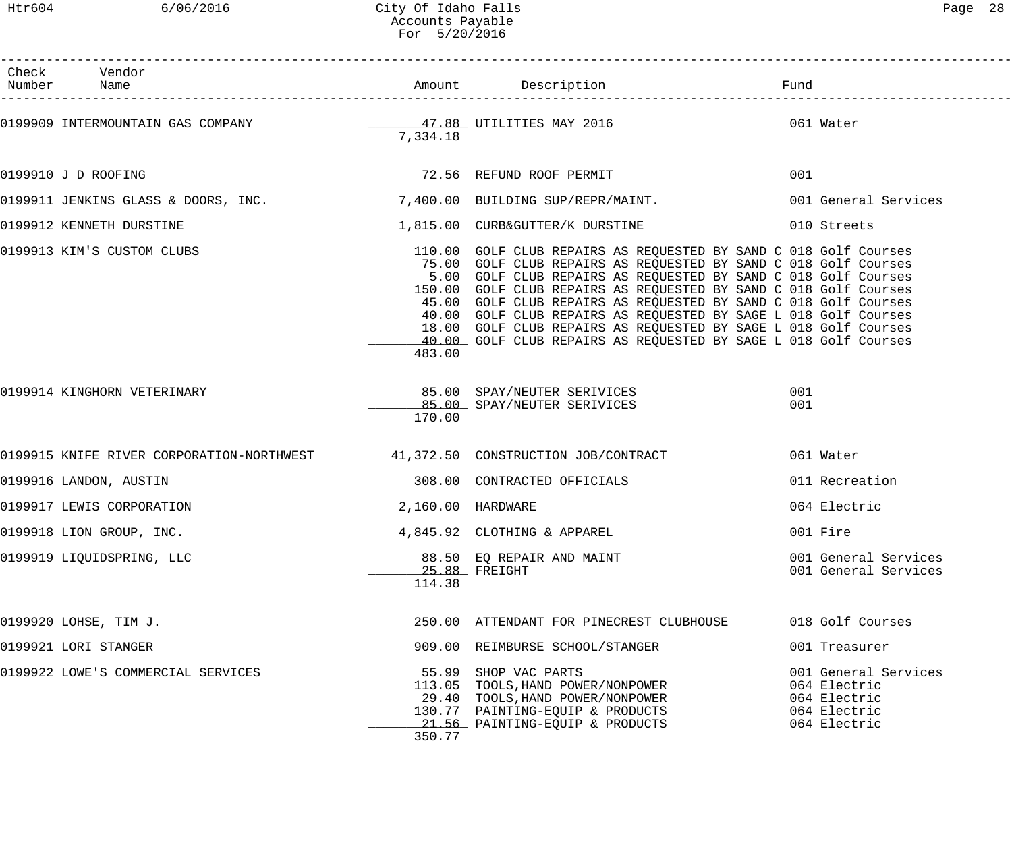Htr604 6/06/2016 City Of Idaho Falls Page 28 Accounts Payable For 5/20/2016

| Check Vendor<br>Number Name        |                   |                                                                                                                                                                                                                                                                                                                                                                                                                                                                                                                                                       |                                                                                      |
|------------------------------------|-------------------|-------------------------------------------------------------------------------------------------------------------------------------------------------------------------------------------------------------------------------------------------------------------------------------------------------------------------------------------------------------------------------------------------------------------------------------------------------------------------------------------------------------------------------------------------------|--------------------------------------------------------------------------------------|
|                                    | 7,334.18          |                                                                                                                                                                                                                                                                                                                                                                                                                                                                                                                                                       |                                                                                      |
| 0199910 J D ROOFING                |                   | 72.56 REFUND ROOF PERMIT                                                                                                                                                                                                                                                                                                                                                                                                                                                                                                                              | 001                                                                                  |
|                                    |                   | 0199911 JENKINS GLASS & DOORS, INC. 7,400.00 BUILDING SUP/REPR/MAINT.                                                                                                                                                                                                                                                                                                                                                                                                                                                                                 | 001 General Services                                                                 |
| 0199912 KENNETH DURSTINE           |                   | 1,815.00 CURB&GUTTER/K DURSTINE                                                                                                                                                                                                                                                                                                                                                                                                                                                                                                                       | 010 Streets                                                                          |
| 0199913 KIM'S CUSTOM CLUBS         | 483.00            | 110.00 GOLF CLUB REPAIRS AS REQUESTED BY SAND C 018 Golf Courses<br>75.00 GOLF CLUB REPAIRS AS REQUESTED BY SAND C 018 Golf Courses<br>5.00 GOLF CLUB REPAIRS AS REQUESTED BY SAND C 018 Golf Courses<br>150.00 GOLF CLUB REPAIRS AS REQUESTED BY SAND C 018 Golf Courses<br>45.00 GOLF CLUB REPAIRS AS REQUESTED BY SAND C 018 Golf Courses<br>40.00 GOLF CLUB REPAIRS AS REQUESTED BY SAGE L 018 Golf Courses<br>18.00 GOLF CLUB REPAIRS AS REQUESTED BY SAGE L 018 Golf Courses<br>40.00 GOLF CLUB REPAIRS AS REQUESTED BY SAGE L 018 Golf Courses |                                                                                      |
| 0199914 KINGHORN VETERINARY        | 170.00            | 85.00 SPAY/NEUTER SERIVICES<br>85.00 SPAY/NEUTER SERIVICES                                                                                                                                                                                                                                                                                                                                                                                                                                                                                            | 001<br>001                                                                           |
|                                    |                   | 0199915 KNIFE RIVER CORPORATION-NORTHWEST 41,372.50 CONSTRUCTION JOB/CONTRACT                                                                                                                                                                                                                                                                                                                                                                                                                                                                         | 061 Water                                                                            |
| 0199916 LANDON, AUSTIN             |                   | 308.00 CONTRACTED OFFICIALS                                                                                                                                                                                                                                                                                                                                                                                                                                                                                                                           | 011 Recreation                                                                       |
| 0199917 LEWIS CORPORATION          | 2,160.00 HARDWARE |                                                                                                                                                                                                                                                                                                                                                                                                                                                                                                                                                       | 064 Electric                                                                         |
| 0199918 LION GROUP, INC.           |                   | 4,845.92 CLOTHING & APPAREL                                                                                                                                                                                                                                                                                                                                                                                                                                                                                                                           | 001 Fire                                                                             |
| 0199919 LIQUIDSPRING, LLC          | 114.38            | 88.50 EQ REPAIR AND MAINT<br>$25.88$ FREIGHT                                                                                                                                                                                                                                                                                                                                                                                                                                                                                                          | 001 General Services<br>001 General Services                                         |
| 0199920 LOHSE, TIM J.              |                   | 250.00 ATTENDANT FOR PINECREST CLUBHOUSE                                                                                                                                                                                                                                                                                                                                                                                                                                                                                                              | 018 Golf Courses                                                                     |
| 0199921 LORI STANGER               |                   | 909.00 REIMBURSE SCHOOL/STANGER                                                                                                                                                                                                                                                                                                                                                                                                                                                                                                                       | 001 Treasurer                                                                        |
| 0199922 LOWE'S COMMERCIAL SERVICES | 350.77            | 55.99 SHOP VAC PARTS<br>113.05 TOOLS, HAND POWER/NONPOWER<br>29.40 TOOLS, HAND POWER/NONPOWER<br>130.77 PAINTING-EQUIP & PRODUCTS<br>21.56 PAINTING-EQUIP & PRODUCTS                                                                                                                                                                                                                                                                                                                                                                                  | 001 General Services<br>064 Electric<br>064 Electric<br>064 Electric<br>064 Electric |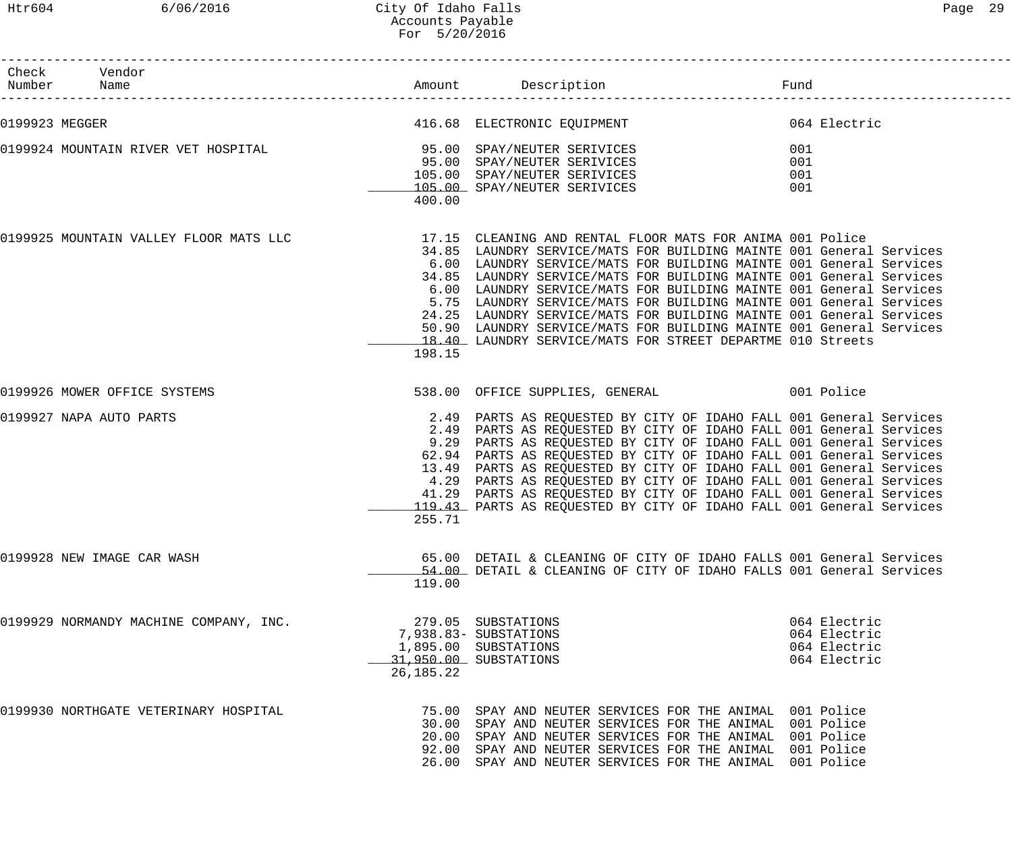# Htr604 6/06/2016 City Of Idaho Falls Page 29 Accounts Payable For 5/20/2016

| Check Vendor<br>Number Name                                                                      |             | Amount Description                                                                                                                                                                                                                                                                                                                                                                                                                                                                                                                                                                | Fund                                                         |  |
|--------------------------------------------------------------------------------------------------|-------------|-----------------------------------------------------------------------------------------------------------------------------------------------------------------------------------------------------------------------------------------------------------------------------------------------------------------------------------------------------------------------------------------------------------------------------------------------------------------------------------------------------------------------------------------------------------------------------------|--------------------------------------------------------------|--|
| 0199923 MEGGER                                                                                   |             | 416.68 ELECTRONIC EQUIPMENT<br>064 Electric                                                                                                                                                                                                                                                                                                                                                                                                                                                                                                                                       |                                                              |  |
| 0199924 MOUNTAIN RIVER VET HOSPITAL                                                              | 400.00      | 95.00 SPAY/NEUTER SERIVICES<br>95.00 SPAY/NEUTER SERIVICES<br>105.00 SPAY/NEUTER SERIVICES<br>105.00 SPAY/NEUTER SERIVICES                                                                                                                                                                                                                                                                                                                                                                                                                                                        | 001<br>001<br>001<br>001                                     |  |
| 0199925 MOUNTAIN VALLEY FLOOR MATS LLC 17.15 CLEANING AND RENTAL FLOOR MATS FOR ANIMA 001 Police | 198.15      | 34.85 LAUNDRY SERVICE/MATS FOR BUILDING MAINTE 001 General Services<br>6.00 LAUNDRY SERVICE/MATS FOR BUILDING MAINTE 001 General Services<br>34.85 LAUNDRY SERVICE/MATS FOR BUILDING MAINTE 001 General Services<br>6.00 LAUNDRY SERVICE/MATS FOR BUILDING MAINTE 001 General Services<br>5.75 LAUNDRY SERVICE/MATS FOR BUILDING MAINTE 001 General Services<br>24.25 LAUNDRY SERVICE/MATS FOR BUILDING MAINTE 001 General Services<br>50.90 LAUNDRY SERVICE/MATS FOR BUILDING MAINTE 001 General Services<br>18.40 LAUNDRY SERVICE/MATS FOR STREET DEPARTME 010 Streets          |                                                              |  |
| 0199926 MOWER OFFICE SYSTEMS                                                                     |             | 538.00 OFFICE SUPPLIES, GENERAL 601 Police                                                                                                                                                                                                                                                                                                                                                                                                                                                                                                                                        |                                                              |  |
| 0199927 NAPA AUTO PARTS                                                                          | 255.71      | 2.49 PARTS AS REQUESTED BY CITY OF IDAHO FALL 001 General Services<br>2.49 PARTS AS REQUESTED BY CITY OF IDAHO FALL 001 General Services<br>9.29 PARTS AS REQUESTED BY CITY OF IDAHO FALL 001 General Services<br>62.94 PARTS AS REQUESTED BY CITY OF IDAHO FALL 001 General Services<br>13.49 PARTS AS REQUESTED BY CITY OF IDAHO FALL 001 General Services<br>4.29 PARTS AS REQUESTED BY CITY OF IDAHO FALL 001 General Services<br>41.29 PARTS AS REQUESTED BY CITY OF IDAHO FALL 001 General Services<br>119.43 PARTS AS REQUESTED BY CITY OF IDAHO FALL 001 General Services |                                                              |  |
| 0199928 NEW IMAGE CAR WASH                                                                       | 119.00      | 65.00 DETAIL & CLEANING OF CITY OF IDAHO FALLS 001 General Services<br>54.00 DETAIL & CLEANING OF CITY OF IDAHO FALLS 001 General Services                                                                                                                                                                                                                                                                                                                                                                                                                                        |                                                              |  |
| 0199929 NORMANDY MACHINE COMPANY, INC.                                                           | 26, 185. 22 | 279.05 SUBSTATIONS<br>7,938.83- SUBSTATIONS<br>1,895.00 SUBSTATIONS<br>31,950.00 SUBSTATIONS                                                                                                                                                                                                                                                                                                                                                                                                                                                                                      | 064 Electric<br>064 Electric<br>064 Electric<br>064 Electric |  |
| 0199930 NORTHGATE VETERINARY HOSPITAL                                                            |             | 75.00 SPAY AND NEUTER SERVICES FOR THE ANIMAL 001 Police<br>30.00 SPAY AND NEUTER SERVICES FOR THE ANIMAL 001 Police<br>20.00 SPAY AND NEUTER SERVICES FOR THE ANIMAL 001 Police<br>92.00 SPAY AND NEUTER SERVICES FOR THE ANIMAL 001 Police<br>26.00 SPAY AND NEUTER SERVICES FOR THE ANIMAL 001 Police                                                                                                                                                                                                                                                                          |                                                              |  |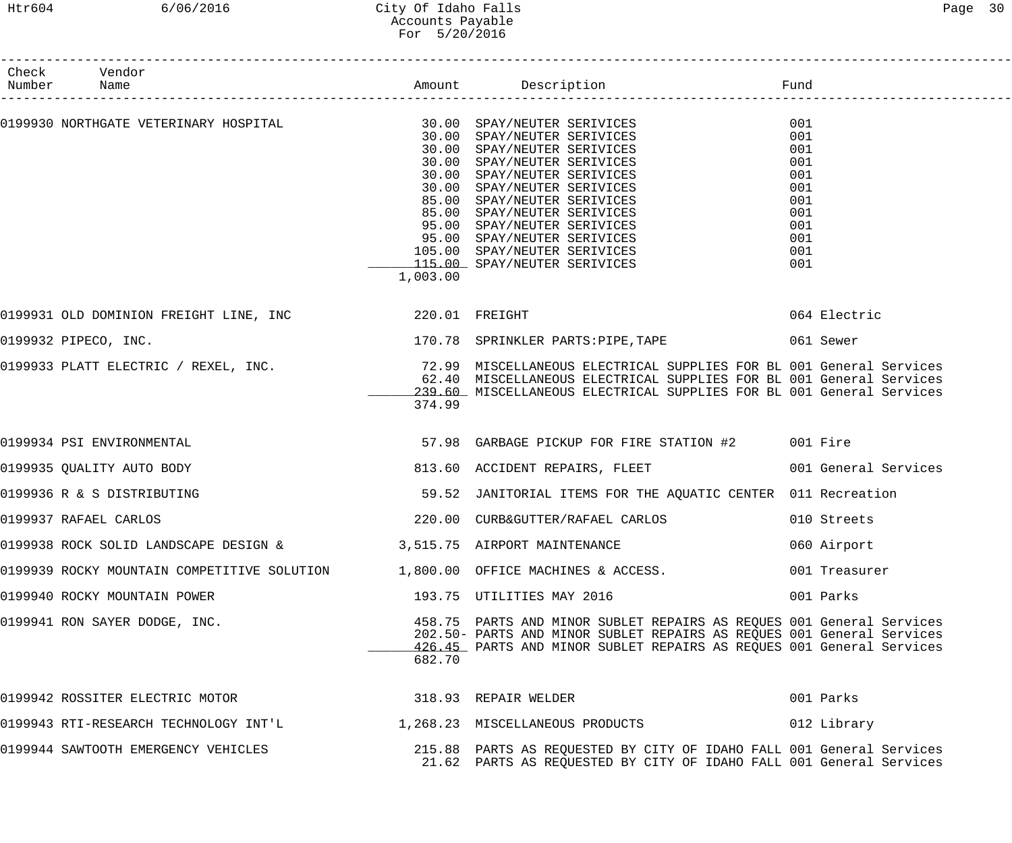| Check Vendor<br>Number Name                                                                                   |          |                                                                                                                                                                                                                                                                                                                      |                                                                                  |
|---------------------------------------------------------------------------------------------------------------|----------|----------------------------------------------------------------------------------------------------------------------------------------------------------------------------------------------------------------------------------------------------------------------------------------------------------------------|----------------------------------------------------------------------------------|
|                                                                                                               | 1,003.00 | 30.00 SPAY/NEUTER SERIVICES<br>30.00 SPAY/NEUTER SERIVICES<br>30.00 SPAY/NEUTER SERIVICES<br>30.00 SPAY/NEUTER SERIVICES<br>85.00 SPAY/NEUTER SERIVICES<br>85.00 SPAY/NEUTER SERIVICES<br>95.00 SPAY/NEUTER SERIVICES<br>95.00 SPAY/NEUTER SERIVICES<br>105.00 SPAY/NEUTER SERIVICES<br>115.00 SPAY/NEUTER SERIVICES | 001<br>001<br>001<br>001<br>001<br>001<br>001<br>001<br>001<br>001<br>001<br>001 |
|                                                                                                               |          |                                                                                                                                                                                                                                                                                                                      | 064 Electric                                                                     |
| 0199932 PIPECO, INC.                                                                                          |          | 170.78 SPRINKLER PARTS:PIPE, TAPE 661 Sewer                                                                                                                                                                                                                                                                          |                                                                                  |
|                                                                                                               | 374.99   | 0199933 PLATT ELECTRIC / REXEL, INC.                          72.99 MISCELLANEOUS ELECTRICAL SUPPLIES FOR BL 001 General Services<br>62.40 MISCELLANEOUS ELECTRICAL SUPPLIES FOR BL 001 General Services<br>Figures of Sample Servic<br>239.60 MISCELLANEOUS ELECTRICAL SUPPLIES FOR BL 001 General Services         |                                                                                  |
| 0199934 PSI ENVIRONMENTAL                                                                                     |          | 57.98 GARBAGE PICKUP FOR FIRE STATION #2 001 Fire                                                                                                                                                                                                                                                                    |                                                                                  |
| 0199935 OUALITY AUTO BODY                                                                                     |          | 813.60 ACCIDENT REPAIRS, FLEET 6001 General Services                                                                                                                                                                                                                                                                 |                                                                                  |
| 0199936 R & S DISTRIBUTING                                                                                    |          | 59.52 JANITORIAL ITEMS FOR THE AQUATIC CENTER 011 Recreation                                                                                                                                                                                                                                                         |                                                                                  |
| 0199937 RAFAEL CARLOS                                                                                         |          | 220.00 CURB&GUTTER/RAFAEL CARLOS 010 Streets                                                                                                                                                                                                                                                                         |                                                                                  |
| 0199938 ROCK SOLID LANDSCAPE DESIGN & 3,515.75 AIRPORT MAINTENANCE                                            |          |                                                                                                                                                                                                                                                                                                                      | 060 Airport                                                                      |
|                                                                                                               |          | 0199939 ROCKY MOUNTAIN COMPETITIVE SOLUTION 1,800.00 OFFICE MACHINES & ACCESS.                                                                                                                                                                                                                                       | 001 Treasurer                                                                    |
| 0199940 ROCKY MOUNTAIN POWER                                                                                  |          | 193.75 UTILITIES MAY 2016                                                                                                                                                                                                                                                                                            | 001 Parks                                                                        |
| 0199941 RON SAYER DODGE, INC.                                                                                 | 682.70   | 458.75 PARTS AND MINOR SUBLET REPAIRS AS REQUES 001 General Services<br>202.50- PARTS AND MINOR SUBLET REPAIRS AS REQUES 001 General Services<br>426.45 PARTS AND MINOR SUBLET REPAIRS AS REOUES 001 General Services                                                                                                |                                                                                  |
| 0199942 ROSSITER ELECTRIC MOTOR 6 6 6 7 7 8 8 9 3 7 8 9 7 8 8 9 3 7 8 9 3 7 8 9 3 7 8 9 3 7 8 9 3 4 7 8 9 3 4 |          |                                                                                                                                                                                                                                                                                                                      | 001 Parks                                                                        |
|                                                                                                               |          | 0199943 RTI-RESEARCH TECHNOLOGY INT'L 1,268.23 MISCELLANEOUS PRODUCTS 012 Library                                                                                                                                                                                                                                    |                                                                                  |
| 0199944 SAWTOOTH EMERGENCY VEHICLES                                                                           |          | 215.88 PARTS AS REQUESTED BY CITY OF IDAHO FALL 001 General Services<br>21.62 PARTS AS REQUESTED BY CITY OF IDAHO FALL 001 General Services                                                                                                                                                                          |                                                                                  |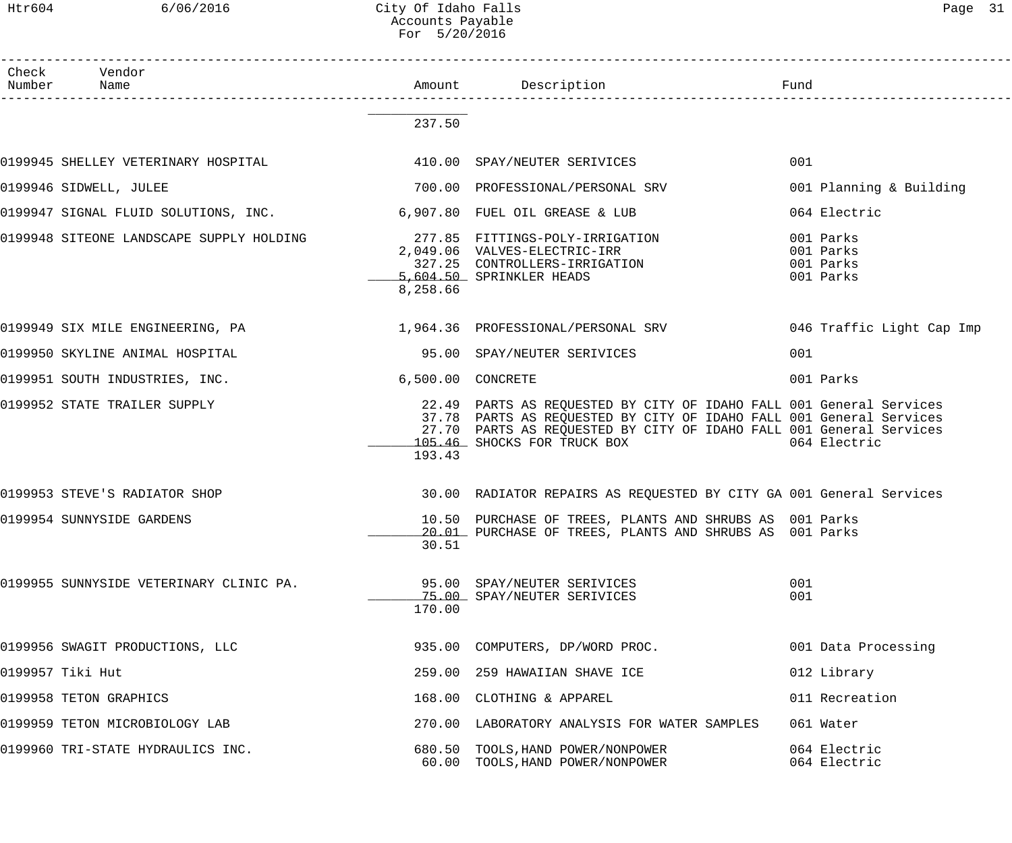# Htr604 6/06/2016 City Of Idaho Falls Page 31 Accounts Payable For 5/20/2016

| Check Vendor<br>Number Name                                         |                   | Amount Description<br>Fund                                                                                                                                                                                                                       |                                                  |
|---------------------------------------------------------------------|-------------------|--------------------------------------------------------------------------------------------------------------------------------------------------------------------------------------------------------------------------------------------------|--------------------------------------------------|
|                                                                     | 237.50            |                                                                                                                                                                                                                                                  |                                                  |
| 0199945 SHELLEY VETERINARY HOSPITAL                                 |                   | 410.00 SPAY/NEUTER SERIVICES                                                                                                                                                                                                                     | 001                                              |
| 0199946 SIDWELL, JULEE                                              |                   | 700.00 PROFESSIONAL/PERSONAL SRV                                                                                                                                                                                                                 | 001 Planning & Building                          |
| 0199947 SIGNAL FLUID SOLUTIONS, INC. 6,907.80 FUEL OIL GREASE & LUB |                   |                                                                                                                                                                                                                                                  | 064 Electric                                     |
|                                                                     | 8,258.66          | 327.25 CONTROLLERS-IRRIGATION<br>5,604.50 SPRINKLER HEADS                                                                                                                                                                                        | 001 Parks<br>001 Parks<br>001 Parks<br>001 Parks |
|                                                                     |                   | 0199949 SIX MILE ENGINEERING, PA 1,964.36 PROFESSIONAL/PERSONAL SRV 046 Traffic Light Cap Imp                                                                                                                                                    |                                                  |
| 0199950 SKYLINE ANIMAL HOSPITAL                                     |                   | 95.00 SPAY/NEUTER SERIVICES                                                                                                                                                                                                                      | 001                                              |
| 0199951 SOUTH INDUSTRIES, INC.                                      | 6,500.00 CONCRETE |                                                                                                                                                                                                                                                  | 001 Parks                                        |
| 0199952 STATE TRAILER SUPPLY                                        | 193.43            | 22.49 PARTS AS REQUESTED BY CITY OF IDAHO FALL 001 General Services<br>37.78 PARTS AS REQUESTED BY CITY OF IDAHO FALL 001 General Services<br>27.70 PARTS AS REQUESTED BY CITY OF IDAHO FALL 001 General Services<br>105.46 SHOCKS FOR TRUCK BOX | 064 Electric                                     |
| 0199953 STEVE'S RADIATOR SHOP                                       |                   | 30.00 RADIATOR REPAIRS AS REQUESTED BY CITY GA 001 General Services                                                                                                                                                                              |                                                  |
| 0199954 SUNNYSIDE GARDENS                                           | 30.51             | 10.50 PURCHASE OF TREES, PLANTS AND SHRUBS AS 001 Parks<br>20.01 PURCHASE OF TREES, PLANTS AND SHRUBS AS 001 Parks                                                                                                                               |                                                  |
| 0199955 SUNNYSIDE VETERINARY CLINIC PA.                             | 170.00            | 95.00 SPAY/NEUTER SERIVICES<br>75.00 SPAY/NEUTER SERIVICES                                                                                                                                                                                       | 001<br>001                                       |
| 0199956 SWAGIT PRODUCTIONS, LLC                                     |                   | 935.00 COMPUTERS, DP/WORD PROC.                                                                                                                                                                                                                  | 001 Data Processing                              |
| 0199957 Tiki Hut                                                    |                   | 259.00 259 HAWAIIAN SHAVE ICE                                                                                                                                                                                                                    | 012 Library                                      |
| 0199958 TETON GRAPHICS                                              |                   | 168.00 CLOTHING & APPAREL                                                                                                                                                                                                                        | 011 Recreation                                   |
| 0199959 TETON MICROBIOLOGY LAB                                      |                   | 270.00 LABORATORY ANALYSIS FOR WATER SAMPLES                                                                                                                                                                                                     | 061 Water                                        |
| 0199960 TRI-STATE HYDRAULICS INC.                                   |                   | 680.50 TOOLS, HAND POWER/NONPOWER<br>60.00 TOOLS, HAND POWER/NONPOWER                                                                                                                                                                            | 064 Electric<br>064 Electric                     |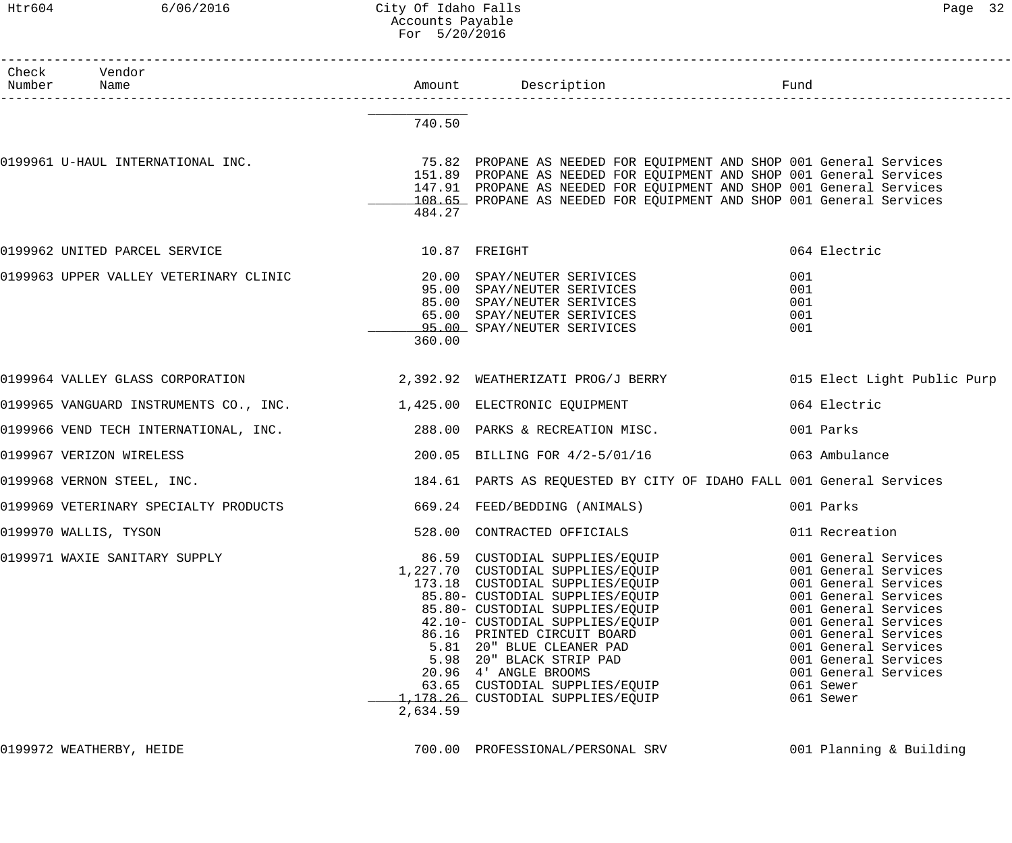# Htr604 6/06/2016 City Of Idaho Falls Content Content of Page 32 Accounts Payable For 5/20/2016

| Check Vendor<br>Number Name                                           |          |                                                                                                                                                                                                                                                                                                                                                                                                                |                                                                                                                                                                                                                                                                        |
|-----------------------------------------------------------------------|----------|----------------------------------------------------------------------------------------------------------------------------------------------------------------------------------------------------------------------------------------------------------------------------------------------------------------------------------------------------------------------------------------------------------------|------------------------------------------------------------------------------------------------------------------------------------------------------------------------------------------------------------------------------------------------------------------------|
|                                                                       | 740.50   |                                                                                                                                                                                                                                                                                                                                                                                                                |                                                                                                                                                                                                                                                                        |
|                                                                       | 484.27   | 151.89 PROPANE AS NEEDED FOR EQUIPMENT AND SHOP 001 General Services<br>147.91 PROPANE AS NEEDED FOR EQUIPMENT AND SHOP 001 General Services<br>108.65 PROPANE AS NEEDED FOR EQUIPMENT AND SHOP 001 General Services                                                                                                                                                                                           |                                                                                                                                                                                                                                                                        |
| 0199962 UNITED PARCEL SERVICE 6 10.87 FREIGHT                         |          |                                                                                                                                                                                                                                                                                                                                                                                                                | 064 Electric                                                                                                                                                                                                                                                           |
| 0199963 UPPER VALLEY VETERINARY CLINIC                                | 360.00   | 20.00 SPAY/NEUTER SERIVICES<br>95.00 SPAY/NEUTER SERIVICES<br>85.00 SPAY/NEUTER SERIVICES<br>65.00 SPAY/NEUTER SERIVICES<br>95.00 SPAY/NEUTER SERIVICES                                                                                                                                                                                                                                                        | 001<br>001<br>001<br>001<br>001                                                                                                                                                                                                                                        |
|                                                                       |          | 0199964 VALLEY GLASS CORPORATION 2,392.92 WEATHERIZATI PROG/J BERRY 015 Elect Light Public Purp                                                                                                                                                                                                                                                                                                                |                                                                                                                                                                                                                                                                        |
| 0199965 VANGUARD INSTRUMENTS CO., INC. 1,425.00 ELECTRONIC EQUIPMENT  |          |                                                                                                                                                                                                                                                                                                                                                                                                                | 064 Electric                                                                                                                                                                                                                                                           |
| 0199966 VEND TECH INTERNATIONAL, INC. 288.00 PARKS & RECREATION MISC. |          |                                                                                                                                                                                                                                                                                                                                                                                                                | 001 Parks                                                                                                                                                                                                                                                              |
| 0199967 VERIZON WIRELESS                                              |          | 200.05 BILLING FOR 4/2-5/01/16                                                                                                                                                                                                                                                                                                                                                                                 | 063 Ambulance                                                                                                                                                                                                                                                          |
| 0199968 VERNON STEEL, INC.                                            |          | 184.61 PARTS AS REQUESTED BY CITY OF IDAHO FALL 001 General Services                                                                                                                                                                                                                                                                                                                                           |                                                                                                                                                                                                                                                                        |
| 0199969 VETERINARY SPECIALTY PRODUCTS                                 |          | 669.24 FEED/BEDDING (ANIMALS)                                                                                                                                                                                                                                                                                                                                                                                  | 001 Parks                                                                                                                                                                                                                                                              |
| 0199970 WALLIS, TYSON                                                 |          | 528.00 CONTRACTED OFFICIALS                                                                                                                                                                                                                                                                                                                                                                                    | 011 Recreation                                                                                                                                                                                                                                                         |
| 0199971 WAXIE SANITARY SUPPLY                                         | 2,634.59 | 86.59 CUSTODIAL SUPPLIES/EQUIP<br>1,227.70 CUSTODIAL SUPPLIES/EQUIP<br>173.18 CUSTODIAL SUPPLIES/EQUIP<br>85.80- CUSTODIAL SUPPLIES/EQUIP<br>85.80- CUSTODIAL SUPPLIES/EQUIP<br>42.10- CUSTODIAL SUPPLIES/EQUIP<br>86.16 PRINTED CIRCUIT BOARD<br>5.81 20" BLUE CLEANER PAD<br>5.98 20" BLACK STRIP PAD<br>20.96 4' ANGLE BROOMS<br>63.65 CUSTODIAL SUPPLIES/EQUIP<br><u>1,178.26</u> CUSTODIAL SUPPLIES/EQUIP | 001 General Services<br>001 General Services<br>001 General Services<br>001 General Services<br>001 General Services<br>001 General Services<br>001 General Services<br>001 General Services<br>001 General Services<br>001 General Services<br>061 Sewer<br>061 Sewer |

0199972 WEATHERBY, HEIDE **1999972 WEATHERBY, HEIDE** 700.00 PROFESSIONAL/PERSONAL SRV 199972 WEATHERBY, HEIDE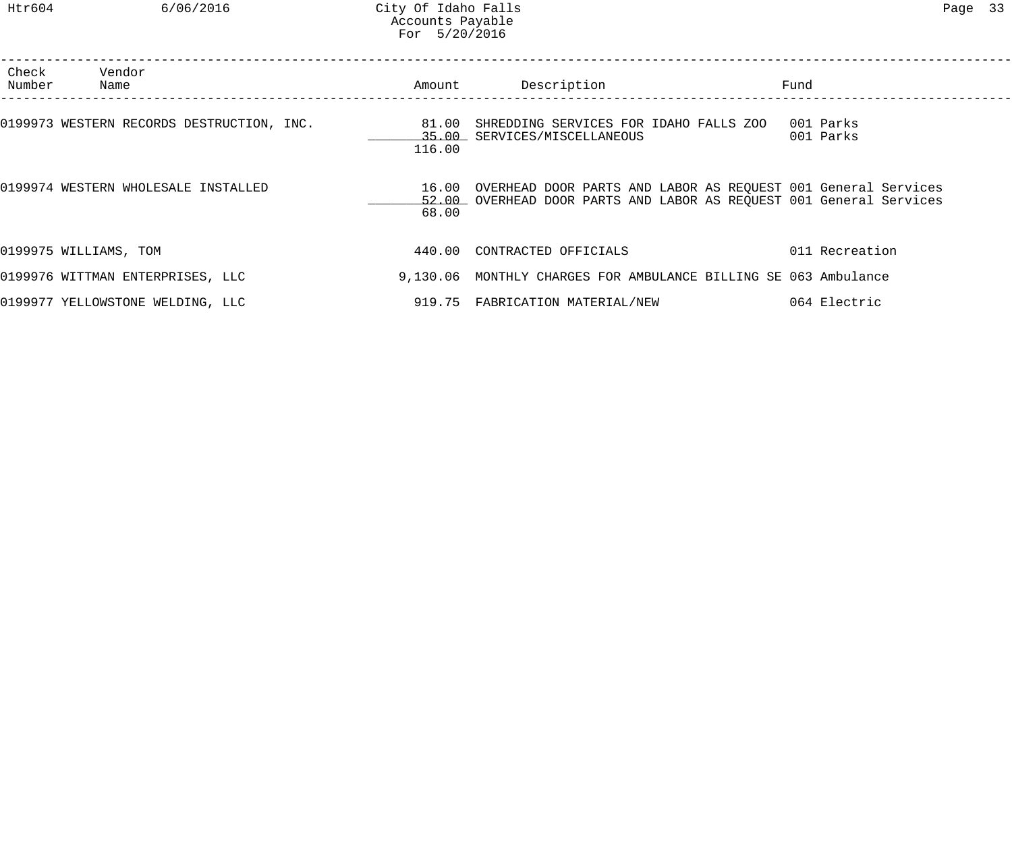| Check<br>Number | Vendor<br>Name                            | Amount          | Description                                                                                                                                | Fund                   |
|-----------------|-------------------------------------------|-----------------|--------------------------------------------------------------------------------------------------------------------------------------------|------------------------|
|                 | 0199973 WESTERN RECORDS DESTRUCTION, INC. | 81.00<br>116.00 | SHREDDING SERVICES FOR IDAHO FALLS ZOO<br>35.00 SERVICES/MISCELLANEOUS                                                                     | 001 Parks<br>001 Parks |
|                 | 0199974 WESTERN WHOLESALE INSTALLED       | 68.00           | 16.00 OVERHEAD DOOR PARTS AND LABOR AS REQUEST 001 General Services<br>52.00 OVERHEAD DOOR PARTS AND LABOR AS REQUEST 001 General Services |                        |
|                 | 0199975 WILLIAMS, TOM                     | 440.00          | CONTRACTED OFFICIALS                                                                                                                       | 011 Recreation         |
|                 | 0199976 WITTMAN ENTERPRISES, LLC          |                 | 9,130.06 MONTHLY CHARGES FOR AMBULANCE BILLING SE 063 Ambulance                                                                            |                        |
|                 | 0199977 YELLOWSTONE WELDING, LLC          |                 | 919.75 FABRICATION MATERIAL/NEW                                                                                                            | 064 Electric           |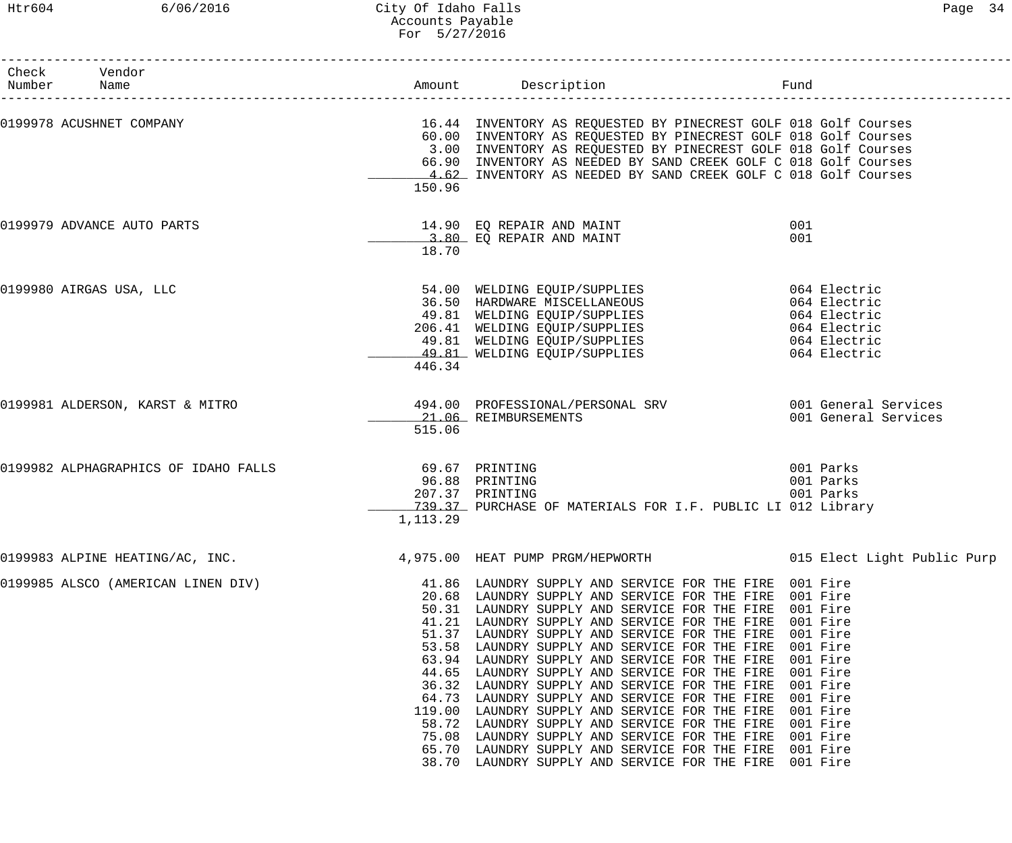# Htr604 6/06/2016 City Of Idaho Falls Page 34 Accounts Payable For 5/27/2016

| Check Vendor<br>Number Name          |                             | Amount Description                                                                                                                                                                                                                                                                                                                                                                                                                                                                                                                                                                                                                                                                                                                                                                         | Fund                                                                                                                             |
|--------------------------------------|-----------------------------|--------------------------------------------------------------------------------------------------------------------------------------------------------------------------------------------------------------------------------------------------------------------------------------------------------------------------------------------------------------------------------------------------------------------------------------------------------------------------------------------------------------------------------------------------------------------------------------------------------------------------------------------------------------------------------------------------------------------------------------------------------------------------------------------|----------------------------------------------------------------------------------------------------------------------------------|
| 0199978 ACUSHNET COMPANY             | 150.96                      | 16.44 INVENTORY AS REQUESTED BY PINECREST GOLF 018 Golf Courses<br>60.00 INVENTORY AS REQUESTED BY PINECREST GOLF 018 Golf Courses<br>3.00 INVENTORY AS REQUESTED BY PINECREST GOLF 018 Golf Courses<br>66.90 INVENTORY AS NEEDED BY SAND CREEK GOLF C 018 Golf Courses<br>4.62 INVENTORY AS NEEDED BY SAND CREEK GOLF C 018 Golf Courses                                                                                                                                                                                                                                                                                                                                                                                                                                                  |                                                                                                                                  |
| 0199979 ADVANCE AUTO PARTS           | 18.70                       | 14.90 EQ REPAIR AND MAINT<br>3.80 EQ REPAIR AND MAINT                                                                                                                                                                                                                                                                                                                                                                                                                                                                                                                                                                                                                                                                                                                                      | 001<br>001                                                                                                                       |
| 0199980 AIRGAS USA, LLC              | 446.34                      | 54.00 WELDING EQUIP/SUPPLIES<br>36.50 HARDWARE MISCELLANEOUS<br>49.81 WELDING EQUIP/SUPPLIES<br>206.41 WELDING EQUIP/SUPPLIES<br>49.81 WELDING EQUIP/SUPPLIES<br>49.81 WELDING EQUIP/SUPPLIES                                                                                                                                                                                                                                                                                                                                                                                                                                                                                                                                                                                              | 064 Electric<br>064 Electric<br>064 Electric<br>064 Electric<br>064 Electric<br>064 Electric                                     |
| 0199981 ALDERSON, KARST & MITRO      | 515.06                      | 494.00 PROFESSIONAL/PERSONAL SRV 6001 General Services<br>21.06 REIMBURSEMENTS                                                                                                                                                                                                                                                                                                                                                                                                                                                                                                                                                                                                                                                                                                             | 001 General Services                                                                                                             |
| 0199982 ALPHAGRAPHICS OF IDAHO FALLS | 69.67 PRINTING<br>1, 113.29 | 96.88 PRINTING<br>207.37 PRINTING<br>739.37 PURCHASE OF MATERIALS FOR I.F. PUBLIC LI 012 Library                                                                                                                                                                                                                                                                                                                                                                                                                                                                                                                                                                                                                                                                                           | 001 Parks<br>001 Parks<br>001 Parks                                                                                              |
|                                      |                             | 0199983 ALPINE HEATING/AC, INC. 4,975.00 HEAT PUMP PRGM/HEPWORTH 015 Elect Light Public Purp                                                                                                                                                                                                                                                                                                                                                                                                                                                                                                                                                                                                                                                                                               |                                                                                                                                  |
| 0199985 ALSCO (AMERICAN LINEN DIV)   | 75.08                       | 41.86 LAUNDRY SUPPLY AND SERVICE FOR THE FIRE 001 Fire<br>20.68 LAUNDRY SUPPLY AND SERVICE FOR THE FIRE 001 Fire<br>50.31 LAUNDRY SUPPLY AND SERVICE FOR THE FIRE<br>41.21 LAUNDRY SUPPLY AND SERVICE FOR THE FIRE<br>51.37 LAUNDRY SUPPLY AND SERVICE FOR THE FIRE<br>53.58 LAUNDRY SUPPLY AND SERVICE FOR THE FIRE<br>63.94 LAUNDRY SUPPLY AND SERVICE FOR THE FIRE<br>44.65 LAUNDRY SUPPLY AND SERVICE FOR THE FIRE<br>36.32 LAUNDRY SUPPLY AND SERVICE FOR THE FIRE<br>64.73 LAUNDRY SUPPLY AND SERVICE FOR THE FIRE<br>119.00 LAUNDRY SUPPLY AND SERVICE FOR THE FIRE<br>58.72 LAUNDRY SUPPLY AND SERVICE FOR THE FIRE<br>LAUNDRY SUPPLY AND SERVICE FOR THE FIRE<br>65.70 LAUNDRY SUPPLY AND SERVICE FOR THE FIRE 001 Fire<br>38.70 LAUNDRY SUPPLY AND SERVICE FOR THE FIRE 001 Fire | 001 Fire<br>001 Fire<br>001 Fire<br>001 Fire<br>001 Fire<br>001 Fire<br>001 Fire<br>001 Fire<br>001 Fire<br>001 Fire<br>001 Fire |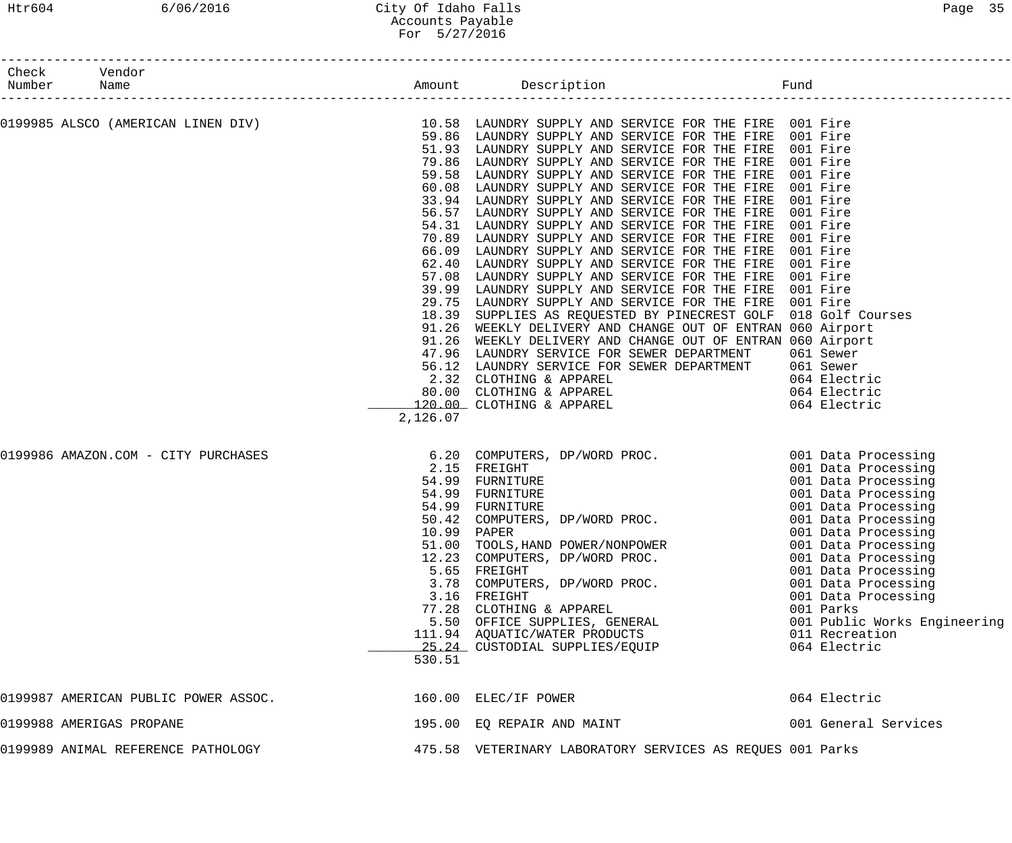### Htr604 6/06/2016 City Of Idaho Falls Page 35 Accounts Payable For 5/27/2016

| Check Vendor<br>Number Name                                                                                                                                                        |                            |                                                                                                                                                                                                                                                                                                                                                                                                                                                                                                                                                                                                                                                                                                                                                                                                                                                                                                                                                                                                                                                                                                                                                                                                |                                                                                                                                                                                                                       |
|------------------------------------------------------------------------------------------------------------------------------------------------------------------------------------|----------------------------|------------------------------------------------------------------------------------------------------------------------------------------------------------------------------------------------------------------------------------------------------------------------------------------------------------------------------------------------------------------------------------------------------------------------------------------------------------------------------------------------------------------------------------------------------------------------------------------------------------------------------------------------------------------------------------------------------------------------------------------------------------------------------------------------------------------------------------------------------------------------------------------------------------------------------------------------------------------------------------------------------------------------------------------------------------------------------------------------------------------------------------------------------------------------------------------------|-----------------------------------------------------------------------------------------------------------------------------------------------------------------------------------------------------------------------|
| --------------------<br>0199985 ALSCO (AMERICAN LINEN DIV) The Same of the U.58 LAUNDRY SUPPLY AND SERVICE FOR THE FIRE 001 Fire (01 Fire 2015) (199985 ALSCO (AMERICAN LINEN DIV) | 59.58<br>57.08<br>2,126.07 | 59.86 LAUNDRY SUPPLY AND SERVICE FOR THE FIRE 001 Fire<br>51.93 LAUNDRY SUPPLY AND SERVICE FOR THE FIRE 001 Fire<br>79.86 LAUNDRY SUPPLY AND SERVICE FOR THE FIRE<br>LAUNDRY SUPPLY AND SERVICE FOR THE FIRE<br>60.08 LAUNDRY SUPPLY AND SERVICE FOR THE FIRE<br>33.94 LAUNDRY SUPPLY AND SERVICE FOR THE FIRE<br>56.57 LAUNDRY SUPPLY AND SERVICE FOR THE FIRE 001 Fire<br>54.31 LAUNDRY SUPPLY AND SERVICE FOR THE FIRE<br>70.89 LAUNDRY SUPPLY AND SERVICE FOR THE FIRE<br>66.09 LAUNDRY SUPPLY AND SERVICE FOR THE FIRE<br>62.40 LAUNDRY SUPPLY AND SERVICE FOR THE FIRE<br>LAUNDRY SUPPLY AND SERVICE FOR THE FIRE<br>39.99 LAUNDRY SUPPLY AND SERVICE FOR THE FIRE 001 Fire<br>29.75 LAUNDRY SUPPLY AND SERVICE FOR THE FIRE 001 Fire<br>18.39 SUPPLIES AS REQUESTED BY PINECREST GOLF 018 Golf Courses<br>91.26 WEEKLY DELIVERY AND CHANGE OUT OF ENTRAN 060 Airport<br>91.26 WEEKLY DELIVERY AND CHANGE OUT OF ENTRAN 060 Airport<br>47.96 LAUNDRY SERVICE FOR SEWER DEPARTMENT 061 Sewer<br>56.12 LAUNDRY SERVICE FOR SEWER DEPARTMENT 061 Sewer<br>2.32 CLOTHING & APPAREL 064 Electric<br>80.00 CLOTHING & APPAREL 064 Electric<br>120.00 CLOTHING & APPAREL 064 Electric<br>126.07 | 001 Fire<br>001 Fire<br>001 Fire<br>001 Fire<br>001 Fire<br>001 Fire<br>001 Fire<br>001 Fire<br>001 Fire                                                                                                              |
| 0199986 AMAZON.COM - CITY PURCHASES                                                                                                                                                | 530.51                     | 6.20 COMPUTERS, DP/WORD PROC. 001 Data Processing<br>2.15 FREIGHT 001 Data Processing<br>54.99 FURNITURE 001 Data Processing<br>54.99 FURNITURE 001 Data Processing<br>54.99 FURNITURE 001 Data Processing<br>50.42 COMPUTERS, DP/WORD P<br>54.99 FURNITURE<br>54.99 FURNITURE<br>54.99 FURNITURE<br>50.42 COMPUTERS, DP/WORD PROC.<br>10.99 PAPER<br>10.99 PAPER<br>51.00 TOOLS, HAND POWER/NONPOWER<br>12.23 COMPUTERS, DP/WORD PROC.<br>5.65 FREIGHT<br>3.78 COMPUTERS, DP/WORD PROC.<br>3.16 FREIGHT<br>77.28 CLOTHING & APPAREL<br>5.50 OFFICE SUPPLIES, GENERAL<br>111.94 AQUATIC/WATER PRODUCTS<br>25.24 CUSTODIAL SUPPLIES/EOUIP                                                                                                                                                                                                                                                                                                                                                                                                                                                                                                                                                       | 001 Data Processing<br>001 Data Processing<br>001 Data Processing<br>001 Data Processing<br>001 Data Processing<br>001 Data Processing<br>001 Parks<br>001 Public Works Engineering<br>011 Recreation<br>064 Electric |
| 0199987 AMERICAN PUBLIC POWER ASSOC.                                                                                                                                               |                            | 160.00 ELEC/IF POWER                                                                                                                                                                                                                                                                                                                                                                                                                                                                                                                                                                                                                                                                                                                                                                                                                                                                                                                                                                                                                                                                                                                                                                           | 064 Electric                                                                                                                                                                                                          |
| 0199988 AMERIGAS PROPANE                                                                                                                                                           |                            | 195.00 EQ REPAIR AND MAINT                                                                                                                                                                                                                                                                                                                                                                                                                                                                                                                                                                                                                                                                                                                                                                                                                                                                                                                                                                                                                                                                                                                                                                     | 001 General Services                                                                                                                                                                                                  |
| 0199989 ANIMAL REFERENCE PATHOLOGY                                                                                                                                                 |                            | 475.58 VETERINARY LABORATORY SERVICES AS REQUES 001 Parks                                                                                                                                                                                                                                                                                                                                                                                                                                                                                                                                                                                                                                                                                                                                                                                                                                                                                                                                                                                                                                                                                                                                      |                                                                                                                                                                                                                       |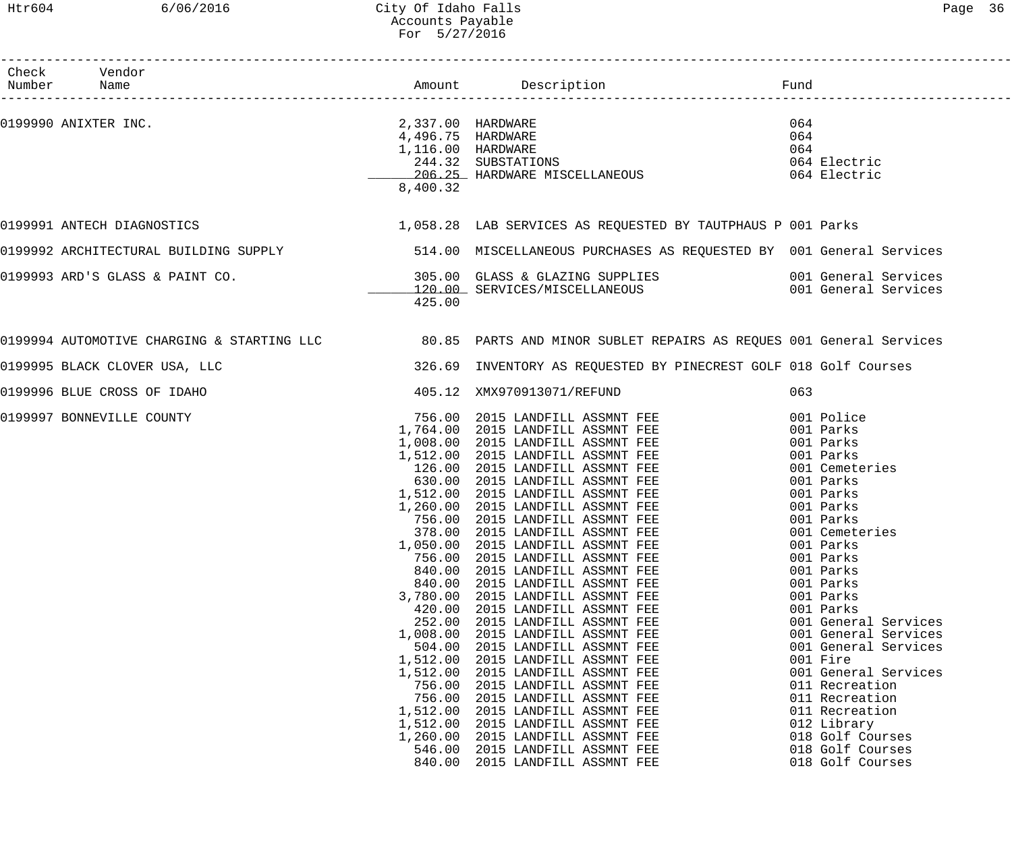### Htr604 6/06/2016 City Of Idaho Falls Page 36 Accounts Payable For 5/27/2016

| 8,400.32                                                                                                                                                         |                                                                                                                                                                                                                                                                                                                                                                                                                                                              | 064<br>064<br>064                                                                                                                                                                                                                                                                                                                                                                                                                                                                                                                                                                                                                                                                                                                                                                                                                                                                                |
|------------------------------------------------------------------------------------------------------------------------------------------------------------------|--------------------------------------------------------------------------------------------------------------------------------------------------------------------------------------------------------------------------------------------------------------------------------------------------------------------------------------------------------------------------------------------------------------------------------------------------------------|--------------------------------------------------------------------------------------------------------------------------------------------------------------------------------------------------------------------------------------------------------------------------------------------------------------------------------------------------------------------------------------------------------------------------------------------------------------------------------------------------------------------------------------------------------------------------------------------------------------------------------------------------------------------------------------------------------------------------------------------------------------------------------------------------------------------------------------------------------------------------------------------------|
|                                                                                                                                                                  |                                                                                                                                                                                                                                                                                                                                                                                                                                                              |                                                                                                                                                                                                                                                                                                                                                                                                                                                                                                                                                                                                                                                                                                                                                                                                                                                                                                  |
|                                                                                                                                                                  |                                                                                                                                                                                                                                                                                                                                                                                                                                                              |                                                                                                                                                                                                                                                                                                                                                                                                                                                                                                                                                                                                                                                                                                                                                                                                                                                                                                  |
| 425.00                                                                                                                                                           |                                                                                                                                                                                                                                                                                                                                                                                                                                                              |                                                                                                                                                                                                                                                                                                                                                                                                                                                                                                                                                                                                                                                                                                                                                                                                                                                                                                  |
|                                                                                                                                                                  |                                                                                                                                                                                                                                                                                                                                                                                                                                                              |                                                                                                                                                                                                                                                                                                                                                                                                                                                                                                                                                                                                                                                                                                                                                                                                                                                                                                  |
|                                                                                                                                                                  |                                                                                                                                                                                                                                                                                                                                                                                                                                                              |                                                                                                                                                                                                                                                                                                                                                                                                                                                                                                                                                                                                                                                                                                                                                                                                                                                                                                  |
|                                                                                                                                                                  |                                                                                                                                                                                                                                                                                                                                                                                                                                                              | 063                                                                                                                                                                                                                                                                                                                                                                                                                                                                                                                                                                                                                                                                                                                                                                                                                                                                                              |
| 1,050.00<br>756.00<br>840.00<br>840.00<br>3,780.00<br>420.00<br>252.00<br>1,008.00<br>504.00<br>1,512.00<br>1,512.00<br>756.00<br>756.00<br>1,512.00<br>1,512.00 | 2015 LANDFILL ASSMNT FEE<br>2015 LANDFILL ASSMNT FEE<br>2015 LANDFILL ASSMNT FEE<br>2015 LANDFILL ASSMNT FEE<br>2015 LANDFILL ASSMNT FEE<br>2015 LANDFILL ASSMNT FEE<br>2015 LANDFILL ASSMNT FEE<br>2015 LANDFILL ASSMNT FEE<br>2015 LANDFILL ASSMNT FEE<br>2015 LANDFILL ASSMNT FEE<br>2015 LANDFILL ASSMNT FEE<br>2015 LANDFILL ASSMNT FEE<br>2015 LANDFILL ASSMNT FEE<br>2015 LANDFILL ASSMNT FEE<br>2015 LANDFILL ASSMNT FEE<br>2015 LANDFILL ASSMNT FEE | 001 Police<br>001 Parks<br>001 Parks<br>001 Parks<br>001 Cemeteries<br>001 Parks<br>001 Parks<br>001 Parks<br>001 Parks<br>001 Cemeteries<br>001 Parks<br>001 Parks<br>001 Parks<br>001 Parks<br>001 Parks<br>001 Parks<br>001 General Services<br>001 General Services<br>001 General Services<br>001 Fire<br>001 General Services<br>011 Recreation<br>011 Recreation<br>011 Recreation<br>012 Library<br>018 Golf Courses                                                                                                                                                                                                                                                                                                                                                                                                                                                                     |
|                                                                                                                                                                  | 1,260.00                                                                                                                                                                                                                                                                                                                                                                                                                                                     | 0199990 ANIXTER INC. 2,337.00 HARDWARE<br>4,496.75 HARDWARE<br>1,116.00 HARDWARE<br>1,058.28 LAB SERVICES AS REQUESTED BY TAUTPHAUS P 001 Parks<br>0199992 ARCHITECTURAL BUILDING SUPPLY 60 S14.00 MISCELLANEOUS PURCHASES AS REQUESTED BY 001 General Services<br>0199994 AUTOMOTIVE CHARGING & STARTING LLC 80.85 PARTS AND MINOR SUBLET REPAIRS AS REQUES 001 General Services<br>326.69 INVENTORY AS REQUESTED BY PINECREST GOLF 018 Golf Courses<br>405.12 XMX970913071/REFUND<br>756.00 2015 LANDFILL ASSMNT FEE<br>1,764.00 2015 LANDFILL ASSMNT FEE<br>1,008.00 2015 LANDFILL ASSMNT FEE<br>1,512.00 2015 LANDFILL ASSMNT FEE<br>$126.00$ 2015 LANDFILL ASSMNT FEE<br>630.00 2015 LANDFILL ASSMNT FEE<br>1,512.00 2015 LANDFILL ASSMNT FEE<br>1,260.00 2015 LANDFILL ASSMNT FEE<br>756.00 2015 LANDFILL ASSMNT FEE<br>279.00 2015 LANDFILL ASSMNT FEE<br>378.00 2015 LANDFILL ASSMNT FEE |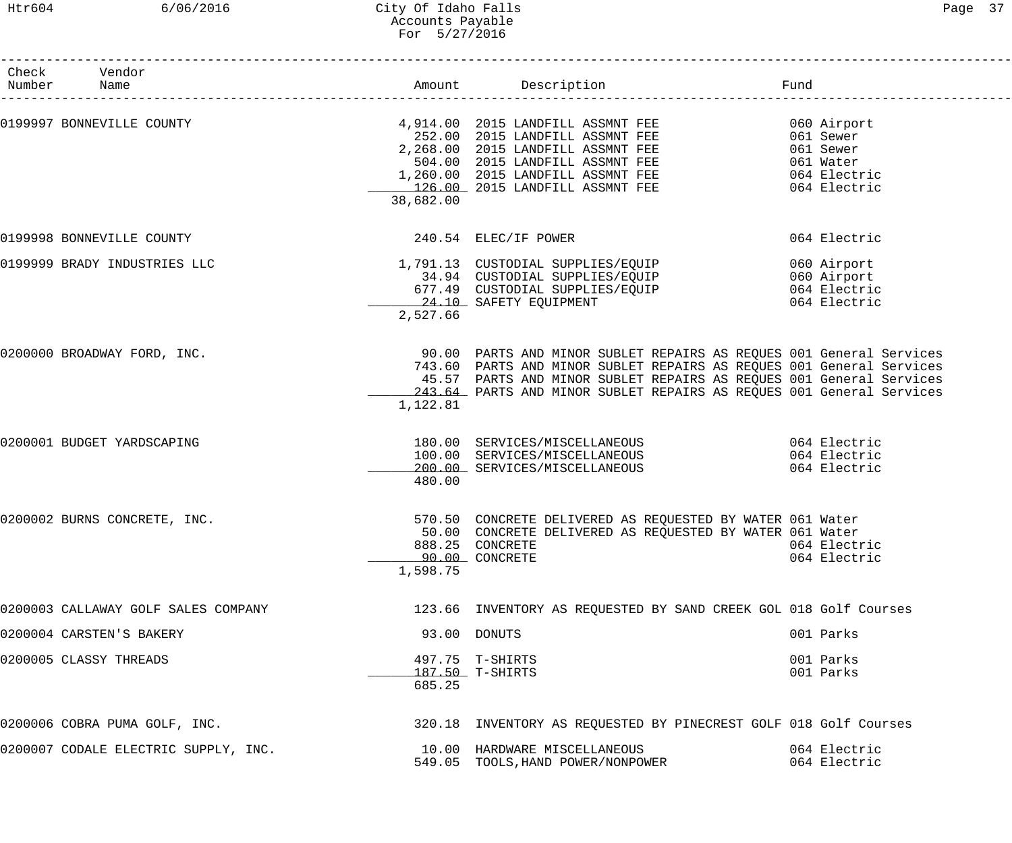### Htr604 6/06/2016 City Of Idaho Falls Page 37 Accounts Payable For 5/27/2016

| Page |  |
|------|--|
|------|--|

| Check Vendor<br>Number Name          |           |                                                                                                                                                                                                                                                                                            | Fund                         |
|--------------------------------------|-----------|--------------------------------------------------------------------------------------------------------------------------------------------------------------------------------------------------------------------------------------------------------------------------------------------|------------------------------|
| 0199997 BONNEVILLE COUNTY            | 38,682.00 | 4,914.00 2015 LANDFILL ASSMNT FEE 060 Airport<br>252.00 2015 LANDFILL ASSMNT FEE 061 Sewer<br>2,268.00 2015 LANDFILL ASSMNT FEE 061 Sewer<br>504.00 2015 LANDFILL ASSMNT FEE 061 Water<br>1,260.00 2015 LANDFILL ASSMNT FEE 064 Electr                                                     |                              |
| 0199998 BONNEVILLE COUNTY            |           | 240.54 ELEC/IF POWER                                                                                                                                                                                                                                                                       | 064 Electric                 |
| 0199999 BRADY INDUSTRIES LLC         | 2,527.66  | 1,791.13 CUSTODIAL SUPPLIES/EQUIP 060 Airport<br>34.94 CUSTODIAL SUPPLIES/EQUIP 060 Airport<br>677.49 CUSTODIAL SUPPLIES/EQUIP 064 Electric<br>24.10 SAFETY EQUIPMENT 064 Electric                                                                                                         |                              |
| 0200000 BROADWAY FORD, INC.          | 1,122.81  | 90.00 PARTS AND MINOR SUBLET REPAIRS AS REQUES 001 General Services<br>743.60 PARTS AND MINOR SUBLET REPAIRS AS REQUES 001 General Services<br>45.57 PARTS AND MINOR SUBLET REPAIRS AS REQUES 001 General Services<br>243.64 PARTS AND MINOR SUBLET REPAIRS AS REQUES 001 General Services |                              |
| 0200001 BUDGET YARDSCAPING           | 480.00    | 180.00 SERVICES/MISCELLANEOUS 064 Electric<br>100.00 SERVICES/MISCELLANEOUS<br>200.00 SERVICES/MISCELLANEOUS                                                                                                                                                                               | 064 Electric<br>064 Electric |
| 0200002 BURNS CONCRETE, INC.         | 1,598.75  | 570.50 CONCRETE DELIVERED AS REQUESTED BY WATER 061 Water<br>50.00 CONCRETE DELIVERED AS REQUESTED BY WATER 061 Water<br>888.25 CONCRETE<br>90.00 CONCRETE                                                                                                                                 | 064 Electric<br>064 Electric |
| 0200003 CALLAWAY GOLF SALES COMPANY  |           | 123.66 INVENTORY AS REQUESTED BY SAND CREEK GOL 018 Golf Courses                                                                                                                                                                                                                           |                              |
| 0200004 CARSTEN'S BAKERY             |           | 93.00 DONUTS                                                                                                                                                                                                                                                                               | 001 Parks                    |
| 0200005 CLASSY THREADS               | 685.25    | 497.75 T-SHIRTS<br>187.50 T-SHIRTS                                                                                                                                                                                                                                                         | 001 Parks<br>001 Parks       |
| 0200006 COBRA PUMA GOLF, INC.        |           | 320.18 INVENTORY AS REQUESTED BY PINECREST GOLF 018 Golf Courses                                                                                                                                                                                                                           |                              |
| 0200007 CODALE ELECTRIC SUPPLY, INC. |           | 10.00 HARDWARE MISCELLANEOUS<br>549.05 TOOLS, HAND POWER/NONPOWER                                                                                                                                                                                                                          | 064 Electric<br>064 Electric |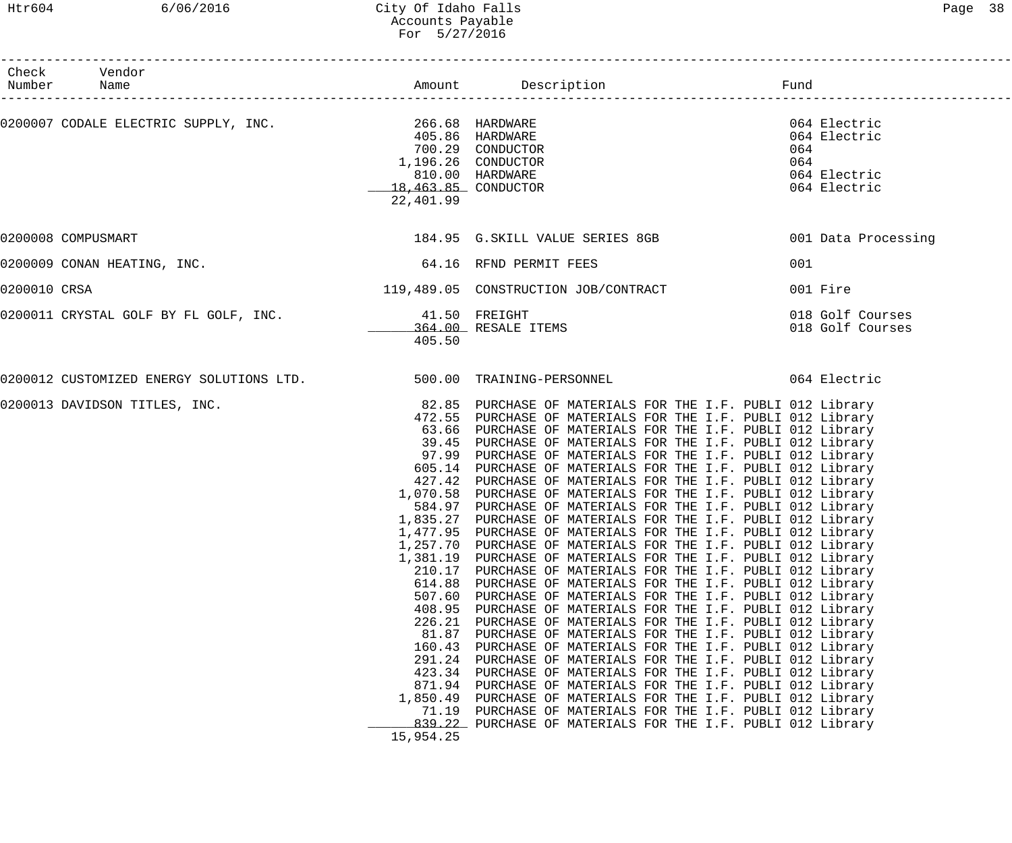|              | Check Vendor<br>Number Name                                        |                                                                                                                                                           |                                                                                                                                                                                                                                                                                                                                                                                                                                                                                                                                                                                                                                                                                                                                                                                                                                                                                                                                                                                                                                                                                                                                                                                                                                                                                                                                                                                                                                                                                                                                                                                                    |                                                                            |
|--------------|--------------------------------------------------------------------|-----------------------------------------------------------------------------------------------------------------------------------------------------------|----------------------------------------------------------------------------------------------------------------------------------------------------------------------------------------------------------------------------------------------------------------------------------------------------------------------------------------------------------------------------------------------------------------------------------------------------------------------------------------------------------------------------------------------------------------------------------------------------------------------------------------------------------------------------------------------------------------------------------------------------------------------------------------------------------------------------------------------------------------------------------------------------------------------------------------------------------------------------------------------------------------------------------------------------------------------------------------------------------------------------------------------------------------------------------------------------------------------------------------------------------------------------------------------------------------------------------------------------------------------------------------------------------------------------------------------------------------------------------------------------------------------------------------------------------------------------------------------------|----------------------------------------------------------------------------|
|              | 0200007 CODALE ELECTRIC SUPPLY, INC. 266.68 HARDWARE               | 22,401.99                                                                                                                                                 | 405.86 HARDWARE<br>700.29 CONDUCTOR<br>1,196.26 CONDUCTOR<br>810.00 HARDWARE<br>18,463.85 CONDUCTOR                                                                                                                                                                                                                                                                                                                                                                                                                                                                                                                                                                                                                                                                                                                                                                                                                                                                                                                                                                                                                                                                                                                                                                                                                                                                                                                                                                                                                                                                                                | 064 Electric<br>064 Electric<br>064<br>064<br>064 Electric<br>064 Electric |
|              | 0200008 COMPUSMART                                                 |                                                                                                                                                           | 184.95 G.SKILL VALUE SERIES 8GB 601 Data Processing                                                                                                                                                                                                                                                                                                                                                                                                                                                                                                                                                                                                                                                                                                                                                                                                                                                                                                                                                                                                                                                                                                                                                                                                                                                                                                                                                                                                                                                                                                                                                |                                                                            |
|              | 0200009 CONAN HEATING, INC.                                        |                                                                                                                                                           | 64.16 RFND PERMIT FEES                                                                                                                                                                                                                                                                                                                                                                                                                                                                                                                                                                                                                                                                                                                                                                                                                                                                                                                                                                                                                                                                                                                                                                                                                                                                                                                                                                                                                                                                                                                                                                             | 001                                                                        |
| 0200010 CRSA |                                                                    |                                                                                                                                                           | 119,489.05 CONSTRUCTION JOB/CONTRACT                                                                                                                                                                                                                                                                                                                                                                                                                                                                                                                                                                                                                                                                                                                                                                                                                                                                                                                                                                                                                                                                                                                                                                                                                                                                                                                                                                                                                                                                                                                                                               | 001 Fire                                                                   |
|              | 0200011 CRYSTAL GOLF BY FL GOLF, INC.                              | 41.50 FREIGHT<br>405.50                                                                                                                                   | 364.00 RESALE ITEMS                                                                                                                                                                                                                                                                                                                                                                                                                                                                                                                                                                                                                                                                                                                                                                                                                                                                                                                                                                                                                                                                                                                                                                                                                                                                                                                                                                                                                                                                                                                                                                                | 018 Golf Courses<br>018 Golf Courses                                       |
|              | 0200012 CUSTOMIZED ENERGY SOLUTIONS LTD. 500.00 TRAINING-PERSONNEL |                                                                                                                                                           |                                                                                                                                                                                                                                                                                                                                                                                                                                                                                                                                                                                                                                                                                                                                                                                                                                                                                                                                                                                                                                                                                                                                                                                                                                                                                                                                                                                                                                                                                                                                                                                                    | 064 Electric                                                               |
|              | 0200013 DAVIDSON TITLES, INC.                                      | 1,257.70<br>1,381.19<br>210.17<br>614.88<br>507.60<br>408.95<br>226.21<br>81.87<br>160.43<br>291.24<br>423.34<br>871.94<br>1,850.49<br>71.19<br>15,954.25 | 82.85 PURCHASE OF MATERIALS FOR THE I.F. PUBLI 012 Library<br>472.55 PURCHASE OF MATERIALS FOR THE I.F. PUBLI 012 Library<br>63.66 PURCHASE OF MATERIALS FOR THE I.F. PUBLI 012 Library<br>39.45 PURCHASE OF MATERIALS FOR THE I.F. PUBLI 012 Library<br>97.99 PURCHASE OF MATERIALS FOR THE I.F. PUBLI 012 Library<br>605.14 PURCHASE OF MATERIALS FOR THE I.F. PUBLI 012 Library<br>427.42 PURCHASE OF MATERIALS FOR THE I.F. PUBLI 012 Library<br>1,070.58 PURCHASE OF MATERIALS FOR THE I.F. PUBLI 012 Library<br>584.97 PURCHASE OF MATERIALS FOR THE I.F. PUBLI 012 Library<br>1,835.27 PURCHASE OF MATERIALS FOR THE I.F. PUBLI 012 Library<br>1,477.95 PURCHASE OF MATERIALS FOR THE I.F. PUBLI 012 Library<br>PURCHASE OF MATERIALS FOR THE I.F. PUBLI 012 Library<br>PURCHASE OF MATERIALS FOR THE I.F. PUBLI 012 Library<br>PURCHASE OF MATERIALS FOR THE I.F. PUBLI 012 Library<br>PURCHASE OF MATERIALS FOR THE I.F. PUBLI 012 Library<br>PURCHASE OF MATERIALS FOR THE I.F. PUBLI 012 Library<br>PURCHASE OF MATERIALS FOR THE I.F. PUBLI 012 Library<br>PURCHASE OF MATERIALS FOR THE I.F. PUBLI 012 Library<br>PURCHASE OF MATERIALS FOR THE I.F. PUBLI 012 Library<br>PURCHASE OF MATERIALS FOR THE I.F. PUBLI 012 Library<br>PURCHASE OF MATERIALS FOR THE I.F. PUBLI 012 Library<br>PURCHASE OF MATERIALS FOR THE I.F. PUBLI 012 Library<br>PURCHASE OF MATERIALS FOR THE I.F. PUBLI 012 Library<br>PURCHASE OF MATERIALS FOR THE I.F. PUBLI 012 Library<br>PURCHASE OF MATERIALS FOR THE I.F. PUBLI 012 Library<br>839.22 PURCHASE OF MATERIALS FOR THE I.F. PUBLI 012 Library |                                                                            |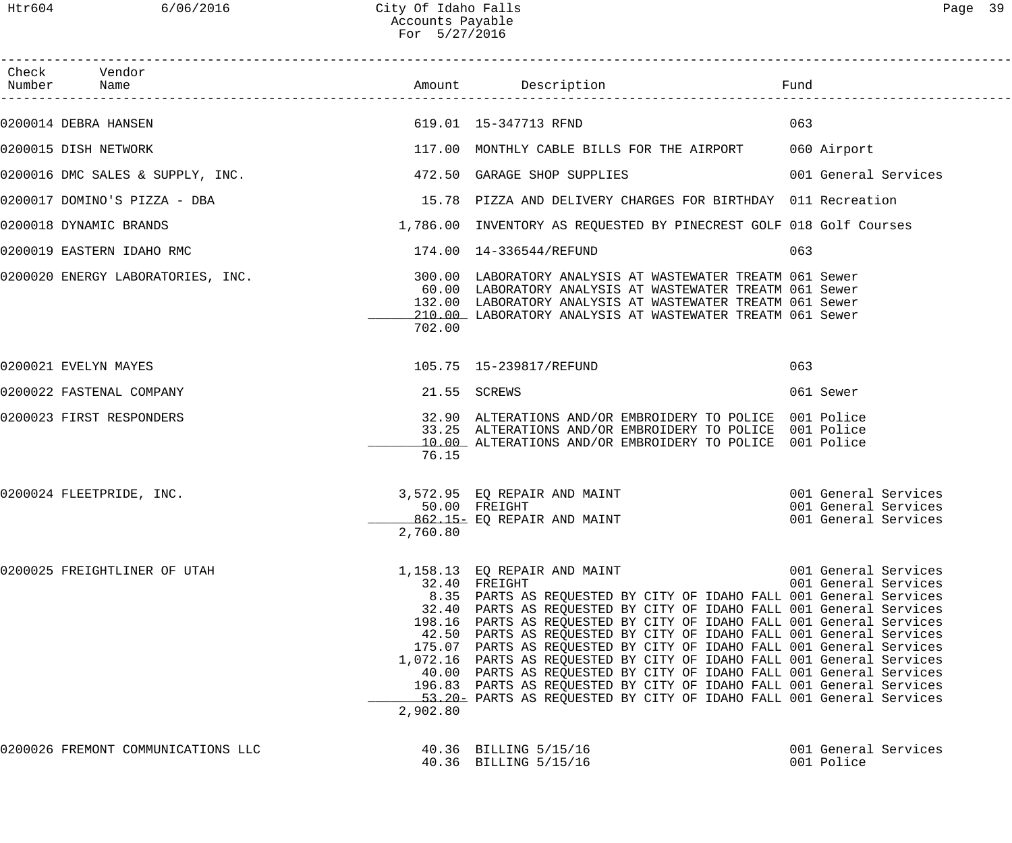| Check Vendor<br>Number Name                   |          | Amount Description                                                                                                                                                                                                                                                                                                                                                                                                                                                                                                                                                                                                                                                                                                | Fund                                         |
|-----------------------------------------------|----------|-------------------------------------------------------------------------------------------------------------------------------------------------------------------------------------------------------------------------------------------------------------------------------------------------------------------------------------------------------------------------------------------------------------------------------------------------------------------------------------------------------------------------------------------------------------------------------------------------------------------------------------------------------------------------------------------------------------------|----------------------------------------------|
| 619.01 15-347713 RFND<br>0200014 DEBRA HANSEN |          |                                                                                                                                                                                                                                                                                                                                                                                                                                                                                                                                                                                                                                                                                                                   | 063                                          |
| 0200015 DISH NETWORK                          |          | 117.00 MONTHLY CABLE BILLS FOR THE AIRPORT 060 Airport                                                                                                                                                                                                                                                                                                                                                                                                                                                                                                                                                                                                                                                            |                                              |
|                                               |          | $0200016$ DMC SALES & SUPPLY, INC. $472.50$ GARAGE SHOP SUPPLIES                                                                                                                                                                                                                                                                                                                                                                                                                                                                                                                                                                                                                                                  | 001 General Services                         |
| 0200017 DOMINO'S PIZZA - DBA                  |          | 15.78 PIZZA AND DELIVERY CHARGES FOR BIRTHDAY 011 Recreation                                                                                                                                                                                                                                                                                                                                                                                                                                                                                                                                                                                                                                                      |                                              |
| 0200018 DYNAMIC BRANDS                        |          | 1,786.00 INVENTORY AS REQUESTED BY PINECREST GOLF 018 Golf Courses                                                                                                                                                                                                                                                                                                                                                                                                                                                                                                                                                                                                                                                |                                              |
| 0200019 EASTERN IDAHO RMC                     |          | 174.00  14-336544/REFUND                                                                                                                                                                                                                                                                                                                                                                                                                                                                                                                                                                                                                                                                                          | 063                                          |
| 0200020 ENERGY LABORATORIES, INC.             | 702.00   | 300.00 LABORATORY ANALYSIS AT WASTEWATER TREATM 061 Sewer<br>60.00 LABORATORY ANALYSIS AT WASTEWATER TREATM 061 Sewer<br>132.00 LABORATORY ANALYSIS AT WASTEWATER TREATM 061 Sewer<br>210.00 LABORATORY ANALYSIS AT WASTEWATER TREATM 061 Sewer                                                                                                                                                                                                                                                                                                                                                                                                                                                                   |                                              |
| 0200021 EVELYN MAYES                          |          | 105.75    15-239817/REFUND                                                                                                                                                                                                                                                                                                                                                                                                                                                                                                                                                                                                                                                                                        | 063                                          |
| 0200022 FASTENAL COMPANY                      |          | 21.55 SCREWS                                                                                                                                                                                                                                                                                                                                                                                                                                                                                                                                                                                                                                                                                                      | 061 Sewer                                    |
| 0200023 FIRST RESPONDERS                      | 76.15    | 32.90 ALTERATIONS AND/OR EMBROIDERY TO POLICE 001 Police<br>33.25 ALTERATIONS AND/OR EMBROIDERY TO POLICE 001 Police<br>10.00 ALTERATIONS AND/OR EMBROIDERY TO POLICE 001 Police                                                                                                                                                                                                                                                                                                                                                                                                                                                                                                                                  |                                              |
| 0200024 FLEETPRIDE, INC.                      | 2,760.80 | 3,572.95 EQ REPAIR AND MAINT 6001 General Services<br>50.00 FREIGHT<br>862.15- EQ REPAIR AND MAINT                                                                                                                                                                                                                                                                                                                                                                                                                                                                                                                                                                                                                | 001 General Services<br>001 General Services |
| 0200025 FREIGHTLINER OF UTAH                  | 2,902.80 | 1,158.13 EQ REPAIR AND MAINT<br>32.40 FREIGHT<br>8.35 PARTS AS REQUESTED BY CITY OF IDAHO FALL 001 General Services<br>32.40 PARTS AS REQUESTED BY CITY OF IDAHO FALL 001 General Services<br>198.16 PARTS AS REQUESTED BY CITY OF IDAHO FALL 001 General Services<br>42.50 PARTS AS REQUESTED BY CITY OF IDAHO FALL 001 General Services<br>175.07 PARTS AS REQUESTED BY CITY OF IDAHO FALL 001 General Services<br>1,072.16 PARTS AS REQUESTED BY CITY OF IDAHO FALL 001 General Services<br>40.00 PARTS AS REQUESTED BY CITY OF IDAHO FALL 001 General Services<br>196.83 PARTS AS REQUESTED BY CITY OF IDAHO FALL 001 General Services<br>53.20 PARTS AS REQUESTED BY CITY OF IDAHO FALL 001 General Services | 001 General Services<br>001 General Services |
| 0200026 FREMONT COMMUNICATIONS LLC            |          | 40.36 BILLING 5/15/16<br>40.36 BILLING 5/15/16                                                                                                                                                                                                                                                                                                                                                                                                                                                                                                                                                                                                                                                                    | 001 General Services<br>001 Police           |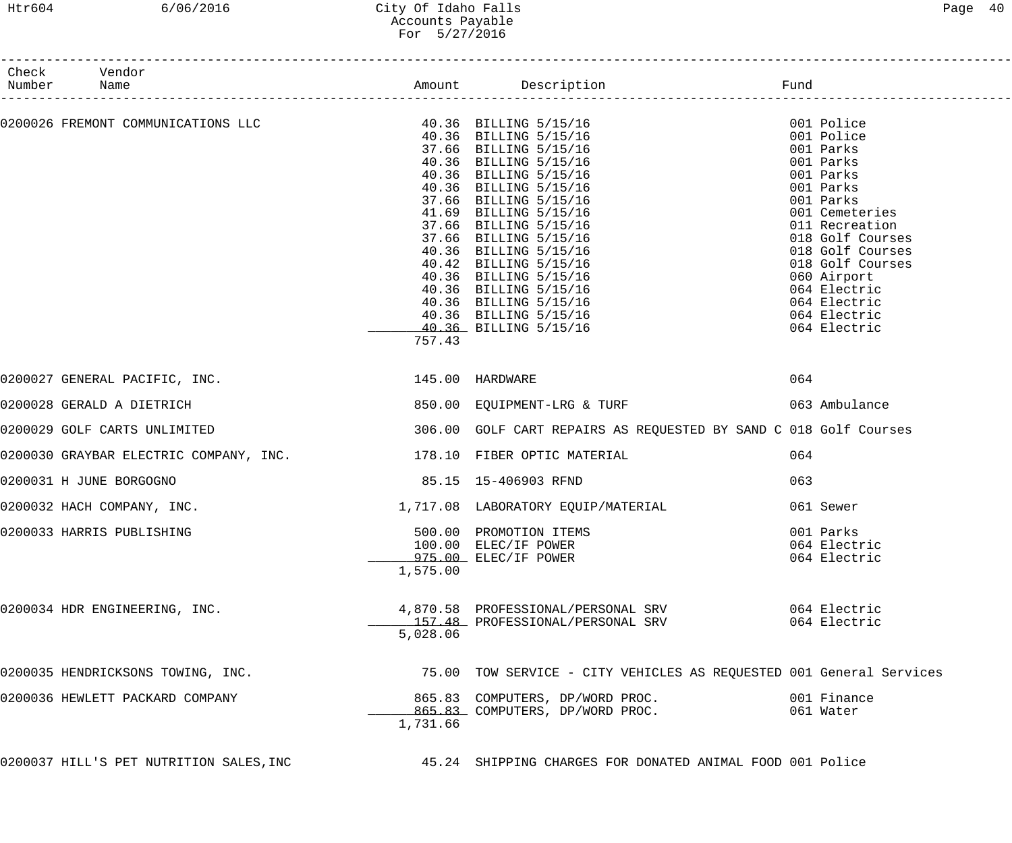# Htr604 6/06/2016 City Of Idaho Falls Page 40 Accounts Payable For 5/27/2016

| Check Vendor<br>Number Name<br>----------------------              |          |                                                                                                                                                                                                                                                 |                                                                                                                                                                                                                                                                          |
|--------------------------------------------------------------------|----------|-------------------------------------------------------------------------------------------------------------------------------------------------------------------------------------------------------------------------------------------------|--------------------------------------------------------------------------------------------------------------------------------------------------------------------------------------------------------------------------------------------------------------------------|
|                                                                    | 757.43   | 0200026 FREMONT COMMUNICATIONS LLC<br>40.36 BILLING 5/15/16<br>40.36 BILLING 5/15/16<br>37.66 BILLING 5/15/16<br>40.36 BILLING 5/15/16<br>40.36 BILLING 5/15/16<br>40.36 BILLING 5/15/16<br>40.36 BILLING 5/15/16<br>37.66 BILLING 5/15/16<br>3 | 001 Police<br>001 Police<br>001 Parks<br>001 Parks<br>001 Parks<br>001 Parks<br>001 Parks<br>001 Cemeteries<br>011 Recreation<br>018 Golf Courses<br>018 Golf Courses<br>018 Golf Courses<br>060 Airport<br>064 Electric<br>064 Electric<br>064 Electric<br>064 Electric |
| 0200027 GENERAL PACIFIC, INC. 1899 145.00 HARDWARE                 |          |                                                                                                                                                                                                                                                 | 064                                                                                                                                                                                                                                                                      |
| 0200028 GERALD A DIETRICH                                          |          | 850.00 EQUIPMENT-LRG & TURF                                                                                                                                                                                                                     | 063 Ambulance                                                                                                                                                                                                                                                            |
| 0200029 GOLF CARTS UNLIMITED                                       |          | 306.00 GOLF CART REPAIRS AS REQUESTED BY SAND C 018 Golf Courses                                                                                                                                                                                |                                                                                                                                                                                                                                                                          |
| 0200030 GRAYBAR ELECTRIC COMPANY, INC. 178.10 FIBER OPTIC MATERIAL |          |                                                                                                                                                                                                                                                 | 064                                                                                                                                                                                                                                                                      |
| 0200031 H JUNE BORGOGNO                                            |          | 85.15 15-406903 RFND                                                                                                                                                                                                                            | 063                                                                                                                                                                                                                                                                      |
| 0200032 HACH COMPANY, INC.                                         |          | 1,717.08 LABORATORY EQUIP/MATERIAL                                                                                                                                                                                                              | 061 Sewer                                                                                                                                                                                                                                                                |
| 0200033 HARRIS PUBLISHING                                          | 1,575.00 | 500.00 PROMOTION ITEMS<br>100.00 ELEC/IF POWER<br>975.00 ELEC/IF POWER                                                                                                                                                                          | 001 Parks<br>064 Electric<br>064 Electric                                                                                                                                                                                                                                |
| 0200034 HDR ENGINEERING, INC.                                      | 5,028.06 | 4,870.58 PROFESSIONAL/PERSONAL SRV<br>157.48 PROFESSIONAL/PERSONAL SRV                                                                                                                                                                          | 064 Electric<br>064 Electric                                                                                                                                                                                                                                             |
| 0200035 HENDRICKSONS TOWING, INC.                                  |          | 75.00 TOW SERVICE - CITY VEHICLES AS REQUESTED 001 General Services                                                                                                                                                                             |                                                                                                                                                                                                                                                                          |
| 0200036 HEWLETT PACKARD COMPANY                                    | 1,731.66 | 865.83 COMPUTERS, DP/WORD PROC.<br>865.83 COMPUTERS, DP/WORD PROC.                                                                                                                                                                              | 001 Finance<br>061 Water                                                                                                                                                                                                                                                 |
|                                                                    |          | 0200037 HILL'S PET NUTRITION SALES, INC 45.24 SHIPPING CHARGES FOR DONATED ANIMAL FOOD 001 Police                                                                                                                                               |                                                                                                                                                                                                                                                                          |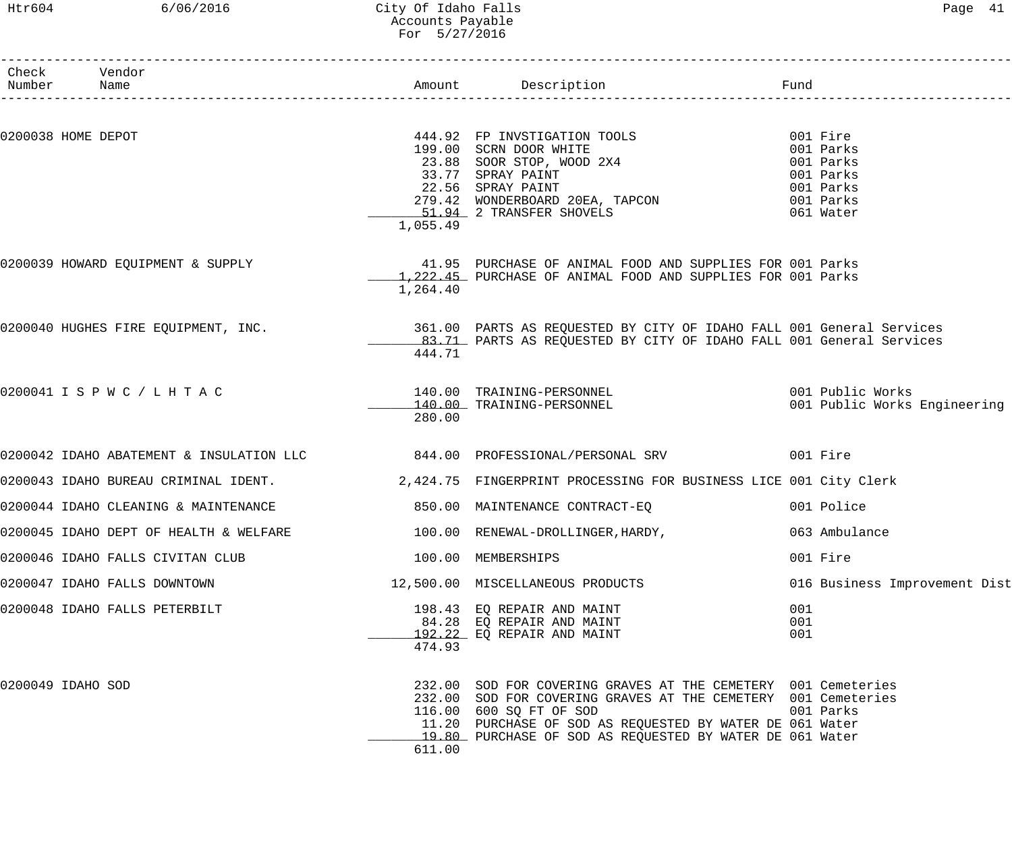### Htr604 6/06/2016 City Of Idaho Falls Page 41 Accounts Payable For 5/27/2016

| Check Vendor<br>Number Name            |          |                                                                                                                                                                                                                                                                                   | Fund                          |
|----------------------------------------|----------|-----------------------------------------------------------------------------------------------------------------------------------------------------------------------------------------------------------------------------------------------------------------------------------|-------------------------------|
|                                        |          |                                                                                                                                                                                                                                                                                   |                               |
| 0200038 HOME DEPOT                     | 1,055.49 | 444.92 FP INVSTIGATION TOOLS<br>199.00 SCRN DOOR WHITE<br>23.88 SOOR STOP, WOOD 2X4<br>33.77 SPRAY PAINT<br>22.56 SPRAY PAINT<br>279.42 WONDERBOARD 20EA, TAPCON<br>51.94 2 TRANSFER SHOVELS<br>199.00 Parks<br>279.42 WONDERBOARD 20EA, TAPCO                                    |                               |
| 0200039 HOWARD EQUIPMENT & SUPPLY      | 1,264.40 | 41.95 PURCHASE OF ANIMAL FOOD AND SUPPLIES FOR 001 Parks<br>1,222.45 PURCHASE OF ANIMAL FOOD AND SUPPLIES FOR 001 Parks                                                                                                                                                           |                               |
|                                        | 444.71   | 0200040 HUGHES FIRE EQUIPMENT, INC. THE SALL 00 PARTS AS REQUESTED BY CITY OF IDAHO FALL 001 General Services<br>83.71 PARTS AS REQUESTED BY CITY OF IDAHO FALL 001 General Services                                                                                              |                               |
| 0200041 I S P W C / L H T A C          | 280.00   |                                                                                                                                                                                                                                                                                   |                               |
|                                        |          | 0200042 IDAHO ABATEMENT & INSULATION LLC 644.00 PROFESSIONAL/PERSONAL SRV 001 Fire                                                                                                                                                                                                |                               |
|                                        |          | 0200043 IDAHO BUREAU CRIMINAL IDENT. 2,424.75 FINGERPRINT PROCESSING FOR BUSINESS LICE 001 City Clerk                                                                                                                                                                             |                               |
|                                        |          |                                                                                                                                                                                                                                                                                   | 001 Police                    |
| 0200045 IDAHO DEPT OF HEALTH & WELFARE |          | 100.00 RENEWAL-DROLLINGER, HARDY,                                                                                                                                                                                                                                                 | 063 Ambulance                 |
| 0200046 IDAHO FALLS CIVITAN CLUB       |          | 100.00 MEMBERSHIPS                                                                                                                                                                                                                                                                | 001 Fire                      |
| 0200047 IDAHO FALLS DOWNTOWN           |          | 12,500.00 MISCELLANEOUS PRODUCTS                                                                                                                                                                                                                                                  | 016 Business Improvement Dist |
| 0200048 IDAHO FALLS PETERBILT          | 474.93   | 198.43 EQ REPAIR AND MAINT<br>84.28 EQ REPAIR AND MAINT<br>192.22 EQ REPAIR AND MAINT                                                                                                                                                                                             | 001<br>001<br>001             |
| 0200049 IDAHO SOD                      |          | 232.00 SOD FOR COVERING GRAVES AT THE CEMETERY 001 Cemeteries<br>232.00 SOD FOR COVERING GRAVES AT THE CEMETERY 001 Cemeteries<br>116.00 600 SQ FT OF SOD<br>11.20 PURCHASE OF SOD AS REQUESTED BY WATER DE 061 Water<br>19.80 PURCHASE OF SOD AS REQUESTED BY WATER DE 061 Water | 001 Parks                     |

611.00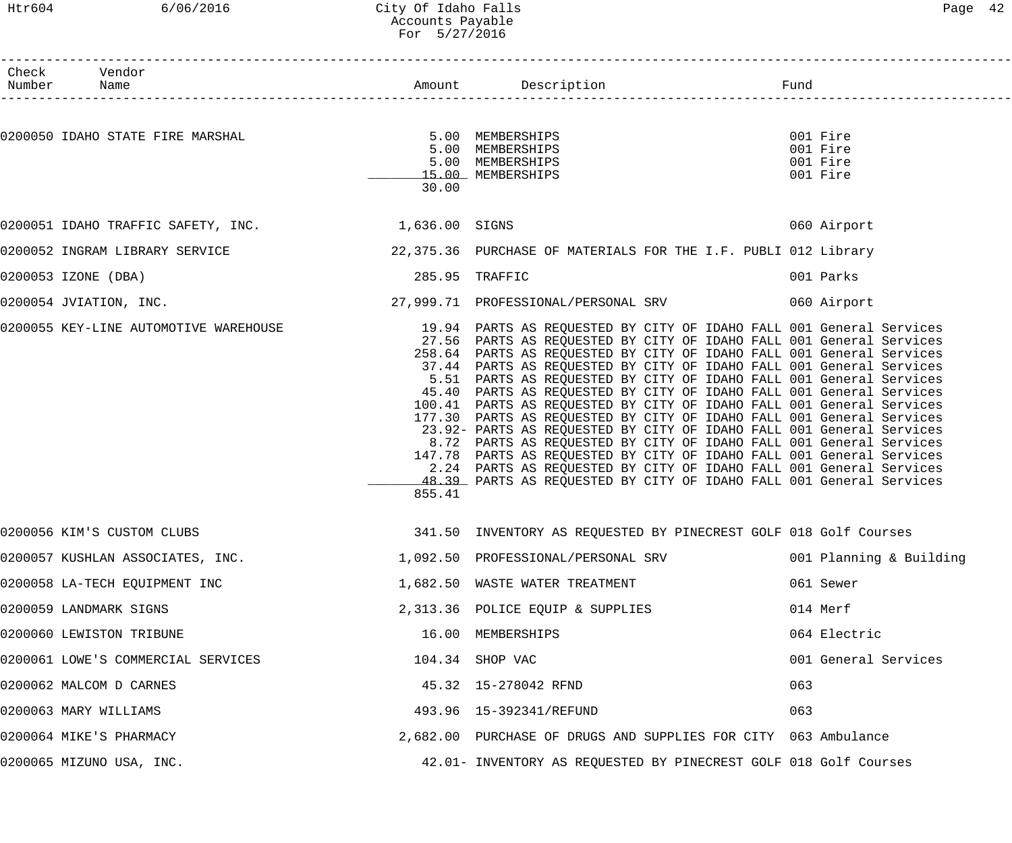### Htr604 6/06/2016 City Of Idaho Falls Page 42 Accounts Payable For 5/27/2016

| Check Vendor<br>Number Name                       |        |                                                                                                                                                                                                                                                                                                                                                                                                                                                                                                                                                                                                                                                                                                                                                                                                                                                                                                                                                           |     |                                              |
|---------------------------------------------------|--------|-----------------------------------------------------------------------------------------------------------------------------------------------------------------------------------------------------------------------------------------------------------------------------------------------------------------------------------------------------------------------------------------------------------------------------------------------------------------------------------------------------------------------------------------------------------------------------------------------------------------------------------------------------------------------------------------------------------------------------------------------------------------------------------------------------------------------------------------------------------------------------------------------------------------------------------------------------------|-----|----------------------------------------------|
| 0200050 IDAHO STATE FIRE MARSHAL                  | 30.00  | 5.00 MEMBERSHIPS<br>5.00 MEMBERSHIPS<br>5.00 MEMBERSHIPS<br>15.00 MEMBERSHIPS                                                                                                                                                                                                                                                                                                                                                                                                                                                                                                                                                                                                                                                                                                                                                                                                                                                                             |     | 001 Fire<br>001 Fire<br>001 Fire<br>001 Fire |
| 0200051 IDAHO TRAFFIC SAFETY, INC. 1,636.00 SIGNS |        |                                                                                                                                                                                                                                                                                                                                                                                                                                                                                                                                                                                                                                                                                                                                                                                                                                                                                                                                                           |     | 060 Airport                                  |
| 0200052 INGRAM LIBRARY SERVICE                    |        | 22,375.36 PURCHASE OF MATERIALS FOR THE I.F. PUBLI 012 Library                                                                                                                                                                                                                                                                                                                                                                                                                                                                                                                                                                                                                                                                                                                                                                                                                                                                                            |     |                                              |
| 0200053 IZONE (DBA)                               |        | 285.95 TRAFFIC                                                                                                                                                                                                                                                                                                                                                                                                                                                                                                                                                                                                                                                                                                                                                                                                                                                                                                                                            |     | 001 Parks                                    |
| 0200054 JVIATION, INC.                            |        | 27,999.71 PROFESSIONAL/PERSONAL SRV 060 Airport                                                                                                                                                                                                                                                                                                                                                                                                                                                                                                                                                                                                                                                                                                                                                                                                                                                                                                           |     |                                              |
| 0200055 KEY-LINE AUTOMOTIVE WAREHOUSE             | 855.41 | 19.94 PARTS AS REQUESTED BY CITY OF IDAHO FALL 001 General Services<br>27.56 PARTS AS REQUESTED BY CITY OF IDAHO FALL 001 General Services<br>258.64 PARTS AS REQUESTED BY CITY OF IDAHO FALL 001 General Services<br>37.44 PARTS AS REQUESTED BY CITY OF IDAHO FALL 001 General Services<br>5.51 PARTS AS REQUESTED BY CITY OF IDAHO FALL 001 General Services<br>45.40 PARTS AS REQUESTED BY CITY OF IDAHO FALL 001 General Services<br>100.41 PARTS AS REQUESTED BY CITY OF IDAHO FALL 001 General Services<br>177.30 PARTS AS REQUESTED BY CITY OF IDAHO FALL 001 General Services<br>23.92- PARTS AS REQUESTED BY CITY OF IDAHO FALL 001 General Services<br>8.72 PARTS AS REQUESTED BY CITY OF IDAHO FALL 001 General Services<br>147.78 PARTS AS REQUESTED BY CITY OF IDAHO FALL 001 General Services<br>2.24 PARTS AS REQUESTED BY CITY OF IDAHO FALL 001 General Services<br>48.39 PARTS AS REQUESTED BY CITY OF IDAHO FALL 001 General Services |     |                                              |
| 0200056 KIM'S CUSTOM CLUBS                        |        | 341.50 INVENTORY AS REQUESTED BY PINECREST GOLF 018 Golf Courses                                                                                                                                                                                                                                                                                                                                                                                                                                                                                                                                                                                                                                                                                                                                                                                                                                                                                          |     |                                              |
| 0200057 KUSHLAN ASSOCIATES, INC.                  |        | 1,092.50 PROFESSIONAL/PERSONAL SRV                                                                                                                                                                                                                                                                                                                                                                                                                                                                                                                                                                                                                                                                                                                                                                                                                                                                                                                        |     | 001 Planning & Building                      |
| 0200058 LA-TECH EQUIPMENT INC                     |        | 1,682.50 WASTE WATER TREATMENT                                                                                                                                                                                                                                                                                                                                                                                                                                                                                                                                                                                                                                                                                                                                                                                                                                                                                                                            |     | 061 Sewer                                    |
| 0200059 LANDMARK SIGNS                            |        | 2,313.36 POLICE EQUIP & SUPPLIES                                                                                                                                                                                                                                                                                                                                                                                                                                                                                                                                                                                                                                                                                                                                                                                                                                                                                                                          |     | 014 Merf                                     |
| 0200060 LEWISTON TRIBUNE                          |        | 16.00 MEMBERSHIPS                                                                                                                                                                                                                                                                                                                                                                                                                                                                                                                                                                                                                                                                                                                                                                                                                                                                                                                                         |     | 064 Electric                                 |
| 0200061 LOWE'S COMMERCIAL SERVICES                |        | 104.34 SHOP VAC                                                                                                                                                                                                                                                                                                                                                                                                                                                                                                                                                                                                                                                                                                                                                                                                                                                                                                                                           |     | 001 General Services                         |
| 0200062 MALCOM D CARNES                           |        | 45.32 15-278042 RFND                                                                                                                                                                                                                                                                                                                                                                                                                                                                                                                                                                                                                                                                                                                                                                                                                                                                                                                                      | 063 |                                              |
| 0200063 MARY WILLIAMS                             |        | 493.96 15-392341/REFUND                                                                                                                                                                                                                                                                                                                                                                                                                                                                                                                                                                                                                                                                                                                                                                                                                                                                                                                                   | 063 |                                              |
| 0200064 MIKE'S PHARMACY                           |        | 2,682.00 PURCHASE OF DRUGS AND SUPPLIES FOR CITY 063 Ambulance                                                                                                                                                                                                                                                                                                                                                                                                                                                                                                                                                                                                                                                                                                                                                                                                                                                                                            |     |                                              |
| 0200065 MIZUNO USA, INC.                          |        | 42.01- INVENTORY AS REQUESTED BY PINECREST GOLF 018 Golf Courses                                                                                                                                                                                                                                                                                                                                                                                                                                                                                                                                                                                                                                                                                                                                                                                                                                                                                          |     |                                              |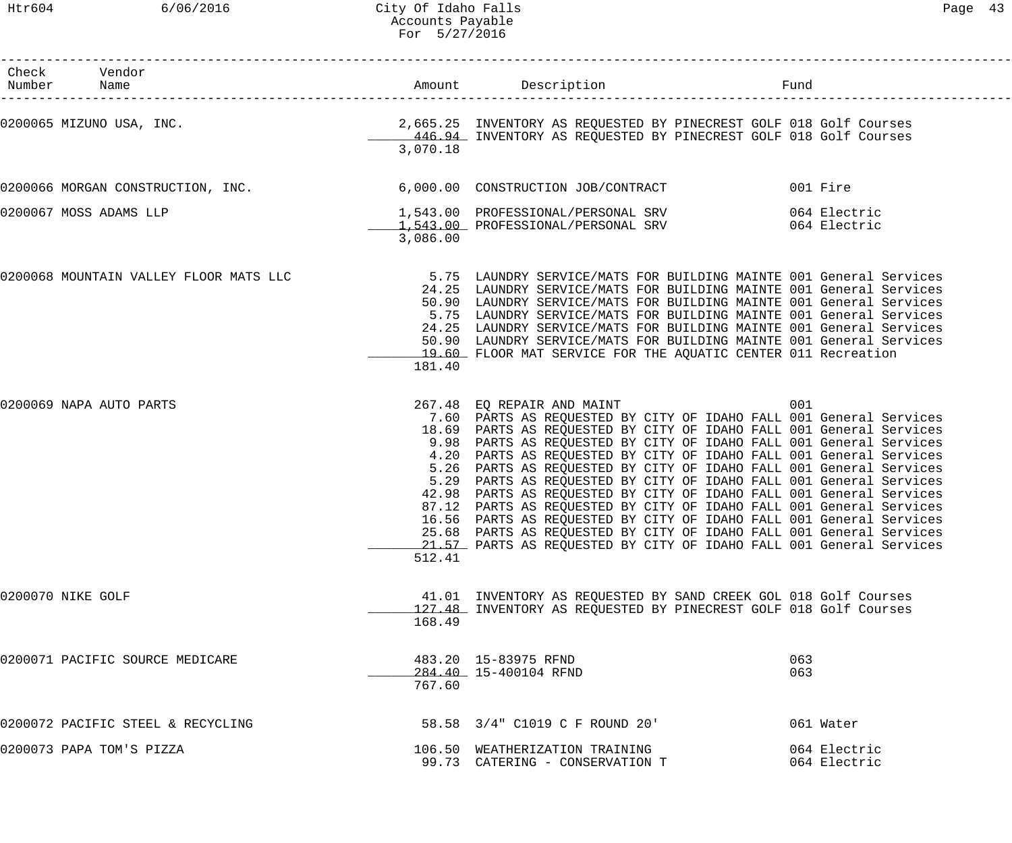| Check Vendor<br>Number Name                                                   |          |                                                                                                                                                                                                                                                                                                                                                                                                                                                                                                                                                                                                                                                                                                                                                                                                                                    | Fund       |                              |
|-------------------------------------------------------------------------------|----------|------------------------------------------------------------------------------------------------------------------------------------------------------------------------------------------------------------------------------------------------------------------------------------------------------------------------------------------------------------------------------------------------------------------------------------------------------------------------------------------------------------------------------------------------------------------------------------------------------------------------------------------------------------------------------------------------------------------------------------------------------------------------------------------------------------------------------------|------------|------------------------------|
|                                                                               | 3,070.18 | 446.94 INVENTORY AS REQUESTED BY PINECREST GOLF 018 Golf Courses                                                                                                                                                                                                                                                                                                                                                                                                                                                                                                                                                                                                                                                                                                                                                                   |            |                              |
| 0200066 MORGAN CONSTRUCTION, INC. 6,000.00 CONSTRUCTION JOB/CONTRACT 001 Fire |          |                                                                                                                                                                                                                                                                                                                                                                                                                                                                                                                                                                                                                                                                                                                                                                                                                                    |            |                              |
| 0200067 MOSS ADAMS LLP                                                        | 3,086.00 | 1,543.00 PROFESSIONAL/PERSONAL SRV 664 Electric<br>1,543.00 PROFESSIONAL/PERSONAL SRV 064 Electric                                                                                                                                                                                                                                                                                                                                                                                                                                                                                                                                                                                                                                                                                                                                 |            |                              |
|                                                                               | 181.40   | 24.25 LAUNDRY SERVICE/MATS FOR BUILDING MAINTE 001 General Services<br>50.90 LAUNDRY SERVICE/MATS FOR BUILDING MAINTE 001 General Services<br>5.75 LAUNDRY SERVICE/MATS FOR BUILDING MAINTE 001 General Services<br>24.25 LAUNDRY SERVICE/MATS FOR BUILDING MAINTE 001 General Services<br>50.90 LAUNDRY SERVICE/MATS FOR BUILDING MAINTE 001 General Services<br>19.60 FLOOR MAT SERVICE FOR THE AQUATIC CENTER 011 Recreation                                                                                                                                                                                                                                                                                                                                                                                                    |            |                              |
| 0200069 NAPA AUTO PARTS                                                       | 512.41   | 267.48 EQ REPAIR AND MAINT<br>7.60 PARTS AS REQUESTED BY CITY OF IDAHO FALL 001 General Services<br>18.69 PARTS AS REQUESTED BY CITY OF IDAHO FALL 001 General Services<br>9.98 PARTS AS REQUESTED BY CITY OF IDAHO FALL 001 General Services<br>4.20 PARTS AS REQUESTED BY CITY OF IDAHO FALL 001 General Services<br>5.26 PARTS AS REQUESTED BY CITY OF IDAHO FALL 001 General Services<br>5.29 PARTS AS REQUESTED BY CITY OF IDAHO FALL 001 General Services<br>42.98 PARTS AS REQUESTED BY CITY OF IDAHO FALL 001 General Services<br>87.12 PARTS AS REQUESTED BY CITY OF IDAHO FALL 001 General Services<br>16.56 PARTS AS REQUESTED BY CITY OF IDAHO FALL 001 General Services<br>25.68 PARTS AS REQUESTED BY CITY OF IDAHO FALL 001 General Services<br>21.57 PARTS AS REQUESTED BY CITY OF IDAHO FALL 001 General Services | 001        |                              |
| 0200070 NIKE GOLF                                                             | 168.49   | 41.01 INVENTORY AS REQUESTED BY SAND CREEK GOL 018 Golf Courses<br>127.48 INVENTORY AS REQUESTED BY PINECREST GOLF 018 Golf Courses                                                                                                                                                                                                                                                                                                                                                                                                                                                                                                                                                                                                                                                                                                |            |                              |
| 0200071 PACIFIC SOURCE MEDICARE                                               | 767.60   | 483.20 15-83975 RFND<br>284.40 15-400104 RFND                                                                                                                                                                                                                                                                                                                                                                                                                                                                                                                                                                                                                                                                                                                                                                                      | 063<br>063 |                              |
| 0200072 PACIFIC STEEL & RECYCLING                                             |          | 58.58 3/4" C1019 C F ROUND 20'                                                                                                                                                                                                                                                                                                                                                                                                                                                                                                                                                                                                                                                                                                                                                                                                     |            | 061 Water                    |
| 0200073 PAPA TOM'S PIZZA                                                      |          | 106.50 WEATHERIZATION TRAINING<br>99.73 CATERING - CONSERVATION T                                                                                                                                                                                                                                                                                                                                                                                                                                                                                                                                                                                                                                                                                                                                                                  |            | 064 Electric<br>064 Electric |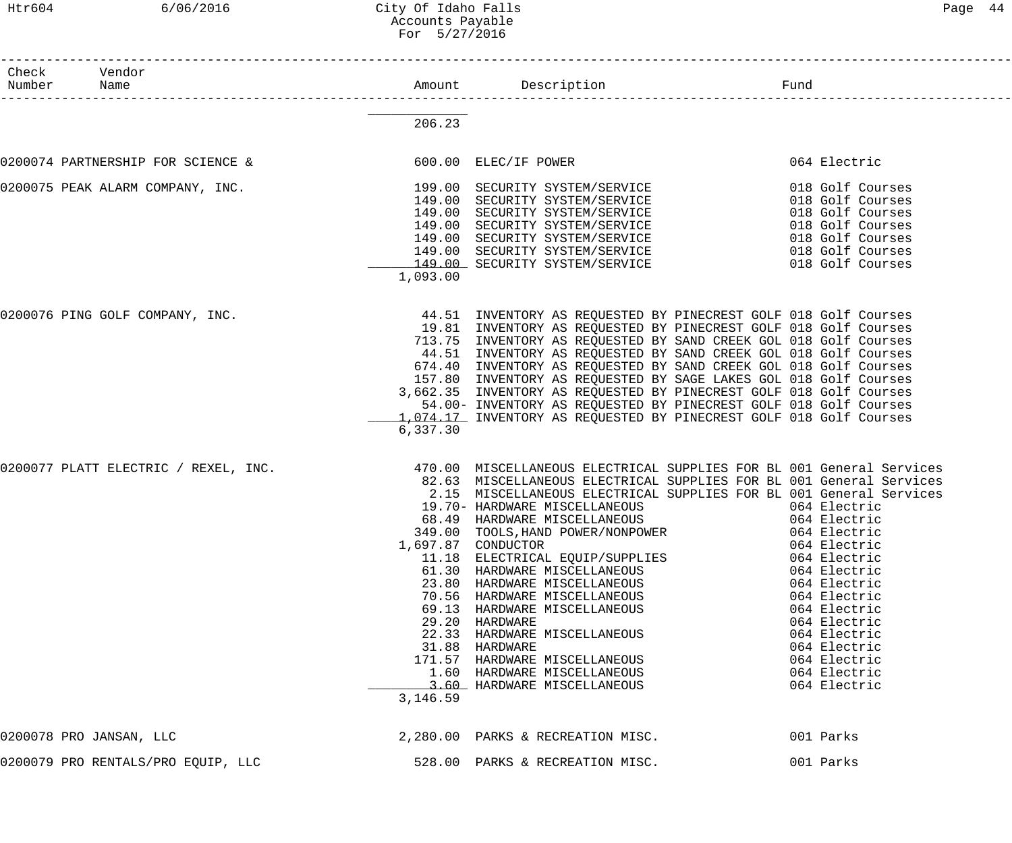| Htr604          | 6/06/2016                            | City Of Idaho Falls<br>Accounts Payable<br>For 5/27/2016 |                                                                                                                                                                                                                                                                                                                                                                                                                                                                                                                                                                                                                                                                                                                                                                                                                                       |                                                                                                                                          | Page 44 |
|-----------------|--------------------------------------|----------------------------------------------------------|---------------------------------------------------------------------------------------------------------------------------------------------------------------------------------------------------------------------------------------------------------------------------------------------------------------------------------------------------------------------------------------------------------------------------------------------------------------------------------------------------------------------------------------------------------------------------------------------------------------------------------------------------------------------------------------------------------------------------------------------------------------------------------------------------------------------------------------|------------------------------------------------------------------------------------------------------------------------------------------|---------|
| Check<br>Number | Vendor<br>Name                       |                                                          | Description<br>---------------------                                                                                                                                                                                                                                                                                                                                                                                                                                                                                                                                                                                                                                                                                                                                                                                                  | Fund                                                                                                                                     |         |
|                 |                                      | 206.23                                                   |                                                                                                                                                                                                                                                                                                                                                                                                                                                                                                                                                                                                                                                                                                                                                                                                                                       |                                                                                                                                          |         |
|                 | 0200074 PARTNERSHIP FOR SCIENCE &    |                                                          | 600.00 ELEC/IF POWER                                                                                                                                                                                                                                                                                                                                                                                                                                                                                                                                                                                                                                                                                                                                                                                                                  | 064 Electric                                                                                                                             |         |
|                 | 0200075 PEAK ALARM COMPANY, INC.     | 149.00<br>149.00<br>1,093.00                             | 199.00 SECURITY SYSTEM/SERVICE<br>149.00 SECURITY SYSTEM/SERVICE<br>SECURITY SYSTEM/SERVICE<br>SECURITY SYSTEM/SERVICE<br>149.00 SECURITY SYSTEM/SERVICE<br>149.00 SECURITY SYSTEM/SERVICE<br>149.00 SECURITY SYSTEM/SERVICE                                                                                                                                                                                                                                                                                                                                                                                                                                                                                                                                                                                                          | 018 Golf Courses<br>018 Golf Courses<br>018 Golf Courses<br>018 Golf Courses<br>018 Golf Courses<br>018 Golf Courses<br>018 Golf Courses |         |
|                 | 0200076 PING GOLF COMPANY, INC.      | 6,337.30                                                 | 44.51 INVENTORY AS REQUESTED BY PINECREST GOLF 018 Golf Courses<br>19.81 INVENTORY AS REQUESTED BY PINECREST GOLF 018 Golf Courses<br>713.75 INVENTORY AS REQUESTED BY SAND CREEK GOL 018 Golf Courses<br>44.51 INVENTORY AS REQUESTED BY SAND CREEK GOL 018 Golf Courses<br>674.40 INVENTORY AS REQUESTED BY SAND CREEK GOL 018 Golf Courses<br>157.80 INVENTORY AS REQUESTED BY SAGE LAKES GOL 018 Golf Courses<br>3,662.35 INVENTORY AS REQUESTED BY PINECREST GOLF 018 Golf Courses<br>54.00- INVENTORY AS REQUESTED BY PINECREST GOLF 018 Golf Courses<br>1,074.17 INVENTORY AS REQUESTED BY PINECREST GOLF 018 Golf Courses                                                                                                                                                                                                     |                                                                                                                                          |         |
|                 | 0200077 PLATT ELECTRIC / REXEL, INC. | 3,146.59                                                 | 470.00 MISCELLANEOUS ELECTRICAL SUPPLIES FOR BL 001 General Services<br>82.63 MISCELLANEOUS ELECTRICAL SUPPLIES FOR BL 001 General Services<br>2.15 MISCELLANEOUS ELECTRICAL SUPPLIES FOR BL 001 General Services<br>19.70- HARDWARE MISCELLANEOUS<br>68.49 HARDWARE MISCELLANEOUS 68.49 HARDWARE MISCELLANEOUS<br>349.00 TOOLS, HAND POWER/NONPOWER 064 Electric<br>697.87 CONDUCTOR 697.87<br>1,697.87 CONDUCTOR<br>11.18 ELECTRICAL EQUIP/SUPPLIES<br>11.18 ELECTRICAL EQUIP/SUPPLIES 064 Electric<br>61.30 HARDWARE MISCELLANEOUS 064 Electric<br>23.80 HARDWARE MISCELLANEOUS 064 Electric<br>10.56 HARDWARE MISCELLANEOUS<br>69.13 HARDWARE MISCELLANEOUS 064 Electric<br>29.20 HARDWARE MISCELLANEOUS 064 Electric<br>22.33 HARDWARE MISCELLANEOUS 064 Electric<br>31.88 HARDWARE<br>171.57 HARDWARE MISCELLANEOUS 64 Electric | 064 Electric<br>064 Electric                                                                                                             |         |
|                 | 0200078 PRO JANSAN, LLC              |                                                          | 2,280.00 PARKS & RECREATION MISC.                                                                                                                                                                                                                                                                                                                                                                                                                                                                                                                                                                                                                                                                                                                                                                                                     | 001 Parks                                                                                                                                |         |

0200079 PRO RENTALS/PRO EQUIP, LLC 600 1000 528.00 PARKS & RECREATION MISC. 001 Parks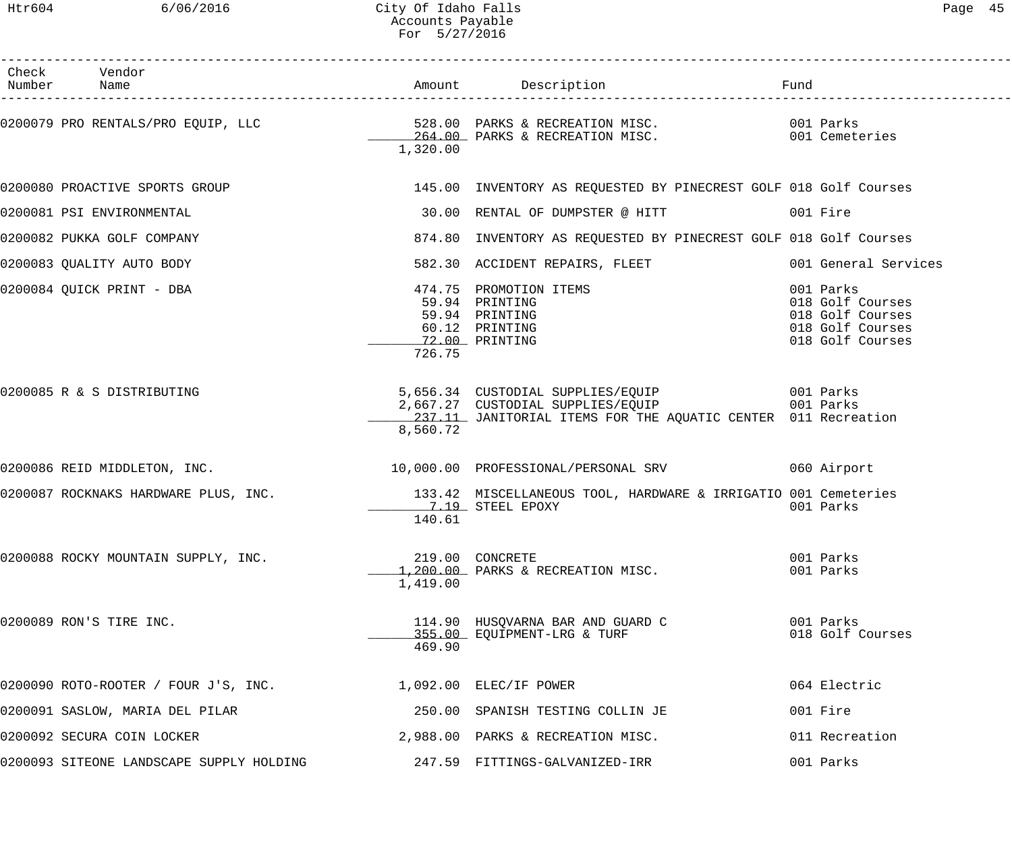| Check Vendor<br>Number Name                                                                                  |          | Amount Description Description Fund                                                            |                                                                                           |
|--------------------------------------------------------------------------------------------------------------|----------|------------------------------------------------------------------------------------------------|-------------------------------------------------------------------------------------------|
| 0200079 PRO RENTALS/PRO EQUIP, LLC 528.00 PARKS & RECREATION MISC. 001 Parks 6 (001 Parks 6 AECREATION MISC. | 1,320.00 |                                                                                                |                                                                                           |
| 0200080 PROACTIVE SPORTS GROUP 145.00 INVENTORY AS REQUESTED BY PINECREST GOLF 018 Golf Courses              |          |                                                                                                |                                                                                           |
| 0200081 PSI ENVIRONMENTAL                                                                                    |          | 30.00 RENTAL OF DUMPSTER @ HITT 6001 Fire                                                      |                                                                                           |
| 0200082 PUKKA GOLF COMPANY                                                                                   |          | 874.80 INVENTORY AS REQUESTED BY PINECREST GOLF 018 Golf Courses                               |                                                                                           |
| 0200083 QUALITY AUTO BODY                                                                                    |          | 582.30 ACCIDENT REPAIRS, FLEET 6001 General Services                                           |                                                                                           |
| 0200084 QUICK PRINT - DBA                                                                                    | 726.75   | 474.75 PROMOTION ITEMS<br>59.94 PRINTING<br>59.94 PRINTING<br>60.12 PRINTING<br>72.00 PRINTING | 001 Parks<br>018 Golf Courses<br>018 Golf Courses<br>018 Golf Courses<br>018 Golf Courses |
| 0200085 R & S DISTRIBUTING                                                                                   | 8,560.72 | 237.11 JANITORIAL ITEMS FOR THE AQUATIC CENTER 011 Recreation                                  |                                                                                           |
| 0200086 REID MIDDLETON, INC. 10,000.00 PROFESSIONAL/PERSONAL SRV 060 Airport                                 |          |                                                                                                |                                                                                           |
| 0200087 ROCKNAKS HARDWARE PLUS, INC. 133.42 MISCELLANEOUS TOOL, HARDWARE & IRRIGATIO 001 Cemeteries          | 140.61   | 7.19 STEEL EPOXY                                                                               | 001 Parks                                                                                 |
| 0200088 ROCKY MOUNTAIN SUPPLY, INC.                                                                          | 1,419.00 | 219.00 CONCRETE<br>1,200.00 PARKS & RECREATION MISC.                                           | 001 Parks<br>001 Parks                                                                    |
| 0200089 RON'S TIRE INC.                                                                                      | 469.90   | 114.90 HUSQVARNA BAR AND GUARD C 6001 Parks<br>355.00 EQUIPMENT-LRG & TURF                     | 018 Golf Courses                                                                          |
| 0200090 ROTO-ROOTER / FOUR J'S, INC.                                                                         |          | 1,092.00 ELEC/IF POWER                                                                         | 064 Electric                                                                              |
| 0200091 SASLOW, MARIA DEL PILAR                                                                              |          | 250.00 SPANISH TESTING COLLIN JE                                                               | 001 Fire                                                                                  |
| 0200092 SECURA COIN LOCKER                                                                                   |          | 2,988.00 PARKS & RECREATION MISC.                                                              | 011 Recreation                                                                            |
| 0200093 SITEONE LANDSCAPE SUPPLY HOLDING $247.59$ FITTINGS-GALVANIZED-IRR                                    |          |                                                                                                | 001 Parks                                                                                 |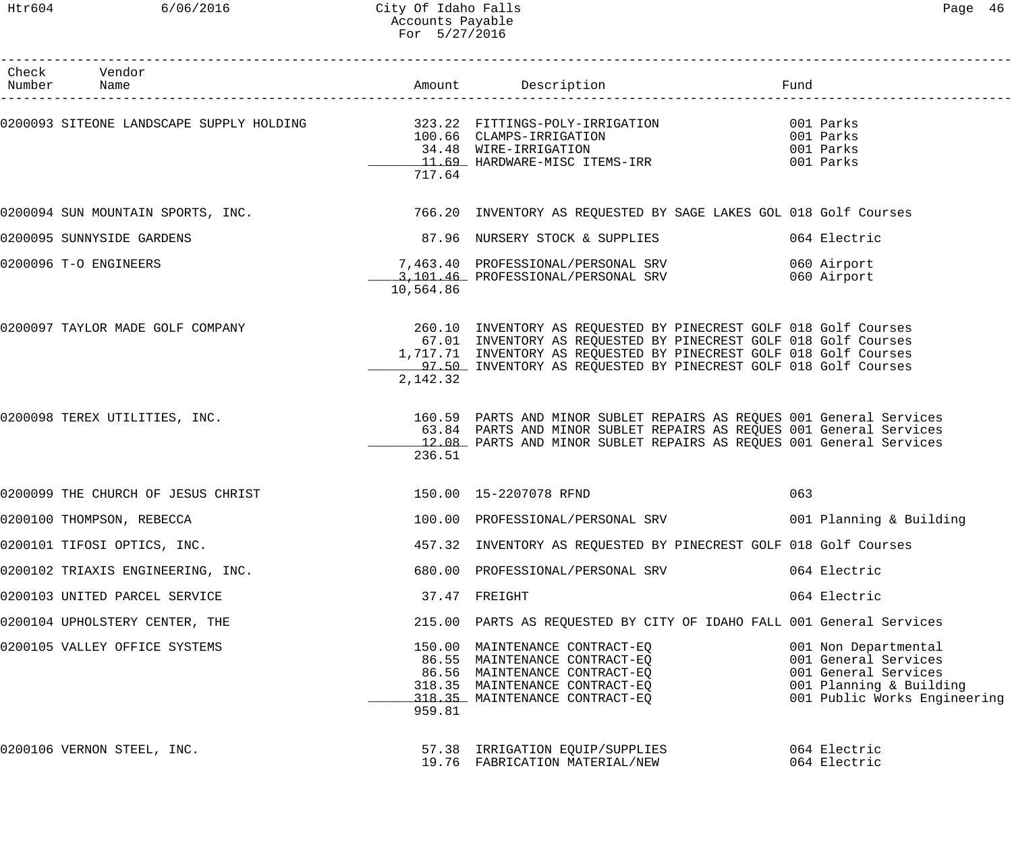### Htr604 6/06/2016 City Of Idaho Falls Page 46 Accounts Payable For 5/27/2016

------------------------------------------------------------------------------------------------------------------------------------

| Check<br>Number | Vendor<br>Name                     |           | Amount Description                                                                                                                                                                                                                                                           | Fund                                                                                                                            |
|-----------------|------------------------------------|-----------|------------------------------------------------------------------------------------------------------------------------------------------------------------------------------------------------------------------------------------------------------------------------------|---------------------------------------------------------------------------------------------------------------------------------|
|                 |                                    | 717.64    | 0200093 SITEONE LANDSCAPE SUPPLY HOLDING 323.22 FITTINGS-POLY-IRRIGATION<br>100.66 CLAMPS-IRRIGATION<br>100.66 CLAMPS-IRRIGATION<br>34.48 WIRE-IRRIGATION<br>11.69 HARDWARE-MISC ITEMS-IRR                                                                                   | 001 Parks<br>001 Parks<br>001 Parks<br>001 Parks                                                                                |
|                 | 0200094 SUN MOUNTAIN SPORTS, INC.  |           | 766.20 INVENTORY AS REQUESTED BY SAGE LAKES GOL 018 Golf Courses                                                                                                                                                                                                             |                                                                                                                                 |
|                 | 0200095 SUNNYSIDE GARDENS          |           | 87.96 NURSERY STOCK & SUPPLIES                                                                                                                                                                                                                                               | 064 Electric                                                                                                                    |
|                 | 0200096 T-O ENGINEERS              | 10,564.86 | 7,463.40 PROFESSIONAL/PERSONAL SRV<br>3,101.46 PROFESSIONAL/PERSONAL SRV                                                                                                                                                                                                     | 060 Airport<br>060 Airport                                                                                                      |
|                 | 0200097 TAYLOR MADE GOLF COMPANY   | 2,142.32  | 260.10 INVENTORY AS REQUESTED BY PINECREST GOLF 018 Golf Courses<br>67.01 INVENTORY AS REQUESTED BY PINECREST GOLF 018 Golf Courses<br>1,717.71 INVENTORY AS REQUESTED BY PINECREST GOLF 018 Golf Courses<br>97.50 INVENTORY AS REQUESTED BY PINECREST GOLF 018 Golf Courses |                                                                                                                                 |
|                 | 0200098 TEREX UTILITIES, INC.      | 236.51    | 160.59 PARTS AND MINOR SUBLET REPAIRS AS REQUES 001 General Services<br>63.84 PARTS AND MINOR SUBLET REPAIRS AS REQUES 001 General Services<br>12.08 PARTS AND MINOR SUBLET REPAIRS AS REQUES 001 General Services                                                           |                                                                                                                                 |
|                 | 0200099 THE CHURCH OF JESUS CHRIST |           | 150.00  15-2207078 RFND                                                                                                                                                                                                                                                      | 063                                                                                                                             |
|                 | 0200100 THOMPSON, REBECCA          |           | 100.00 PROFESSIONAL/PERSONAL SRV                                                                                                                                                                                                                                             | 001 Planning & Building                                                                                                         |
|                 | 0200101 TIFOSI OPTICS, INC.        |           | 457.32 INVENTORY AS REQUESTED BY PINECREST GOLF 018 Golf Courses                                                                                                                                                                                                             |                                                                                                                                 |
|                 | 0200102 TRIAXIS ENGINEERING, INC.  |           | 680.00 PROFESSIONAL/PERSONAL SRV                                                                                                                                                                                                                                             | 064 Electric                                                                                                                    |
|                 | 0200103 UNITED PARCEL SERVICE      |           | 37.47 FREIGHT                                                                                                                                                                                                                                                                | 064 Electric                                                                                                                    |
|                 | 0200104 UPHOLSTERY CENTER, THE     |           | 215.00 PARTS AS REQUESTED BY CITY OF IDAHO FALL 001 General Services                                                                                                                                                                                                         |                                                                                                                                 |
|                 | 0200105 VALLEY OFFICE SYSTEMS      | 959.81    | 150.00 MAINTENANCE CONTRACT-EQ<br>86.55 MAINTENANCE CONTRACT-EQ<br>86.56 MAINTENANCE CONTRACT-EQ<br>318.35 MAINTENANCE CONTRACT-EQ<br>318.35 MAINTENANCE CONTRACT-EQ                                                                                                         | 001 Non Departmental<br>001 General Services<br>001 General Services<br>001 Planning & Building<br>001 Public Works Engineering |
|                 | 0200106 VERNON STEEL, INC.         |           | 57.38 IRRIGATION EQUIP/SUPPLIES<br>19.76 FABRICATION MATERIAL/NEW                                                                                                                                                                                                            | 064 Electric<br>064 Electric                                                                                                    |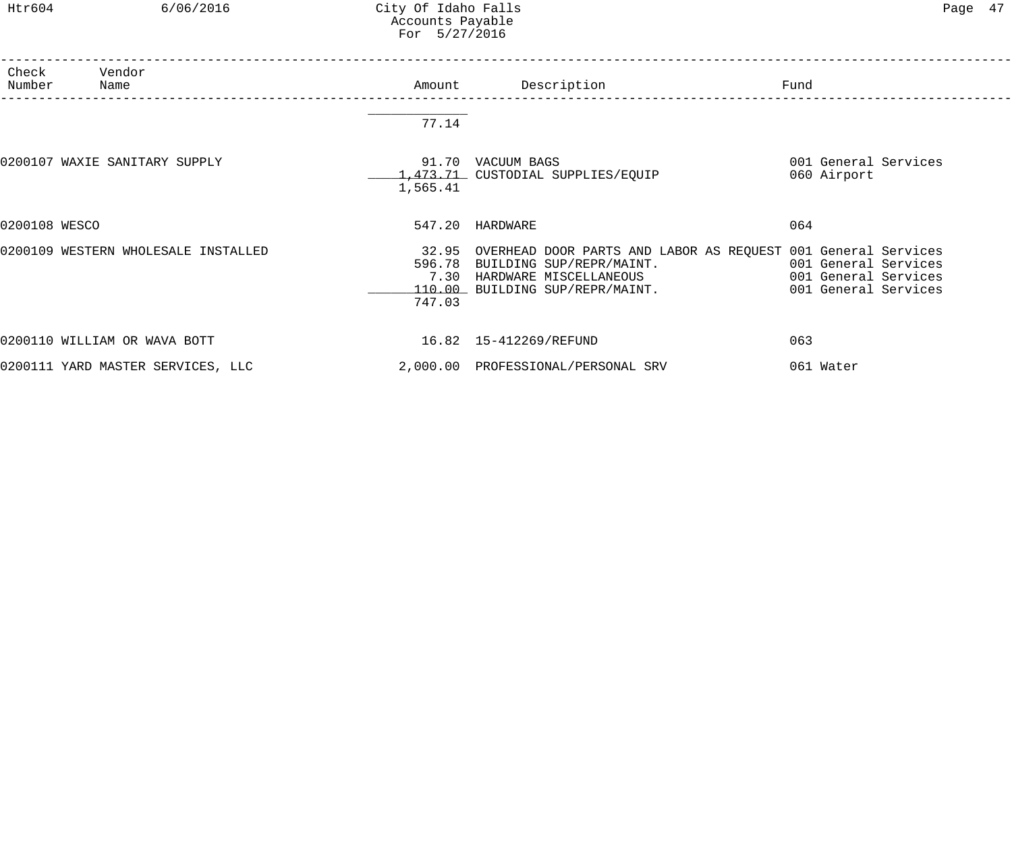Htr604 6/06/2016 City Of Idaho Falls Page 47 Accounts Payable For 5/27/2016

| Check<br>Number | Vendor<br>Name                      | Amount         | Description                                                                                                                                                                               | Fund                                         |
|-----------------|-------------------------------------|----------------|-------------------------------------------------------------------------------------------------------------------------------------------------------------------------------------------|----------------------------------------------|
|                 |                                     | 77.14          |                                                                                                                                                                                           |                                              |
|                 | 0200107 WAXIE SANITARY SUPPLY       | 1,565.41       | 91.70 VACUUM BAGS<br>1,473.71 CUSTODIAL SUPPLIES/EQUIP                                                                                                                                    | 001 General Services<br>060 Airport          |
| 0200108 WESCO   |                                     |                | 547.20 HARDWARE                                                                                                                                                                           | 064                                          |
|                 | 0200109 WESTERN WHOLESALE INSTALLED | 7.30<br>747.03 | 32.95 OVERHEAD DOOR PARTS AND LABOR AS REQUEST 001 General Services<br>596.78 BUILDING SUP/REPR/MAINT. 6001 General Services<br>HARDWARE MISCELLANEOUS<br>110.00 BUILDING SUP/REPR/MAINT. | 001 General Services<br>001 General Services |
|                 | 0200110 WILLIAM OR WAVA BOTT        |                | 16.82  15-412269/REFUND                                                                                                                                                                   | 063                                          |
|                 | 0200111 YARD MASTER SERVICES, LLC   |                | 2,000.00 PROFESSIONAL/PERSONAL SRV                                                                                                                                                        | 061 Water                                    |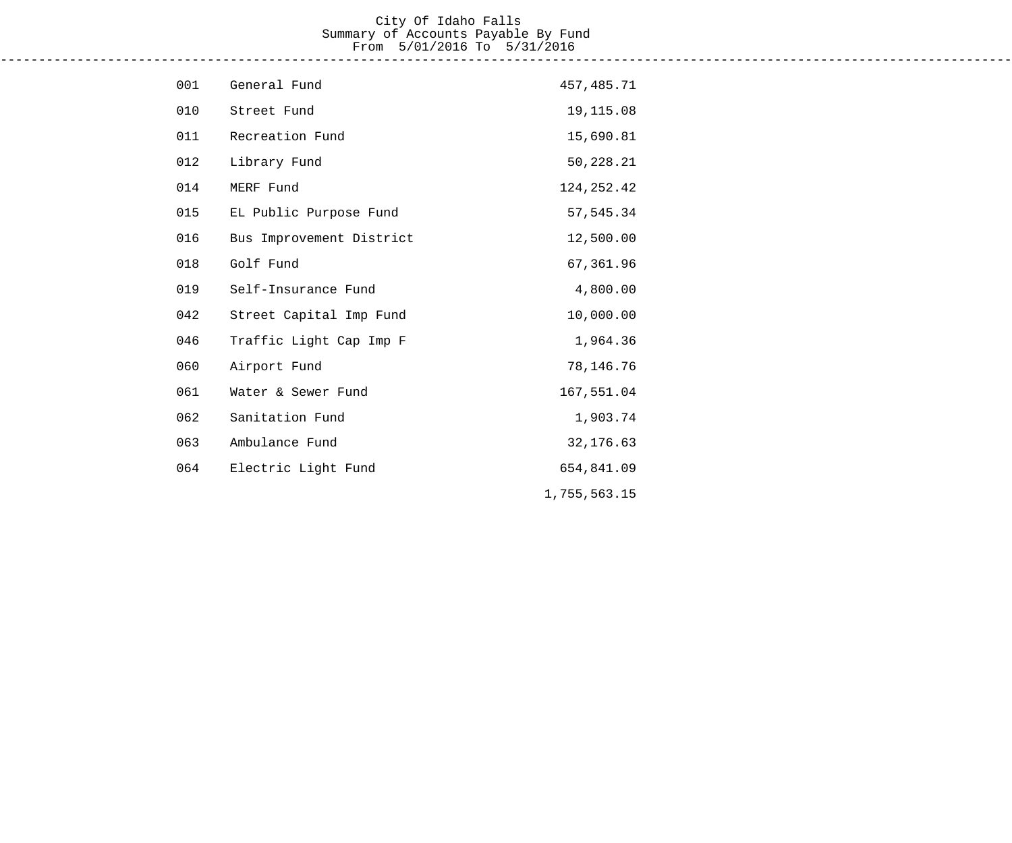#### City Of Idaho Falls Summary of Accounts Payable By Fund From 5/01/2016 To 5/31/2016 ------------------------------------------------------------------------------------------------------------------------------------

| 001 | General Fund             | 457, 485. 71 |
|-----|--------------------------|--------------|
| 010 | Street Fund              | 19,115.08    |
| 011 | Recreation Fund          | 15,690.81    |
| 012 | Library Fund             | 50,228.21    |
| 014 | MERF Fund                | 124, 252.42  |
| 015 | EL Public Purpose Fund   | 57, 545.34   |
| 016 | Bus Improvement District | 12,500.00    |
| 018 | Golf Fund                | 67,361.96    |
| 019 | Self-Insurance Fund      | 4,800.00     |
| 042 | Street Capital Imp Fund  | 10,000.00    |
| 046 | Traffic Light Cap Imp F  | 1,964.36     |
| 060 | Airport Fund             | 78,146.76    |
| 061 | Water & Sewer Fund       | 167,551.04   |
| 062 | Sanitation Fund          | 1,903.74     |
| 063 | Ambulance Fund           | 32, 176.63   |
| 064 | Electric Light Fund      | 654,841.09   |
|     |                          | 1,755,563.15 |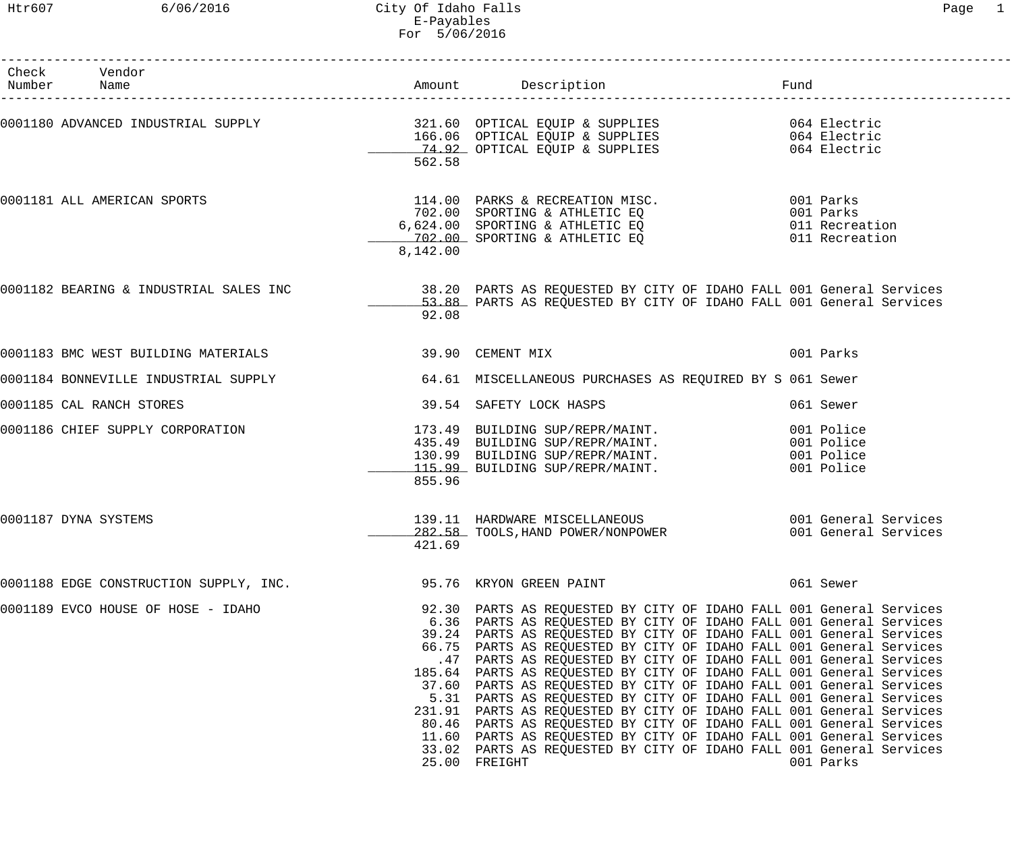Htr607 6/06/2016 City Of Idaho Falls Page 1 E-Payables For 5/06/2016

| Check Vendor<br>Number Name                                                                                                                                                                                                   |                  |                                                                                                                                                                                                                                                                                                                                                                                                                                                                                                                                                                                                                                                                                                                                                                                                                                                                                                 |                      |  |
|-------------------------------------------------------------------------------------------------------------------------------------------------------------------------------------------------------------------------------|------------------|-------------------------------------------------------------------------------------------------------------------------------------------------------------------------------------------------------------------------------------------------------------------------------------------------------------------------------------------------------------------------------------------------------------------------------------------------------------------------------------------------------------------------------------------------------------------------------------------------------------------------------------------------------------------------------------------------------------------------------------------------------------------------------------------------------------------------------------------------------------------------------------------------|----------------------|--|
| 0001180 ADVANCED INDUSTRIAL SUPPLY<br>166.06 OPTICAL EQUIP & SUPPLIES<br>74.92 OPTICAL EQUIP & SUPPLIES<br>74.92 OPTICAL EQUIP & SUPPLIES<br>064 Electric                                                                     | 562.58           |                                                                                                                                                                                                                                                                                                                                                                                                                                                                                                                                                                                                                                                                                                                                                                                                                                                                                                 |                      |  |
| 0001181 ALL AMERICAN SPORTS                                                                                                                                                                                                   | 8,142.00         | 114.00 PARKS & RECREATION MISC. 001 Parks<br>702.00 SPORTING & ATHLETIC EQ<br>702.00 SPORTING & ATHLETIC EQ 001 Parks<br>702.00 SPORTING & ATHLETIC EQ 011 Recreation<br>702.00 SPORTING & ATHLETIC EQ 011 Recreation                                                                                                                                                                                                                                                                                                                                                                                                                                                                                                                                                                                                                                                                           |                      |  |
| 0001182 BEARING & INDUSTRIAL SALES INC 38.20 PARTS AS REQUESTED BY CITY OF IDAHO FALL 001 General Services<br>53.88 PARTS AS REQUESTED BY CITY OF IDAHO FALL 001 General Services                                             | 92.08            |                                                                                                                                                                                                                                                                                                                                                                                                                                                                                                                                                                                                                                                                                                                                                                                                                                                                                                 |                      |  |
| 0001183 BMC WEST BUILDING MATERIALS                                                                                                                                                                                           | 39.90 CEMENT MIX |                                                                                                                                                                                                                                                                                                                                                                                                                                                                                                                                                                                                                                                                                                                                                                                                                                                                                                 | 001 Parks            |  |
| 0001184 BONNEVILLE INDUSTRIAL SUPPLY                                                                                                                                                                                          |                  | 64.61 MISCELLANEOUS PURCHASES AS REQUIRED BY S 061 Sewer                                                                                                                                                                                                                                                                                                                                                                                                                                                                                                                                                                                                                                                                                                                                                                                                                                        |                      |  |
| 0001185 CAL RANCH STORES                                                                                                                                                                                                      |                  | 39.54 SAFETY LOCK HASPS                                                                                                                                                                                                                                                                                                                                                                                                                                                                                                                                                                                                                                                                                                                                                                                                                                                                         | 061 Sewer            |  |
| 0001186 CHIEF SUPPLY CORPORATION (173.49 BUILDING SUP/REPR/MAINT. 001 Police 435.49 BUILDING SUP/REPR/MAINT. 001 Police 435.49 BUILDING SUP/REPR/MAINT. 001 Police 130.99 BUILDING SUP/REPR/MAINT. 001 Police 130.99 BUILDING | 855.96           |                                                                                                                                                                                                                                                                                                                                                                                                                                                                                                                                                                                                                                                                                                                                                                                                                                                                                                 |                      |  |
| 0001187 DYNA SYSTEMS                                                                                                                                                                                                          | 421.69           | 139.11 HARDWARE MISCELLANEOUS<br>282.58 TOOLS, HAND POWER/NONPOWER 001 General Services                                                                                                                                                                                                                                                                                                                                                                                                                                                                                                                                                                                                                                                                                                                                                                                                         | 001 General Services |  |
| 0001188 EDGE CONSTRUCTION SUPPLY, INC. 40 195.76 KRYON GREEN PAINT                                                                                                                                                            |                  |                                                                                                                                                                                                                                                                                                                                                                                                                                                                                                                                                                                                                                                                                                                                                                                                                                                                                                 | 061 Sewer            |  |
| 0001189 EVCO HOUSE OF HOSE - IDAHO                                                                                                                                                                                            |                  | 92.30 PARTS AS REQUESTED BY CITY OF IDAHO FALL 001 General Services<br>6.36 PARTS AS REQUESTED BY CITY OF IDAHO FALL 001 General Services<br>39.24 PARTS AS REQUESTED BY CITY OF IDAHO FALL 001 General Services<br>66.75 PARTS AS REQUESTED BY CITY OF IDAHO FALL 001 General Services<br>.47 PARTS AS REQUESTED BY CITY OF IDAHO FALL 001 General Services<br>185.64 PARTS AS REQUESTED BY CITY OF IDAHO FALL 001 General Services<br>37.60 PARTS AS REQUESTED BY CITY OF IDAHO FALL 001 General Services<br>5.31 PARTS AS REQUESTED BY CITY OF IDAHO FALL 001 General Services<br>231.91 PARTS AS REQUESTED BY CITY OF IDAHO FALL 001 General Services<br>80.46 PARTS AS REQUESTED BY CITY OF IDAHO FALL 001 General Services<br>11.60 PARTS AS REQUESTED BY CITY OF IDAHO FALL 001 General Services<br>33.02 PARTS AS REQUESTED BY CITY OF IDAHO FALL 001 General Services<br>25.00 FREIGHT | 001 Parks            |  |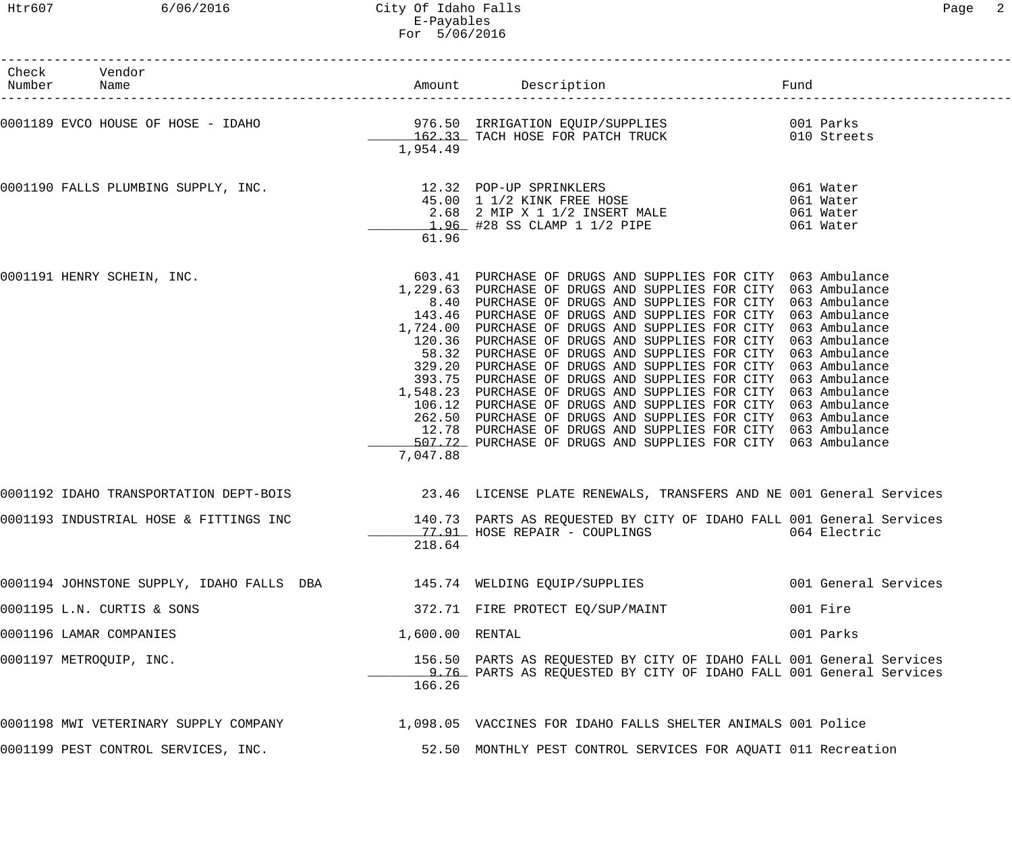| 'aa∈ |
|------|
|------|

| Check Vendor<br>Number Name               |                 |                                                                                                                                                                                                                                                                                                                                                                                                                                                                                                                                                                                                                                                                                                                                                                                                                                                                                                                                |                      |
|-------------------------------------------|-----------------|--------------------------------------------------------------------------------------------------------------------------------------------------------------------------------------------------------------------------------------------------------------------------------------------------------------------------------------------------------------------------------------------------------------------------------------------------------------------------------------------------------------------------------------------------------------------------------------------------------------------------------------------------------------------------------------------------------------------------------------------------------------------------------------------------------------------------------------------------------------------------------------------------------------------------------|----------------------|
|                                           | 1,954.49        |                                                                                                                                                                                                                                                                                                                                                                                                                                                                                                                                                                                                                                                                                                                                                                                                                                                                                                                                |                      |
|                                           | 61.96           | 0001190 FALLS PLUMBING SUPPLY, INC.<br>061 Water<br>45.00 1 1/2 KINK FREE HOSE<br>2.68 2 MIP X 1 1/2 INSERT MALE<br>1.96 #28 SS CLAMP 1 1/2 PIPE<br>1.96 +28 SS CLAMP 1 1/2 PIPE<br>061 Water                                                                                                                                                                                                                                                                                                                                                                                                                                                                                                                                                                                                                                                                                                                                  |                      |
| 0001191 HENRY SCHEIN, INC.                | 7,047.88        | 603.41 PURCHASE OF DRUGS AND SUPPLIES FOR CITY 063 Ambulance<br>1,229.63 PURCHASE OF DRUGS AND SUPPLIES FOR CITY 063 Ambulance<br>8.40 PURCHASE OF DRUGS AND SUPPLIES FOR CITY 063 Ambulance<br>143.46 PURCHASE OF DRUGS AND SUPPLIES FOR CITY 063 Ambulance<br>1,724.00 PURCHASE OF DRUGS AND SUPPLIES FOR CITY 063 Ambulance<br>120.36 PURCHASE OF DRUGS AND SUPPLIES FOR CITY 063 Ambulance<br>58.32 PURCHASE OF DRUGS AND SUPPLIES FOR CITY 063 Ambulance<br>329.20 PURCHASE OF DRUGS AND SUPPLIES FOR CITY 063 Ambulance<br>393.75 PURCHASE OF DRUGS AND SUPPLIES FOR CITY 063 Ambulance<br>1,548.23 PURCHASE OF DRUGS AND SUPPLIES FOR CITY 063 Ambulance<br>106.12 PURCHASE OF DRUGS AND SUPPLIES FOR CITY 063 Ambulance<br>262.50 PURCHASE OF DRUGS AND SUPPLIES FOR CITY 063 Ambulance<br>12.78 PURCHASE OF DRUGS AND SUPPLIES FOR CITY 063 Ambulance<br>507.72 PURCHASE OF DRUGS AND SUPPLIES FOR CITY 063 Ambulance |                      |
|                                           |                 | <br> 0001192 IDAHO TRANSPORTATION DEPT-BOIS                  23.46  LICENSE PLATE RENEWALS, TRANSFERS AND NE 001 General Services                                                                                                                                                                                                                                                                                                                                                                                                                                                                                                                                                                                                                                                                                                                                                                                              |                      |
|                                           | 218.64          | 0001193 INDUSTRIAL HOSE & FITTINGS INC 140.73 PARTS AS REQUESTED BY CITY OF IDAHO FALL 001 General Services<br>77.91 HOSE REPAIR - COUPLINGS 664 Electric                                                                                                                                                                                                                                                                                                                                                                                                                                                                                                                                                                                                                                                                                                                                                                      |                      |
| 0001194 JOHNSTONE SUPPLY, IDAHO FALLS DBA |                 | 145.74 WELDING EQUIP/SUPPLIES                                                                                                                                                                                                                                                                                                                                                                                                                                                                                                                                                                                                                                                                                                                                                                                                                                                                                                  | 001 General Services |
| 0001195 L.N. CURTIS & SONS                |                 | 372.71 FIRE PROTECT EQ/SUP/MAINT                                                                                                                                                                                                                                                                                                                                                                                                                                                                                                                                                                                                                                                                                                                                                                                                                                                                                               | 001 Fire             |
| 0001196 LAMAR COMPANIES                   | 1,600.00 RENTAL |                                                                                                                                                                                                                                                                                                                                                                                                                                                                                                                                                                                                                                                                                                                                                                                                                                                                                                                                | 001 Parks            |
| 0001197 METROQUIP, INC.                   | 166.26          | 156.50 PARTS AS REQUESTED BY CITY OF IDAHO FALL 001 General Services<br>9.76 PARTS AS REQUESTED BY CITY OF IDAHO FALL 001 General Services                                                                                                                                                                                                                                                                                                                                                                                                                                                                                                                                                                                                                                                                                                                                                                                     |                      |
| 0001198 MWI VETERINARY SUPPLY COMPANY     |                 | 1,098.05 VACCINES FOR IDAHO FALLS SHELTER ANIMALS 001 Police                                                                                                                                                                                                                                                                                                                                                                                                                                                                                                                                                                                                                                                                                                                                                                                                                                                                   |                      |
| 0001199 PEST CONTROL SERVICES, INC.       |                 | 52.50 MONTHLY PEST CONTROL SERVICES FOR AQUATI 011 Recreation                                                                                                                                                                                                                                                                                                                                                                                                                                                                                                                                                                                                                                                                                                                                                                                                                                                                  |                      |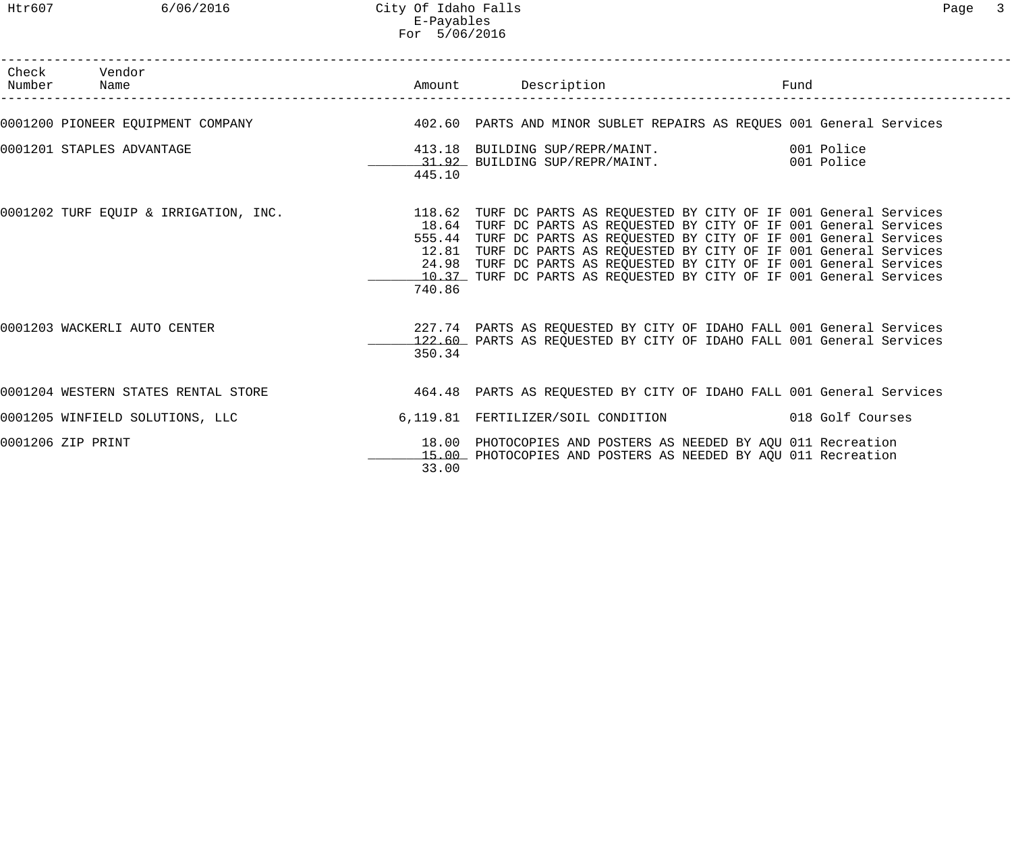| Check Vendor<br>Number Name                                                                                     |        |                                                                                                                                                                                                                                                                                                                                                                  | Fund<br>------------------------ |  |
|-----------------------------------------------------------------------------------------------------------------|--------|------------------------------------------------------------------------------------------------------------------------------------------------------------------------------------------------------------------------------------------------------------------------------------------------------------------------------------------------------------------|----------------------------------|--|
|                                                                                                                 |        |                                                                                                                                                                                                                                                                                                                                                                  |                                  |  |
| 0001201 STAPLES ADVANTAGE                                                                                       | 445.10 | 413.18 BUILDING SUP/REPR/MAINT. 001 Police<br>31.92 BUILDING SUP/REPR/MAINT. 001 Police                                                                                                                                                                                                                                                                          |                                  |  |
| 0001202 TURF EQUIP & IRRIGATION, INC. 4 . [118.62 TURF DC PARTS AS REQUESTED BY CITY OF IF 001 General Services | 740.86 | 18.64 TURF DC PARTS AS REQUESTED BY CITY OF IF 001 General Services<br>555.44 TURF DC PARTS AS REQUESTED BY CITY OF IF 001 General Services<br>12.81 TURF DC PARTS AS REQUESTED BY CITY OF IF 001 General Services<br>24.98 TURF DC PARTS AS REQUESTED BY CITY OF IF 001 General Services<br>10.37 TURF DC PARTS AS REQUESTED BY CITY OF IF 001 General Services |                                  |  |
| 0001203 WACKERLI AUTO CENTER                                                                                    | 350.34 | 227.74 PARTS AS REQUESTED BY CITY OF IDAHO FALL 001 General Services<br>122.60 PARTS AS REQUESTED BY CITY OF IDAHO FALL 001 General Services                                                                                                                                                                                                                     |                                  |  |
| 0001204 WESTERN STATES RENTAL STORE THE STORE A STARTS AS REQUESTED BY CITY OF IDAHO FALL 001 General Services  |        |                                                                                                                                                                                                                                                                                                                                                                  |                                  |  |
| 0001205 WINFIELD SOLUTIONS, LLC                                                                                 |        | 6,119.81 FERTILIZER/SOIL CONDITION 018 Golf Courses                                                                                                                                                                                                                                                                                                              |                                  |  |
| 0001206 ZIP PRINT                                                                                               | nn nn  | 18.00 PHOTOCOPIES AND POSTERS AS NEEDED BY AQU 011 Recreation<br>15.00 PHOTOCOPIES AND POSTERS AS NEEDED BY AQU 011 Recreation                                                                                                                                                                                                                                   |                                  |  |

33.00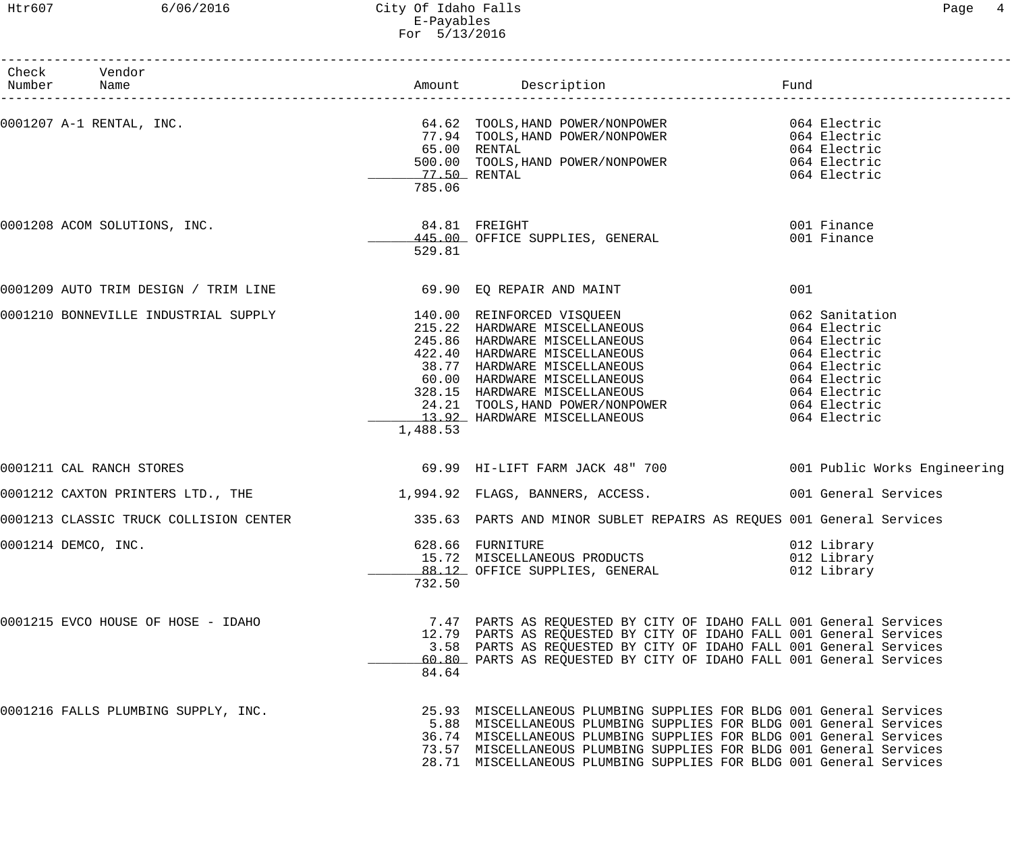# Htr607 6/06/2016 City Of Idaho Falls Page 4 E-Payables For 5/13/2016

| Check Vendor                                                   |          |                                                                                                                                                                                                                                                                                                                                                                |                                           |
|----------------------------------------------------------------|----------|----------------------------------------------------------------------------------------------------------------------------------------------------------------------------------------------------------------------------------------------------------------------------------------------------------------------------------------------------------------|-------------------------------------------|
| Number Name                                                    |          |                                                                                                                                                                                                                                                                                                                                                                |                                           |
|                                                                | 785.06   | 0001207 A-1 RENTAL, INC.<br>TOOLS, HAND POWER/NONPOWER<br>77.94 TOOLS, HAND POWER/NONPOWER<br>500.00 TOOLS, HAND POWER/NONPOWER<br>77.50 RENTAL<br>200.00 TOOLS, HAND POWER/NONPOWER<br>200.00 TOOLS, HAND POWER/NONPOWER<br>200.00 TOOLS, H                                                                                                                   |                                           |
|                                                                | 529.81   |                                                                                                                                                                                                                                                                                                                                                                |                                           |
| 0001209 AUTO TRIM DESIGN / TRIM LINE 69.90 EQ REPAIR AND MAINT |          |                                                                                                                                                                                                                                                                                                                                                                | 001                                       |
|                                                                | 1,488.53 | 0001210 BONNEVILLE INDUSTRIAL SUPPLY<br>215.22 HARDWARE MISCELLANEOUS<br>245.86 HARDWARE MISCELLANEOUS<br>422.40 HARDWARE MISCELLANEOUS<br>427.40 HARDWARE MISCELLANEOUS<br>47 HARDWARE MISCELLANEOUS<br>60.00 HARDWARE MISCELLANEOUS<br>50                                                                                                                    | 062 Sanitation                            |
| 0001211 CAL RANCH STORES                                       |          |                                                                                                                                                                                                                                                                                                                                                                |                                           |
|                                                                |          | 0001212 CAXTON PRINTERS LTD., THE 1,994.92 FLAGS, BANNERS, ACCESS. 2001 General Services                                                                                                                                                                                                                                                                       |                                           |
|                                                                |          | 0001213 CLASSIC TRUCK COLLISION CENTER 1999 1995.63 PARTS AND MINOR SUBLET REPAIRS AS REQUES 001 General Services                                                                                                                                                                                                                                              |                                           |
| 0001214 DEMCO, INC.                                            | 732.50   | 628.66 FURNITURE<br>15.72 MISCELLANEOUS PRODUCTS<br>88.12 OFFICE SUPPLIES, GENERAL                                                                                                                                                                                                                                                                             | 012 Library<br>012 Library<br>012 Library |
| 0001215 EVCO HOUSE OF HOSE - IDAHO                             | 84.64    | 7.47 PARTS AS REQUESTED BY CITY OF IDAHO FALL 001 General Services<br>12.79 PARTS AS REOUESTED BY CITY OF IDAHO FALL 001 General Services<br>3.58 PARTS AS REQUESTED BY CITY OF IDAHO FALL 001 General Services<br>60.80 PARTS AS REQUESTED BY CITY OF IDAHO FALL 001 General Services                                                                         |                                           |
| 0001216 FALLS PLUMBING SUPPLY, INC.                            |          | 25.93 MISCELLANEOUS PLUMBING SUPPLIES FOR BLDG 001 General Services<br>5.88 MISCELLANEOUS PLUMBING SUPPLIES FOR BLDG 001 General Services<br>36.74 MISCELLANEOUS PLUMBING SUPPLIES FOR BLDG 001 General Services<br>73.57 MISCELLANEOUS PLUMBING SUPPLIES FOR BLDG 001 General Services<br>28.71 MISCELLANEOUS PLUMBING SUPPLIES FOR BLDG 001 General Services |                                           |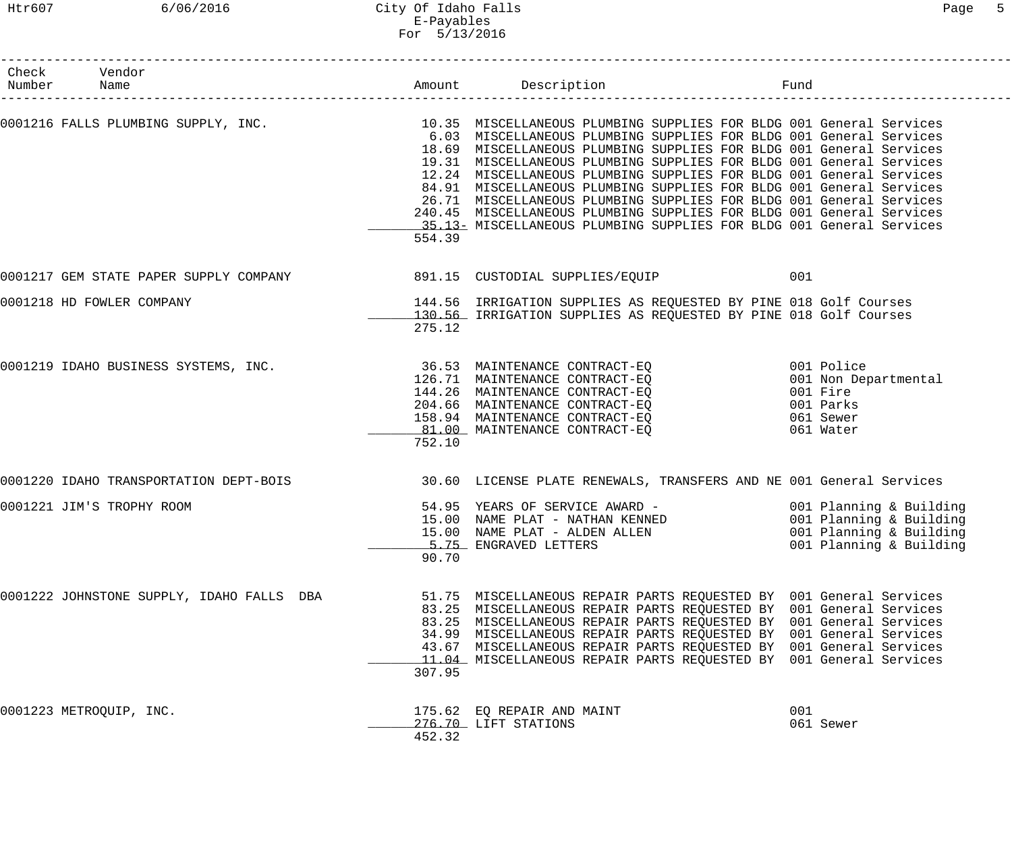Htr607 6/06/2016 City Of Idaho Falls Page 5 E-Payables For 5/13/2016

| Check Vendor<br>Number Name                                                                                |        | Amount Description<br>Fund                                                                                                                                                                                                                                                                                                                                                                                                                                                                                                                                                           |                                                                                       |  |
|------------------------------------------------------------------------------------------------------------|--------|--------------------------------------------------------------------------------------------------------------------------------------------------------------------------------------------------------------------------------------------------------------------------------------------------------------------------------------------------------------------------------------------------------------------------------------------------------------------------------------------------------------------------------------------------------------------------------------|---------------------------------------------------------------------------------------|--|
| 0001216 FALLS PLUMBING SUPPLY, INC. 10.35 MISCELLANEOUS PLUMBING SUPPLIES FOR BLDG 001 General Services    | 554.39 | 6.03 MISCELLANEOUS PLUMBING SUPPLIES FOR BLDG 001 General Services<br>18.69 MISCELLANEOUS PLUMBING SUPPLIES FOR BLDG 001 General Services<br>19.31 MISCELLANEOUS PLUMBING SUPPLIES FOR BLDG 001 General Services<br>12.24 MISCELLANEOUS PLUMBING SUPPLIES FOR BLDG 001 General Services<br>84.91 MISCELLANEOUS PLUMBING SUPPLIES FOR BLDG 001 General Services<br>26.71 MISCELLANEOUS PLUMBING SUPPLIES FOR BLDG 001 General Services<br>240.45 MISCELLANEOUS PLUMBING SUPPLIES FOR BLDG 001 General Services<br>15.13 MISCELLANEOUS PLUMBING SUPPLIES FOR BLDG 001 General Services |                                                                                       |  |
|                                                                                                            |        |                                                                                                                                                                                                                                                                                                                                                                                                                                                                                                                                                                                      | 001                                                                                   |  |
| 0001218 HD FOWLER COMPANY                                                                                  | 275.12 | 144.56 IRRIGATION SUPPLIES AS REQUESTED BY PINE 018 Golf Courses<br>130.56 IRRIGATION SUPPLIES AS REQUESTED BY PINE 018 Golf Courses                                                                                                                                                                                                                                                                                                                                                                                                                                                 |                                                                                       |  |
| 0001219 IDAHO BUSINESS SYSTEMS, INC.                                                                       | 752.10 | 36.53 MAINTENANCE CONTRACT-EQ<br>126.71 MAINTENANCE CONTRACT-EQ<br>144.26 MAINTENANCE CONTRACT-EQ<br>204.66 MAINTENANCE CONTRACT-EQ<br>158.94 MAINTENANCE CONTRACT-EQ<br>81.00 MAINTENANCE CONTRACT-EO                                                                                                                                                                                                                                                                                                                                                                               | 001 Police<br>001 Non Departmental<br>001 Fire<br>001 Parks<br>061 Sewer<br>061 Water |  |
| 0001220 IDAHO TRANSPORTATION DEPT-BOIS 30.60 LICENSE PLATE RENEWALS, TRANSFERS AND NE 001 General Services |        |                                                                                                                                                                                                                                                                                                                                                                                                                                                                                                                                                                                      |                                                                                       |  |
| 0001221 JIM'S TROPHY ROOM                                                                                  | 90.70  | 54.95 YEARS OF SERVICE AWARD - 001 Planning & Building<br>15.00 NAME PLAT - NATHAN KENNED 601 Planning & Building<br>15.00 NAME PLAT - ALDEN ALLEN<br>5.75 ENGRAVED LETTERS                                                                                                                                                                                                                                                                                                                                                                                                          | 001 Planning & Building<br>001 Planning & Building                                    |  |
| 0001222 JOHNSTONE SUPPLY, IDAHO FALLS DBA                                                                  | 307.95 | 51.75 MISCELLANEOUS REPAIR PARTS REQUESTED BY 001 General Services<br>83.25 MISCELLANEOUS REPAIR PARTS REQUESTED BY 001 General Services<br>83.25 MISCELLANEOUS REPAIR PARTS REQUESTED BY 001 General Services<br>34.99 MISCELLANEOUS REPAIR PARTS REQUESTED BY 001 General Services<br>43.67 MISCELLANEOUS REPAIR PARTS REQUESTED BY 001 General Services<br>11.04 MISCELLANEOUS REPAIR PARTS REQUESTED BY 001 General Services                                                                                                                                                     |                                                                                       |  |
| 0001223 METROQUIP, INC.                                                                                    | 452.32 | 175.62 EQ REPAIR AND MAINT<br>276.70 LIFT STATIONS                                                                                                                                                                                                                                                                                                                                                                                                                                                                                                                                   | 001<br>061 Sewer                                                                      |  |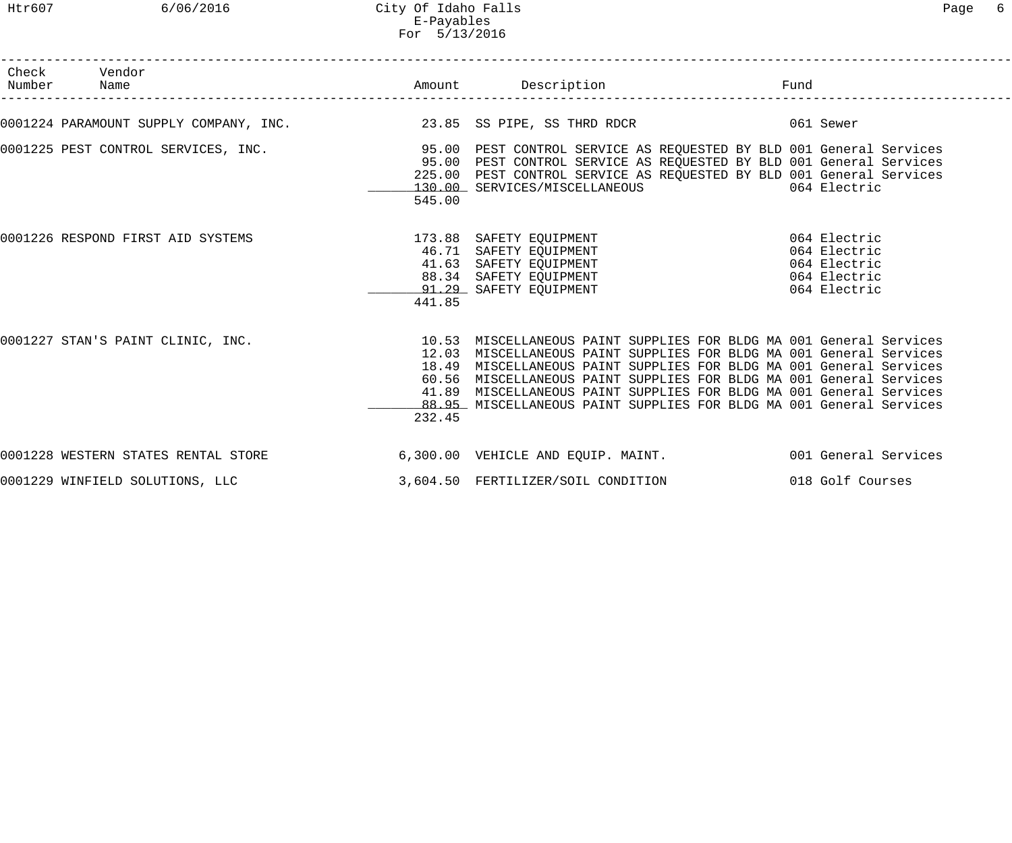Htr607 6/06/2016 City Of Idaho Falls Page 6 E-Payables For 5/13/2016

| Check Vendor<br>Number Name                                                                                                                                                                                                                    |        |                                                                                                                                                                                                                                                                                                                                                                 | Fund |                  |
|------------------------------------------------------------------------------------------------------------------------------------------------------------------------------------------------------------------------------------------------|--------|-----------------------------------------------------------------------------------------------------------------------------------------------------------------------------------------------------------------------------------------------------------------------------------------------------------------------------------------------------------------|------|------------------|
| 0001224 PARAMOUNT SUPPLY COMPANY, INC. 23.85 SS PIPE, SS THRD RDCR 661 Sewer                                                                                                                                                                   |        |                                                                                                                                                                                                                                                                                                                                                                 |      |                  |
| 0001225 PEST CONTROL SERVICES, INC. THE SERVICE SEST CONTROL SERVICE AS REQUESTED BY BLD 001 General Services                                                                                                                                  | 545.00 | 95.00 PEST CONTROL SERVICE AS REQUESTED BY BLD 001 General Services<br>225.00 PEST CONTROL SERVICE AS REQUESTED BY BLD 001 General Services<br>130.00 SERVICES/MISCELLANEOUS 664 Electric                                                                                                                                                                       |      |                  |
| 0001226 RESPOND FIRST AID SYSTEMS<br>46.71 SAFETY EQUIPMENT<br>41.63 SAFETY EQUIPMENT<br>41.63 SAFETY EQUIPMENT<br>29.29 SAFETY EQUIPMENT<br>29.29 SAFETY EQUIPMENT<br>29.29 SAFETY EQUIPMENT<br>20.29 SAFETY EQUIPMENT<br>20.29 SAFETY EQUIPM | 441.85 |                                                                                                                                                                                                                                                                                                                                                                 |      |                  |
| 0001227 STAN'S PAINT CLINIC, INC. The State Management of the State Management of the State Management of the S                                                                                                                                | 232.45 | 12.03 MISCELLANEOUS PAINT SUPPLIES FOR BLDG MA 001 General Services<br>18.49 MISCELLANEOUS PAINT SUPPLIES FOR BLDG MA 001 General Services<br>60.56 MISCELLANEOUS PAINT SUPPLIES FOR BLDG MA 001 General Services<br>41.89 MISCELLANEOUS PAINT SUPPLIES FOR BLDG MA 001 General Services<br>88.95 MISCELLANEOUS PAINT SUPPLIES FOR BLDG MA 001 General Services |      |                  |
| 0001228 WESTERN STATES RENTAL STORE 6,300.00 VEHICLE AND EQUIP. MAINT. 001 General Services                                                                                                                                                    |        |                                                                                                                                                                                                                                                                                                                                                                 |      |                  |
| 0001229 WINFIELD SOLUTIONS, LLC                                                                                                                                                                                                                |        | 3,604.50 FERTILIZER/SOIL CONDITION                                                                                                                                                                                                                                                                                                                              |      | 018 Golf Courses |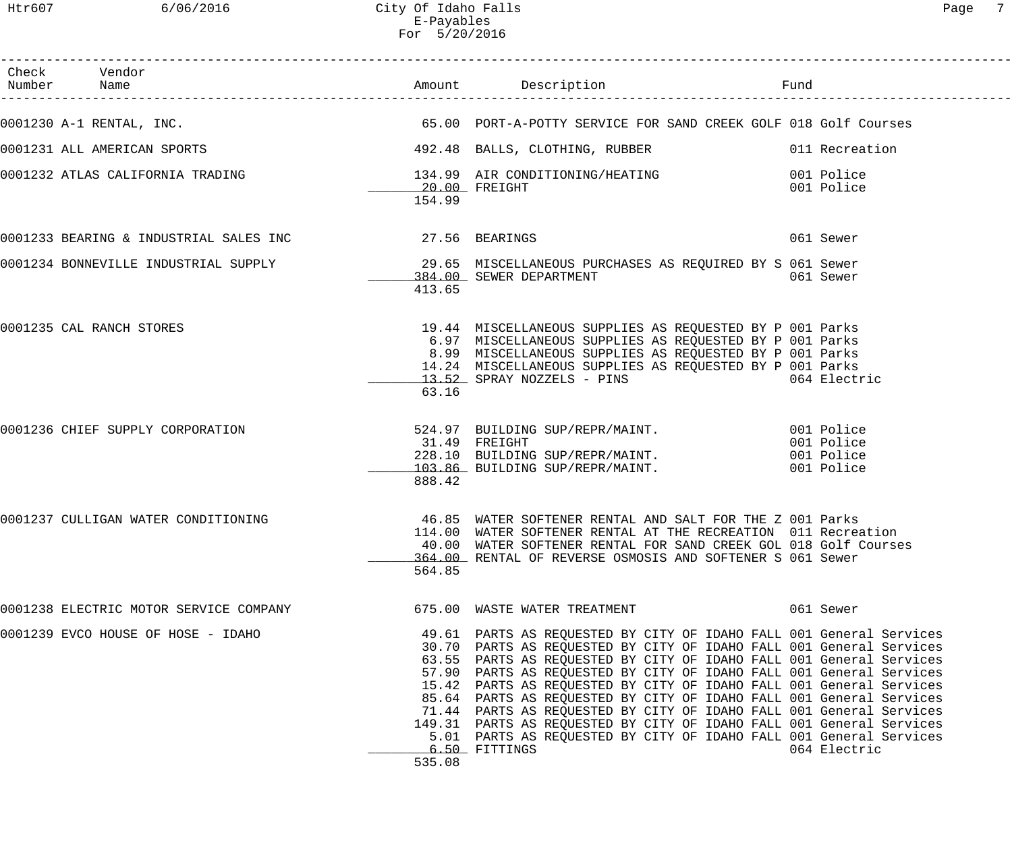| Check Vendor                                                                                                                                                                                                                         |        |                                                                                                                                                                                                                                                                                                                                                                                                                                                                                                                                                                                                                                                                              |              |
|--------------------------------------------------------------------------------------------------------------------------------------------------------------------------------------------------------------------------------------|--------|------------------------------------------------------------------------------------------------------------------------------------------------------------------------------------------------------------------------------------------------------------------------------------------------------------------------------------------------------------------------------------------------------------------------------------------------------------------------------------------------------------------------------------------------------------------------------------------------------------------------------------------------------------------------------|--------------|
| 0001230 A-1 RENTAL, INC. THE SALE STRIP OF SALE SERVICE FOR SAND CREEK GOLF 018 Golf Courses                                                                                                                                         |        |                                                                                                                                                                                                                                                                                                                                                                                                                                                                                                                                                                                                                                                                              |              |
| 0001231 ALL AMERICAN SPORTS (1992.48 BALLS, CLOTHING, RUBBER 1991, 2011 Recreation                                                                                                                                                   |        |                                                                                                                                                                                                                                                                                                                                                                                                                                                                                                                                                                                                                                                                              |              |
|                                                                                                                                                                                                                                      | 154.99 |                                                                                                                                                                                                                                                                                                                                                                                                                                                                                                                                                                                                                                                                              |              |
| 0001233 BEARING & INDUSTRIAL SALES INC <b>127.56</b> BEARINGS                                                                                                                                                                        |        |                                                                                                                                                                                                                                                                                                                                                                                                                                                                                                                                                                                                                                                                              | 061 Sewer    |
| 0001234 BONNEVILLE INDUSTRIAL SUPPLY 29.65 MISCELLANEOUS PURCHASES AS REQUIRED BY S 061 Sewer<br>384.00 SEWER DEPARTMENT                                                                                                             | 413.65 |                                                                                                                                                                                                                                                                                                                                                                                                                                                                                                                                                                                                                                                                              |              |
| 0001235 CAL RANCH STORES                                                                                                                                                                                                             | 63.16  | 19.44 MISCELLANEOUS SUPPLIES AS REQUESTED BY P 001 Parks<br>6.97 MISCELLANEOUS SUPPLIES AS REQUESTED BY P 001 Parks<br>8.99 MISCELLANEOUS SUPPLIES AS REQUESTED BY P 001 Parks<br>14.24 MISCELLANEOUS SUPPLIES AS REQUESTED BY P 001 Parks<br>13.52 SPRAY NOZZELS - PINS 664 Electric                                                                                                                                                                                                                                                                                                                                                                                        |              |
| 0001236 CHIEF SUPPLY CORPORATION 524.97 BUILDING SUP/REPR/MAINT. 001 Police 31.49 FREIGHT 001 Police 31.49 FREIGHT<br>31.49 FREIGHT 001 Police 228.10 BUILDING SUP/REPR/MAINT. 001 Police<br>103.86 BUILDING SUP/REPR/MAINT. 001 Pol | 888.42 |                                                                                                                                                                                                                                                                                                                                                                                                                                                                                                                                                                                                                                                                              |              |
| 0001237 CULLIGAN WATER CONDITIONING                                                                                                                                                                                                  | 564.85 | 46.85 WATER SOFTENER RENTAL AND SALT FOR THE Z 001 Parks<br>114.00 WATER SOFTENER RENTAL AT THE RECREATION 011 Recreation<br>40.00 WATER SOFTENER RENTAL FOR SAND CREEK GOL 018 Golf Courses<br>364.00 RENTAL OF REVERSE OSMOSIS AND SOFTENER S 061 Sewer                                                                                                                                                                                                                                                                                                                                                                                                                    |              |
| 0001238 ELECTRIC MOTOR SERVICE COMPANY                                                                                                                                                                                               |        | 675.00 WASTE WATER TREATMENT                                                                                                                                                                                                                                                                                                                                                                                                                                                                                                                                                                                                                                                 | 061 Sewer    |
| 0001239 EVCO HOUSE OF HOSE - IDAHO                                                                                                                                                                                                   | 535.08 | 49.61 PARTS AS REQUESTED BY CITY OF IDAHO FALL 001 General Services<br>30.70 PARTS AS REQUESTED BY CITY OF IDAHO FALL 001 General Services<br>63.55 PARTS AS REQUESTED BY CITY OF IDAHO FALL 001 General Services<br>57.90 PARTS AS REQUESTED BY CITY OF IDAHO FALL 001 General Services<br>15.42 PARTS AS REQUESTED BY CITY OF IDAHO FALL 001 General Services<br>85.64 PARTS AS REQUESTED BY CITY OF IDAHO FALL 001 General Services<br>71.44 PARTS AS REQUESTED BY CITY OF IDAHO FALL 001 General Services<br>149.31 PARTS AS REQUESTED BY CITY OF IDAHO FALL 001 General Services<br>5.01 PARTS AS REQUESTED BY CITY OF IDAHO FALL 001 General Services<br>6.50 FITTINGS | 064 Electric |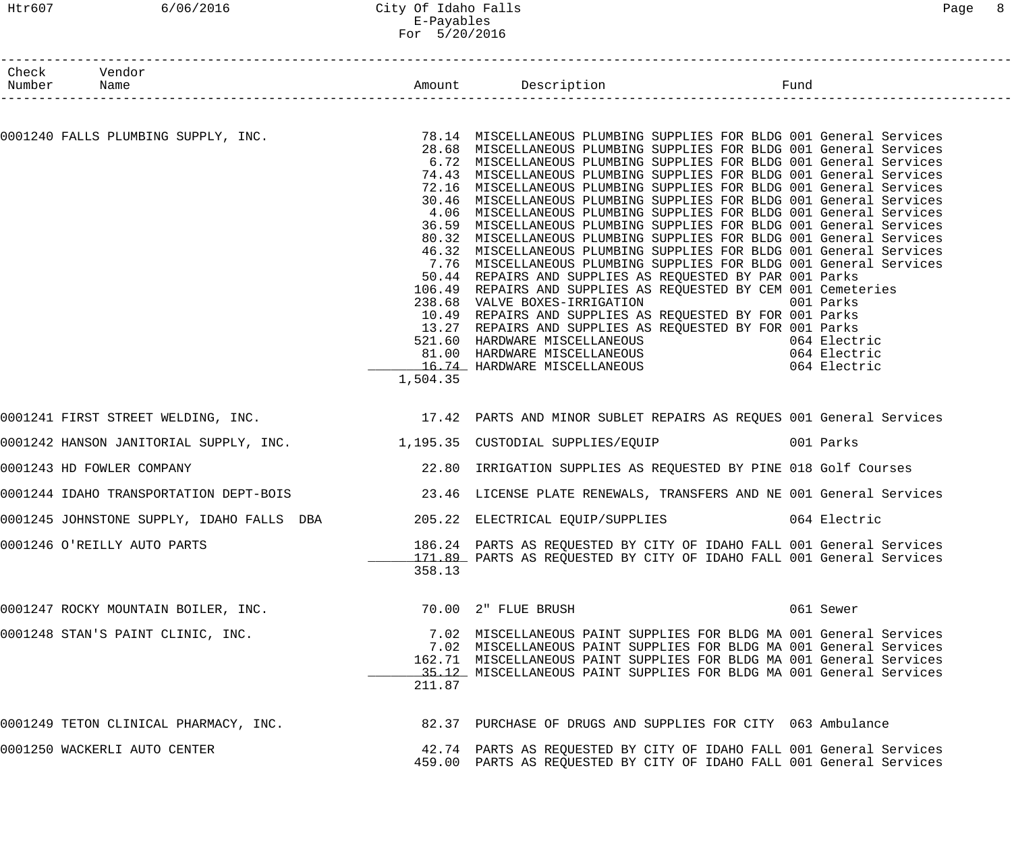# Htr607 6/06/2016 City Of Idaho Falls Page 8 E-Payables For 5/20/2016

| Check Vendor<br>Number Name         |          |                                                                                                                                                                                                                                                                                                                                                                                                                                                                                                                                                                                                                                                                                                                                                                                                                                                                                                                                                                                                                                                                                                                                                                                                                                                                                                                  | Fund |           |
|-------------------------------------|----------|------------------------------------------------------------------------------------------------------------------------------------------------------------------------------------------------------------------------------------------------------------------------------------------------------------------------------------------------------------------------------------------------------------------------------------------------------------------------------------------------------------------------------------------------------------------------------------------------------------------------------------------------------------------------------------------------------------------------------------------------------------------------------------------------------------------------------------------------------------------------------------------------------------------------------------------------------------------------------------------------------------------------------------------------------------------------------------------------------------------------------------------------------------------------------------------------------------------------------------------------------------------------------------------------------------------|------|-----------|
|                                     |          |                                                                                                                                                                                                                                                                                                                                                                                                                                                                                                                                                                                                                                                                                                                                                                                                                                                                                                                                                                                                                                                                                                                                                                                                                                                                                                                  |      |           |
|                                     | 1,504.35 | 0001240 FALLS PLUMBING SUPPLY, INC. 28.14 MISCELLANEOUS PLUMBING SUPPLIES FOR BLDG 001 General Services<br>28.68 MISCELLANEOUS PLUMBING SUPPLIES FOR BLDG 001 General Services<br>6.72 MISCELLANEOUS PLUMBING SUPPLIES FOR BLDG 001 General Services<br>74.43 MISCELLANEOUS PLUMBING SUPPLIES FOR BLDG 001 General Services<br>72.16 MISCELLANEOUS PLUMBING SUPPLIES FOR BLDG 001 General Services<br>30.46 MISCELLANEOUS PLUMBING SUPPLIES FOR BLDG 001 General Services<br>4.06 MISCELLANEOUS PLUMBING SUPPLIES FOR BLDG 001 General Services<br>36.59 MISCELLANEOUS PLUMBING SUPPLIES FOR BLDG 001 General Services<br>80.32 MISCELLANEOUS PLUMBING SUPPLIES FOR BLDG 001 General Services<br>46.32 MISCELLANEOUS PLUMBING SUPPLIES FOR BLDG 001 General Services<br>7.76 MISCELLANEOUS PLUMBING SUPPLIES FOR BLDG 001 General Services<br>50.44 REPAIRS AND SUPPLIES AS REQUESTED BY PAR 001 Parks<br>106.49 REPAIRS AND SUPPLIES AS REQUESTED BY CEM 001 Cemeteries<br>238.68 VALVE BOXES-IRRIGATION 001 Parks<br>10.49 REPAIRS AND SUPPLIES AS REQUESTED BY FOR 001 Parks<br>13.27 REPAIRS AND SUPPLIES AS REQUESTED BY FOR 001 Parks<br>521.60 HARDWARE MISCELLANEOUS (1994 Electric 16.74 HARDWARE MISCELLANEOUS (1994 Electric 16.74 HARDWARE MISCELLANEOUS (1994 Electric 16.74 HARDWARE MISCELLANEOUS |      |           |
|                                     |          | 0001241 FIRST STREET WELDING, INC. THE MANUSIC MEASURE AND MINOR SUBLET REPAIRS AS REQUES 001 General Services                                                                                                                                                                                                                                                                                                                                                                                                                                                                                                                                                                                                                                                                                                                                                                                                                                                                                                                                                                                                                                                                                                                                                                                                   |      |           |
|                                     |          | 0001242 HANSON JANITORIAL SUPPLY, INC. 1,195.35 CUSTODIAL SUPPLIES/EQUIP 001 Parks                                                                                                                                                                                                                                                                                                                                                                                                                                                                                                                                                                                                                                                                                                                                                                                                                                                                                                                                                                                                                                                                                                                                                                                                                               |      |           |
| 0001243 HD FOWLER COMPANY           |          | 22.80 IRRIGATION SUPPLIES AS REQUESTED BY PINE 018 Golf Courses                                                                                                                                                                                                                                                                                                                                                                                                                                                                                                                                                                                                                                                                                                                                                                                                                                                                                                                                                                                                                                                                                                                                                                                                                                                  |      |           |
|                                     |          | 0001244 IDAHO TRANSPORTATION DEPT-BOIS 3.46 LICENSE PLATE RENEWALS, TRANSFERS AND NE 001 General Services                                                                                                                                                                                                                                                                                                                                                                                                                                                                                                                                                                                                                                                                                                                                                                                                                                                                                                                                                                                                                                                                                                                                                                                                        |      |           |
|                                     |          | 0001245 JOHNSTONE SUPPLY, IDAHO FALLS DBA 205.22 ELECTRICAL EQUIP/SUPPLIES 064 Electric                                                                                                                                                                                                                                                                                                                                                                                                                                                                                                                                                                                                                                                                                                                                                                                                                                                                                                                                                                                                                                                                                                                                                                                                                          |      |           |
| 0001246 O'REILLY AUTO PARTS         | 358.13   | 186.24 PARTS AS REQUESTED BY CITY OF IDAHO FALL 001 General Services<br>171.89 PARTS AS REQUESTED BY CITY OF IDAHO FALL 001 General Services                                                                                                                                                                                                                                                                                                                                                                                                                                                                                                                                                                                                                                                                                                                                                                                                                                                                                                                                                                                                                                                                                                                                                                     |      |           |
| 0001247 ROCKY MOUNTAIN BOILER, INC. |          | 70.00 2" FLUE BRUSH                                                                                                                                                                                                                                                                                                                                                                                                                                                                                                                                                                                                                                                                                                                                                                                                                                                                                                                                                                                                                                                                                                                                                                                                                                                                                              |      | 061 Sewer |
| 0001248 STAN'S PAINT CLINIC, INC.   | 211.87   | 7.02 MISCELLANEOUS PAINT SUPPLIES FOR BLDG MA 001 General Services<br>7.02 MISCELLANEOUS PAINT SUPPLIES FOR BLDG MA 001 General Services<br>162.71 MISCELLANEOUS PAINT SUPPLIES FOR BLDG MA 001 General Services<br>35.12 MISCELLANEOUS PAINT SUPPLIES FOR BLDG MA 001 General Services                                                                                                                                                                                                                                                                                                                                                                                                                                                                                                                                                                                                                                                                                                                                                                                                                                                                                                                                                                                                                          |      |           |
|                                     |          | 0001249 TETON CLINICAL PHARMACY, INC. 482.37 PURCHASE OF DRUGS AND SUPPLIES FOR CITY 063 Ambulance                                                                                                                                                                                                                                                                                                                                                                                                                                                                                                                                                                                                                                                                                                                                                                                                                                                                                                                                                                                                                                                                                                                                                                                                               |      |           |
| 0001250 WACKERLI AUTO CENTER        |          | 42.74 PARTS AS REQUESTED BY CITY OF IDAHO FALL 001 General Services<br>459.00 PARTS AS REQUESTED BY CITY OF IDAHO FALL 001 General Services                                                                                                                                                                                                                                                                                                                                                                                                                                                                                                                                                                                                                                                                                                                                                                                                                                                                                                                                                                                                                                                                                                                                                                      |      |           |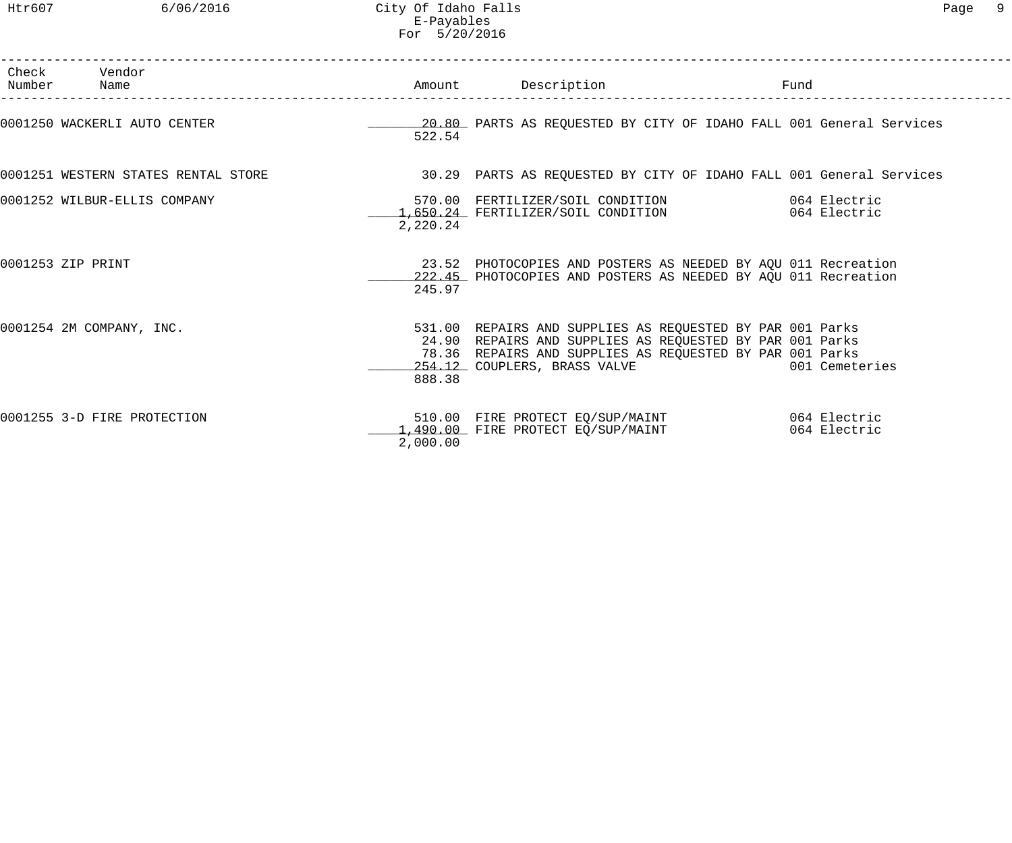| Check Vendor<br>Number Name         |          | Amount Description                                                                                                                                                                                                | Fund           |  |
|-------------------------------------|----------|-------------------------------------------------------------------------------------------------------------------------------------------------------------------------------------------------------------------|----------------|--|
| 0001250 WACKERLI AUTO CENTER        | 522.54   | 20.80 PARTS AS REQUESTED BY CITY OF IDAHO FALL 001 General Services                                                                                                                                               |                |  |
| 0001251 WESTERN STATES RENTAL STORE |          | 30.29 PARTS AS REQUESTED BY CITY OF IDAHO FALL 001 General Services                                                                                                                                               |                |  |
| 0001252 WILBUR-ELLIS COMPANY        | 2,220.24 | 570.00 FERTILIZER/SOIL CONDITION 064 Electric<br>1.650.24 FERTILIZER/SOIL CONDITION 064 Electric                                                                                                                  |                |  |
| 0001253 ZIP PRINT                   | 245.97   | 23.52 PHOTOCOPIES AND POSTERS AS NEEDED BY AQU 011 Recreation<br>222.45 PHOTOCOPIES AND POSTERS AS NEEDED BY AOU 011 Recreation                                                                                   |                |  |
| 0001254 2M COMPANY, INC.            | 888.38   | 531.00 REPAIRS AND SUPPLIES AS REQUESTED BY PAR 001 Parks<br>24.90 REPAIRS AND SUPPLIES AS REQUESTED BY PAR 001 Parks<br>78.36 REPAIRS AND SUPPLIES AS REQUESTED BY PAR 001 Parks<br>254.12 COUPLERS, BRASS VALVE | 001 Cemeteries |  |
| 0001255 3-D FIRE PROTECTION         | 2,000.00 | 510.00 FIRE PROTECT EQ/SUP/MAINT 664 Electric<br>1,490.00 FIRE PROTECT EQ/SUP/MAINT                                                                                                                               | 064 Electric   |  |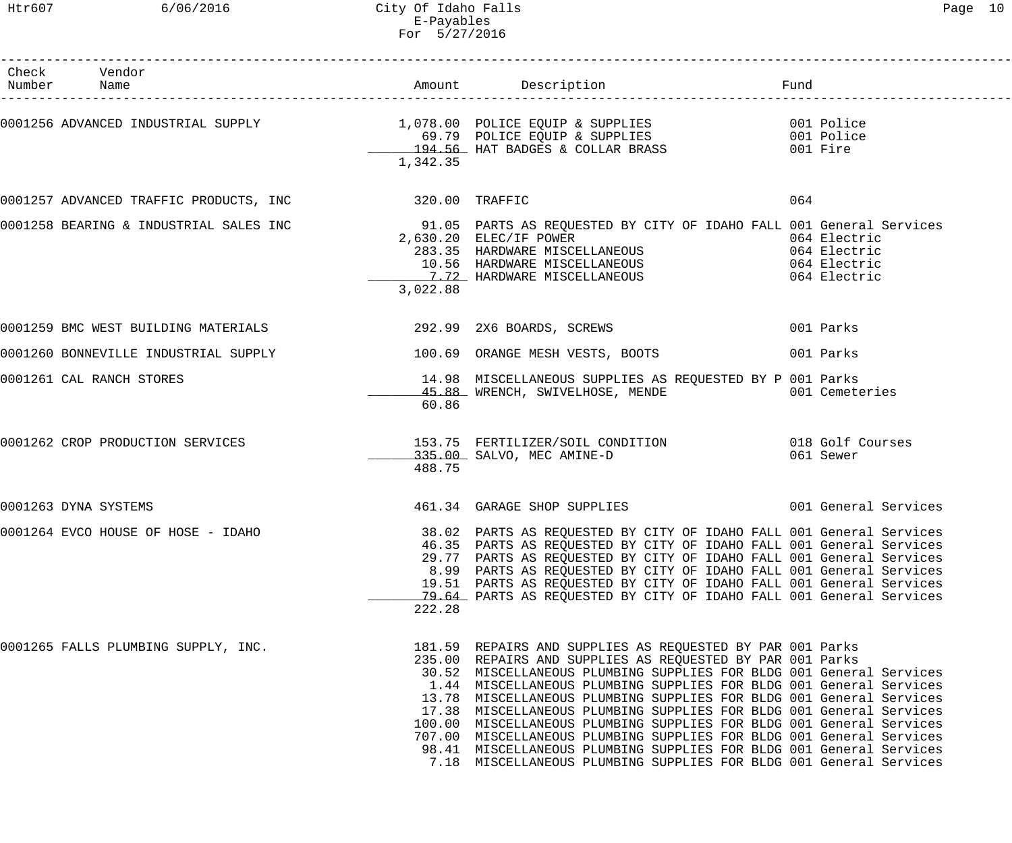## Htr607 6/06/2016 City Of Idaho Falls Page 10 E-Payables For 5/27/2016

| Check Vendor<br>Number Name                                          |          |                                                                                                                                                                                                                                                                                                                                                                                                                                                                                                                                                                                                                                                                                                                |                                                              |
|----------------------------------------------------------------------|----------|----------------------------------------------------------------------------------------------------------------------------------------------------------------------------------------------------------------------------------------------------------------------------------------------------------------------------------------------------------------------------------------------------------------------------------------------------------------------------------------------------------------------------------------------------------------------------------------------------------------------------------------------------------------------------------------------------------------|--------------------------------------------------------------|
|                                                                      | 1,342.35 | 0001256 ADVANCED INDUSTRIAL SUPPLY 1,078.00 POLICE EQUIP & SUPPLIES<br>69.79 POLICE EQUIP & SUPPLIES 001 Police<br>194.56 HAT BADGES & COLLAR BRASS 001 Fire                                                                                                                                                                                                                                                                                                                                                                                                                                                                                                                                                   |                                                              |
| 0001257 ADVANCED TRAFFIC PRODUCTS, INC 320.00 TRAFFIC                |          |                                                                                                                                                                                                                                                                                                                                                                                                                                                                                                                                                                                                                                                                                                                | 064                                                          |
|                                                                      | 3,022.88 | 0001258 BEARING & INDUSTRIAL SALES INC<br>2.630.30 ELEC(IE DOWER DOWER BY CITY OF IDAHO FALL 001 General Services<br>2,630.20 ELEC/IF POWER<br>283.35 HARDWARE MISCELLANEOUS<br>10.56 HARDWARE MISCELLANEOUS<br>7.72 HARDWARE MISCELLANEOUS                                                                                                                                                                                                                                                                                                                                                                                                                                                                    | 064 Electric<br>064 Electric<br>064 Electric<br>064 Electric |
| 0001259 BMC WEST BUILDING MATERIALS 292.99 2X6 BOARDS, SCREWS        |          |                                                                                                                                                                                                                                                                                                                                                                                                                                                                                                                                                                                                                                                                                                                | 001 Parks                                                    |
| 0001260 BONNEVILLE INDUSTRIAL SUPPLY 100.69 ORANGE MESH VESTS, BOOTS |          |                                                                                                                                                                                                                                                                                                                                                                                                                                                                                                                                                                                                                                                                                                                | 001 Parks                                                    |
| 0001261 CAL RANCH STORES                                             | 60.86    | 14.98 MISCELLANEOUS SUPPLIES AS REQUESTED BY P 001 Parks<br>45.88 WRENCH, SWIVELHOSE, MENDE 601 Cemeteries                                                                                                                                                                                                                                                                                                                                                                                                                                                                                                                                                                                                     |                                                              |
| 0001262 CROP PRODUCTION SERVICES                                     | 488.75   | 153.75 FERTILIZER/SOIL CONDITION 018 Golf Courses<br>335.00 SALVO, MEC AMINE-D 061 Sewer                                                                                                                                                                                                                                                                                                                                                                                                                                                                                                                                                                                                                       |                                                              |
| 0001263 DYNA SYSTEMS                                                 |          | 461.34 GARAGE SHOP SUPPLIES 001 General Services                                                                                                                                                                                                                                                                                                                                                                                                                                                                                                                                                                                                                                                               |                                                              |
| 0001264 EVCO HOUSE OF HOSE - IDAHO                                   | 222.28   | 38.02 PARTS AS REQUESTED BY CITY OF IDAHO FALL 001 General Services<br>46.35 PARTS AS REQUESTED BY CITY OF IDAHO FALL 001 General Services<br>29.77 PARTS AS REQUESTED BY CITY OF IDAHO FALL 001 General Services<br>8.99 PARTS AS REQUESTED BY CITY OF IDAHO FALL 001 General Services<br>19.51 PARTS AS REQUESTED BY CITY OF IDAHO FALL 001 General Services<br>79.64 PARTS AS REQUESTED BY CITY OF IDAHO FALL 001 General Services                                                                                                                                                                                                                                                                          |                                                              |
| 0001265 FALLS PLUMBING SUPPLY, INC.                                  |          | 181.59 REPAIRS AND SUPPLIES AS REQUESTED BY PAR 001 Parks<br>235.00 REPAIRS AND SUPPLIES AS REQUESTED BY PAR 001 Parks<br>30.52 MISCELLANEOUS PLUMBING SUPPLIES FOR BLDG 001 General Services<br>1.44 MISCELLANEOUS PLUMBING SUPPLIES FOR BLDG 001 General Services<br>13.78 MISCELLANEOUS PLUMBING SUPPLIES FOR BLDG 001 General Services<br>17.38 MISCELLANEOUS PLUMBING SUPPLIES FOR BLDG 001 General Services<br>100.00 MISCELLANEOUS PLUMBING SUPPLIES FOR BLDG 001 General Services<br>707.00 MISCELLANEOUS PLUMBING SUPPLIES FOR BLDG 001 General Services<br>98.41 MISCELLANEOUS PLUMBING SUPPLIES FOR BLDG 001 General Services<br>7.18 MISCELLANEOUS PLUMBING SUPPLIES FOR BLDG 001 General Services |                                                              |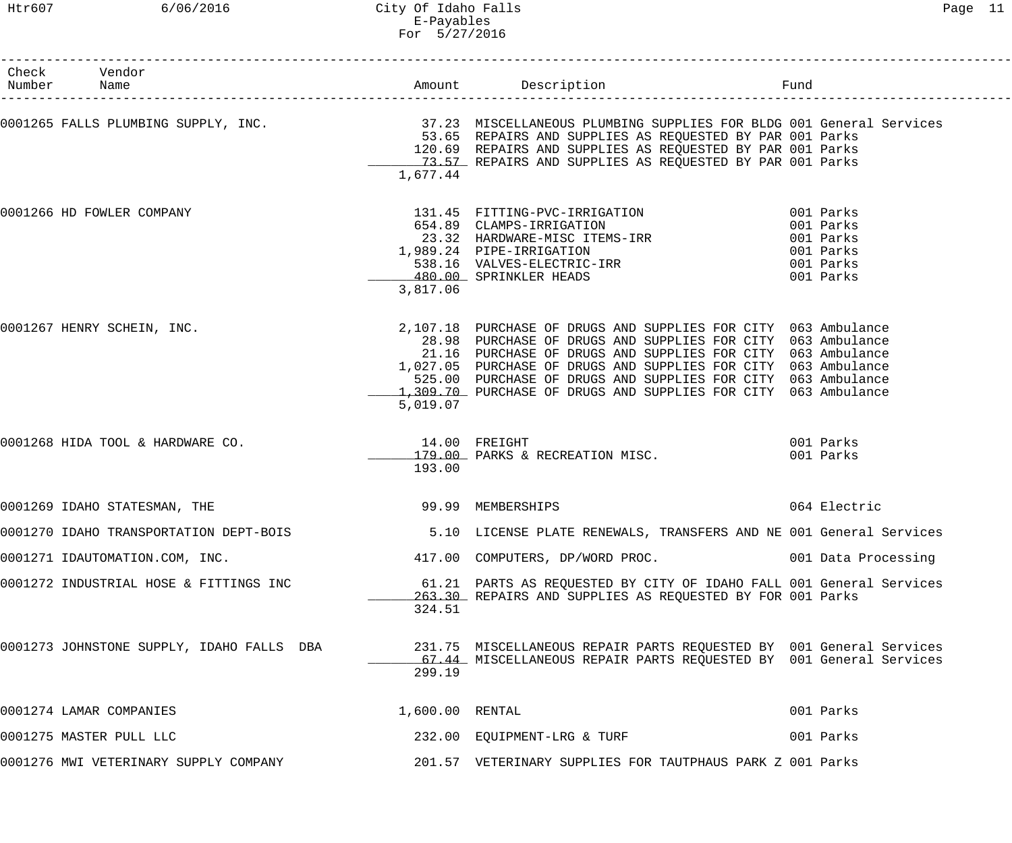Htr607 6/06/2016 City Of Idaho Falls Page 11 E-Payables For 5/27/2016

| Check Vendor<br>Number Name               |                         |                                                                                                                                                                                                                                                                                                                                                                                                  |                                                               |
|-------------------------------------------|-------------------------|--------------------------------------------------------------------------------------------------------------------------------------------------------------------------------------------------------------------------------------------------------------------------------------------------------------------------------------------------------------------------------------------------|---------------------------------------------------------------|
|                                           | 1,677.44                | 0001265 FALLS PLUMBING SUPPLY, INC.                         37.23 MISCELLANEOUS PLUMBING SUPPLIES FOR BLDG 001 General Services<br>53.65 REPAIRS AND SUPPLIES AS REQUESTED BY PAR 001 Parks<br>120.69 REPAIRS AND SUPPLIES AS REQUESTED BY PAR 001 Parks<br>73.57 REPAIRS AND SUPPLIES AS REQUESTED BY PAR 001 Parks                                                                             |                                                               |
| 0001266 HD FOWLER COMPANY                 | 3,817.06                | 131.45 FITTING-PVC-IRRIGATION 001 Parks<br>554.89 CLAMPS-IRRIGATION<br>23.32 HARDWARE-MISC ITEMS-IRR<br>989.24 PIPE-IRRIGATION<br>538.16 VALVES-ELECTRIC-IRR<br>480.00 SPRINKLER HEADS<br>1,989.24 PIPE-IRRIGATION<br>480.00 SPRINKLER HEADS                                                                                                                                                     | 001 Parks<br>001 Parks<br>001 Parks<br>001 Parks<br>001 Parks |
| 0001267 HENRY SCHEIN, INC.                | 5,019.07                | 2,107.18 PURCHASE OF DRUGS AND SUPPLIES FOR CITY 063 Ambulance<br>28.98 PURCHASE OF DRUGS AND SUPPLIES FOR CITY 063 Ambulance<br>21.16 PURCHASE OF DRUGS AND SUPPLIES FOR CITY 063 Ambulance<br>1,027.05 PURCHASE OF DRUGS AND SUPPLIES FOR CITY 063 Ambulance<br>525.00 PURCHASE OF DRUGS AND SUPPLIES FOR CITY 063 Ambulance<br>1,309.70 PURCHASE OF DRUGS AND SUPPLIES FOR CITY 063 Ambulance |                                                               |
| 0001268 HIDA TOOL & HARDWARE CO.          | 14.00 FREIGHT<br>193.00 | 179.00 PARKS & RECREATION MISC.                                                                                                                                                                                                                                                                                                                                                                  | 001 Parks<br>001 Parks                                        |
| 0001269 IDAHO STATESMAN, THE              | 99.99 MEMBERSHIPS       |                                                                                                                                                                                                                                                                                                                                                                                                  | 064 Electric                                                  |
|                                           |                         | 0001270 IDAHO TRANSPORTATION DEPT-BOIS 6.10 LICENSE PLATE RENEWALS, TRANSFERS AND NE 001 General Services                                                                                                                                                                                                                                                                                        |                                                               |
| 0001271 IDAUTOMATION.COM, INC.            |                         | 417.00 COMPUTERS, DP/WORD PROC.                                                                                                                                                                                                                                                                                                                                                                  | 001 Data Processing                                           |
| 0001272 INDUSTRIAL HOSE & FITTINGS INC    | 324.51                  | 61.21 PARTS AS REQUESTED BY CITY OF IDAHO FALL 001 General Services<br>263.30 REPAIRS AND SUPPLIES AS REQUESTED BY FOR 001 Parks                                                                                                                                                                                                                                                                 |                                                               |
| 0001273 JOHNSTONE SUPPLY, IDAHO FALLS DBA | 299.19                  | 231.75 MISCELLANEOUS REPAIR PARTS REQUESTED BY 001 General Services<br>67.44 MISCELLANEOUS REPAIR PARTS REQUESTED BY 001 General Services                                                                                                                                                                                                                                                        |                                                               |
| 0001274 LAMAR COMPANIES                   | 1,600.00 RENTAL         |                                                                                                                                                                                                                                                                                                                                                                                                  | 001 Parks                                                     |
| 0001275 MASTER PULL LLC                   |                         | 232.00 EQUIPMENT-LRG & TURF                                                                                                                                                                                                                                                                                                                                                                      | 001 Parks                                                     |
| 0001276 MWI VETERINARY SUPPLY COMPANY     |                         | 201.57 VETERINARY SUPPLIES FOR TAUTPHAUS PARK Z 001 Parks                                                                                                                                                                                                                                                                                                                                        |                                                               |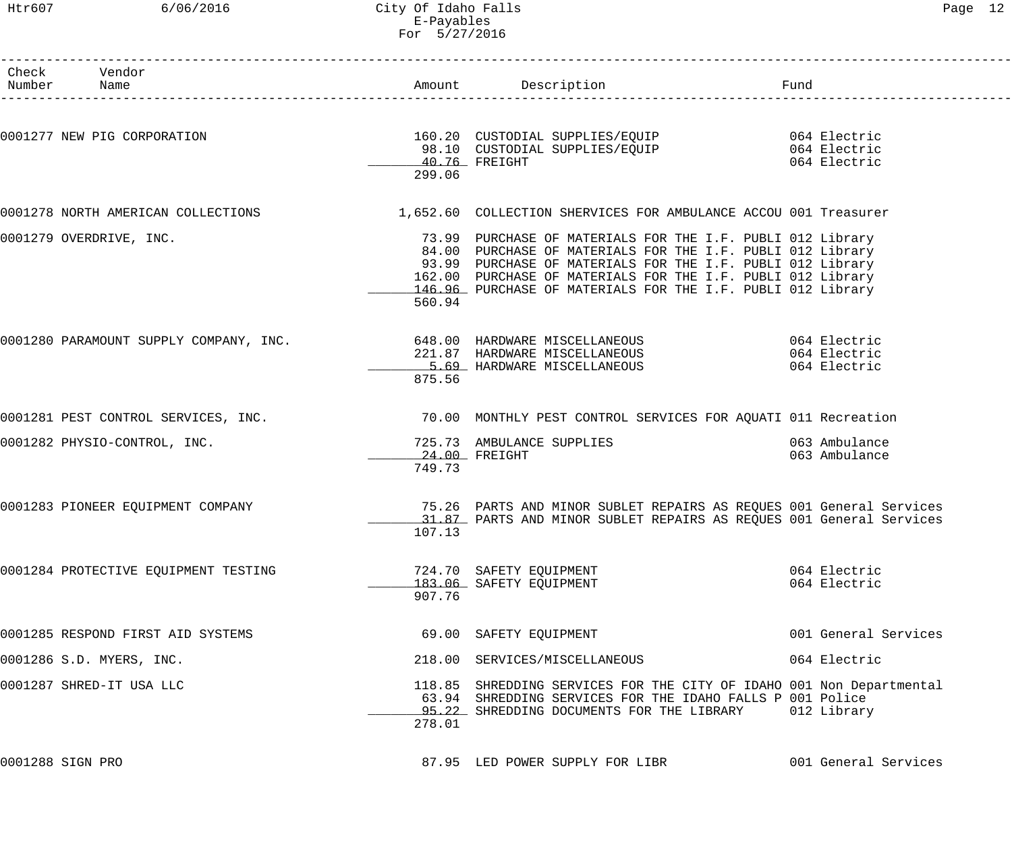### Htr607 6/06/2016 City Of Idaho Falls Page 12 E-Payables For 5/27/2016

| Check Vendor<br>Number Name          |               | Amount Description<br>Fund                                                                                                                |                      |
|--------------------------------------|---------------|-------------------------------------------------------------------------------------------------------------------------------------------|----------------------|
|                                      |               |                                                                                                                                           |                      |
|                                      |               | 0001277 NEW PIG CORPORATION 160.20 CUSTODIAL SUPPLIES/EQUIP 664 Electric<br>98.10 CUSTODIAL SUPPLIES/EQUIP 98.10 CUSTODIAL SUPPLIES/EQUIP |                      |
|                                      | 40.76 FREIGHT |                                                                                                                                           | 064 Electric         |
|                                      | 299.06        |                                                                                                                                           |                      |
| 0001278 NORTH AMERICAN COLLECTIONS   |               | 1,652.60 COLLECTION SHERVICES FOR AMBULANCE ACCOU 001 Treasurer                                                                           |                      |
| 0001279 OVERDRIVE, INC.              |               | 73.99 PURCHASE OF MATERIALS FOR THE I.F. PUBLI 012 Library                                                                                |                      |
|                                      |               | 84.00 PURCHASE OF MATERIALS FOR THE I.F. PUBLI 012 Library                                                                                |                      |
|                                      |               | 93.99 PURCHASE OF MATERIALS FOR THE I.F. PUBLI 012 Library                                                                                |                      |
|                                      |               | 162.00 PURCHASE OF MATERIALS FOR THE I.F. PUBLI 012 Library<br>146.96 PURCHASE OF MATERIALS FOR THE I.F. PUBLI 012 Library                |                      |
|                                      | 560.94        |                                                                                                                                           |                      |
|                                      |               |                                                                                                                                           |                      |
|                                      |               |                                                                                                                                           |                      |
|                                      | 875.56        | 5.69 HARDWARE MISCELLANEOUS                                                                                                               | 064 Electric         |
|                                      |               | 0001281 PEST CONTROL SERVICES, INC. THE REAR MONTHLY PEST CONTROL SERVICES FOR AQUATI 011 Recreation                                      |                      |
|                                      |               |                                                                                                                                           |                      |
| 0001282 PHYSIO-CONTROL, INC.         |               | 725.73 AMBULANCE SUPPLIES<br>24.00 FREIGHT                                                                                                |                      |
|                                      | 749.73        | 24.00 FREIGHT                                                                                                                             | 063 Ambulance        |
| 0001283 PIONEER EQUIPMENT COMPANY    |               | 75.26 PARTS AND MINOR SUBLET REPAIRS AS REQUES 001 General Services                                                                       |                      |
|                                      |               | 31.87 PARTS AND MINOR SUBLET REPAIRS AS REQUES 001 General Services                                                                       |                      |
|                                      | 107.13        |                                                                                                                                           |                      |
| 0001284 PROTECTIVE EQUIPMENT TESTING |               | 724.70 SAFETY EQUIPMENT                                                                                                                   | 064 Electric         |
|                                      | 907.76        | 183.06 SAFETY EQUIPMENT                                                                                                                   | 064 Electric         |
| 0001285 RESPOND FIRST AID SYSTEMS    |               | 69.00 SAFETY EQUIPMENT                                                                                                                    | 001 General Services |
| 0001286 S.D. MYERS, INC.             |               | 218.00 SERVICES/MISCELLANEOUS                                                                                                             | 064 Electric         |
| 0001287 SHRED-IT USA LLC             |               | 118.85 SHREDDING SERVICES FOR THE CITY OF IDAHO 001 Non Departmental                                                                      |                      |
|                                      |               | 63.94 SHREDDING SERVICES FOR THE IDAHO FALLS P 001 Police                                                                                 |                      |
|                                      |               | 95.22 SHREDDING DOCUMENTS FOR THE LIBRARY                                                                                                 | 012 Library          |
|                                      | 278.01        |                                                                                                                                           |                      |
| 0001288 SIGN PRO                     |               | 87.95 LED POWER SUPPLY FOR LIBR                                                                                                           | 001 General Services |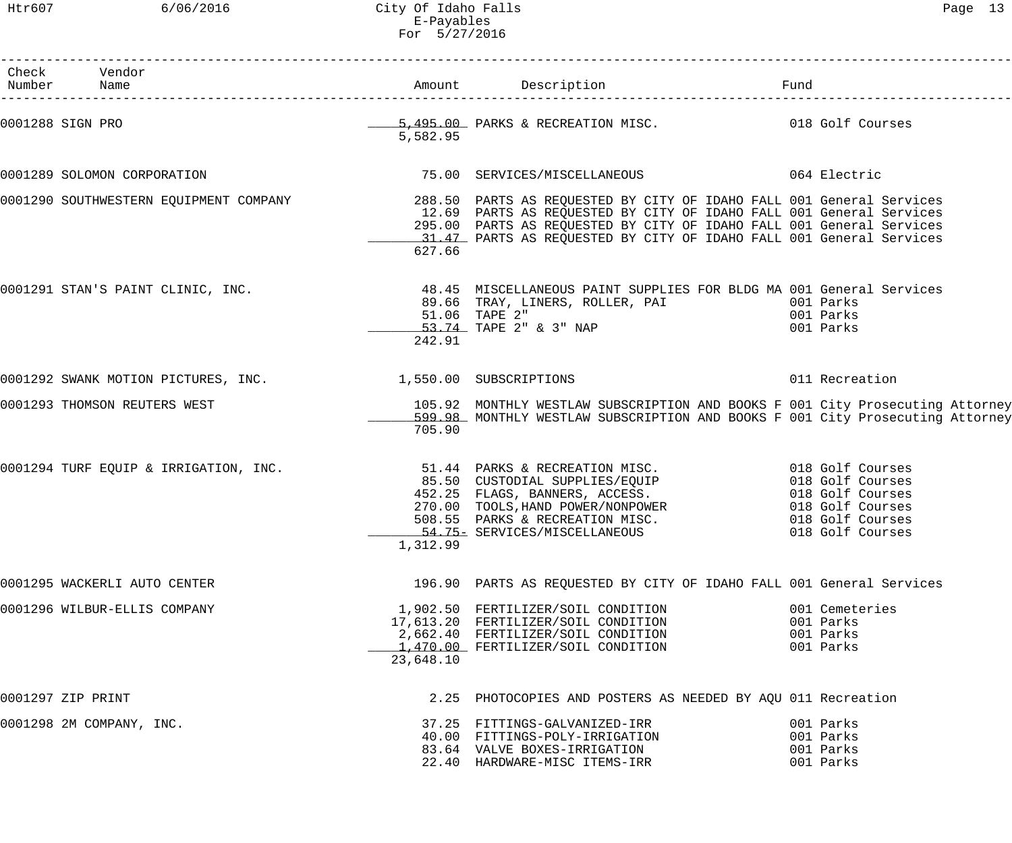| Check Vendor                                               |           |                                                                                                                                                                                                                                                                                                                                                  |                                                       |
|------------------------------------------------------------|-----------|--------------------------------------------------------------------------------------------------------------------------------------------------------------------------------------------------------------------------------------------------------------------------------------------------------------------------------------------------|-------------------------------------------------------|
|                                                            | 5,582.95  | 0001288 SIGN PRO                                   5,495.00 PARKS & RECREATION MISC.                 018 Golf Courses                                                                                                                                                                                                                            |                                                       |
| 0001289 SOLOMON CORPORATION                                |           | 75.00 SERVICES/MISCELLANEOUS 064 Electric                                                                                                                                                                                                                                                                                                        |                                                       |
|                                                            | 627.66    | 0001290 SOUTHWESTERN EQUIPMENT COMPANY   KONTERNIELLE 288.50 PARTS AS REQUESTED BY CITY OF IDAHO FALL 001 General Services<br>12.69 PARTS AS REQUESTED BY CITY OF IDAHO FALL 001 General Services<br>295.00 PARTS AS REQUESTED BY CITY OF IDAHO FALL 001 General Services<br>31.47 PARTS AS REQUESTED BY CITY OF IDAHO FALL 001 General Services |                                                       |
|                                                            | 242.91    | 0001291 STAN'S PAINT CLINIC, INC.                   48.45 MISCELLANEOUS PAINT SUPPLIES FOR BLDG MA 001 General Services<br>53.74 TAPE 2" & 3" NAP                                                                                                                                                                                                | 001 Parks                                             |
| 0001292 SWANK MOTION PICTURES, INC. 1,550.00 SUBSCRIPTIONS |           |                                                                                                                                                                                                                                                                                                                                                  | 011 Recreation                                        |
| 0001293 THOMSON REUTERS WEST                               | 705.90    | 105.92 MONTHLY WESTLAW SUBSCRIPTION AND BOOKS F 001 City Prosecuting Attorney<br>599.98 MONTHLY WESTLAW SUBSCRIPTION AND BOOKS F 001 City Prosecuting Attorney                                                                                                                                                                                   |                                                       |
|                                                            | 1,312.99  | 0001294 TURF EQUIP & IRRIGATION, INC.<br>85.50 CUSTODIAL SUPPLIES/EQUIP 018 Golf Courses<br>452.25 FLAGS, BANNERS, ACCESS.<br>270.00 TOOLS, HAND POWER/NONPOWER 018 Golf Courses<br>508.55 PARKS & RECREATION MISC. 018 Golf Courses<br>                                                                                                         |                                                       |
| 0001295 WACKERLI AUTO CENTER                               |           | 196.90 PARTS AS REQUESTED BY CITY OF IDAHO FALL 001 General Services                                                                                                                                                                                                                                                                             |                                                       |
| 0001296 WILBUR-ELLIS COMPANY                               | 23,648.10 | 1,902.50 FERTILIZER/SOIL CONDITION<br>17,613.20 FERTILIZER/SOIL CONDITION<br>2,662.40 FERTILIZER/SOIL CONDITION<br>1,470.00 FERTILIZER/SOIL CONDITION                                                                                                                                                                                            | 001 Cemeteries<br>001 Parks<br>001 Parks<br>001 Parks |
| 0001297 ZIP PRINT                                          |           | 2.25 PHOTOCOPIES AND POSTERS AS NEEDED BY AQU 011 Recreation                                                                                                                                                                                                                                                                                     |                                                       |
| 0001298 2M COMPANY, INC.                                   |           | 37.25 FITTINGS-GALVANIZED-IRR<br>40.00 FITTINGS-POLY-IRRIGATION<br>83.64 VALVE BOXES-IRRIGATION<br>22.40 HARDWARE-MISC ITEMS-IRR                                                                                                                                                                                                                 | 001 Parks<br>001 Parks<br>001 Parks<br>001 Parks      |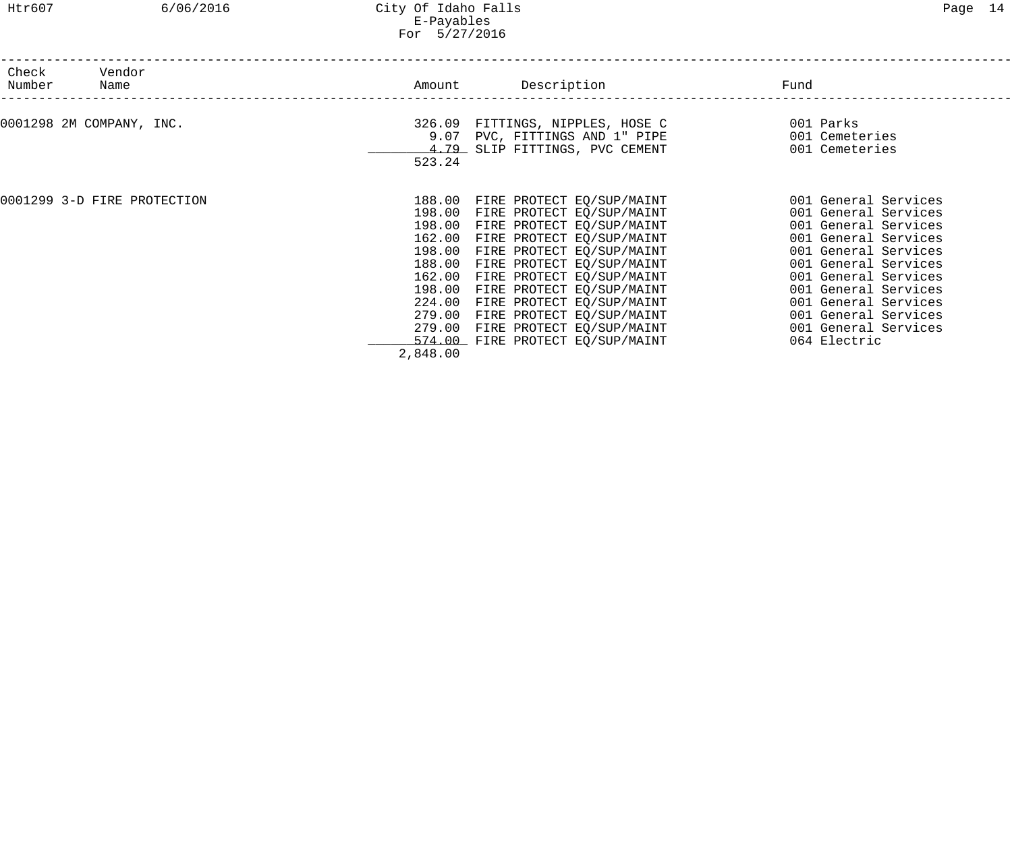| Vendor<br>Check<br>Number<br>Name | Description<br>Amount                                                                                                                                                                                                                                                                                                                                                                                                                                                                     | Fund                                                                                                                                                                                                                                                                                 |
|-----------------------------------|-------------------------------------------------------------------------------------------------------------------------------------------------------------------------------------------------------------------------------------------------------------------------------------------------------------------------------------------------------------------------------------------------------------------------------------------------------------------------------------------|--------------------------------------------------------------------------------------------------------------------------------------------------------------------------------------------------------------------------------------------------------------------------------------|
| 0001298 2M COMPANY, INC.          | 326.09 FITTINGS, NIPPLES, HOSE C<br>9.07 PVC, FITTINGS AND 1" PIPE<br>4.79 SLIP FITTINGS, PVC CEMENT<br>523.24                                                                                                                                                                                                                                                                                                                                                                            | 001 Parks<br>001 Cemeteries<br>001 Cemeteries                                                                                                                                                                                                                                        |
| 0001299 3-D FIRE PROTECTION       | FIRE PROTECT EQ/SUP/MAINT<br>188.00<br>198.00<br>FIRE PROTECT EQ/SUP/MAINT<br>198.00<br>FIRE PROTECT EQ/SUP/MAINT<br>162.00<br>FIRE PROTECT EQ/SUP/MAINT<br>198.00<br>FIRE PROTECT EQ/SUP/MAINT<br>188.00<br>FIRE PROTECT EQ/SUP/MAINT<br>FIRE PROTECT EQ/SUP/MAINT<br>162.00<br>FIRE PROTECT EQ/SUP/MAINT<br>198.00<br>FIRE PROTECT EQ/SUP/MAINT<br>224.00<br>279.00<br>FIRE PROTECT EQ/SUP/MAINT<br>279.00<br>FIRE PROTECT EQ/SUP/MAINT<br>574.00 FIRE PROTECT EQ/SUP/MAINT<br>2,848.00 | 001 General Services<br>001 General Services<br>001 General Services<br>001 General Services<br>001 General Services<br>001 General Services<br>001 General Services<br>001 General Services<br>001 General Services<br>001 General Services<br>001 General Services<br>064 Electric |